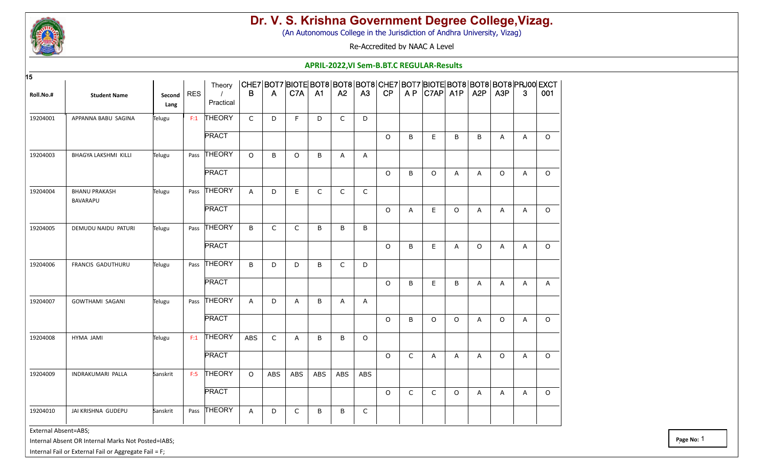

(An Autonomous College in the Jurisdiction of Andhra University, Vizag)

Re-Accredited by NAAC A Level

#### **APRIL-2022,VI Sem-B.BT.C REGULAR-Results**

| 15        |                          |                |         |                     |                |              |              |                |              |              |         |              |                                                                                               |              |                  |                  |              |              |
|-----------|--------------------------|----------------|---------|---------------------|----------------|--------------|--------------|----------------|--------------|--------------|---------|--------------|-----------------------------------------------------------------------------------------------|--------------|------------------|------------------|--------------|--------------|
| Roll.No.# | <b>Student Name</b>      | Second<br>Lang | $ $ RES | Theory<br>Practical | В              | A            | C7A          | A <sub>1</sub> | A2           | A3           | CP      |              | CHE7 BOT7 BIOTE BOT8 BOT8 BOT8 CHE7 BOT7 BIOTE BOT8 BOT8 BOT8 PRJ00 EXCT<br>$AP$ $ C7AP $ A1P |              | A <sub>2</sub> P | A <sub>3</sub> P | $\mathbf{3}$ | 001          |
| 19204001  | APPANNA BABU SAGINA      | Telugu         | F:1     | THEORY              | $\mathsf{C}$   | D            | F            | D              | $\mathsf{C}$ | D            |         |              |                                                                                               |              |                  |                  |              |              |
|           |                          |                |         | <b>PRACT</b>        |                |              |              |                |              |              | $\circ$ | B            | E                                                                                             | B            | B                | $\mathsf{A}$     | $\mathsf{A}$ | $\Omega$     |
| 19204003  | BHAGYA LAKSHMI KILLI     | Telugu         | Pass    | <b>THEORY</b>       | $\circ$        | B            | $\circ$      | B              | A            | Α            |         |              |                                                                                               |              |                  |                  |              |              |
|           |                          |                |         | <b>PRACT</b>        |                |              |              |                |              |              | $\circ$ | B            | $\circ$                                                                                       | A            | A                | $\circ$          | A            | $\circ$      |
| 19204004  | <b>BHANU PRAKASH</b>     | Telugu         | Pass    | <b>THEORY</b>       | $\overline{A}$ | D            | E.           | $\mathsf{C}$   | $\mathsf C$  | $\mathsf{C}$ |         |              |                                                                                               |              |                  |                  |              |              |
|           | BAVARAPU                 |                |         | <b>PRACT</b>        |                |              |              |                |              |              | $\circ$ | A            | E                                                                                             | $\circ$      | A                | $\mathsf{A}$     | A            | $\circ$      |
| 19204005  | DEMUDU NAIDU PATURI      | Telugu         | Pass    | <b>THEORY</b>       | B              | $\mathsf{C}$ | C            | B              | B            | B            |         |              |                                                                                               |              |                  |                  |              |              |
|           |                          |                |         | <b>PRACT</b>        |                |              |              |                |              |              | $\circ$ | B            | E                                                                                             | $\mathsf{A}$ | $\circ$          | $\mathsf{A}$     | A            | $\circ$      |
| 19204006  | FRANCIS GADUTHURU        | Telugu         |         | Pass THEORY         | B              | D            | D            | B              | $\mathsf{C}$ | D            |         |              |                                                                                               |              |                  |                  |              |              |
|           |                          |                |         | <b>PRACT</b>        |                |              |              |                |              |              | $\circ$ | B            | E                                                                                             | B            | A                | A                | A            | $\mathsf{A}$ |
| 19204007  | <b>GOWTHAMI SAGANI</b>   | Telugu         |         | Pass THEORY         | A              | D            | $\mathsf{A}$ | B              | A            | A            |         |              |                                                                                               |              |                  |                  |              |              |
|           |                          |                |         | <b>PRACT</b>        |                |              |              |                |              |              | $\circ$ | B            | $\circ$                                                                                       | $\circ$      | A                | $\circ$          | A            | $\circ$      |
| 19204008  | HYMA JAMI                | Telugu         | F:1     | <b>THEORY</b>       | ABS            | $\mathsf C$  | A            | B              | B            | $\circ$      |         |              |                                                                                               |              |                  |                  |              |              |
|           |                          |                |         | <b>PRACT</b>        |                |              |              |                |              |              | $\circ$ | $\mathsf{C}$ | Α                                                                                             | $\mathsf{A}$ | A                | $\circ$          | A            | $\circ$      |
| 19204009  | <b>INDRAKUMARI PALLA</b> | Sanskrit       | F:5     | THEORY              | $\circ$        | ABS          | ABS          | ABS            | ABS          | ABS          |         |              |                                                                                               |              |                  |                  |              |              |
|           |                          |                |         | <b>PRACT</b>        |                |              |              |                |              |              | $\circ$ | $\mathsf{C}$ | C                                                                                             | $\circ$      | $\mathsf{A}$     | $\mathsf{A}$     | $\mathsf{A}$ | $\Omega$     |
| 19204010  | JAI KRISHNA GUDEPU       | Sanskrit       | Pass    | <b>THEORY</b>       | A              | D            | $\mathsf{C}$ | B              | B            | $\mathsf{C}$ |         |              |                                                                                               |              |                  |                  |              |              |

External Absent=ABS;

Internal Absent OR Internal Marks Not Posted=IABS;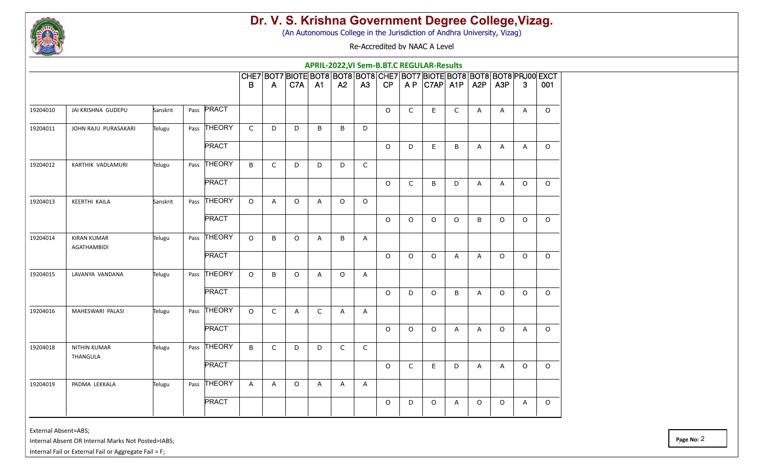

(An Autonomous College in the Jurisdiction of Andhra University, Vizag)

Re-Accredited by NAAC A Level

|          |                                          |          |                |              |              |                                                                          |             |              |              | APRIL-2022, VI Sem-B.BT.C REGULAR-Results |              |         |                   |                  |                  |         |         |
|----------|------------------------------------------|----------|----------------|--------------|--------------|--------------------------------------------------------------------------|-------------|--------------|--------------|-------------------------------------------|--------------|---------|-------------------|------------------|------------------|---------|---------|
|          |                                          |          |                |              |              | CHE7 BOT7 BIOTE BOT8 BOT8 BOT8 CHE7 BOT7 BIOTE BOT8 BOT8 BOT8 PRJ00 EXCT |             |              |              |                                           |              |         |                   |                  |                  |         |         |
|          |                                          |          |                | B            | A            | C7A                                                                      | <b>A1</b>   | A2           | A3           | CP                                        |              |         | $AP$ $C7AP$ $A1P$ | A <sub>2</sub> P | A <sub>3</sub> P | 3       | 001     |
| 19204010 | JAI KRISHNA GUDEPU                       | Sanskrit | Pass PRACT     |              |              |                                                                          |             |              |              | $\circ$                                   | $\mathsf{C}$ | E       | $\mathsf{C}$      | A                | A                | A       | $\circ$ |
| 19204011 | JOHN RAJU PURASAKARI                     | Telugu   | Pass THEORY    | $\mathsf{C}$ | D            | D                                                                        | B           | B            | D            |                                           |              |         |                   |                  |                  |         |         |
|          |                                          |          | <b>PRACT</b>   |              |              |                                                                          |             |              |              | $\circ$                                   | D            | E       | B                 | A                | A                | A       | $\circ$ |
| 19204012 | KARTHIK VADLAMURI                        | Telugu   | Pass THEORY    | B            | $\mathsf{C}$ | D                                                                        | D           | D            | $\mathsf C$  |                                           |              |         |                   |                  |                  |         |         |
|          |                                          |          | <b>PRACT</b>   |              |              |                                                                          |             |              |              | $\circ$                                   | $\mathsf{C}$ | B       | D                 | A                | Α                | $\circ$ | $\circ$ |
| 19204013 | <b>KEERTHI KAILA</b>                     | Sanskrit | Pass THEORY    | $\circ$      | A            | $\circ$                                                                  | A           | $\circ$      | $\circ$      |                                           |              |         |                   |                  |                  |         |         |
|          |                                          |          | <b>PRACT</b>   |              |              |                                                                          |             |              |              | $\circ$                                   | $\circ$      | O       | $\circ$           | B                | $\circ$          | $\circ$ | $\circ$ |
| 19204014 | <b>KIRAN KUMAR</b><br><b>AGATHAMBIDI</b> | Telugu   | Pass THEORY    | $\circ$      | B            | $\Omega$                                                                 | A           | B            | A            |                                           |              |         |                   |                  |                  |         |         |
|          |                                          |          | <b>PRACT</b>   |              |              |                                                                          |             |              |              | $\circ$                                   | $\circ$      | O       | A                 | A                | $\circ$          | $\circ$ | $\circ$ |
| 19204015 | LAVANYA VANDANA                          | Telugu   | THEORY<br>Pass | $\circ$      | B            | $\circ$                                                                  | Α           | $\circ$      | A            |                                           |              |         |                   |                  |                  |         |         |
|          |                                          |          | <b>PRACT</b>   |              |              |                                                                          |             |              |              | $\circ$                                   | D            | $\circ$ | B                 | A                | $\circ$          | $\circ$ | $\circ$ |
| 19204016 | MAHESWARI PALASI                         | Telugu   | Pass THEORY    | $\circ$      | $\mathsf{C}$ | A                                                                        | $\mathsf C$ | $\mathsf{A}$ | $\mathsf{A}$ |                                           |              |         |                   |                  |                  |         |         |
|          |                                          |          | <b>PRACT</b>   |              |              |                                                                          |             |              |              | $\circ$                                   | $\circ$      | $\circ$ | Α                 | A                | $\circ$          | A       | $\circ$ |
| 19204018 | <b>NITHIN KUMAR</b><br>THANGULA          | Telugu   | Pass THEORY    | B            | $\mathsf{C}$ | D                                                                        | D           | $\mathsf{C}$ | $\mathsf C$  |                                           |              |         |                   |                  |                  |         |         |
|          |                                          |          | <b>PRACT</b>   |              |              |                                                                          |             |              |              | $\circ$                                   | $\mathsf{C}$ | E.      | D                 | A                | A                | $\circ$ | $\circ$ |
| 19204019 | PADMA LEKKALA                            | Telugu   | Pass THEORY    | A            | A            | $\circ$                                                                  | A           | A            | Α            |                                           |              |         |                   |                  |                  |         |         |
|          |                                          |          | <b>PRACT</b>   |              |              |                                                                          |             |              |              | $\circ$                                   | D            | 0       | A                 | 0                | $\circ$          | A       | $\circ$ |

External Absent=ABS;

Internal Absent OR Internal Marks Not Posted=IABS;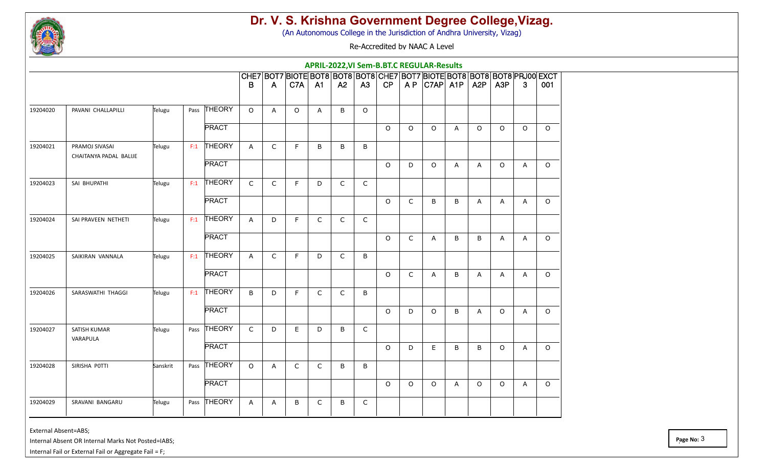

(An Autonomous College in the Jurisdiction of Andhra University, Vizag)

Re-Accredited by NAAC A Level

|          |                                          |          |     |              |                |              |                                                                          |                |              |                | APRIL-2022, VI Sem-B.BT.C REGULAR-Results |              |                   |         |                  |                  |                |          |
|----------|------------------------------------------|----------|-----|--------------|----------------|--------------|--------------------------------------------------------------------------|----------------|--------------|----------------|-------------------------------------------|--------------|-------------------|---------|------------------|------------------|----------------|----------|
|          |                                          |          |     |              |                |              | CHE7 BOT7 BIOTE BOT8 BOT8 BOT8 CHE7 BOT7 BIOTE BOT8 BOT8 BOT8 PRJ00 EXCT |                |              |                |                                           |              |                   |         |                  |                  |                |          |
|          |                                          |          |     |              | B              | A            | C7A                                                                      | A1             | A2           | A <sub>3</sub> | CP                                        |              | $AP$ $C7AP$ $A1P$ |         | A <sub>2</sub> P | A <sub>3</sub> P | 3              | 001      |
| 19204020 | PAVANI CHALLAPILLI                       | Telugu   |     | Pass THEORY  | $\Omega$       | A            | $\circ$                                                                  | $\overline{A}$ | B            | $\circ$        |                                           |              |                   |         |                  |                  |                |          |
|          |                                          |          |     | <b>PRACT</b> |                |              |                                                                          |                |              |                | $\circ$                                   | $\circ$      | $\circ$           | A       | $\circ$          | $\circ$          | $\circ$        | $\circ$  |
| 19204021 | PRAMOJ SIVASAI<br>CHAITANYA PADAL BALIJE | Telugu   | F:1 | THEORY       | A              | $\mathsf{C}$ | F.                                                                       | B              | B            | B              |                                           |              |                   |         |                  |                  |                |          |
|          |                                          |          |     | <b>PRACT</b> |                |              |                                                                          |                |              |                | $\circ$                                   | D            | O                 | A       | A                | $\circ$          | $\mathsf{A}$   | $\circ$  |
| 19204023 | SAI BHUPATHI                             | Telugu   |     | $F:1$ THEORY | $\mathsf{C}$   | C            | F.                                                                       | D              | $\mathsf{C}$ | C              |                                           |              |                   |         |                  |                  |                |          |
|          |                                          |          |     | <b>PRACT</b> |                |              |                                                                          |                |              |                | $\circ$                                   | $\mathsf C$  | B                 | B       | A                | A                | A              | $\circ$  |
| 19204024 | SAI PRAVEEN NETHETI                      | Telugu   | F:1 | THEORY       | $\mathsf{A}$   | D            | F.                                                                       | $\mathsf{C}$   | $\mathsf{C}$ | $\mathsf{C}$   |                                           |              |                   |         |                  |                  |                |          |
|          |                                          |          |     | <b>PRACT</b> |                |              |                                                                          |                |              |                | $\circ$                                   | $\mathsf C$  | A                 | B       | B                | $\overline{A}$   | A              | $\circ$  |
| 19204025 | SAIKIRAN VANNALA                         | Telugu   | F:1 | THEORY       | $\overline{A}$ | $\mathsf C$  | F                                                                        | D              | $\mathsf C$  | $\sf B$        |                                           |              |                   |         |                  |                  |                |          |
|          |                                          |          |     | <b>PRACT</b> |                |              |                                                                          |                |              |                | $\circ$                                   | $\mathsf{C}$ | A                 | B       | A                | Α                | A              | $\circ$  |
| 19204026 | SARASWATHI THAGGI                        | Telugu   | F:1 | THEORY       | B              | D            | F                                                                        | $\mathsf{C}$   | $\mathsf{C}$ | B              |                                           |              |                   |         |                  |                  |                |          |
|          |                                          |          |     | <b>PRACT</b> |                |              |                                                                          |                |              |                | $\circ$                                   | D            | O                 | $\sf B$ | A                | $\circ$          | A              | $\circ$  |
| 19204027 | SATISH KUMAR<br>VARAPULA                 | Telugu   |     | Pass THEORY  | $\mathsf{C}$   | D            | E.                                                                       | D              | B            | C              |                                           |              |                   |         |                  |                  |                |          |
|          |                                          |          |     | <b>PRACT</b> |                |              |                                                                          |                |              |                | $\circ$                                   | D            | E.                | B       | B                | $\circ$          | $\overline{A}$ | $\circ$  |
| 19204028 | SIRISHA POTTI                            | Sanskrit |     | Pass THEORY  | $\circ$        | A            | $\mathsf{C}$                                                             | $\mathsf{C}$   | B            | $\sf B$        |                                           |              |                   |         |                  |                  |                |          |
|          |                                          |          |     | <b>PRACT</b> |                |              |                                                                          |                |              |                | $\circ$                                   | $\circ$      | $\circ$           | A       | $\circ$          | $\circ$          | $\mathsf{A}$   | $\Omega$ |
| 19204029 | SRAVANI BANGARU                          | Telugu   |     | Pass THEORY  | A              | A            | B                                                                        | C              | B            | $\mathsf C$    |                                           |              |                   |         |                  |                  |                |          |

External Absent=ABS;

Internal Absent OR Internal Marks Not Posted=IABS;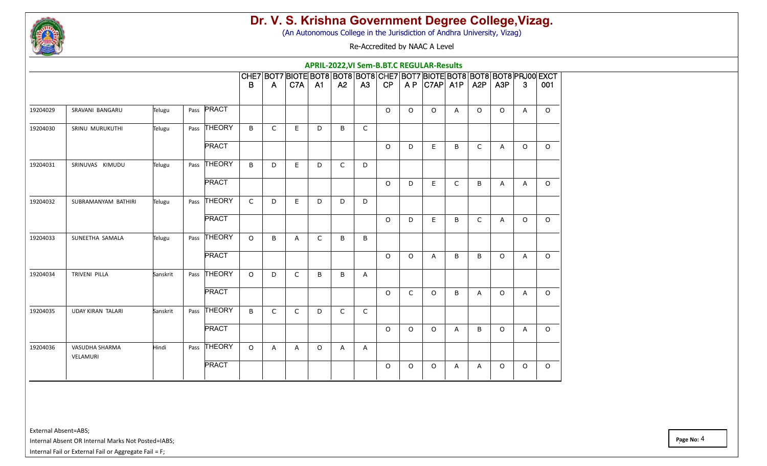

(An Autonomous College in the Jurisdiction of Andhra University, Vizag)

Re-Accredited by NAAC A Level

|          |                            |          |      |               |              |              |              |              |              |    |          |          | APRIL-2022, VI Sem-B.BT.C REGULAR-Results                                                     |              |                  |                  |              |         |
|----------|----------------------------|----------|------|---------------|--------------|--------------|--------------|--------------|--------------|----|----------|----------|-----------------------------------------------------------------------------------------------|--------------|------------------|------------------|--------------|---------|
|          |                            |          |      |               | B            | A            | C7A          | A1           | A2           | A3 | CP       |          | CHE7 BOT7 BIOTE BOT8 BOT8 BOT8 CHE7 BOT7 BIOTE BOT8 BOT8 BOT8 PRJ00 EXCT<br>$AP$ $ C7AP $ A1P |              | A <sub>2</sub> P | A <sub>3</sub> P | 3            | 001     |
| 19204029 | SRAVANI BANGARU            | Telugu   |      | Pass PRACT    |              |              |              |              |              |    | $\Omega$ | $\circ$  | $\circ$                                                                                       | $\mathsf{A}$ | $\circ$          | $\circ$          | A            | $\circ$ |
| 19204030 | SRINU MURUKUTHI            | Telugu   |      | Pass THEORY   | B            | C            | E            | D            | B            | C  |          |          |                                                                                               |              |                  |                  |              |         |
|          |                            |          |      | <b>PRACT</b>  |              |              |              |              |              |    | $\Omega$ | D        | E                                                                                             | B            | $\mathsf{C}$     | Α                | $\circ$      | $\circ$ |
| 19204031 | SRINUVAS KIMUDU            | Telugu   |      | Pass THEORY   | B            | D            | E            | D            | $\mathsf{C}$ | D  |          |          |                                                                                               |              |                  |                  |              |         |
|          |                            |          |      | <b>PRACT</b>  |              |              |              |              |              |    | $\Omega$ | D        | E.                                                                                            | $\mathsf{C}$ | B                | A                | $\mathsf{A}$ | $\circ$ |
| 19204032 | SUBRAMANYAM BATHIRI        | Telugu   | Pass | <b>THEORY</b> | $\mathsf{C}$ | D            | E            | D            | D            | D  |          |          |                                                                                               |              |                  |                  |              |         |
|          |                            |          |      | <b>PRACT</b>  |              |              |              |              |              |    | $\circ$  | D        | E                                                                                             | B            | $\mathsf{C}$     | A                | $\circ$      | $\circ$ |
| 19204033 | SUNEETHA SAMALA            | Telugu   | Pass | <b>THEORY</b> | $\circ$      | B            | A            | $\mathsf{C}$ | $\sf B$      | B  |          |          |                                                                                               |              |                  |                  |              |         |
|          |                            |          |      | <b>PRACT</b>  |              |              |              |              |              |    | $\circ$  | $\circ$  | Α                                                                                             | B            | B                | $\circ$          | A            | $\circ$ |
| 19204034 | <b>TRIVENI PILLA</b>       | Sanskrit |      | Pass THEORY   | $\circ$      | D            | $\mathsf{C}$ | B            | B            | A  |          |          |                                                                                               |              |                  |                  |              |         |
|          |                            |          |      | <b>PRACT</b>  |              |              |              |              |              |    | $\Omega$ | C        | $\circ$                                                                                       | B            | A                | $\circ$          | A            | $\circ$ |
| 19204035 | <b>UDAY KIRAN TALARI</b>   | Sanskrit | Pass | THEORY        | B            | $\mathsf{C}$ | C            | D            | $\mathsf{C}$ | C  |          |          |                                                                                               |              |                  |                  |              |         |
|          |                            |          |      | <b>PRACT</b>  |              |              |              |              |              |    | $\Omega$ | $\Omega$ | $\circ$                                                                                       | A            | B                | $\Omega$         | A            | $\circ$ |
| 19204036 | VASUDHA SHARMA<br>VELAMURI | Hindi    |      | Pass THEORY   | $\circ$      | A            | A            | $\circ$      | $\mathsf{A}$ | A  |          |          |                                                                                               |              |                  |                  |              |         |
|          |                            |          |      | <b>PRACT</b>  |              |              |              |              |              |    | $\circ$  | $\circ$  | $\circ$                                                                                       | A            | A                | $\circ$          | $\circ$      | $\circ$ |
|          |                            |          |      |               |              |              |              |              |              |    |          |          |                                                                                               |              |                  |                  |              |         |

External Absent=ABS;

Internal Absent OR Internal Marks Not Posted=IABS;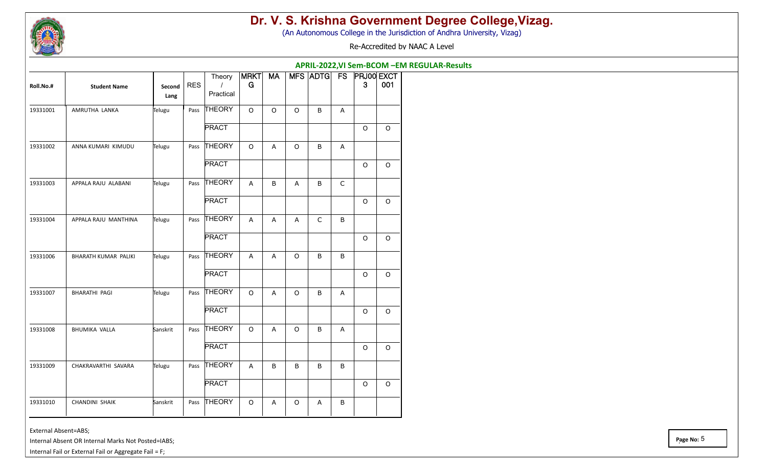

(An Autonomous College in the Jurisdiction of Andhra University, Vizag)

Re-Accredited by NAAC A Level

|           |                       |                |            |                     |                  |           |         | APRIL-2022, VI Sem-BCOM - EM REGULAR-Results |             |             |             |
|-----------|-----------------------|----------------|------------|---------------------|------------------|-----------|---------|----------------------------------------------|-------------|-------------|-------------|
| Roll.No.# | <b>Student Name</b>   | Second<br>Lang | <b>RES</b> | Theory<br>Practical | <b>MRKT</b><br>G | <b>MA</b> |         | MFS ADTG FS PRJ00 EXCT                       |             | 3           | 001         |
| 19331001  | AMRUTHA LANKA         | Telugu         | Pass       | THEORY              | $\circ$          | $\circ$   | $\circ$ | B                                            | Α           |             |             |
|           |                       |                |            | <b>PRACT</b>        |                  |           |         |                                              |             | $\circ$     | $\circ$     |
| 19331002  | ANNA KUMARI KIMUDU    | Telugu         | Pass       | <b>THEORY</b>       | $\circ$          | Α         | $\circ$ | B                                            | Α           |             |             |
|           |                       |                |            | <b>PRACT</b>        |                  |           |         |                                              |             | $\circ$     | $\circ$     |
| 19331003  | APPALA RAJU ALABANI   | Telugu         | Pass       | <b>THEORY</b>       | A                | B         | A       | B                                            | $\mathsf C$ |             |             |
|           |                       |                |            | <b>PRACT</b>        |                  |           |         |                                              |             | $\circ$     | O           |
| 19331004  | APPALA RAJU MANTHINA  | Telugu         | Pass       | <b>THEORY</b>       | A                | A         | A       | $\mathsf{C}$                                 | $\sf B$     |             |             |
|           |                       |                |            | <b>PRACT</b>        |                  |           |         |                                              |             | $\circ$     | O           |
| 19331006  | BHARATH KUMAR PALIKI  | Telugu         | Pass       | <b>THEORY</b>       | $\mathsf{A}$     | Α         | $\circ$ | B                                            | B           |             |             |
|           |                       |                |            | <b>PRACT</b>        |                  |           |         |                                              |             | $\mathsf O$ | O           |
| 19331007  | <b>BHARATHI PAGI</b>  | Telugu         | Pass       | <b>THEORY</b>       | $\circ$          | Α         | $\circ$ | B                                            | A           |             |             |
|           |                       |                |            | <b>PRACT</b>        |                  |           |         |                                              |             | O           | O           |
| 19331008  | <b>BHUMIKA VALLA</b>  | Sanskrit       | Pass       | <b>THEORY</b>       | $\circ$          | Α         | $\circ$ | B                                            | Α           |             |             |
|           |                       |                |            | <b>PRACT</b>        |                  |           |         |                                              |             | $\circ$     | $\mathsf O$ |
| 19331009  | CHAKRAVARTHI SAVARA   | Telugu         | Pass       | <b>THEORY</b>       | $\mathsf{A}$     | B         | B       | B                                            | B           |             |             |
|           |                       |                |            | <b>PRACT</b>        |                  |           |         |                                              |             | $\Omega$    | $\circ$     |
| 19331010  | <b>CHANDINI SHAIK</b> | Sanskrit       | Pass       | <b>THEORY</b>       | $\circ$          | A         | $\circ$ | A                                            | B           |             |             |

External Absent=ABS;

Internal Absent OR Internal Marks Not Posted=IABS;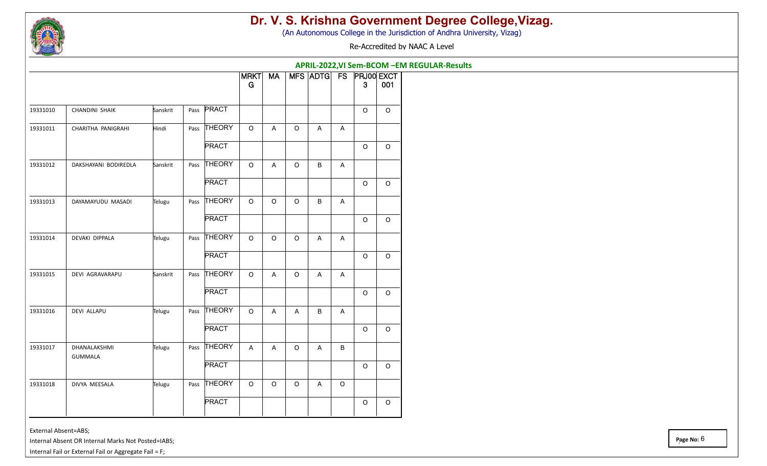

÷.

 $\overline{\phantom{0}}$ 

 $\overline{\phantom{0}}$ 

 $\overline{\phantom{0}}$ 

÷.

#### **Dr. V. S. Krishna Government Degree College,Vizag.**

(An Autonomous College in the Jurisdiction of Andhra University, Vizag)

Re-Accredited by NAAC A Level

**APRIL-2022,VI Sem-BCOM –EM REGULAR-Results**

|          |                                |          |      |               | MRKT<br>G                 | <b>MA</b>      |         |                           |              | MFS ADTG FS PRJ00 EXCT<br>3 | 001      |
|----------|--------------------------------|----------|------|---------------|---------------------------|----------------|---------|---------------------------|--------------|-----------------------------|----------|
| 19331010 | <b>CHANDINI SHAIK</b>          | Sanskrit |      | Pass PRACT    |                           |                |         |                           |              | $\Omega$                    | $\circ$  |
| 19331011 | CHARITHA PANIGRAHI             | Hindi    |      | Pass THEORY   | $\mathsf O$               | A              | $\circ$ | A                         | A            |                             |          |
|          |                                |          |      | <b>PRACT</b>  |                           |                |         |                           |              | $\circ$                     | $\circ$  |
| 19331012 | DAKSHAYANI BODIREDLA           | Sanskrit |      | Pass THEORY   | $\circ$                   | A              | $\circ$ | B                         | $\mathsf{A}$ |                             |          |
|          |                                |          |      | <b>PRACT</b>  |                           |                |         |                           |              | $\circ$                     | $\circ$  |
| 19331013 | DAYAMAYUDU MASADI              | Telugu   | Pass | <b>THEORY</b> | $\mathsf O$               | $\circ$        | $\circ$ | B                         | A            |                             |          |
|          |                                |          |      | <b>PRACT</b>  |                           |                |         |                           |              | $\Omega$                    | $\circ$  |
| 19331014 | DEVAKI DIPPALA                 | Telugu   | Pass | <b>THEORY</b> | $\circ$                   | $\circ$        | $\circ$ | A                         | A            |                             |          |
|          |                                |          |      | <b>PRACT</b>  |                           |                |         |                           |              | $\Omega$                    | $\circ$  |
| 19331015 | DEVI AGRAVARAPU                | Sanskrit | Pass | <b>THEORY</b> | $\circ$                   | A              | $\circ$ | A                         | A            |                             |          |
|          |                                |          |      | <b>PRACT</b>  |                           |                |         |                           |              | $\circ$                     | $\circ$  |
| 19331016 | <b>DEVI ALLAPU</b>             | Telugu   | Pass | THEORY        | $\mathsf O$               | A              | A       | B                         | A            |                             |          |
|          |                                |          |      | <b>PRACT</b>  |                           |                |         |                           |              | $\Omega$                    | $\Omega$ |
| 19331017 | DHANALAKSHMI<br><b>GUMMALA</b> | Telugu   | Pass | <b>THEORY</b> | $\boldsymbol{\mathsf{A}}$ | $\overline{A}$ | $\circ$ | $\boldsymbol{\mathsf{A}}$ | B            |                             |          |
|          |                                |          |      | <b>PRACT</b>  |                           |                |         |                           |              | $\Omega$                    | $\Omega$ |
| 19331018 | DIVYA MEESALA                  | Telugu   | Pass | <b>THEORY</b> | $\circ$                   | $\circ$        | $\circ$ | A                         | $\circ$      |                             |          |
|          |                                |          |      | PRACT         |                           |                |         |                           |              | $\mathsf O$                 | $\circ$  |
|          |                                |          |      |               |                           |                |         |                           |              |                             |          |

External Absent=ABS;

Internal Absent OR Internal Marks Not Posted=IABS;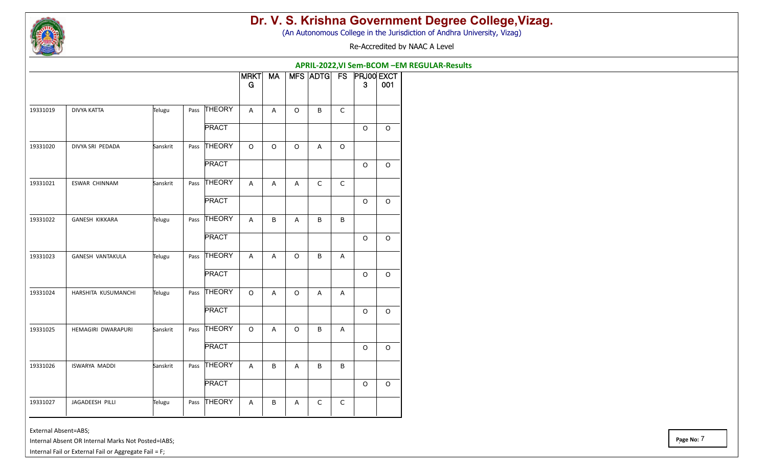

(An Autonomous College in the Jurisdiction of Andhra University, Vizag)

Re-Accredited by NAAC A Level

|          |                       |          |      |               |                  |             |                           |              |                           | APRIL-2022, VI Sem-BCOM - EM REGULAR-Results |             |
|----------|-----------------------|----------|------|---------------|------------------|-------------|---------------------------|--------------|---------------------------|----------------------------------------------|-------------|
|          |                       |          |      |               | <b>MRKT</b><br>G | <b>MA</b>   |                           |              |                           | MFS ADTG FS PRJ00 EXCT<br>3                  | 001         |
| 19331019 | DIVYA KATTA           | Telugu   | Pass | THEORY        | A                | A           | $\circ$                   | B            | $\mathsf{C}$              |                                              |             |
|          |                       |          |      | <b>PRACT</b>  |                  |             |                           |              |                           | $\mathsf O$                                  | $\mathsf O$ |
| 19331020 | DIVYA SRI PEDADA      | Sanskrit | Pass | THEORY        | $\mathsf O$      | $\mathsf O$ | $\mathsf O$               | A            | $\circ$                   |                                              |             |
|          |                       |          |      | <b>PRACT</b>  |                  |             |                           |              |                           | $\circ$                                      | $\mathsf O$ |
| 19331021 | ESWAR CHINNAM         | Sanskrit | Pass | <b>THEORY</b> | А                | А           | Α                         | $\mathsf{C}$ | $\mathsf C$               |                                              |             |
|          |                       |          |      | <b>PRACT</b>  |                  |             |                           |              |                           | $\circ$                                      | $\mathsf O$ |
| 19331022 | <b>GANESH KIKKARA</b> | Telugu   | Pass | THEORY        | $\overline{A}$   | B           | $\boldsymbol{\mathsf{A}}$ | B            | B                         |                                              |             |
|          |                       |          |      | <b>PRACT</b>  |                  |             |                           |              |                           | $\circ$                                      | $\mathsf O$ |
| 19331023 | GANESH VANTAKULA      | Telugu   | Pass | THEORY        | $\overline{A}$   | A           | $\mathsf O$               | B            | Α                         |                                              |             |
|          |                       |          |      | <b>PRACT</b>  |                  |             |                           |              |                           | $\circ$                                      | $\mathsf O$ |
| 19331024 | HARSHITA KUSUMANCHI   | Telugu   | Pass | THEORY        | $\circ$          | A           | $\mathsf O$               | A            | A                         |                                              |             |
|          |                       |          |      | <b>PRACT</b>  |                  |             |                           |              |                           | $\circ$                                      | $\circ$     |
| 19331025 | HEMAGIRI DWARAPURI    | Sanskrit | Pass | <b>THEORY</b> | $\circ$          | A           | $\mathsf O$               | B            | $\boldsymbol{\mathsf{A}}$ |                                              |             |
|          |                       |          |      | <b>PRACT</b>  |                  |             |                           |              |                           | $\circ$                                      | $\mathsf O$ |
| 19331026 | ISWARYA MADDI         | Sanskrit | Pass | THEORY        | Α                | B           | Α                         | B            | B                         |                                              |             |
|          |                       |          |      | <b>PRACT</b>  |                  |             |                           |              |                           | $\mathsf O$                                  | $\mathsf O$ |
| 19331027 | JAGADEESH PILLI       | Telugu   | Pass | THEORY        | A                | B           | А                         | C            | $\mathsf C$               |                                              |             |

External Absent=ABS;

Internal Absent OR Internal Marks Not Posted=IABS;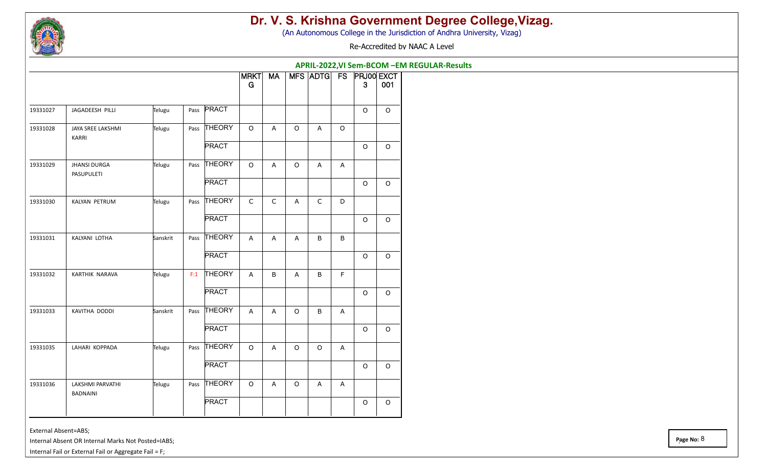

(An Autonomous College in the Jurisdiction of Andhra University, Vizag)

Re-Accredited by NAAC A Level

**APRIL-2022,VI Sem-BCOM –EM REGULAR-Results**

|          |                                     |          |      |               | <b>MRKT</b><br>G          | <b>MA</b>                 |                           | MFS ADTG       | <b>FS</b> | <b>PRJ00 EXCT</b><br>$\mathbf{3}$ | 001         |
|----------|-------------------------------------|----------|------|---------------|---------------------------|---------------------------|---------------------------|----------------|-----------|-----------------------------------|-------------|
| 19331027 | JAGADEESH PILLI                     | Telugu   | Pass | PRACT         |                           |                           |                           |                |           | $\circ$                           | $\circ$     |
| 19331028 | JAYA SREE LAKSHMI<br>KARRI          | Telugu   |      | Pass THEORY   | $\mathsf O$               | $\overline{A}$            | $\circ$                   | $\overline{A}$ | $\circ$   |                                   |             |
|          |                                     |          |      | <b>PRACT</b>  |                           |                           |                           |                |           | $\Omega$                          | $\Omega$    |
| 19331029 | <b>JHANSI DURGA</b><br>PASUPULETI   | Telugu   |      | Pass THEORY   | $\circ$                   | $\overline{A}$            | $\mathsf O$               | $\mathsf{A}$   | A         |                                   |             |
|          |                                     |          |      | <b>PRACT</b>  |                           |                           |                           |                |           | $\circ$                           | $\circ$     |
| 19331030 | KALYAN PETRUM                       | Telugu   | Pass | THEORY        | $\mathsf C$               | $\mathsf C$               | A                         | $\mathsf C$    | D         |                                   |             |
|          |                                     |          |      | <b>PRACT</b>  |                           |                           |                           |                |           | $\Omega$                          | $\Omega$    |
| 19331031 | KALYANI LOTHA                       | Sanskrit | Pass | THEORY        | A                         | $\boldsymbol{\mathsf{A}}$ | A                         | B              | B         |                                   |             |
|          |                                     |          |      | <b>PRACT</b>  |                           |                           |                           |                |           | $\mathsf O$                       | $\circ$     |
| 19331032 | KARTHIK NARAVA                      | Telugu   | F:1  | <b>THEORY</b> | $\boldsymbol{\mathsf{A}}$ | $\sf B$                   | $\boldsymbol{\mathsf{A}}$ | B              | F         |                                   |             |
|          |                                     |          |      | <b>PRACT</b>  |                           |                           |                           |                |           | $\mathsf O$                       | $\circ$     |
| 19331033 | KAVITHA DODDI                       | Sanskrit | Pass | <b>THEORY</b> | A                         | $\boldsymbol{\mathsf{A}}$ | $\mathsf O$               | B              | A         |                                   |             |
|          |                                     |          |      | <b>PRACT</b>  |                           |                           |                           |                |           | $\circ$                           | $\Omega$    |
| 19331035 | LAHARI KOPPADA                      | Telugu   |      | Pass THEORY   | $\circ$                   | $\overline{A}$            | $\circ$                   | $\circ$        | A         |                                   |             |
|          |                                     |          |      | <b>PRACT</b>  |                           |                           |                           |                |           | $\circ$                           | $\circ$     |
| 19331036 | LAKSHMI PARVATHI<br><b>BADNAINI</b> | Telugu   |      | Pass THEORY   | $\mathsf O$               | $\boldsymbol{\mathsf{A}}$ | $\mathsf O$               | A              | A         |                                   |             |
|          |                                     |          |      | <b>PRACT</b>  |                           |                           |                           |                |           | $\mathsf O$                       | $\mathsf O$ |
|          |                                     |          |      |               |                           |                           |                           |                |           |                                   |             |

External Absent=ABS;

Internal Absent OR Internal Marks Not Posted=IABS;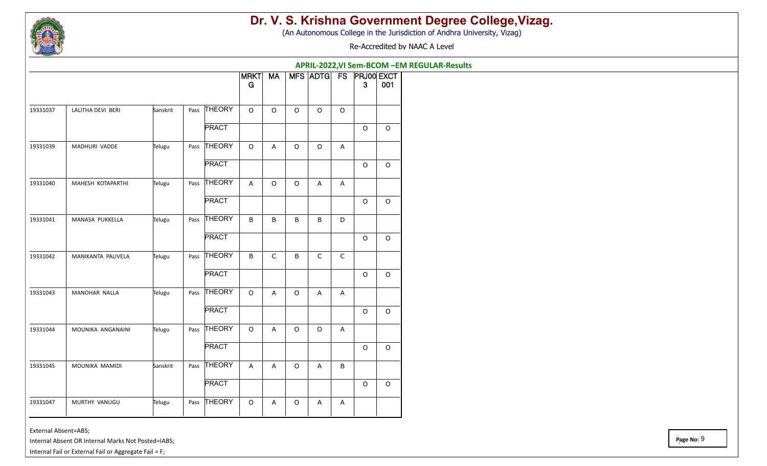

(An Autonomous College in the Jurisdiction of Andhra University, Vizag)

Re-Accredited by NAAC A Level

|          |                    |          |      |               |                  |             |             |                |             | APRIL-2022, VI Sem-BCOM - EM REGULAR-Results |             |
|----------|--------------------|----------|------|---------------|------------------|-------------|-------------|----------------|-------------|----------------------------------------------|-------------|
|          |                    |          |      |               | <b>MRKT</b><br>G | <b>MA</b>   |             |                |             | MFS ADTG FS PRJ00 EXCT<br>$\mathbf{3}$       | 001         |
| 19331037 | LALITHA DEVI BERI  | Sanskrit | Pass | THEORY        | $\Omega$         | $\Omega$    | $\circ$     | $\circ$        | $\circ$     |                                              |             |
|          |                    |          |      | <b>PRACT</b>  |                  |             |             |                |             | $\circ$                                      | $\mathsf O$ |
| 19331039 | MADHURI VADDE      | Telugu   |      | Pass THEORY   | $\circ$          | A           | $\mathsf O$ | $\mathsf O$    | A           |                                              |             |
|          |                    |          |      | <b>PRACT</b>  |                  |             |             |                |             | $\mathsf O$                                  | $\circ$     |
| 19331040 | MAHESH KOTAPARTHI  | Telugu   | Pass | THEORY        | $\overline{A}$   | $\circ$     | $\circ$     | A              | A           |                                              |             |
|          |                    |          |      | <b>PRACT</b>  |                  |             |             |                |             | $\Omega$                                     | $\Omega$    |
| 19331041 | MANASA PUKKELLA    | Telugu   | Pass | THEORY        | B                | B           | B           | B              | D           |                                              |             |
|          |                    |          |      | <b>PRACT</b>  |                  |             |             |                |             | $\mathsf O$                                  | O           |
| 19331042 | MANIKANTA PALIVELA | Telugu   | Pass | THEORY        | B                | $\mathsf C$ | B           | $\mathsf C$    | $\mathsf C$ |                                              |             |
|          |                    |          |      | <b>PRACT</b>  |                  |             |             |                |             | $\circ$                                      | $\mathsf O$ |
| 19331043 | MANOHAR NALLA      | Telugu   | Pass | THEORY        | $\Omega$         | A           | $\circ$     | $\overline{A}$ | A           |                                              |             |
|          |                    |          |      | <b>PRACT</b>  |                  |             |             |                |             | $\circ$                                      | $\circ$     |
| 19331044 | MOUNIKA ANGANAINI  | Telugu   | Pass | <b>THEORY</b> | $\circ$          | A           | $\circ$     | $\circ$        | A           |                                              |             |
|          |                    |          |      | <b>PRACT</b>  |                  |             |             |                |             | $\mathsf O$                                  | O           |
| 19331045 | MOUNIKA MAMIDI     | Sanskrit | Pass | <b>THEORY</b> | $\overline{A}$   | A           | $\circ$     | $\overline{A}$ | B           |                                              |             |
|          |                    |          |      | <b>PRACT</b>  |                  |             |             |                |             | $\circ$                                      | $\mathsf O$ |
| 19331047 | MURTHY VANUGU      | Telugu   | Pass | <b>THEORY</b> | $\circ$          | A           | $\circ$     | А              | Α           |                                              |             |

External Absent=ABS;

Internal Absent OR Internal Marks Not Posted=IABS;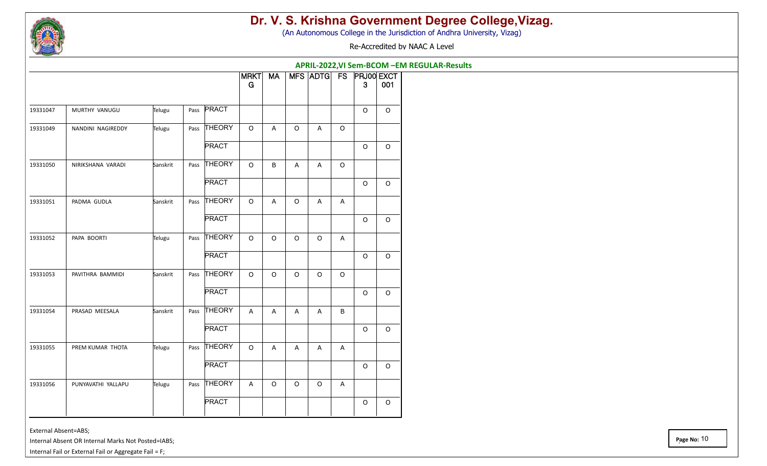

(An Autonomous College in the Jurisdiction of Andhra University, Vizag)

Re-Accredited by NAAC A Level

**APRIL-2022,VI Sem-BCOM –EM REGULAR-Results**

| Pass PRACT<br>MURTHY VANUGU<br>19331047<br>Telugu<br>Pass THEORY<br>NANDINI NAGIREDDY<br>$\mathsf O$<br>Telugu<br>A<br>$\circ$<br>$\overline{A}$<br>$\circ$<br><b>PRACT</b><br>Pass THEORY<br>NIRIKSHANA VARADI<br>Sanskrit<br>$\mathsf O$<br>$\sf B$<br>$\circ$<br>$\mathsf{A}$<br>$\boldsymbol{\mathsf{A}}$ | $\Omega$<br>$\circ$ | $\Omega$ |
|---------------------------------------------------------------------------------------------------------------------------------------------------------------------------------------------------------------------------------------------------------------------------------------------------------------|---------------------|----------|
| 19331049<br>19331050                                                                                                                                                                                                                                                                                          |                     |          |
|                                                                                                                                                                                                                                                                                                               |                     |          |
|                                                                                                                                                                                                                                                                                                               |                     | $\circ$  |
|                                                                                                                                                                                                                                                                                                               |                     |          |
| <b>PRACT</b>                                                                                                                                                                                                                                                                                                  | $\Omega$            | $\circ$  |
| THEORY<br>PADMA GUDLA<br>Sanskrit<br>19331051<br>Pass<br>$\circ$<br>A<br>$\circ$<br>A<br>$\mathsf{A}$                                                                                                                                                                                                         |                     |          |
| <b>PRACT</b>                                                                                                                                                                                                                                                                                                  | $\circ$             | $\circ$  |
| <b>THEORY</b><br>PAPA BOORTI<br>$\mathsf O$<br>$\circ$<br>19331052<br>Telugu<br>Pass<br>$\mathsf O$<br>$\circ$<br>A                                                                                                                                                                                           |                     |          |
| <b>PRACT</b>                                                                                                                                                                                                                                                                                                  | $\circ$             | $\circ$  |
| <b>THEORY</b><br>PAVITHRA BAMMIDI<br>Sanskrit<br>$\circ$<br>$\circ$<br>$\circ$<br>19331053<br>Pass<br>$\circ$<br>$\circ$                                                                                                                                                                                      |                     |          |
| <b>PRACT</b>                                                                                                                                                                                                                                                                                                  | $\Omega$            | $\circ$  |
| <b>THEORY</b><br>PRASAD MEESALA<br>Sanskrit<br>$\boldsymbol{\mathsf{A}}$<br>19331054<br>Pass<br>A<br>$\overline{A}$<br>A<br>B                                                                                                                                                                                 |                     |          |
| <b>PRACT</b>                                                                                                                                                                                                                                                                                                  | $\circ$             | $\circ$  |
| Pass THEORY<br>PREM KUMAR THOTA<br>$\circ$<br>19331055<br>Telugu<br>A<br>$\mathsf{A}$<br>A<br>A                                                                                                                                                                                                               |                     |          |
| <b>PRACT</b>                                                                                                                                                                                                                                                                                                  | $\circ$             | $\circ$  |
| <b>THEORY</b><br>19331056<br>PUNYAVATHI YALLAPU<br>Telugu<br>Pass<br>$\mathsf O$<br>$\circ$<br>$\mathsf O$<br>A<br>A                                                                                                                                                                                          |                     |          |
| <b>PRACT</b>                                                                                                                                                                                                                                                                                                  | $\mathsf O$         | $\circ$  |

External Absent=ABS;

Internal Absent OR Internal Marks Not Posted=IABS;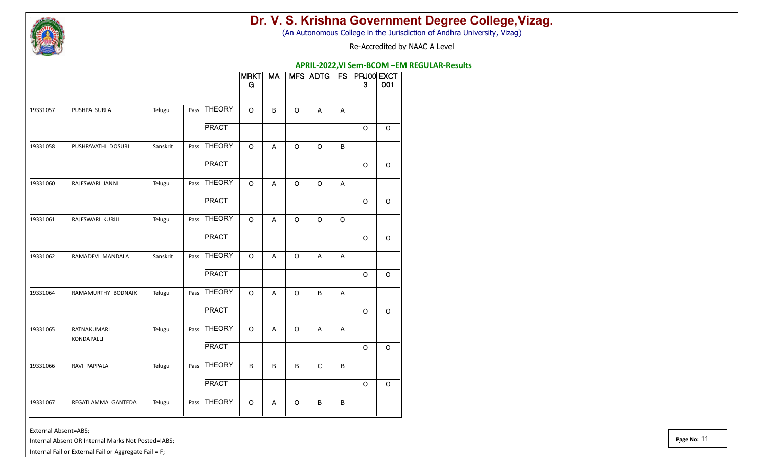

(An Autonomous College in the Jurisdiction of Andhra University, Vizag)

Re-Accredited by NAAC A Level

|                                |          |      |               | <b>MRKT</b> | <b>MA</b>                 |             | MFS ADTG FS               |                |             | <b>PRJ00 EXCT</b> |
|--------------------------------|----------|------|---------------|-------------|---------------------------|-------------|---------------------------|----------------|-------------|-------------------|
|                                |          |      |               | G           |                           |             |                           |                | 3           | 001               |
| 19331057<br>PUSHPA SURLA       | Telugu   |      | Pass THEORY   | $\Omega$    | B                         | $\mathsf O$ | A                         | A              |             |                   |
|                                |          |      | <b>PRACT</b>  |             |                           |             |                           |                | $\mathsf O$ | $\circ$           |
| PUSHPAVATHI DOSURI<br>19331058 | Sanskrit |      | Pass THEORY   | $\circ$     | $\overline{A}$            | $\mathsf O$ | $\circ$                   | B              |             |                   |
|                                |          |      | <b>PRACT</b>  |             |                           |             |                           |                | $\mathsf O$ | $\circ$           |
| 19331060<br>RAJESWARI JANNI    | Telugu   |      | Pass THEORY   | $\circ$     | $\overline{A}$            | $\mathsf O$ | $\mathsf O$               | A              |             |                   |
|                                |          |      | <b>PRACT</b>  |             |                           |             |                           |                | $\circ$     | $\circ$           |
| 19331061<br>RAJESWARI KURIJI   | Telugu   | Pass | <b>THEORY</b> | $\circ$     | $\overline{A}$            | $\mathsf O$ | $\mathsf O$               | $\mathsf O$    |             |                   |
|                                |          |      | <b>PRACT</b>  |             |                           |             |                           |                | $\circ$     | $\circ$           |
| 19331062<br>RAMADEVI MANDALA   | Sanskrit |      | Pass THEORY   | $\circ$     | $\boldsymbol{\mathsf{A}}$ | $\mathsf O$ | $\boldsymbol{\mathsf{A}}$ | A              |             |                   |
|                                |          |      | <b>PRACT</b>  |             |                           |             |                           |                | $\mathsf O$ | $\circ$           |
| 19331064<br>RAMAMURTHY BODNAIK | Telugu   | Pass | THEORY        | $\Omega$    | A                         | $\mathsf O$ | B                         | $\overline{A}$ |             |                   |
|                                |          |      | <b>PRACT</b>  |             |                           |             |                           |                | $\mathsf O$ | $\circ$           |
| 19331065<br>RATNAKUMARI        | Telugu   |      | Pass THEORY   | $\circ$     | A                         | $\circ$     | A                         | A              |             |                   |
| KONDAPALLI                     |          |      | <b>PRACT</b>  |             |                           |             |                           |                | $\circ$     | $\mathsf O$       |
| RAVI PAPPALA<br>19331066       | Telugu   |      | Pass THEORY   | $\mathsf B$ | $\sf B$                   | B           | $\mathsf C$               | $\sf B$        |             |                   |
|                                |          |      | <b>PRACT</b>  |             |                           |             |                           |                | $\mathsf O$ | $\mathsf O$       |
| 19331067<br>REGATLAMMA GANTEDA | Telugu   | Pass | <b>THEORY</b> | $\circ$     | $\boldsymbol{\mathsf{A}}$ | $\mathsf O$ | B                         | B              |             |                   |

#### External Absent=ABS;

Internal Absent OR Internal Marks Not Posted=IABS;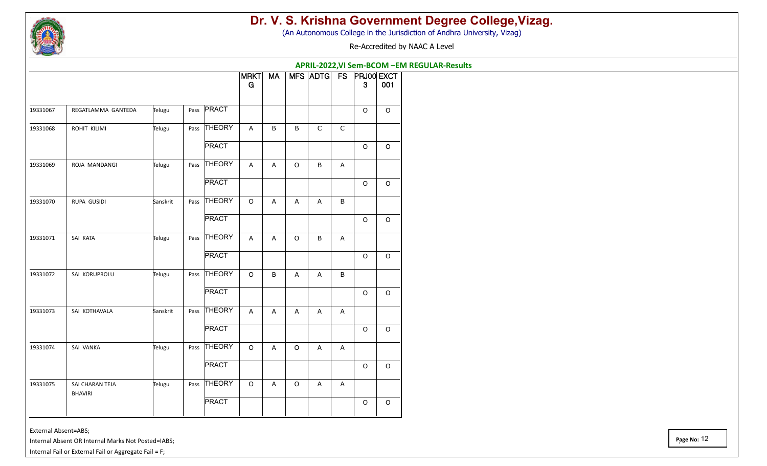

(An Autonomous College in the Jurisdiction of Andhra University, Vizag)

Re-Accredited by NAAC A Level

**APRIL-2022,VI Sem-BCOM –EM REGULAR-Results**

|          |                                   |          |      |               | <b>MRKT</b><br>G | <b>MA</b> |              | <b>MFS ADTG</b> | FS          | <b>PRJ00 EXCT</b><br>3 | 001      |
|----------|-----------------------------------|----------|------|---------------|------------------|-----------|--------------|-----------------|-------------|------------------------|----------|
| 19331067 | REGATLAMMA GANTEDA                | Telugu   |      | Pass PRACT    |                  |           |              |                 |             | $\Omega$               | $\Omega$ |
| 19331068 | ROHIT KILIMI                      | Telugu   |      | Pass THEORY   | $\mathsf{A}$     | B         | $\mathsf B$  | $\mathsf C$     | $\mathsf C$ |                        |          |
|          |                                   |          |      | <b>PRACT</b>  |                  |           |              |                 |             | $\circ$                | $\circ$  |
| 19331069 | ROJA MANDANGI                     | Telugu   |      | Pass THEORY   | $\mathsf{A}$     | А         | $\mathsf O$  | B               | A           |                        |          |
|          |                                   |          |      | <b>PRACT</b>  |                  |           |              |                 |             | $\circ$                | $\circ$  |
| 19331070 | RUPA GUSIDI                       | Sanskrit |      | Pass THEORY   | $\circ$          | A         | $\mathsf{A}$ | $\mathsf{A}$    | B           |                        |          |
|          |                                   |          |      | <b>PRACT</b>  |                  |           |              |                 |             | $\mathsf O$            | $\circ$  |
| 19331071 | SAI KATA                          | Telugu   |      | Pass THEORY   | $\mathsf{A}$     | A         | $\mathsf O$  | B               | A           |                        |          |
|          |                                   |          |      | <b>PRACT</b>  |                  |           |              |                 |             | $\circ$                | $\circ$  |
| 19331072 | SAI KORUPROLU                     | Telugu   | Pass | <b>THEORY</b> | $\circ$          | B         | $\mathsf{A}$ | A               | B           |                        |          |
|          |                                   |          |      | <b>PRACT</b>  |                  |           |              |                 |             | $\mathsf O$            | $\circ$  |
| 19331073 | SAI KOTHAVALA                     | Sanskrit | Pass | <b>THEORY</b> | A                | Α         | A            | А               | A           |                        |          |
|          |                                   |          |      | <b>PRACT</b>  |                  |           |              |                 |             | $\Omega$               | $\circ$  |
| 19331074 | SAI VANKA                         | Telugu   | Pass | <b>THEORY</b> | $\circ$          | А         | $\circ$      | A               | A           |                        |          |
|          |                                   |          |      | <b>PRACT</b>  |                  |           |              |                 |             | $\circ$                | $\Omega$ |
| 19331075 | SAI CHARAN TEJA<br><b>BHAVIRI</b> | Telugu   | Pass | <b>THEORY</b> | $\circ$          | А         | $\circ$      | Α               | A           |                        |          |
|          |                                   |          |      | <b>PRACT</b>  |                  |           |              |                 |             | $\circ$                | $\circ$  |

External Absent=ABS;

Internal Absent OR Internal Marks Not Posted=IABS;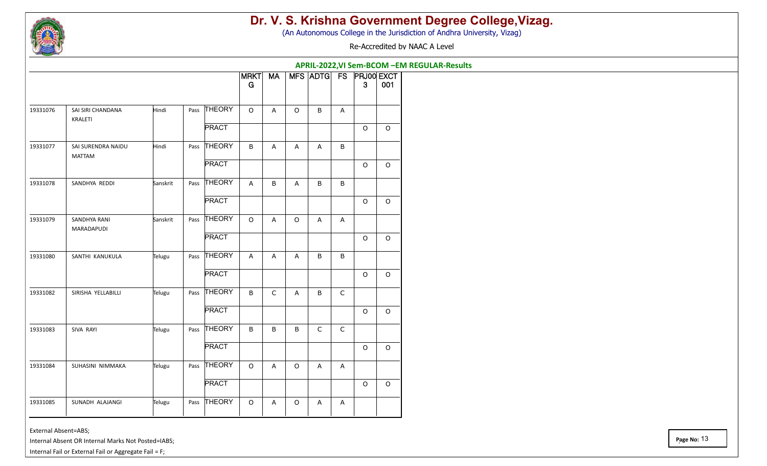

(An Autonomous College in the Jurisdiction of Andhra University, Vizag)

Re-Accredited by NAAC A Level

|          |                                     |              |              | APRIL-2022, VI Sem-BCOM - EM REGULAR-Results<br>MFS ADTG FS PRJ00 EXCT |                |              |                |                           |              |         |  |  |  |
|----------|-------------------------------------|--------------|--------------|------------------------------------------------------------------------|----------------|--------------|----------------|---------------------------|--------------|---------|--|--|--|
|          |                                     |              |              | <b>MRKT</b><br>G                                                       | <b>MA</b>      |              |                |                           | $\mathbf{3}$ | 001     |  |  |  |
| 19331076 | SAI SIRI CHANDANA<br>KRALETI        | Hindi        | Pass THEORY  | $\circ$                                                                | $\overline{A}$ | $\circ$      | B              | A                         |              |         |  |  |  |
|          |                                     |              | <b>PRACT</b> |                                                                        |                |              |                |                           | $\circ$      | $\circ$ |  |  |  |
| 19331077 | SAI SURENDRA NAIDU<br><b>MATTAM</b> | Hindi        | Pass THEORY  | B                                                                      | $\overline{A}$ | Α            | A              | B                         |              |         |  |  |  |
|          |                                     |              | <b>PRACT</b> |                                                                        |                |              |                |                           | $\circ$      | $\circ$ |  |  |  |
| 19331078 | SANDHYA REDDI                       | Sanskrit     | Pass THEORY  | A                                                                      | $\sf B$        | Α            | B              | B                         |              |         |  |  |  |
|          |                                     | <b>PRACT</b> |              |                                                                        |                |              |                | $\circ$                   | $\circ$      |         |  |  |  |
| 19331079 | SANDHYA RANI<br>MARADAPUDI          | Sanskrit     | Pass THEORY  | $\mathsf O$                                                            | $\overline{A}$ | $\circ$      | $\mathsf{A}$   | A                         |              |         |  |  |  |
|          |                                     |              | <b>PRACT</b> |                                                                        |                |              |                |                           | $\mathsf O$  | $\circ$ |  |  |  |
| 19331080 | SANTHI KANUKULA                     | Telugu       | Pass THEORY  | $\overline{A}$                                                         | $\overline{A}$ | $\mathsf{A}$ | B              | B                         |              |         |  |  |  |
|          |                                     |              | <b>PRACT</b> |                                                                        |                |              |                |                           | $\circ$      | $\circ$ |  |  |  |
| 19331082 | SIRISHA YELLABILLI                  | Telugu       | Pass THEORY  | $\sf B$                                                                | $\mathsf C$    | A            | B              | $\mathsf C$               |              |         |  |  |  |
|          |                                     |              | <b>PRACT</b> |                                                                        |                |              |                |                           | $\mathsf O$  | $\circ$ |  |  |  |
| 19331083 | SIVA RAYI                           | Telugu       | Pass THEORY  | $\sf B$                                                                | B              | B            | $\mathsf C$    | $\mathsf C$               |              |         |  |  |  |
|          |                                     |              | <b>PRACT</b> |                                                                        |                |              |                |                           | $\circ$      | $\circ$ |  |  |  |
| 19331084 | SUHASINI NIMMAKA                    | Telugu       | Pass THEORY  | $\circ$                                                                | $\overline{A}$ | $\mathsf O$  | $\overline{A}$ | $\boldsymbol{\mathsf{A}}$ |              |         |  |  |  |
|          |                                     |              | <b>PRACT</b> |                                                                        |                |              |                |                           | $\circ$      | $\circ$ |  |  |  |
| 19331085 | SUNADH ALAJANGI                     | Telugu       | Pass THEORY  | $\circ$                                                                | Α              | $\mathsf O$  | A              | A                         |              |         |  |  |  |

External Absent=ABS;

Internal Absent OR Internal Marks Not Posted=IABS;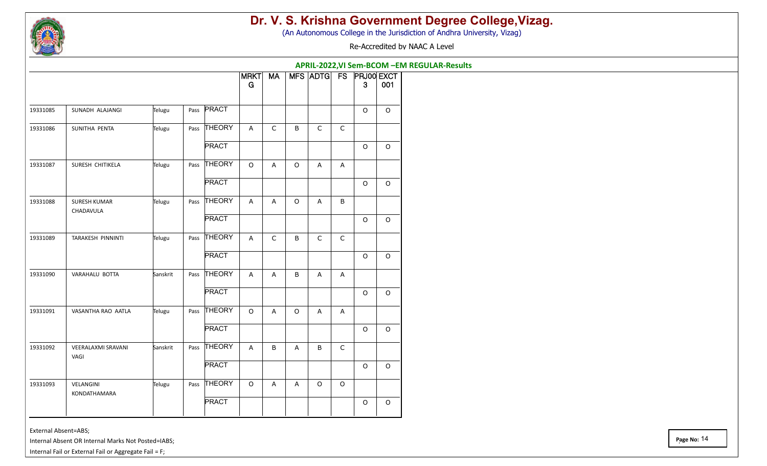

(An Autonomous College in the Jurisdiction of Andhra University, Vizag)

Re-Accredited by NAAC A Level

**APRIL-2022,VI Sem-BCOM –EM REGULAR-Results**

|          |                                   |          |                   | MRKT<br>G      | MA             |         | MFS ADTG FS    |              | <b>PRJ00 EXCT</b><br>3 | 001         |
|----------|-----------------------------------|----------|-------------------|----------------|----------------|---------|----------------|--------------|------------------------|-------------|
| 19331085 | SUNADH ALAJANGI                   | Telugu   | Pass <b>PRACT</b> |                |                |         |                |              | $\Omega$               | $\Omega$    |
| 19331086 | SUNITHA PENTA                     | Telugu   | Pass THEORY       | $\overline{A}$ | $\mathsf C$    | B       | $\mathsf{C}$   | $\mathsf{C}$ |                        |             |
|          |                                   |          | <b>PRACT</b>      |                |                |         |                |              | $\circ$                | $\circ$     |
| 19331087 | SURESH CHITIKELA                  | Telugu   | Pass THEORY       | $\circ$        | $\overline{A}$ | $\circ$ | $\overline{A}$ | A            |                        |             |
|          |                                   |          | <b>PRACT</b>      |                |                |         |                |              | $\circ$                | $\circ$     |
| 19331088 | <b>SURESH KUMAR</b><br>CHADAVULA  | Telugu   | Pass THEORY       | A              | A              | $\circ$ | $\overline{A}$ | B            |                        |             |
|          |                                   |          | <b>PRACT</b>      |                |                |         |                |              | $\circ$                | $\circ$     |
| 19331089 | TARAKESH PINNINTI                 | Telugu   | Pass THEORY       | A              | $\mathsf C$    | B       | $\mathsf C$    | $\mathsf C$  |                        |             |
|          |                                   |          | PRACT             |                |                |         |                |              | $\circ$                | $\circ$     |
| 19331090 | VARAHALU BOTTA                    | Sanskrit | Pass THEORY       | A              | $\mathsf{A}$   | B       | A              | A            |                        |             |
|          |                                   |          | <b>PRACT</b>      |                |                |         |                |              | $\circ$                | $\circ$     |
| 19331091 | VASANTHA RAO AATLA                | Telugu   | Pass THEORY       | $\mathsf O$    | $\overline{A}$ | $\circ$ | $\overline{A}$ | $\mathsf{A}$ |                        |             |
|          |                                   |          | <b>PRACT</b>      |                |                |         |                |              | $\circ$                | $\circ$     |
| 19331092 | <b>VEERALAXMI SRAVANI</b><br>VAGI | Sanskrit | Pass THEORY       | A              | B              | A       | B              | $\mathsf{C}$ |                        |             |
|          |                                   |          | <b>PRACT</b>      |                |                |         |                |              | $\circ$                | $\circ$     |
| 19331093 | VELANGINI<br>KONDATHAMARA         | Telugu   | Pass THEORY       | $\mathsf O$    | $\mathsf{A}$   | A       | $\circ$        | $\circ$      |                        |             |
|          |                                   |          | <b>PRACT</b>      |                |                |         |                |              | $\mathsf O$            | $\mathsf O$ |

External Absent=ABS;

Internal Absent OR Internal Marks Not Posted=IABS;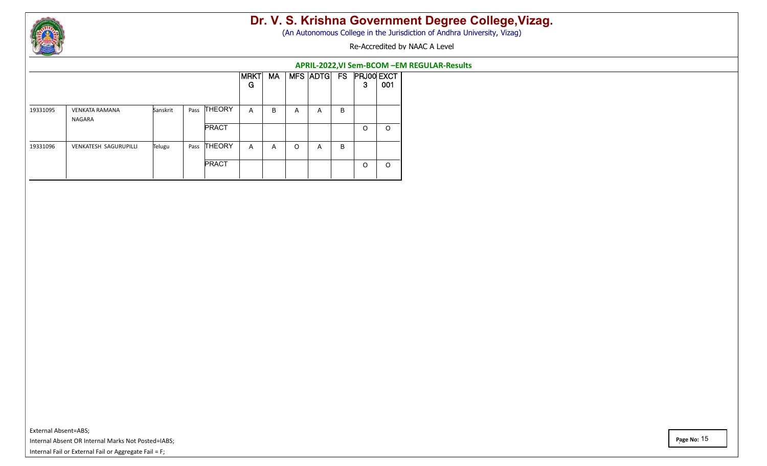

(An Autonomous College in the Jurisdiction of Andhra University, Vizag)

Re-Accredited by NAAC A Level

#### **APRIL-2022,VI Sem-BCOM –EM REGULAR-Results**

|          |                                 |          |      |               | <b>MRKT</b><br>G | <b>MA</b> |   | <b>MFS ADTG</b> | FS | 3        | <b>PRJ00 EXCT</b><br>001 |
|----------|---------------------------------|----------|------|---------------|------------------|-----------|---|-----------------|----|----------|--------------------------|
| 19331095 | <b>VENKATA RAMANA</b><br>NAGARA | Sanskrit | Pass | <b>THEORY</b> | A                | B         | A | A               | B  |          |                          |
|          |                                 |          |      | <b>PRACT</b>  |                  |           |   |                 |    | $\Omega$ | O                        |
| 19331096 | VENKATESH SAGURUPILLI           | Telugu   | Pass | <b>THEORY</b> | A                | A         | O | A               | B  |          |                          |
|          |                                 |          |      | <b>PRACT</b>  |                  |           |   |                 |    | $\Omega$ | O                        |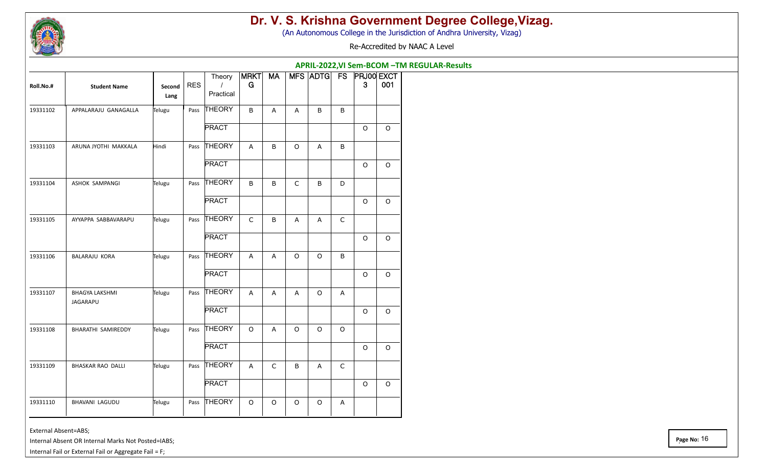

(An Autonomous College in the Jurisdiction of Andhra University, Vizag)

Re-Accredited by NAAC A Level

|           |                                   |                |      |                                 |              |              |             |         |              | APRIL-2022, VI Sem-BCOM - TM REGULAR-Results |             |
|-----------|-----------------------------------|----------------|------|---------------------------------|--------------|--------------|-------------|---------|--------------|----------------------------------------------|-------------|
| Roll.No.# | <b>Student Name</b>               | Second<br>Lang | RES  | Theory<br>$\prime$<br>Practical | MRT<br>G     | <b>MA</b>    |             |         |              | MFS ADTG FS PRJ00 EXCT<br>3 <sup>°</sup>     | 001         |
| 19331102  | APPALARAJU GANAGALLA              | Telugu         | Pass | THEORY                          | B            | $\mathsf{A}$ | A           | $\sf B$ | B            |                                              |             |
|           |                                   |                |      | <b>PRACT</b>                    |              |              |             |         |              | $\circ$                                      | $\mathsf O$ |
| 19331103  | ARUNA JYOTHI MAKKALA              | Hindi          | Pass | THEORY                          | $\mathsf{A}$ | $\sf B$      | $\circ$     | A       | B            |                                              |             |
|           |                                   |                |      | <b>PRACT</b>                    |              |              |             |         |              | $\Omega$                                     | $\circ$     |
| 19331104  | ASHOK SAMPANGI                    | Telugu         | Pass | THEORY                          | B            | B            | $\mathsf C$ | B       | D            |                                              |             |
|           |                                   |                |      | <b>PRACT</b>                    |              |              |             |         |              | $\Omega$                                     | $\circ$     |
| 19331105  | AYYAPPA SABBAVARAPU               | Telugu         | Pass | THEORY                          | $\mathsf C$  | $\sf B$      | A           | A       | $\mathsf C$  |                                              |             |
|           |                                   |                |      | <b>PRACT</b>                    |              |              |             |         |              | $\circ$                                      | $\mathsf O$ |
| 19331106  | BALARAJU KORA                     | Telugu         | Pass | <b>THEORY</b>                   | $\mathsf{A}$ | A            | $\circ$     | $\circ$ | $\sf B$      |                                              |             |
|           |                                   |                |      | <b>PRACT</b>                    |              |              |             |         |              | $\circ$                                      | $\circ$     |
| 19331107  | <b>BHAGYA LAKSHMI</b><br>JAGARAPU | Telugu         | Pass | <b>THEORY</b>                   | $\mathsf{A}$ | $\mathsf{A}$ | A           | $\circ$ | $\mathsf{A}$ |                                              |             |
|           |                                   |                |      | <b>PRACT</b>                    |              |              |             |         |              | $\circ$                                      | $\mathsf O$ |
| 19331108  | BHARATHI SAMIREDDY                | Telugu         |      | Pass THEORY                     | $\circ$      | $\mathsf{A}$ | $\circ$     | $\circ$ | $\circ$      |                                              |             |
|           |                                   |                |      | <b>PRACT</b>                    |              |              |             |         |              | $\circ$                                      | $\mathsf O$ |
| 19331109  | BHASKAR RAO DALLI                 | Telugu         | Pass | <b>THEORY</b>                   | $\mathsf{A}$ | $\mathsf C$  | B           | A       | $\mathsf{C}$ |                                              |             |
|           |                                   |                |      | <b>PRACT</b>                    |              |              |             |         |              | $\Omega$                                     | $\circ$     |
| 19331110  | BHAVANI LAGUDU                    | Telugu         | Pass | THEORY                          | $\circ$      | $\circ$      | $\circ$     | $\circ$ | $\mathsf{A}$ |                                              |             |

External Absent=ABS;

Internal Absent OR Internal Marks Not Posted=IABS;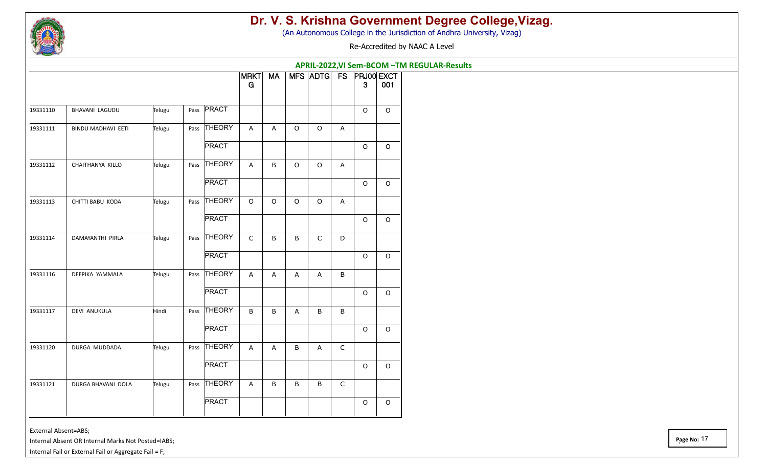

(An Autonomous College in the Jurisdiction of Andhra University, Vizag)

Re-Accredited by NAAC A Level

**APRIL-2022,VI Sem-BCOM –TM REGULAR-Results**

|          |                    |        |              | <b>MRKT</b><br>G | <b>MA</b>      |              | MFS ADTG FS  |              | $\mathbf{3}$ | <b>PRJ00 EXCT</b><br>001 |
|----------|--------------------|--------|--------------|------------------|----------------|--------------|--------------|--------------|--------------|--------------------------|
| 19331110 | BHAVANI LAGUDU     | Telugu | Pass PRACT   |                  |                |              |              |              | $\mathsf O$  | $\circ$                  |
| 19331111 | BINDU MADHAVI EETI | Telugu | Pass THEORY  | $\overline{A}$   | $\mathsf{A}$   | $\circ$      | $\circ$      | A            |              |                          |
|          |                    |        | PRACT        |                  |                |              |              |              | $\circ$      | $\circ$                  |
| 19331112 | CHAITHANYA KILLO   | Telugu | Pass THEORY  | A                | $\sf B$        | $\Omega$     | $\Omega$     | A            |              |                          |
|          |                    |        | <b>PRACT</b> |                  |                |              |              |              | $\Omega$     | $\circ$                  |
| 19331113 | CHITTI BABU KODA   | Telugu | Pass THEORY  | $\circ$          | $\circ$        | $\Omega$     | $\circ$      | A            |              |                          |
|          |                    |        | <b>PRACT</b> |                  |                |              |              |              | $\circ$      | $\circ$                  |
| 19331114 | DAMAYANTHI PIRLA   | Telugu | Pass THEORY  | $\mathsf{C}$     | $\sf B$        | B            | $\mathsf{C}$ | D            |              |                          |
|          |                    |        | PRACT        |                  |                |              |              |              | $\circ$      | $\circ$                  |
| 19331116 | DEEPIKA YAMMALA    | Telugu | Pass THEORY  | A                | $\mathsf{A}$   | $\mathsf{A}$ | $\mathsf{A}$ | $\mathsf B$  |              |                          |
|          |                    |        | PRACT        |                  |                |              |              |              | $\circ$      | $\circ$                  |
| 19331117 | DEVI ANUKULA       | Hindi  | Pass THEORY  | B                | $\sf B$        | $\mathsf{A}$ | B            | B            |              |                          |
|          |                    |        | <b>PRACT</b> |                  |                |              |              |              | $\Omega$     | $\circ$                  |
| 19331120 | DURGA MUDDADA      | Telugu | Pass THEORY  | $\overline{A}$   | $\overline{A}$ | B            | A            | $\mathsf{C}$ |              |                          |
|          |                    |        | <b>PRACT</b> |                  |                |              |              |              | $\circ$      | $\circ$                  |
| 19331121 | DURGA BHAVANI DOLA | Telugu | Pass THEORY  | $\overline{A}$   | $\sf B$        | B            | B            | $\mathsf C$  |              |                          |
|          |                    |        | PRACT        |                  |                |              |              |              | $\mathsf O$  | $\mathsf O$              |

External Absent=ABS;

Internal Absent OR Internal Marks Not Posted=IABS;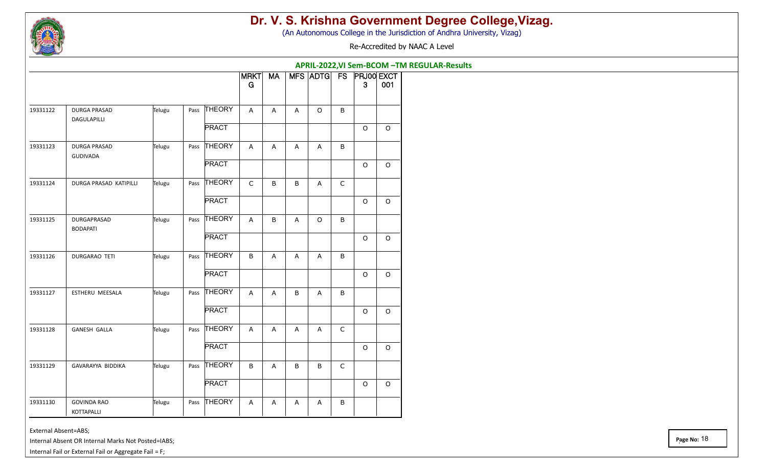

(An Autonomous College in the Jurisdiction of Andhra University, Vizag)

Re-Accredited by NAAC A Level

|                                                |                        |        |                                                                                                                                                                                                                                                                                                                                                                                                                                                                                                  |                  |       |   |         |             | APRIL-2022, VI Sem-BCOM - TM REGULAR-Results |         |
|------------------------------------------------|------------------------|--------|--------------------------------------------------------------------------------------------------------------------------------------------------------------------------------------------------------------------------------------------------------------------------------------------------------------------------------------------------------------------------------------------------------------------------------------------------------------------------------------------------|------------------|-------|---|---------|-------------|----------------------------------------------|---------|
|                                                |                        |        |                                                                                                                                                                                                                                                                                                                                                                                                                                                                                                  | <b>MRKT</b><br>G | $M_A$ |   |         |             | MFS ADTG FS PRJ00 EXCT<br>$\mathbf{3}$       | 001     |
| 19331122<br><b>DURGA PRASAD</b><br>DAGULAPILLI |                        | Telugu |                                                                                                                                                                                                                                                                                                                                                                                                                                                                                                  | $\mathsf{A}$     | Α     | Α | $\circ$ | B           |                                              |         |
|                                                |                        |        |                                                                                                                                                                                                                                                                                                                                                                                                                                                                                                  |                  |       |   |         |             | $\circ$                                      | $\circ$ |
| DURGA PRASAD<br>19331123<br><b>GUDIVADA</b>    |                        | Telugu |                                                                                                                                                                                                                                                                                                                                                                                                                                                                                                  | $\mathsf{A}$     | A     | Α | A       | B           |                                              |         |
|                                                |                        |        |                                                                                                                                                                                                                                                                                                                                                                                                                                                                                                  |                  |       |   |         |             | $\circ$                                      | $\circ$ |
| 19331124                                       | DURGA PRASAD KATIPILLI | Telugu |                                                                                                                                                                                                                                                                                                                                                                                                                                                                                                  | $\mathsf C$      | B     | B | A       | $\mathsf C$ |                                              |         |
|                                                |                        |        | <b>PRACT</b>                                                                                                                                                                                                                                                                                                                                                                                                                                                                                     |                  |       |   |         |             | $\circ$                                      | $\circ$ |
| 19331125<br>DURGAPRASAD<br><b>BODAPATI</b>     |                        | Telugu |                                                                                                                                                                                                                                                                                                                                                                                                                                                                                                  | $\overline{A}$   | B     | A | $\circ$ | B           |                                              |         |
|                                                |                        |        | Pass THEORY<br><b>PRACT</b><br>Pass THEORY<br><b>PRACT</b><br>Pass THEORY<br>Pass THEORY<br><b>PRACT</b><br>$\circ$<br>Pass THEORY<br>$\, {\sf B}$<br>B<br>A<br>A<br>A<br><b>PRACT</b><br>$\circ$<br>Pass THEORY<br>B<br>B<br>$\mathsf{A}$<br>Α<br>$\mathsf A$<br><b>PRACT</b><br>O<br>Pass THEORY<br>$\mathsf C$<br>$\mathsf{A}$<br>Α<br>Α<br>A<br><b>PRACT</b><br>O<br>Pass THEORY<br>$\sf B$<br>B<br>$\mathsf C$<br>A<br>B<br><b>PRACT</b><br>$\circ$<br>Pass THEORY<br>B<br>A<br>Α<br>Α<br>Α | $\circ$          |       |   |         |             |                                              |         |
| 19331126<br>DURGARAO TETI                      |                        | Telugu |                                                                                                                                                                                                                                                                                                                                                                                                                                                                                                  |                  |       |   |         |             |                                              |         |
|                                                |                        |        |                                                                                                                                                                                                                                                                                                                                                                                                                                                                                                  |                  |       |   |         |             |                                              | $\circ$ |
| 19331127                                       | ESTHERU MEESALA        | Telugu |                                                                                                                                                                                                                                                                                                                                                                                                                                                                                                  |                  |       |   |         |             |                                              |         |
|                                                |                        |        |                                                                                                                                                                                                                                                                                                                                                                                                                                                                                                  |                  |       |   |         |             |                                              | $\circ$ |
| <b>GANESH GALLA</b><br>19331128                |                        | Telugu |                                                                                                                                                                                                                                                                                                                                                                                                                                                                                                  |                  |       |   |         |             |                                              |         |
|                                                |                        |        |                                                                                                                                                                                                                                                                                                                                                                                                                                                                                                  |                  |       |   |         |             |                                              | $\circ$ |
| 19331129                                       | GAVARAYYA BIDDIKA      | Telugu |                                                                                                                                                                                                                                                                                                                                                                                                                                                                                                  |                  |       |   |         |             |                                              |         |
|                                                |                        |        |                                                                                                                                                                                                                                                                                                                                                                                                                                                                                                  |                  |       |   |         |             |                                              | $\circ$ |
| 19331130<br><b>GOVINDA RAO</b><br>KOTTAPALLI   |                        | Telugu |                                                                                                                                                                                                                                                                                                                                                                                                                                                                                                  |                  |       |   |         |             |                                              |         |

External Absent=ABS;

Internal Absent OR Internal Marks Not Posted=IABS;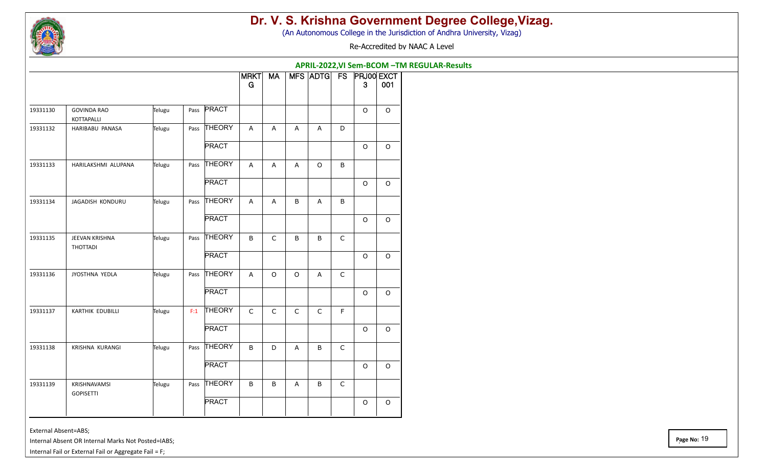

(An Autonomous College in the Jurisdiction of Andhra University, Vizag)

Re-Accredited by NAAC A Level

**APRIL-2022,VI Sem-BCOM –TM REGULAR-Results**

|          |                                         |        |      |               | <b>MRKT</b><br>G | <b>MA</b>                 |             | MFS ADTG FS  |              | <b>PRJ00 EXCT</b><br>$\mathbf{3}$ | 001      |
|----------|-----------------------------------------|--------|------|---------------|------------------|---------------------------|-------------|--------------|--------------|-----------------------------------|----------|
| 19331130 | <b>GOVINDA RAO</b><br><b>KOTTAPALLI</b> | Telugu |      | Pass PRACT    |                  |                           |             |              |              | $\circ$                           | $\Omega$ |
| 19331132 | HARIBABU PANASA                         | Telugu |      | Pass THEORY   | A                | A                         | A           | A            | D            |                                   |          |
|          |                                         |        |      | <b>PRACT</b>  |                  |                           |             |              |              | $\circ$                           | $\circ$  |
| 19331133 | HARILAKSHMI ALUPANA                     | Telugu |      | Pass THEORY   | A                | $\boldsymbol{\mathsf{A}}$ | A           | $\circ$      | $\sf B$      |                                   |          |
|          |                                         |        |      | <b>PRACT</b>  |                  |                           |             |              |              | $\circ$                           | $\Omega$ |
| 19331134 | JAGADISH KONDURU                        | Telugu | Pass | <b>THEORY</b> | A                | A                         | B           | $\mathsf{A}$ | B            |                                   |          |
|          |                                         |        |      | <b>PRACT</b>  |                  |                           |             |              |              | $\circ$                           | $\circ$  |
| 19331135 | JEEVAN KRISHNA<br>THOTTADI              | Telugu |      | Pass THEORY   | B                | $\mathsf C$               | $\sf B$     | B            | $\mathsf C$  |                                   |          |
|          |                                         |        |      | <b>PRACT</b>  |                  |                           |             |              |              | $\circ$                           | $\circ$  |
| 19331136 | JYOSTHNA YEDLA                          | Telugu | Pass | <b>THEORY</b> | $\overline{A}$   | $\circ$                   | $\circ$     | $\mathsf{A}$ | $\mathsf{C}$ |                                   |          |
|          |                                         |        |      | <b>PRACT</b>  |                  |                           |             |              |              | $\circ$                           | $\circ$  |
| 19331137 | KARTHIK EDUBILLI                        | Telugu | F:1  | <b>THEORY</b> | $\mathsf C$      | $\mathsf C$               | $\mathsf C$ | $\mathsf C$  | F            |                                   |          |
|          |                                         |        |      | <b>PRACT</b>  |                  |                           |             |              |              | $\circ$                           | $\circ$  |
| 19331138 | KRISHNA KURANGI                         | Telugu |      | Pass THEORY   | B                | $\mathsf D$               | A           | B            | $\mathsf{C}$ |                                   |          |
|          |                                         |        |      | <b>PRACT</b>  |                  |                           |             |              |              | $\circ$                           | $\circ$  |
| 19331139 | KRISHNAVAMSI<br><b>GOPISETTI</b>        | Telugu |      | Pass THEORY   | B                | $\sf B$                   | A           | $\sf B$      | $\mathsf C$  |                                   |          |
|          |                                         |        |      | <b>PRACT</b>  |                  |                           |             |              |              | $\mathsf O$                       | $\circ$  |

External Absent=ABS;

Internal Absent OR Internal Marks Not Posted=IABS;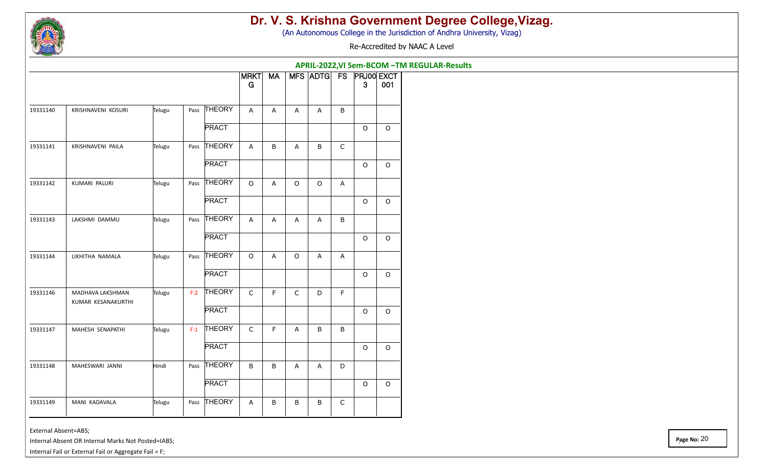

(An Autonomous College in the Jurisdiction of Andhra University, Vizag)

Re-Accredited by NAAC A Level

|          |                                        |        | APRIL-2022, VI Sem-BCOM - TM REGULAR-Results<br>MFS ADTG FS PRJ00 EXCT |               |                  |              |             |         |             |             |             |  |  |
|----------|----------------------------------------|--------|------------------------------------------------------------------------|---------------|------------------|--------------|-------------|---------|-------------|-------------|-------------|--|--|
|          |                                        |        |                                                                        |               | <b>MRKT</b><br>G | $M_A$        |             |         |             | 3           | 001         |  |  |
| 19331140 | KRISHNAVENI KOSURI                     | Telugu |                                                                        | Pass THEORY   | A                | A            | A           | Α       | B           |             |             |  |  |
|          |                                        |        |                                                                        | <b>PRACT</b>  |                  |              |             |         |             | $\circ$     | $\circ$     |  |  |
| 19331141 | KRISHNAVENI PAILA                      | Telugu |                                                                        | Pass THEORY   | A                | B            | A           | B       | $\mathsf C$ |             |             |  |  |
|          |                                        |        |                                                                        | <b>PRACT</b>  |                  |              |             |         |             | $\circ$     | $\circ$     |  |  |
| 19331142 | KUMARI PALURI                          | Telugu |                                                                        | Pass THEORY   | $\circ$          | A            | $\circ$     | $\circ$ | A           |             |             |  |  |
|          |                                        |        |                                                                        | <b>PRACT</b>  |                  |              |             |         |             | O           | $\mathsf O$ |  |  |
| 19331143 | LAKSHMI DAMMU                          | Telugu | Pass                                                                   | Pass THEORY   | A                | A            | Α           | Α       | B           |             |             |  |  |
|          |                                        |        |                                                                        | <b>PRACT</b>  |                  |              |             |         |             | $\circ$     | $\circ$     |  |  |
| 19331144 | LIKHITHA NAMALA                        | Telugu |                                                                        | THEORY        | $\circ$          | $\mathsf{A}$ | $\circ$     | Α       | A           |             |             |  |  |
|          |                                        |        |                                                                        | <b>PRACT</b>  |                  |              |             |         |             | $\mathsf O$ | $\mathsf O$ |  |  |
| 19331146 | MADHAVA LAKSHMAN<br>KUMAR KESANAKURTHI | Telugu | F:2                                                                    | THEORY        | $\mathsf C$      | F.           | $\mathsf C$ | D       | F           |             |             |  |  |
|          |                                        |        |                                                                        | <b>PRACT</b>  |                  |              |             |         |             | $\circ$     | $\mathsf O$ |  |  |
| 19331147 | MAHESH SENAPATHI                       | Telugu | F:1                                                                    | <b>THEORY</b> | $\mathsf{C}$     | F            | A           | B       | B           |             |             |  |  |
|          |                                        |        |                                                                        | <b>PRACT</b>  |                  |              |             |         |             | $\circ$     | $\circ$     |  |  |
| 19331148 | MAHESWARI JANNI                        | Hindi  |                                                                        | Pass THEORY   | B                | B            | A           | Α       | D           |             |             |  |  |
|          |                                        |        |                                                                        | <b>PRACT</b>  |                  |              |             |         |             | $\circ$     | $\circ$     |  |  |
| 19331149 | MANI KADAVALA                          | Telugu |                                                                        | Pass THEORY   | A                | В            | B           | B       | C           |             |             |  |  |
|          |                                        |        |                                                                        |               |                  |              |             |         |             |             |             |  |  |

External Absent=ABS;

Internal Absent OR Internal Marks Not Posted=IABS;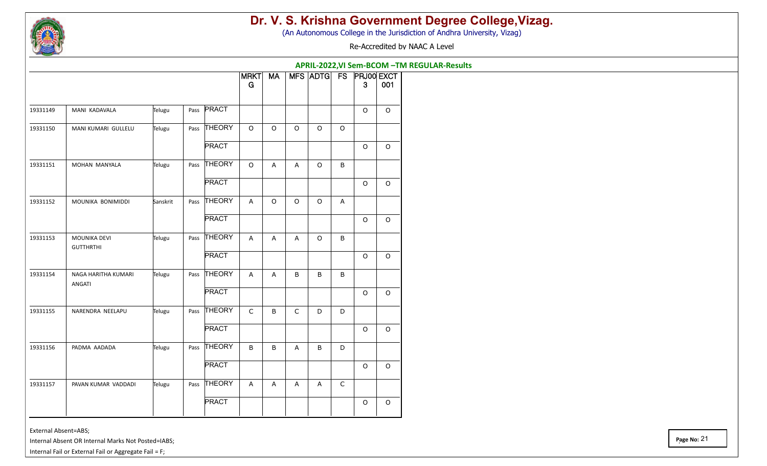

(An Autonomous College in the Jurisdiction of Andhra University, Vizag)

Re-Accredited by NAAC A Level

**APRIL-2022,VI Sem-BCOM –TM REGULAR-Results**

|          |                                  |          |      |               | <b>MRKT</b><br>G | <b>MA</b> |                | MFS ADTG FS |             | <b>PRJ00 EXCT</b><br>3 <sup>°</sup> | 001      |
|----------|----------------------------------|----------|------|---------------|------------------|-----------|----------------|-------------|-------------|-------------------------------------|----------|
|          |                                  |          |      |               |                  |           |                |             |             |                                     |          |
| 19331149 | MANI KADAVALA                    | Telugu   | Pass | <b>PRACT</b>  |                  |           |                |             |             | $\circ$                             | $\Omega$ |
| 19331150 | MANI KUMARI GULLELU              | Telugu   |      | Pass THEORY   | $\mathsf O$      | $\circ$   | $\circ$        | $\circ$     | $\mathsf O$ |                                     |          |
|          |                                  |          |      | <b>PRACT</b>  |                  |           |                |             |             | $\circ$                             | $\Omega$ |
| 19331151 | MOHAN MANYALA                    | Telugu   |      | Pass THEORY   | $\mathsf O$      | A         | $\overline{A}$ | $\circ$     | B           |                                     |          |
|          |                                  |          |      | <b>PRACT</b>  |                  |           |                |             |             | $\circ$                             | $\Omega$ |
| 19331152 | MOUNIKA BONIMIDDI                | Sanskrit |      | Pass THEORY   | A                | $\Omega$  | $\Omega$       | $\Omega$    | A           |                                     |          |
|          |                                  |          |      | <b>PRACT</b>  |                  |           |                |             |             | $\Omega$                            | $\Omega$ |
| 19331153 | MOUNIKA DEVI<br><b>GUTTHRTHI</b> | Telugu   | Pass | <b>THEORY</b> | A                | A         | $\overline{A}$ | $\circ$     | B           |                                     |          |
|          |                                  |          |      | <b>PRACT</b>  |                  |           |                |             |             | $\circ$                             | $\Omega$ |
| 19331154 | NAGA HARITHA KUMARI<br>ANGATI    | Telugu   |      | Pass THEORY   | $\mathsf{A}$     | A         | B              | B           | B           |                                     |          |
|          |                                  |          |      | <b>PRACT</b>  |                  |           |                |             |             | $\circ$                             | $\circ$  |
| 19331155 | NARENDRA NEELAPU                 | Telugu   |      | Pass THEORY   | $\mathsf C$      | B         | $\mathsf C$    | D           | D           |                                     |          |
|          |                                  |          |      | <b>PRACT</b>  |                  |           |                |             |             | $\circ$                             | $\circ$  |
| 19331156 | PADMA AADADA                     | Telugu   |      | Pass THEORY   | $\mathsf B$      | B         | A              | B           | D           |                                     |          |
|          |                                  |          |      | <b>PRACT</b>  |                  |           |                |             |             | $\circ$                             | $\circ$  |
| 19331157 | PAVAN KUMAR VADDADI              | Telugu   |      | Pass THEORY   | A                | A         | A              | A           | $\mathsf C$ |                                     |          |
|          |                                  |          |      | <b>PRACT</b>  |                  |           |                |             |             | $\mathsf O$                         | $\circ$  |

External Absent=ABS;

Internal Absent OR Internal Marks Not Posted=IABS;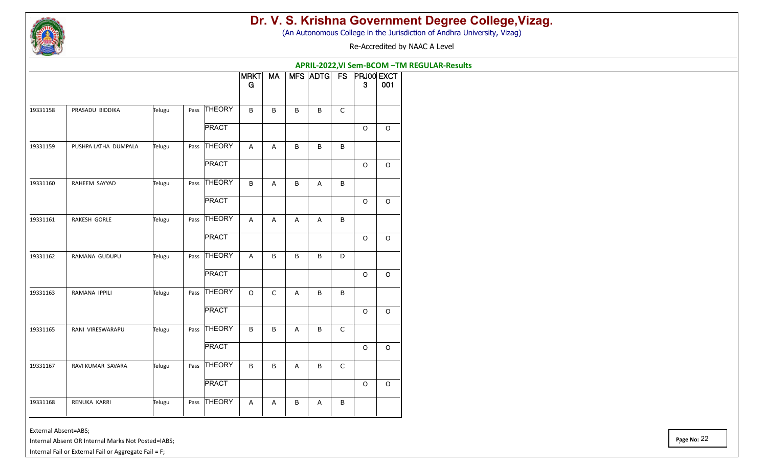

(An Autonomous College in the Jurisdiction of Andhra University, Vizag)

Re-Accredited by NAAC A Level

|          |                      |        |      |               | APRIL-2022, VI Sem-BCOM - TM REGULAR-Results<br>MFS ADTG FS PRJ00 EXCT |             |                |                |             |              |             |  |  |  |  |
|----------|----------------------|--------|------|---------------|------------------------------------------------------------------------|-------------|----------------|----------------|-------------|--------------|-------------|--|--|--|--|
|          |                      |        |      |               | <b>MRKT</b><br>G                                                       | <b>MA</b>   |                |                |             | $\mathbf{3}$ | 001         |  |  |  |  |
| 19331158 | PRASADU BIDDIKA      | Telugu |      | Pass THEORY   | B                                                                      | B           | B              | B              | $\mathsf C$ |              |             |  |  |  |  |
|          |                      |        |      | <b>PRACT</b>  |                                                                        |             |                |                |             | $\circ$      | $\mathsf O$ |  |  |  |  |
| 19331159 | PUSHPA LATHA DUMPALA | Telugu | Pass | <b>THEORY</b> | A                                                                      | A           | B              | B              | B           |              |             |  |  |  |  |
|          |                      |        |      | <b>PRACT</b>  |                                                                        |             |                |                |             | $\circ$      | $\mathsf O$ |  |  |  |  |
| 19331160 | RAHEEM SAYYAD        | Telugu |      | Pass THEORY   | B                                                                      | A           | B              | $\overline{A}$ | B           |              |             |  |  |  |  |
|          |                      |        |      | <b>PRACT</b>  |                                                                        |             |                |                |             | $\circ$      | $\circ$     |  |  |  |  |
| 19331161 | RAKESH GORLE         | Telugu |      | Pass THEORY   | A                                                                      | A           | A              | $\overline{A}$ | B           |              |             |  |  |  |  |
|          |                      |        |      | <b>PRACT</b>  |                                                                        |             |                |                |             | $\Omega$     | $\circ$     |  |  |  |  |
| 19331162 | RAMANA GUDUPU        | Telugu |      | Pass THEORY   | $\overline{A}$                                                         | B           | B              | $\sf B$        | D           |              |             |  |  |  |  |
|          |                      |        |      | <b>PRACT</b>  |                                                                        |             |                |                |             | $\circ$      | $\mathsf O$ |  |  |  |  |
| 19331163 | RAMANA IPPILI        | Telugu |      | Pass THEORY   | $\circ$                                                                | $\mathsf C$ | $\overline{A}$ | B              | B           |              |             |  |  |  |  |
|          |                      |        |      | <b>PRACT</b>  |                                                                        |             |                |                |             | $\circ$      | $\circ$     |  |  |  |  |
| 19331165 | RANI VIRESWARAPU     | Telugu |      | Pass THEORY   | B                                                                      | B           | $\overline{A}$ | $\sf B$        | $\mathsf C$ |              |             |  |  |  |  |
|          |                      |        |      | <b>PRACT</b>  |                                                                        |             |                |                |             | $\circ$      | $\circ$     |  |  |  |  |
| 19331167 | RAVI KUMAR SAVARA    | Telugu |      | Pass THEORY   | B                                                                      | B           | A              | B              | $\mathsf C$ |              |             |  |  |  |  |
|          |                      |        |      | <b>PRACT</b>  |                                                                        |             |                |                |             | $\circ$      | $\circ$     |  |  |  |  |
| 19331168 | RENUKA KARRI         | Telugu |      | Pass THEORY   | $\boldsymbol{\mathsf{A}}$                                              | A           | B              | Α              | B           |              |             |  |  |  |  |

External Absent=ABS;

Internal Absent OR Internal Marks Not Posted=IABS;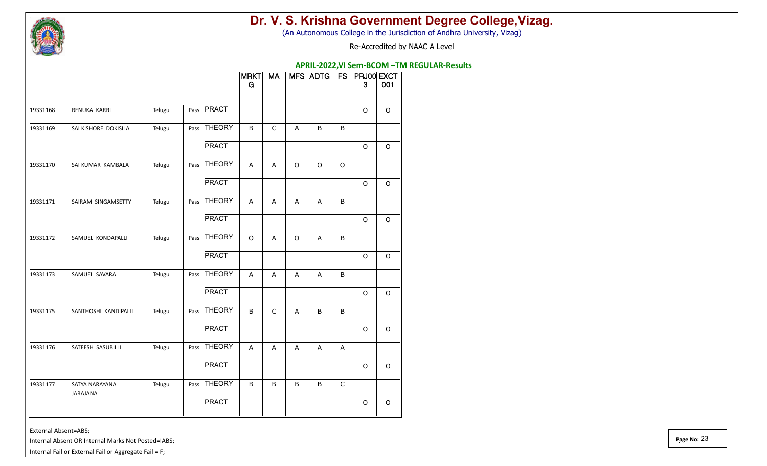

(An Autonomous College in the Jurisdiction of Andhra University, Vizag)

Re-Accredited by NAAC A Level

|          |                            |        |              |                  | APRIL-2022, VI Sem-BCOM - TM REGULAR-Results |         |                        |             |              |         |
|----------|----------------------------|--------|--------------|------------------|----------------------------------------------|---------|------------------------|-------------|--------------|---------|
|          |                            |        |              | <b>MRKT</b><br>G | <b>MA</b>                                    |         | MFS ADTG FS PRJ00 EXCT |             | $\mathbf{3}$ | 001     |
| 19331168 | RENUKA KARRI               | Telugu | Pass PRACT   |                  |                                              |         |                        |             | $\circ$      | $\circ$ |
| 19331169 | SAI KISHORE DOKISILA       | Telugu | Pass THEORY  | B                | C                                            | Α       | B                      | B           |              |         |
|          |                            |        | <b>PRACT</b> |                  |                                              |         |                        |             | $\Omega$     | $\circ$ |
| 19331170 | SAI KUMAR KAMBALA          | Telugu | Pass THEORY  | A                | A                                            | $\circ$ | $\mathsf O$            | $\mathsf O$ |              |         |
|          |                            |        | <b>PRACT</b> |                  |                                              |         |                        |             | $\circ$      | $\circ$ |
| 19331171 | SAIRAM SINGAMSETTY         | Telugu | Pass THEORY  | $\overline{A}$   | A                                            | A       | A                      | B           |              |         |
|          |                            |        | <b>PRACT</b> |                  |                                              |         |                        |             | $\mathsf O$  | $\circ$ |
| 19331172 | SAMUEL KONDAPALLI          | Telugu | Pass THEORY  | $\circ$          | $\overline{A}$                               | $\circ$ | A                      | B           |              |         |
|          |                            |        | <b>PRACT</b> |                  |                                              |         |                        |             | $\circ$      | $\circ$ |
| 19331173 | SAMUEL SAVARA              | Telugu | Pass THEORY  | $\mathsf{A}$     | Α                                            | Α       | A                      | B           |              |         |
|          |                            |        | <b>PRACT</b> |                  |                                              |         |                        |             | $\circ$      | $\circ$ |
| 19331175 | SANTHOSHI KANDIPALLI       | Telugu | Pass THEORY  | B                | $\mathsf C$                                  | Α       | B                      | B           |              |         |
|          |                            |        | <b>PRACT</b> |                  |                                              |         |                        |             | $\circ$      | $\circ$ |
| 19331176 | SATEESH SASUBILLI          | Telugu | Pass THEORY  | $\overline{A}$   | $\overline{A}$                               | A       | A                      | A           |              |         |
|          |                            |        | <b>PRACT</b> |                  |                                              |         |                        |             | $\circ$      | $\circ$ |
| 19331177 | SATYA NARAYANA<br>JARAJANA | Telugu | Pass THEORY  | B                | B                                            | B       | B                      | C           |              |         |
|          |                            |        | <b>PRACT</b> |                  |                                              |         |                        |             | $\circ$      | $\circ$ |

External Absent=ABS;

Internal Absent OR Internal Marks Not Posted=IABS;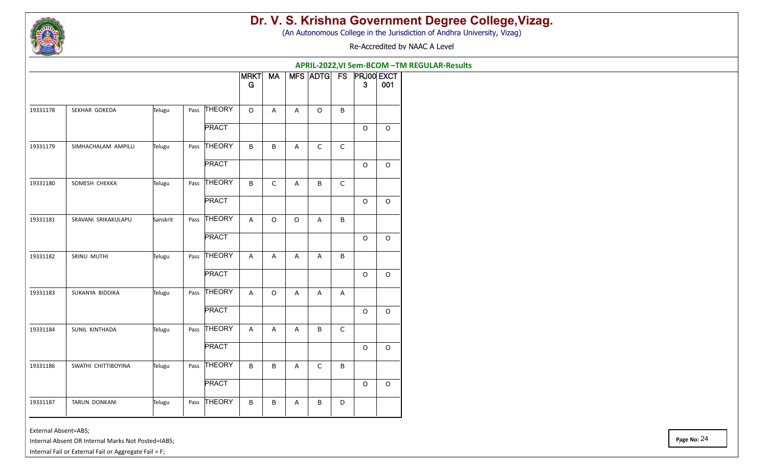

(An Autonomous College in the Jurisdiction of Andhra University, Vizag)

Re-Accredited by NAAC A Level

|          |                     |          |      |               | APRIL-2022, VI Sem-BCOM - TM REGULAR-Results<br>MFS ADTG FS PRJ00 EXCT |             |                |             |              |             |             |  |  |  |
|----------|---------------------|----------|------|---------------|------------------------------------------------------------------------|-------------|----------------|-------------|--------------|-------------|-------------|--|--|--|
|          |                     |          |      |               | <b>MRKT</b>                                                            | <b>MA</b>   |                |             |              |             |             |  |  |  |
|          |                     |          |      |               | ${\bf G}$                                                              |             |                |             |              | 3           | 001         |  |  |  |
| 19331178 | SEKHAR GOKEDA       | Telugu   | Pass | <b>THEORY</b> | $\mathsf O$                                                            | A           | A              | $\mathsf O$ | $\mathsf B$  |             |             |  |  |  |
|          |                     |          |      | <b>PRACT</b>  |                                                                        |             |                |             |              | $\mathsf O$ | $\mathsf O$ |  |  |  |
| 19331179 | SIMHACHALAM AMPILLI | Telugu   | Pass | THEORY        | B                                                                      | B           | $\mathsf{A}$   | C           | $\mathsf C$  |             |             |  |  |  |
|          |                     |          |      | <b>PRACT</b>  |                                                                        |             |                |             |              | $\mathsf O$ | $\mathsf O$ |  |  |  |
| 19331180 | SOMESH CHEKKA       | Telugu   | Pass | <b>THEORY</b> | B                                                                      | $\mathsf C$ | $\overline{A}$ | B           | $\mathsf C$  |             |             |  |  |  |
|          |                     |          |      | <b>PRACT</b>  |                                                                        |             |                |             |              | $\circ$     | $\circ$     |  |  |  |
| 19331181 | SRAVANI SRIKAKULAPU | Sanskrit | Pass | <b>THEORY</b> | $\overline{A}$                                                         | $\mathsf O$ | $\mathsf O$    | A           | $\, {\sf B}$ |             |             |  |  |  |
|          |                     |          |      | <b>PRACT</b>  |                                                                        |             |                |             |              | $\circ$     | $\circ$     |  |  |  |
| 19331182 | SRINU MUTHI         | Telugu   | Pass | THEORY        | $\overline{A}$                                                         | A           | $\overline{A}$ | A           | $\sf B$      |             |             |  |  |  |
|          |                     |          |      | <b>PRACT</b>  |                                                                        |             |                |             |              | $\circ$     | $\circ$     |  |  |  |
| 19331183 | SUKANYA BIDDIKA     | Telugu   | Pass | <b>THEORY</b> | $\boldsymbol{\mathsf{A}}$                                              | O           | A              | A           | A            |             |             |  |  |  |
|          |                     |          |      | <b>PRACT</b>  |                                                                        |             |                |             |              | $\circ$     | $\circ$     |  |  |  |
| 19331184 | SUNIL KINTHADA      | Telugu   | Pass | <b>THEORY</b> | $\boldsymbol{\mathsf{A}}$                                              | A           | A              | B           | $\mathsf C$  |             |             |  |  |  |
|          |                     |          |      | <b>PRACT</b>  |                                                                        |             |                |             |              | O           | $\mathsf O$ |  |  |  |
| 19331186 | SWATHI CHITTIBOYINA | Telugu   |      | Pass THEORY   | $\, {\sf B}$                                                           | B           | A              | C           | $\sf B$      |             |             |  |  |  |
|          |                     |          |      | <b>PRACT</b>  |                                                                        |             |                |             |              | $\mathsf O$ | $\mathsf O$ |  |  |  |
| 19331187 | TARUN DONKANI       | Telugu   | Pass | <b>THEORY</b> | B                                                                      | B           | Α              | B           | $\mathsf D$  |             |             |  |  |  |

External Absent=ABS;

Internal Absent OR Internal Marks Not Posted=IABS;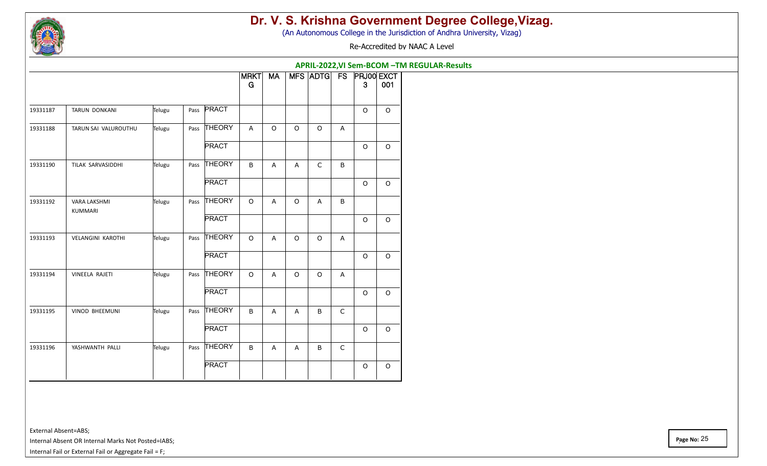

(An Autonomous College in the Jurisdiction of Andhra University, Vizag)

Re-Accredited by NAAC A Level

|          |                                |        |                   |                  |             |         | APRIL-2022, VI Sem-BCOM - TM REGULAR-Results |              |              |          |
|----------|--------------------------------|--------|-------------------|------------------|-------------|---------|----------------------------------------------|--------------|--------------|----------|
|          |                                |        |                   | <b>MRKT</b><br>G | <b>MA</b>   |         | MFS ADTG FS PRJ00 EXCT                       |              | $\mathbf{3}$ | 001      |
| 19331187 | TARUN DONKANI                  | Telugu | Pass <b>PRACT</b> |                  |             |         |                                              |              | $\circ$      | $\circ$  |
| 19331188 | TARUN SAI VALUROUTHU           | Telugu | Pass THEORY       | A                | $\mathsf O$ | $\circ$ | $\mathsf O$                                  | A            |              |          |
|          |                                |        | <b>PRACT</b>      |                  |             |         |                                              |              | $\circ$      | $\circ$  |
| 19331190 | TILAK SARVASIDDHI              | Telugu | Pass THEORY       | B                | A           | A       | $\mathsf C$                                  | B            |              |          |
|          |                                |        | <b>PRACT</b>      |                  |             |         |                                              |              | $\circ$      | $\circ$  |
| 19331192 | <b>VARA LAKSHMI</b><br>KUMMARI | Telugu | Pass THEORY       | $\circ$          | A           | $\circ$ | $\mathsf{A}$                                 | B            |              |          |
|          |                                |        | <b>PRACT</b>      |                  |             |         |                                              |              | $\Omega$     | $\Omega$ |
| 19331193 | <b>VELANGINI KAROTHI</b>       | Telugu | Pass THEORY       | $\mathsf O$      | A           | $\circ$ | $\mathsf O$                                  | A            |              |          |
|          |                                |        | <b>PRACT</b>      |                  |             |         |                                              |              | $\circ$      | $\circ$  |
| 19331194 | VINEELA RAJETI                 | Telugu | Pass THEORY       | $\circ$          | A           | $\circ$ | $\mathsf O$                                  | A            |              |          |
|          |                                |        | <b>PRACT</b>      |                  |             |         |                                              |              | $\circ$      | $\circ$  |
| 19331195 | <b>VINOD BHEEMUNI</b>          | Telugu | Pass THEORY       | $\mathsf B$      | A           | A       | B                                            | $\mathsf C$  |              |          |
|          |                                |        | <b>PRACT</b>      |                  |             |         |                                              |              | $\circ$      | $\circ$  |
| 19331196 | YASHWANTH PALLI                | Telugu | Pass THEORY       | $\mathsf B$      | A           | A       | $\sf B$                                      | $\mathsf{C}$ |              |          |
|          |                                |        | <b>PRACT</b>      |                  |             |         |                                              |              | $\mathsf O$  | $\circ$  |

External Absent=ABS;

Internal Absent OR Internal Marks Not Posted=IABS;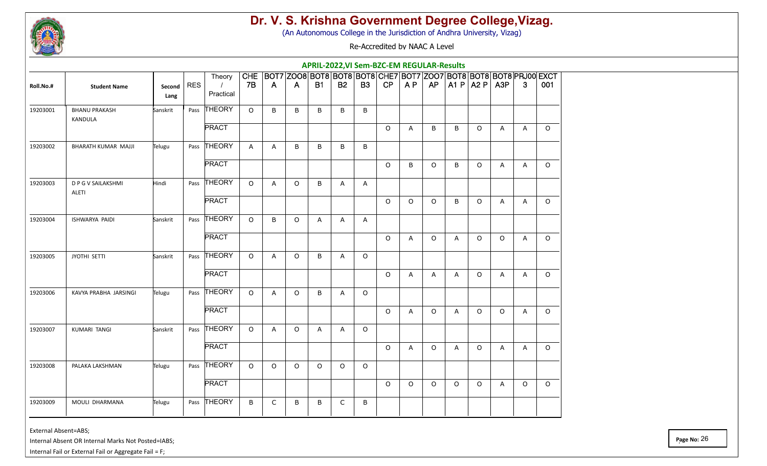

(An Autonomous College in the Jurisdiction of Andhra University, Vizag)

Re-Accredited by NAAC A Level

|           |                                    |                |            |                                 |                  |              |              |           | APRIL-2022, VI Sem-BZC-EM REGULAR-Results                                      |           |          |                |                |              |                     |              |              |         |
|-----------|------------------------------------|----------------|------------|---------------------------------|------------------|--------------|--------------|-----------|--------------------------------------------------------------------------------|-----------|----------|----------------|----------------|--------------|---------------------|--------------|--------------|---------|
| Roll.No.# | <b>Student Name</b>                | Second<br>Lang | <b>RES</b> | Theory<br>$\prime$<br>Practical | <b>CHE</b><br>7B | $\mathsf{A}$ | $\mathsf{A}$ | <b>B1</b> | BOT7 Z008 BOT8 BOT8 BOT8 CHE7 BOT7 Z007 BOT8 BOT8 BOT8 PRJ00 EXCT<br><b>B2</b> | <b>B3</b> | CP       | A P            | AP             |              | $A1 P$ $A2 P$ $A3P$ |              | 3            | 001     |
| 19203001  | <b>BHANU PRAKASH</b><br>KANDULA    | Sanskrit       |            | Pass THEORY                     | $\circ$          | B            | B            | B         | B                                                                              | B         |          |                |                |              |                     |              |              |         |
|           |                                    |                |            | <b>PRACT</b>                    |                  |              |              |           |                                                                                |           | $\Omega$ | $\overline{A}$ | B              | B            | $\circ$             | $\mathsf{A}$ | $\mathsf{A}$ | $\circ$ |
| 19203002  | BHARATH KUMAR MAJJI                | Telugu         | Pass       | <b>THEORY</b>                   | $\mathsf{A}$     | A            | B            | B         | $\sf B$                                                                        | B         |          |                |                |              |                     |              |              |         |
|           |                                    |                |            | <b>PRACT</b>                    |                  |              |              |           |                                                                                |           | $\circ$  | B              | $\circ$        | B            | $\circ$             | A            | A            | $\circ$ |
| 19203003  | D P G V SAILAKSHMI<br><b>ALETI</b> | Hindi          | Pass       | THEORY                          | $\circ$          | A            | $\circ$      | B         | A                                                                              | A         |          |                |                |              |                     |              |              |         |
|           |                                    |                |            | <b>PRACT</b>                    |                  |              |              |           |                                                                                |           | $\Omega$ | $\Omega$       | $\circ$        | B            | $\circ$             | Α            | A            | $\circ$ |
| 19203004  | ISHWARYA PAIDI                     | Sanskrit       |            | Pass THEORY                     | $\circ$          | B            | $\circ$      | Α         | $\mathsf{A}$                                                                   | A         |          |                |                |              |                     |              |              |         |
|           |                                    |                |            | <b>PRACT</b>                    |                  |              |              |           |                                                                                |           | $\circ$  | $\overline{A}$ | $\circ$        | A            | $\circ$             | $\Omega$     | $\mathsf{A}$ | $\circ$ |
| 19203005  | <b>JYOTHI SETTI</b>                | Sanskrit       | Pass       | <b>THEORY</b>                   | $\circ$          | $\mathsf{A}$ | $\circ$      | B         | $\mathsf{A}$                                                                   | $\circ$   |          |                |                |              |                     |              |              |         |
|           |                                    |                |            | <b>PRACT</b>                    |                  |              |              |           |                                                                                |           | $\circ$  | $\overline{A}$ | $\overline{A}$ | $\mathsf{A}$ | $\circ$             | A            | $\mathsf{A}$ | $\circ$ |
| 19203006  | KAVYA PRABHA JARSINGI              | Telugu         | Pass       | THEORY                          | $\circ$          | Α            | $\circ$      | B         | A                                                                              | $\circ$   |          |                |                |              |                     |              |              |         |
|           |                                    |                |            | <b>PRACT</b>                    |                  |              |              |           |                                                                                |           | $\circ$  | A              | $\circ$        | A            | $\circ$             | $\circ$      | A            | $\circ$ |
| 19203007  | KUMARI TANGI                       | Sanskrit       | Pass       | THEORY                          | $\circ$          | A            | $\circ$      | Α         | A                                                                              | $\circ$   |          |                |                |              |                     |              |              |         |
|           |                                    |                |            | <b>PRACT</b>                    |                  |              |              |           |                                                                                |           | $\circ$  | A              | $\circ$        | A            | $\circ$             | A            | A            | $\circ$ |
| 19203008  | PALAKA LAKSHMAN                    | Telugu         |            | Pass THEORY                     | $\circ$          | $\circ$      | $\circ$      | $\circ$   | $\circ$                                                                        | $\circ$   |          |                |                |              |                     |              |              |         |
|           |                                    |                |            | <b>PRACT</b>                    |                  |              |              |           |                                                                                |           | $\circ$  | $\Omega$       | $\circ$        | $\circ$      | $\circ$             | A            | $\circ$      | $\circ$ |
| 19203009  | MOULI DHARMANA                     | Telugu         |            | Pass THEORY                     | B                | C            | B            | B         | C                                                                              | B         |          |                |                |              |                     |              |              |         |

External Absent=ABS;

Internal Absent OR Internal Marks Not Posted=IABS;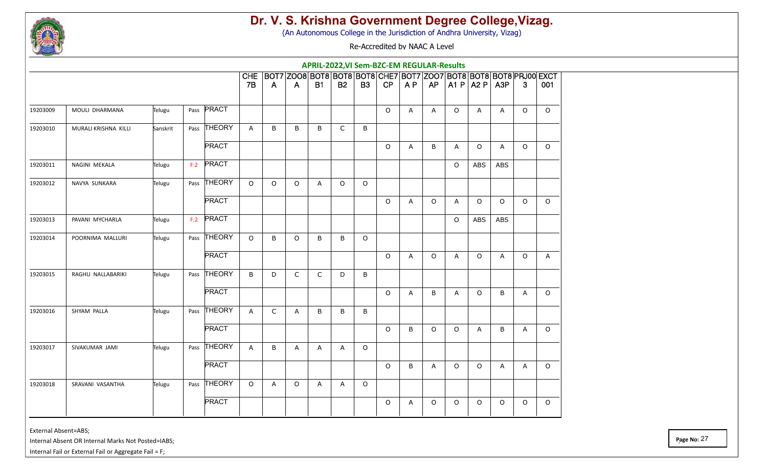

(An Autonomous College in the Jurisdiction of Andhra University, Vizag)

Re-Accredited by NAAC A Level

|          |                      |          |      |              |              |                |                | APRIL-2022, VI Sem-BZC-EM REGULAR-Results                         |             |           |         |    |         |         |                           |            |              |          |
|----------|----------------------|----------|------|--------------|--------------|----------------|----------------|-------------------------------------------------------------------|-------------|-----------|---------|----|---------|---------|---------------------------|------------|--------------|----------|
|          |                      |          |      |              | <b>CHE</b>   |                |                | BOT7 Z008 BOT8 BOT8 BOT8 CHE7 BOT7 Z007 BOT8 BOT8 BOT8 PRJ00 EXCT |             |           |         |    |         |         |                           |            |              |          |
|          |                      |          |      |              | <b>7B</b>    | $\overline{A}$ | $\overline{A}$ | <b>B1</b>                                                         | <b>B2</b>   | <b>B3</b> | CP      | AP | AP      |         | $ $ A1 P $ $ A2 P $ $ A3P |            | 3            | 001      |
| 19203009 | MOULI DHARMANA       | Telugu   |      | Pass PRACT   |              |                |                |                                                                   |             |           | $\circ$ | A  | A       | $\circ$ | A                         | A          | $\circ$      | $\circ$  |
| 19203010 | MURALI KRISHNA KILLI | Sanskrit |      | Pass THEORY  | $\mathsf{A}$ | B              | B              | B                                                                 | $\mathsf C$ | B         |         |    |         |         |                           |            |              |          |
|          |                      |          |      | <b>PRACT</b> |              |                |                |                                                                   |             |           | $\circ$ | A  | B       | Α       | $\mathsf O$               | Α          | $\circ$      | $\circ$  |
| 19203011 | NAGINI MEKALA        | Telugu   |      | F:2 PRACT    |              |                |                |                                                                   |             |           |         |    |         | $\circ$ | ABS                       | <b>ABS</b> |              |          |
| 19203012 | NAVYA SUNKARA        | Telugu   |      | Pass THEORY  | $\Omega$     | $\circ$        | $\circ$        | Α                                                                 | $\circ$     | $\circ$   |         |    |         |         |                           |            |              |          |
|          |                      |          |      | <b>PRACT</b> |              |                |                |                                                                   |             |           | $\circ$ | A  | $\circ$ | A       | $\circ$                   | $\Omega$   | $\Omega$     | $\Omega$ |
| 19203013 | PAVANI MYCHARLA      | Telugu   |      | $F:2$ PRACT  |              |                |                |                                                                   |             |           |         |    |         | $\circ$ | <b>ABS</b>                | ABS        |              |          |
| 19203014 | POORNIMA MALLURI     | Telugu   |      | Pass THEORY  | $\Omega$     | B              | $\circ$        | B                                                                 | B           | $\circ$   |         |    |         |         |                           |            |              |          |
|          |                      |          |      | <b>PRACT</b> |              |                |                |                                                                   |             |           | $\circ$ | A  | O       | A       | $\circ$                   | A          | $\circ$      | A        |
| 19203015 | RAGHU NALLABARIKI    | Telugu   | Pass | THEORY       | B            | D              | $\mathsf C$    | $\mathsf{C}$                                                      | D           | B         |         |    |         |         |                           |            |              |          |
|          |                      |          |      | <b>PRACT</b> |              |                |                |                                                                   |             |           | $\circ$ | A  | B       | A       | $\circ$                   | B          | A            | $\circ$  |
| 19203016 | SHYAM PALLA          | Telugu   |      | Pass THEORY  | $\mathsf{A}$ | $\mathsf C$    | $\mathsf{A}$   | B                                                                 | $\sf B$     | $\sf B$   |         |    |         |         |                           |            |              |          |
|          |                      |          |      | <b>PRACT</b> |              |                |                |                                                                   |             |           | $\circ$ | B  | 0       | $\circ$ | A                         | B          | A            | $\circ$  |
| 19203017 | SIVAKUMAR JAMI       | Telugu   |      | Pass THEORY  | A            | B              | A              | Α                                                                 | A           | $\circ$   |         |    |         |         |                           |            |              |          |
|          |                      |          |      | <b>PRACT</b> |              |                |                |                                                                   |             |           | $\circ$ | B  | A       | $\circ$ | $\circ$                   | A          | $\mathsf{A}$ | $\circ$  |
| 19203018 | SRAVANI VASANTHA     | Telugu   |      | Pass THEORY  | $\Omega$     | A              | $\circ$        | A                                                                 | Α           | $\circ$   |         |    |         |         |                           |            |              |          |
|          |                      |          |      | <b>PRACT</b> |              |                |                |                                                                   |             |           | $\circ$ | A  | 0       | $\circ$ | $\circ$                   | $\circ$    | $\circ$      | $\circ$  |
|          |                      |          |      |              |              |                |                |                                                                   |             |           |         |    |         |         |                           |            |              |          |

External Absent=ABS;

Internal Absent OR Internal Marks Not Posted=IABS;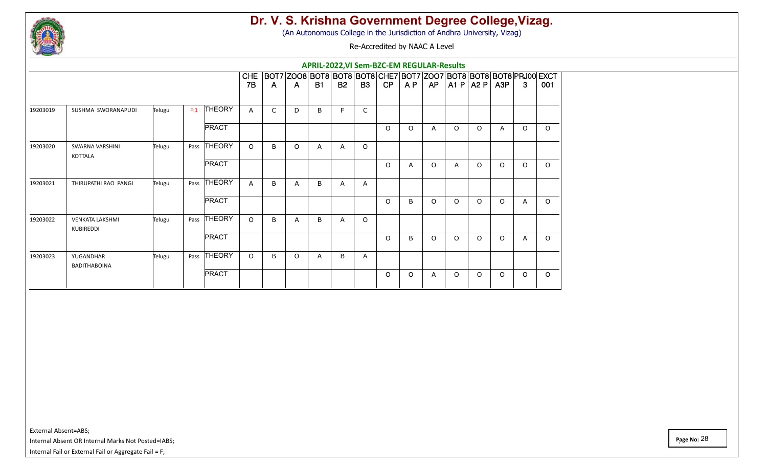

(An Autonomous College in the Jurisdiction of Andhra University, Vizag)

Re-Accredited by NAAC A Level

|          |                                     |        |      |               |              |              |                                                                   | APRIL-2022, VI Sem-BZC-EM REGULAR-Results |           |                |          |          |          |          |             |                |          |          |
|----------|-------------------------------------|--------|------|---------------|--------------|--------------|-------------------------------------------------------------------|-------------------------------------------|-----------|----------------|----------|----------|----------|----------|-------------|----------------|----------|----------|
|          |                                     |        |      |               | <b>CHE</b>   |              | BOT7 Z008 BOT8 BOT8 BOT8 CHE7 BOT7 Z007 BOT8 BOT8 BOT8 PRJ00 EXCT |                                           |           |                |          |          |          |          |             |                |          |          |
|          |                                     |        |      |               | <b>7B</b>    | -A           | A.                                                                | <b>B1</b>                                 | <b>B2</b> | B <sub>3</sub> | CP       | A P      | AP       |          | A1 P   A2 P | A3P            | 3        | 001      |
| 19203019 | SUSHMA SWORANAPUDI                  | Telugu | F:1  | THEORY        | $\mathsf{A}$ | $\mathsf{C}$ | D                                                                 | B                                         | F         | $\mathsf{C}$   |          |          |          |          |             |                |          |          |
|          |                                     |        |      | <b>PRACT</b>  |              |              |                                                                   |                                           |           |                | $\Omega$ | $\Omega$ | A        | $\Omega$ | $\Omega$    | $\overline{A}$ | $\Omega$ | $\circ$  |
| 19203020 | <b>SWARNA VARSHINI</b><br>KOTTALA   | Telugu | Pass | <b>THEORY</b> | $\Omega$     | B            | $\Omega$                                                          | A                                         | A         | $\Omega$       |          |          |          |          |             |                |          |          |
|          |                                     |        |      | <b>PRACT</b>  |              |              |                                                                   |                                           |           |                | $\Omega$ | A        | $\Omega$ | A        | $\Omega$    | $\Omega$       | $\Omega$ | $\circ$  |
| 19203021 | THIRUPATHI RAO PANGI                | Telugu | Pass | <b>THEORY</b> | $\mathsf{A}$ | B            | A                                                                 | B                                         | A         | A              |          |          |          |          |             |                |          |          |
|          |                                     |        |      | <b>PRACT</b>  |              |              |                                                                   |                                           |           |                | $\Omega$ | B        | $\Omega$ | $\Omega$ | $\circ$     | $\Omega$       | A        | $\Omega$ |
| 19203022 | <b>VENKATA LAKSHMI</b><br>KUBIREDDI | Telugu | Pass | <b>THEORY</b> | $\Omega$     | B            | A                                                                 | B                                         | A         | $\Omega$       |          |          |          |          |             |                |          |          |
|          |                                     |        |      | <b>PRACT</b>  |              |              |                                                                   |                                           |           |                | $\Omega$ | B        | $\Omega$ | $\Omega$ | $\circ$     | $\Omega$       | A        | $\circ$  |
| 19203023 | YUGANDHAR<br>BADITHABOINA           | Telugu | Pass | <b>THEORY</b> | $\Omega$     | B            | $\Omega$                                                          | A                                         | B         | A              |          |          |          |          |             |                |          |          |
|          |                                     |        |      | <b>PRACT</b>  |              |              |                                                                   |                                           |           |                | $\Omega$ | $\Omega$ | A        | $\Omega$ | $\Omega$    | $\Omega$       | $\Omega$ | $\circ$  |

External Absent=ABS;

Internal Absent OR Internal Marks Not Posted=IABS;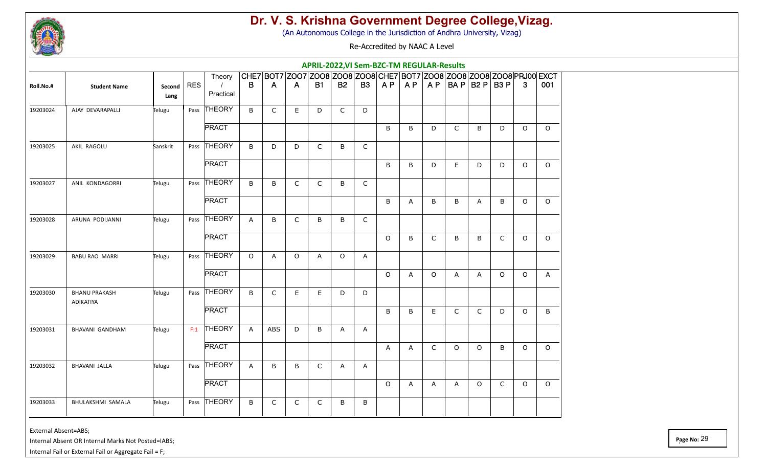

(An Autonomous College in the Jurisdiction of Andhra University, Vizag)

Re-Accredited by NAAC A Level

|           |                                   |                |     |                       |              |              |              | APRIL-2022, VI Sem-BZC-TM REGULAR-Results |              |              |         |              |         |              |                     |              |              |                                                                        |
|-----------|-----------------------------------|----------------|-----|-----------------------|--------------|--------------|--------------|-------------------------------------------|--------------|--------------|---------|--------------|---------|--------------|---------------------|--------------|--------------|------------------------------------------------------------------------|
|           |                                   |                |     | Theory                |              |              |              |                                           |              |              |         |              |         |              |                     |              |              | CHE7 BOT7 Z007 Z008 Z008 Z008 CHE7 BOT7 Z008 Z008 Z008 Z008 PRJ00 EXCT |
| Roll.No.# | <b>Student Name</b>               | Second<br>Lang | RES | $\prime$<br>Practical | B            | A            | A            | <b>B1</b>                                 | <b>B2</b>    | <b>B3</b>    | AP      | AP           |         |              | $AP$ BA P B2 P B3 P |              | $\mathbf{3}$ | 001                                                                    |
| 19203024  | AJAY DEVARAPALLI                  | Telugu         |     | Pass THEORY           | B            | $\mathsf{C}$ | E.           | D                                         | $\mathsf{C}$ | D            |         |              |         |              |                     |              |              |                                                                        |
|           |                                   |                |     | <b>PRACT</b>          |              |              |              |                                           |              |              | B       | B            | D       | $\mathsf{C}$ | B                   | D            | $\circ$      | $\Omega$                                                               |
| 19203025  | AKIL RAGOLU                       | Sanskrit       |     | Pass THEORY           | B            | D            | D            | C                                         | B            | $\mathsf C$  |         |              |         |              |                     |              |              |                                                                        |
|           |                                   |                |     | <b>PRACT</b>          |              |              |              |                                           |              |              | B       | B            | D       | E.           | D                   | D            | $\circ$      | $\Omega$                                                               |
| 19203027  | ANIL KONDAGORRI                   | Telugu         |     | Pass THEORY           | B            | В            | $\mathsf{C}$ | C                                         | B            | C            |         |              |         |              |                     |              |              |                                                                        |
|           |                                   |                |     | <b>PRACT</b>          |              |              |              |                                           |              |              | B       | $\mathsf{A}$ | $\sf B$ | $\sf B$      | A                   | B            | $\circ$      | $\circ$                                                                |
| 19203028  | ARUNA PODIJANNI                   | Telugu         |     | Pass THEORY           | $\mathsf{A}$ | B            | $\mathsf{C}$ | B                                         | B            | C            |         |              |         |              |                     |              |              |                                                                        |
|           |                                   |                |     | <b>PRACT</b>          |              |              |              |                                           |              |              | $\circ$ | B            | C       | B            | B                   | $\mathsf{C}$ | $\circ$      | $\circ$                                                                |
| 19203029  | <b>BABU RAO MARRI</b>             | Telugu         |     | Pass THEORY           | $\circ$      | A            | $\Omega$     | A                                         | $\circ$      | $\mathsf{A}$ |         |              |         |              |                     |              |              |                                                                        |
|           |                                   |                |     | <b>PRACT</b>          |              |              |              |                                           |              |              | $\circ$ | $\mathsf{A}$ | $\circ$ | A            | A                   | $\Omega$     | $\circ$      | A                                                                      |
| 19203030  | <b>BHANU PRAKASH</b><br>ADIKATIYA | Telugu         |     | Pass THEORY           | B            | $\mathsf{C}$ | E.           | E                                         | D            | D            |         |              |         |              |                     |              |              |                                                                        |
|           |                                   |                |     | <b>PRACT</b>          |              |              |              |                                           |              |              | B       | B            | E.      | $\mathsf{C}$ | $\mathsf{C}$        | D            | $\circ$      | B                                                                      |
| 19203031  | <b>BHAVANI GANDHAM</b>            | Telugu         |     | $F:1$ THEORY          | $\mathsf{A}$ | <b>ABS</b>   | D            | B                                         | A            | Α            |         |              |         |              |                     |              |              |                                                                        |
|           |                                   |                |     | <b>PRACT</b>          |              |              |              |                                           |              |              | A       | A            | C       | $\circ$      | $\circ$             | B            | $\circ$      | $\circ$                                                                |
| 19203032  | BHAVANI JALLA                     | Telugu         |     | Pass THEORY           | A            | B            | B            | C                                         | A            | A            |         |              |         |              |                     |              |              |                                                                        |
|           |                                   |                |     | <b>PRACT</b>          |              |              |              |                                           |              |              | $\circ$ | A            | A       | A            | $\circ$             | $\mathsf C$  | $\circ$      | $\circ$                                                                |
| 19203033  | BHULAKSHMI SAMALA                 | Telugu         |     | Pass THEORY           | B            | C            | $\mathsf{C}$ | C                                         | B            | B            |         |              |         |              |                     |              |              |                                                                        |

External Absent=ABS;

Internal Absent OR Internal Marks Not Posted=IABS;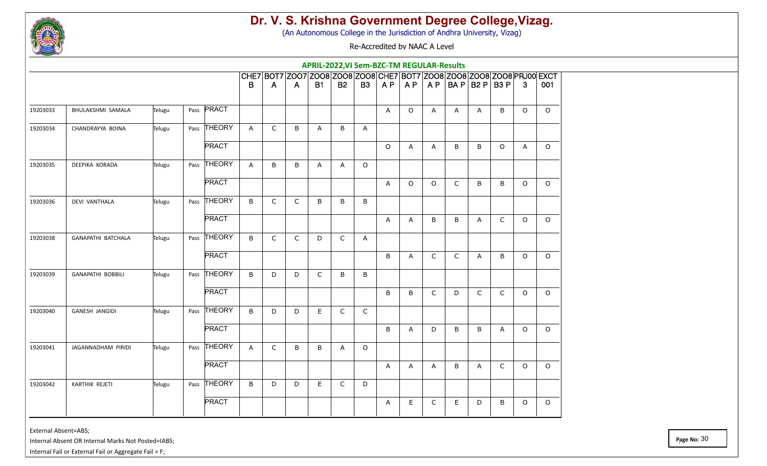

(An Autonomous College in the Jurisdiction of Andhra University, Vizag)

Re-Accredited by NAAC A Level

|          |                          |        |                |              |              |              | APRIL-2022, VI Sem-BZC-TM REGULAR-Results                              |              |              |         |         |         |              |                     |              |              |         |
|----------|--------------------------|--------|----------------|--------------|--------------|--------------|------------------------------------------------------------------------|--------------|--------------|---------|---------|---------|--------------|---------------------|--------------|--------------|---------|
|          |                          |        |                |              |              |              | CHE7 BOT7 Z007 Z008 Z008 Z008 CHE7 BOT7 Z008 Z008 Z008 Z008 PRJ00 EXCT |              |              |         |         |         |              |                     |              |              |         |
|          |                          |        |                | B            | A            | A            | <b>B1</b>                                                              | <b>B2</b>    | <b>B3</b>    |         | AP   AP |         |              | $AP$ BA P B2 P B3 P |              | $\mathbf{3}$ | 001     |
| 19203033 | BHULAKSHMI SAMALA        | Telugu | Pass PRACT     |              |              |              |                                                                        |              |              | A       | $\circ$ | A       | A            | A                   | B            | $\circ$      | $\circ$ |
| 19203034 | CHANDRAYYA BOINA         | Telugu | Pass THEORY    | $\mathsf{A}$ | $\mathsf{C}$ | B            | A                                                                      | B            | $\mathsf{A}$ |         |         |         |              |                     |              |              |         |
|          |                          |        | <b>PRACT</b>   |              |              |              |                                                                        |              |              | $\circ$ | A       | A       | B            | B                   | $\circ$      | A            | $\circ$ |
| 19203035 | DEEPIKA KORADA           | Telugu | Pass THEORY    | A            | B            | B            | A                                                                      | $\mathsf{A}$ | $\circ$      |         |         |         |              |                     |              |              |         |
|          |                          |        | <b>PRACT</b>   |              |              |              |                                                                        |              |              | A       | $\circ$ | $\circ$ | $\mathsf{C}$ | B                   | B            | $\circ$      | $\circ$ |
| 19203036 | <b>DEVI VANTHALA</b>     | Telugu | Pass THEORY    | B            | $\mathsf{C}$ | $\mathsf C$  | B                                                                      | $\sf B$      | $\sf B$      |         |         |         |              |                     |              |              |         |
|          |                          |        | <b>PRACT</b>   |              |              |              |                                                                        |              |              | A       | Α       | B       | $\sf B$      | A                   | $\mathsf{C}$ | $\circ$      | $\circ$ |
| 19203038 | GANAPATHI BATCHALA       | Telugu | Pass THEORY    | B            | $\mathsf{C}$ | $\mathsf{C}$ | D                                                                      | $\mathsf{C}$ | A            |         |         |         |              |                     |              |              |         |
|          |                          |        | <b>PRACT</b>   |              |              |              |                                                                        |              |              | B       | A       | C       | $\mathsf{C}$ | A                   | B            | $\circ$      | $\circ$ |
| 19203039 | <b>GANAPATHI BOBBILI</b> | Telugu | THEORY<br>Pass | B            | D            | D            | $\mathsf{C}$                                                           | B            | B            |         |         |         |              |                     |              |              |         |
|          |                          |        | <b>PRACT</b>   |              |              |              |                                                                        |              |              | B       | B       | C       | D            | $\mathsf{C}$        | $\mathsf{C}$ | $\circ$      | $\circ$ |
| 19203040 | <b>GANESH JANGIDI</b>    | Telugu | Pass THEORY    | B            | D            | D            | E                                                                      | $\mathsf C$  | $\mathsf C$  |         |         |         |              |                     |              |              |         |
|          |                          |        | <b>PRACT</b>   |              |              |              |                                                                        |              |              | B       | Α       | D       | B            | B                   | A            | $\circ$      | $\circ$ |
| 19203041 | JAGANNADHAM PIRIDI       | Telugu | Pass THEORY    | $\mathsf{A}$ | $\mathsf{C}$ | B            | B                                                                      | A            | $\circ$      |         |         |         |              |                     |              |              |         |
|          |                          |        | <b>PRACT</b>   |              |              |              |                                                                        |              |              | A       | A       | A       | $\sf B$      | A                   | $\mathsf C$  | $\circ$      | $\circ$ |
| 19203042 | <b>KARTHIK REJETI</b>    | Telugu | Pass THEORY    | B            | D            | D            | E                                                                      | $\mathsf{C}$ | D            |         |         |         |              |                     |              |              |         |
|          |                          |        | <b>PRACT</b>   |              |              |              |                                                                        |              |              | A       | E.      | C       | E            | D                   | B            | $\circ$      | $\circ$ |

External Absent=ABS;

Internal Absent OR Internal Marks Not Posted=IABS;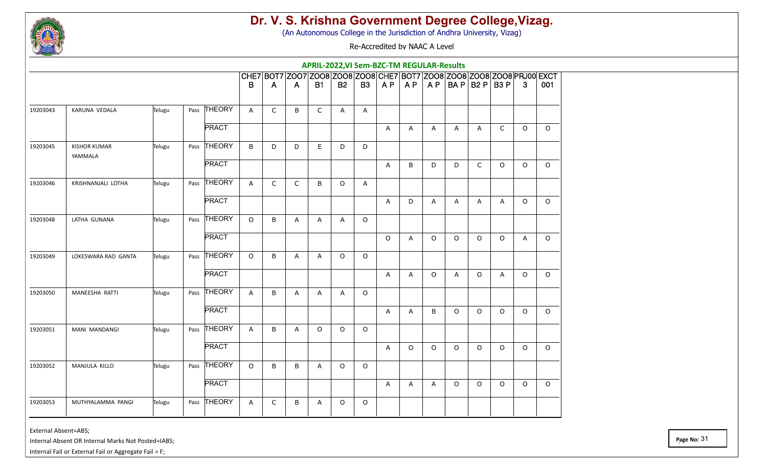

(An Autonomous College in the Jurisdiction of Andhra University, Vizag)

Re-Accredited by NAAC A Level

|          |                                |        |              |              |              |              | APRIL-2022, VI Sem-BZC-TM REGULAR-Results                              |              |           |              |                |              |                     |              |              |                |          |
|----------|--------------------------------|--------|--------------|--------------|--------------|--------------|------------------------------------------------------------------------|--------------|-----------|--------------|----------------|--------------|---------------------|--------------|--------------|----------------|----------|
|          |                                |        |              |              |              |              | CHE7 BOT7 Z007 Z008 Z008 Z008 CHE7 BOT7 Z008 Z008 Z008 Z008 PRJ00 EXCT |              |           |              |                |              |                     |              |              |                |          |
|          |                                |        |              | B            | A            | A            | <b>B1</b>                                                              | <b>B2</b>    | <b>B3</b> |              | AP   AP        |              | $AP$ BA P B2 P B3 P |              |              | $\mathbf{3}$   | 001      |
| 19203043 | KARUNA VEDALA                  | Telugu | Pass THEORY  | A            | $\mathsf{C}$ | B            | C                                                                      | A            | A         |              |                |              |                     |              |              |                |          |
|          |                                |        | <b>PRACT</b> |              |              |              |                                                                        |              |           | A            | A              | A            | A                   | $\mathsf{A}$ | $\mathsf{C}$ | $\circ$        | $\circ$  |
| 19203045 | <b>KISHOR KUMAR</b><br>YAMMALA | Telugu | Pass THEORY  | B            | D            | D            | E                                                                      | D            | D         |              |                |              |                     |              |              |                |          |
|          |                                |        | <b>PRACT</b> |              |              |              |                                                                        |              |           | A            | B              | D            | D                   | $\mathsf{C}$ | $\Omega$     | $\Omega$       | $\Omega$ |
| 19203046 | KRISHNANJALI LOTHA             | Telugu | Pass THEORY  | $\mathsf{A}$ | $\mathsf{C}$ | $\mathsf{C}$ | B                                                                      | $\circ$      | A         |              |                |              |                     |              |              |                |          |
|          |                                |        | <b>PRACT</b> |              |              |              |                                                                        |              |           | A            | D              | A            | A                   | A            | A            | $\circ$        | $\circ$  |
| 19203048 | LATHA GUNANA                   | Telugu | Pass THEORY  | $\circ$      | B            | A            | Α                                                                      | Α            | $\circ$   |              |                |              |                     |              |              |                |          |
|          |                                |        | <b>PRACT</b> |              |              |              |                                                                        |              |           | $\circ$      | $\overline{A}$ | $\Omega$     | $\circ$             | $\Omega$     | $\Omega$     | $\overline{A}$ | $\Omega$ |
| 19203049 | LOKESWARA RAO GANTA            | Telugu | Pass THEORY  | $\circ$      | $\mathsf B$  | $\mathsf{A}$ | А                                                                      | $\circ$      | $\circ$   |              |                |              |                     |              |              |                |          |
|          |                                |        | <b>PRACT</b> |              |              |              |                                                                        |              |           | $\mathsf{A}$ | A              | $\circ$      | A                   | $\circ$      | A            | $\circ$        | $\Omega$ |
| 19203050 | MANEESHA RATTI                 | Telugu | Pass THEORY  | A            | B            | A            | Α                                                                      | $\mathsf{A}$ | $\circ$   |              |                |              |                     |              |              |                |          |
|          |                                |        | <b>PRACT</b> |              |              |              |                                                                        |              |           | A            | $\mathsf{A}$   | B            | $\circ$             | $\circ$      | $\circ$      | $\circ$        | $\circ$  |
| 19203051 | MANI MANDANGI                  | Telugu | Pass THEORY  | $\mathsf{A}$ | $\sf B$      | A            | $\Omega$                                                               | $\circ$      | $\circ$   |              |                |              |                     |              |              |                |          |
|          |                                |        | <b>PRACT</b> |              |              |              |                                                                        |              |           | A            | $\circ$        | $\circ$      | $\circ$             | $\circ$      | $\circ$      | $\circ$        | $\circ$  |
| 19203052 | MANJULA KILLO                  | Telugu | Pass THEORY  | $\circ$      | B            | B            | A                                                                      | $\circ$      | $\circ$   |              |                |              |                     |              |              |                |          |
|          |                                |        | <b>PRACT</b> |              |              |              |                                                                        |              |           | $\mathsf{A}$ | A              | $\mathsf{A}$ | $\mathsf O$         | $\circ$      | $\circ$      | $\circ$        | $\circ$  |
| 19203053 | MUTHYALAMMA PANGI              | Telugu | Pass THEORY  | A            | C            | B            | Α                                                                      | $\circ$      | $\circ$   |              |                |              |                     |              |              |                |          |

External Absent=ABS;

Internal Absent OR Internal Marks Not Posted=IABS;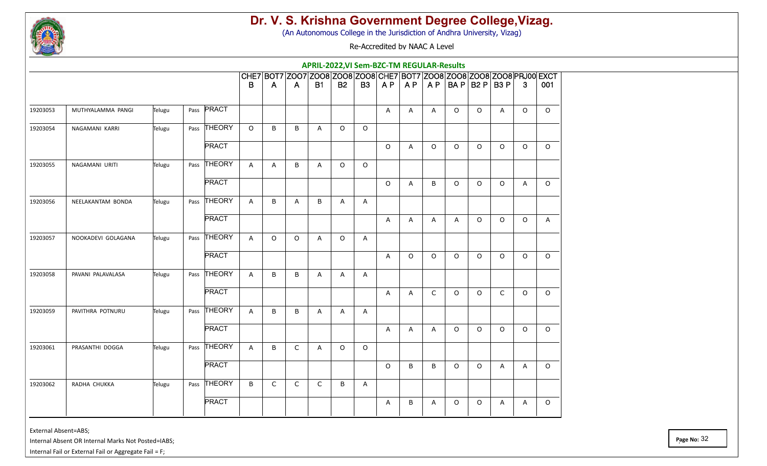

(An Autonomous College in the Jurisdiction of Andhra University, Vizag)

Re-Accredited by NAAC A Level

|          |                    |        |                |              |             |             | APRIL-2022, VI Sem-BZC-TM REGULAR-Results                              |              |              |         |         |         |         |                     |              |              |         |
|----------|--------------------|--------|----------------|--------------|-------------|-------------|------------------------------------------------------------------------|--------------|--------------|---------|---------|---------|---------|---------------------|--------------|--------------|---------|
|          |                    |        |                |              |             |             | CHE7 B0T7 Z007 Z008 Z008 Z008 CHE7 B0T7 Z008 Z008 Z008 Z008 PRJ00 EXCT |              |              |         |         |         |         |                     |              |              |         |
|          |                    |        |                | B            | A           | A           | <b>B1</b>                                                              | <b>B2</b>    | <b>B3</b>    | AP      | AP      |         |         | $AP$ BA P B2 P B3 P |              | $\mathbf{3}$ | 001     |
| 19203053 | MUTHYALAMMA PANGI  | Telugu | Pass PRACT     |              |             |             |                                                                        |              |              | A       | A       | A       | $\circ$ | $\circ$             | A            | $\circ$      | $\circ$ |
| 19203054 | NAGAMANI KARRI     | Telugu | Pass THEORY    | $\circ$      | B           | B           | A                                                                      | $\circ$      | $\circ$      |         |         |         |         |                     |              |              |         |
|          |                    |        | <b>PRACT</b>   |              |             |             |                                                                        |              |              | $\circ$ | Α       | O       | $\circ$ | $\circ$             | $\circ$      | $\circ$      | $\circ$ |
| 19203055 | NAGAMANI URITI     | Telugu | Pass THEORY    | A            | A           | B           | Α                                                                      | $\circ$      | $\circ$      |         |         |         |         |                     |              |              |         |
|          |                    |        | <b>PRACT</b>   |              |             |             |                                                                        |              |              | $\circ$ | A       | B       | $\circ$ | $\circ$             | $\circ$      | A            | $\circ$ |
| 19203056 | NEELAKANTAM BONDA  | Telugu | Pass THEORY    | A            | B           | A           | B                                                                      | A            | A            |         |         |         |         |                     |              |              |         |
|          |                    |        | <b>PRACT</b>   |              |             |             |                                                                        |              |              | Α       | Α       | A       | A       | $\circ$             | $\circ$      | $\circ$      | A       |
| 19203057 | NOOKADEVI GOLAGANA | Telugu | Pass THEORY    | $\mathsf{A}$ | $\circ$     | $\Omega$    | $\overline{A}$                                                         | $\circ$      | A            |         |         |         |         |                     |              |              |         |
|          |                    |        | <b>PRACT</b>   |              |             |             |                                                                        |              |              | A       | $\circ$ | O       | $\circ$ | $\circ$             | $\circ$      | $\circ$      | $\circ$ |
| 19203058 | PAVANI PALAVALASA  | Telugu | THEORY<br>Pass | $\mathsf{A}$ | B           | B           | Α                                                                      | A            | A            |         |         |         |         |                     |              |              |         |
|          |                    |        | <b>PRACT</b>   |              |             |             |                                                                        |              |              | A       | A       | C       | $\circ$ | $\circ$             | $\mathsf{C}$ | $\circ$      | $\circ$ |
| 19203059 | PAVITHRA POTNURU   | Telugu | Pass THEORY    | A            | B           | B           | A                                                                      | $\mathsf{A}$ | $\mathsf{A}$ |         |         |         |         |                     |              |              |         |
|          |                    |        | <b>PRACT</b>   |              |             |             |                                                                        |              |              | A       | A       | A       | $\circ$ | $\circ$             | $\circ$      | $\circ$      | $\circ$ |
| 19203061 | PRASANTHI DOGGA    | Telugu | Pass THEORY    | $\mathsf{A}$ | B           | $\mathsf C$ | Α                                                                      | $\circ$      | $\circ$      |         |         |         |         |                     |              |              |         |
|          |                    |        | <b>PRACT</b>   |              |             |             |                                                                        |              |              | $\circ$ | B       | $\sf B$ | $\circ$ | $\circ$             | A            | A            | $\circ$ |
| 19203062 | RADHA CHUKKA       | Telugu | Pass THEORY    | B            | $\mathsf C$ | $\mathsf C$ | C                                                                      | B            | Α            |         |         |         |         |                     |              |              |         |
|          |                    |        | <b>PRACT</b>   |              |             |             |                                                                        |              |              | A       | B       | A       | 0       | $\circ$             | A            | A            | $\circ$ |

External Absent=ABS;

Internal Absent OR Internal Marks Not Posted=IABS;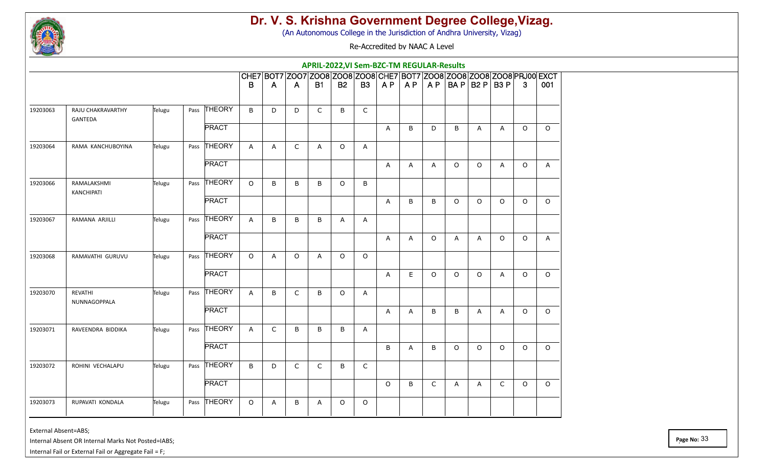

(An Autonomous College in the Jurisdiction of Andhra University, Vizag)

Re-Accredited by NAAC A Level

|          |                              |        |              |              |              |              | APRIL-2022, VI Sem-BZC-TM REGULAR-Results |           |              |         |                |             |              |                     |                |              |                                                                        |
|----------|------------------------------|--------|--------------|--------------|--------------|--------------|-------------------------------------------|-----------|--------------|---------|----------------|-------------|--------------|---------------------|----------------|--------------|------------------------------------------------------------------------|
|          |                              |        |              |              |              |              |                                           |           |              |         |                |             |              |                     |                |              | CHE7 BOT7 Z007 Z008 Z008 Z008 CHE7 BOT7 Z008 Z008 Z008 Z008 PRJ00 EXCT |
|          |                              |        |              | B            | A            | A            | <b>B1</b>                                 | <b>B2</b> | <b>B3</b>    | AP      | AP             |             |              | $AP$ BA P B2 P B3 P |                | $\mathbf{3}$ | 001                                                                    |
| 19203063 | RAJU CHAKRAVARTHY<br>GANTEDA | Telugu | Pass THEORY  | B            | D            | D            | $\mathsf{C}$                              | B         | $\mathsf{C}$ |         |                |             |              |                     |                |              |                                                                        |
|          |                              |        | <b>PRACT</b> |              |              |              |                                           |           |              | A       | B              | D           | B            | $\mathsf{A}$        | $\mathsf{A}$   | $\circ$      | $\circ$                                                                |
| 19203064 | RAMA KANCHUBOYINA            | Telugu | Pass THEORY  | A            | Α            | $\mathsf C$  | Α                                         | $\circ$   | Α            |         |                |             |              |                     |                |              |                                                                        |
|          |                              |        | <b>PRACT</b> |              |              |              |                                           |           |              | A       | A              | A           | $\circ$      | $\circ$             | $\overline{A}$ | $\circ$      | A                                                                      |
| 19203066 | RAMALAKSHMI<br>KANCHIPATI    | Telugu | Pass THEORY  | $\circ$      | B            | B            | B                                         | $\circ$   | B            |         |                |             |              |                     |                |              |                                                                        |
|          |                              |        | <b>PRACT</b> |              |              |              |                                           |           |              | A       | B              | B           | $\circ$      | $\circ$             | $\Omega$       | $\mathsf O$  | $\Omega$                                                               |
| 19203067 | RAMANA ARJILLI               | Telugu | Pass THEORY  | A            | B            | B            | B                                         | A         | Α            |         |                |             |              |                     |                |              |                                                                        |
|          |                              |        | <b>PRACT</b> |              |              |              |                                           |           |              | A       | $\overline{A}$ | $\circ$     | $\mathsf{A}$ | A                   | $\Omega$       | $\circ$      | $\mathsf{A}$                                                           |
| 19203068 | RAMAVATHI GURUVU             | Telugu | Pass THEORY  | $\circ$      | A            | $\circ$      | Α                                         | $\circ$   | $\circ$      |         |                |             |              |                     |                |              |                                                                        |
|          |                              |        | <b>PRACT</b> |              |              |              |                                           |           |              | A       | E              | $\circ$     | $\circ$      | $\circ$             | $\overline{A}$ | $\circ$      | $\Omega$                                                               |
| 19203070 | REVATHI<br>NUNNAGOPPALA      | Telugu | Pass THEORY  | A            | В            | $\mathsf{C}$ | B                                         | $\circ$   | A            |         |                |             |              |                     |                |              |                                                                        |
|          |                              |        | <b>PRACT</b> |              |              |              |                                           |           |              | A       | A              | B           | $\sf B$      | A                   | $\mathsf{A}$   | $\circ$      | $\circ$                                                                |
| 19203071 | RAVEENDRA BIDDIKA            | Telugu | Pass THEORY  | $\mathsf{A}$ | $\mathsf{C}$ | B            | B                                         | B         | A            |         |                |             |              |                     |                |              |                                                                        |
|          |                              |        | <b>PRACT</b> |              |              |              |                                           |           |              | B       | Α              | B           | $\circ$      | $\Omega$            | $\Omega$       | $\circ$      | $\Omega$                                                               |
| 19203072 | ROHINI VECHALAPU             | Telugu | Pass THEORY  | B            | D            | $\mathsf C$  | $\mathsf C$                               | $\sf B$   | $\mathsf C$  |         |                |             |              |                     |                |              |                                                                        |
|          |                              |        | <b>PRACT</b> |              |              |              |                                           |           |              | $\circ$ | B              | $\mathsf C$ | A            | A                   | $\mathsf{C}$   | $\circ$      | $\Omega$                                                               |
| 19203073 | RUPAVATI KONDALA             | Telugu | Pass THEORY  | $\circ$      | A            | B            | A                                         | $\circ$   | $\circ$      |         |                |             |              |                     |                |              |                                                                        |

External Absent=ABS;

Internal Absent OR Internal Marks Not Posted=IABS;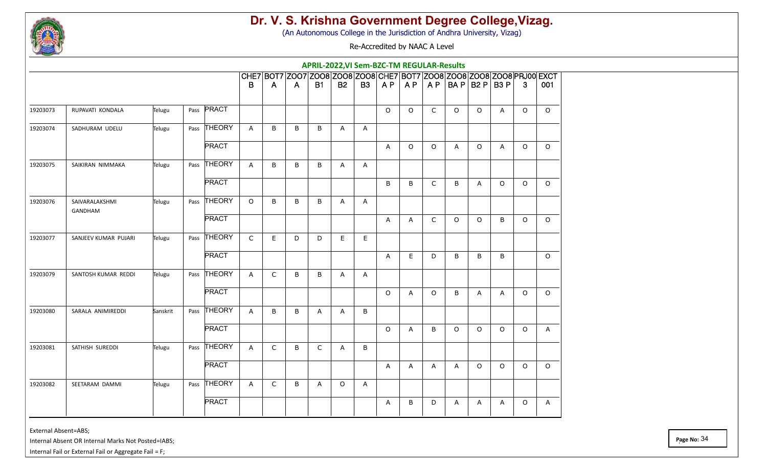

(An Autonomous College in the Jurisdiction of Andhra University, Vizag)

Re-Accredited by NAAC A Level

|          |                           |          |                |              |              |                                                                        | APRIL-2022, VI Sem-BZC-TM REGULAR-Results |              |                |         |         |         |         |                     |         |              |              |
|----------|---------------------------|----------|----------------|--------------|--------------|------------------------------------------------------------------------|-------------------------------------------|--------------|----------------|---------|---------|---------|---------|---------------------|---------|--------------|--------------|
|          |                           |          |                |              |              | CHE7 B0T7 Z007 Z008 Z008 Z008 CHE7 B0T7 Z008 Z008 Z008 Z008 PRJ00 EXCT |                                           |              |                |         |         |         |         |                     |         |              |              |
|          |                           |          |                | B            | A            | A                                                                      | <b>B1</b>                                 | <b>B2</b>    | <b>B3</b>      | AP      | AP      |         |         | $AP$ BA P B2 P B3 P |         | $\mathbf{3}$ | 001          |
| 19203073 | RUPAVATI KONDALA          | Telugu   | Pass PRACT     |              |              |                                                                        |                                           |              |                | $\circ$ | $\circ$ | C       | $\circ$ | $\circ$             | A       | $\circ$      | $\circ$      |
| 19203074 | SADHURAM UDELU            | Telugu   | Pass THEORY    | $\mathsf{A}$ | B            | B                                                                      | B                                         | $\mathsf{A}$ | $\mathsf{A}$   |         |         |         |         |                     |         |              |              |
|          |                           |          | <b>PRACT</b>   |              |              |                                                                        |                                           |              |                | A       | $\circ$ | O       | A       | $\circ$             | A       | $\circ$      | $\circ$      |
| 19203075 | SAIKIRAN NIMMAKA          | Telugu   | Pass THEORY    | A            | B            | B                                                                      | B                                         | $\mathsf{A}$ | A              |         |         |         |         |                     |         |              |              |
|          |                           |          | <b>PRACT</b>   |              |              |                                                                        |                                           |              |                | B       | B       | C       | B       | A                   | $\circ$ | $\circ$      | $\circ$      |
| 19203076 | SAIVARALAKSHMI<br>GANDHAM | Telugu   | Pass THEORY    | $\Omega$     | B            | B                                                                      | B                                         | A            | $\overline{A}$ |         |         |         |         |                     |         |              |              |
|          |                           |          | <b>PRACT</b>   |              |              |                                                                        |                                           |              |                | Α       | Α       | C       | $\circ$ | $\circ$             | B       | $\circ$      | $\circ$      |
| 19203077 | SANJEEV KUMAR PUJARI      | Telugu   | Pass THEORY    | $\mathsf{C}$ | E.           | D                                                                      | D                                         | E.           | E              |         |         |         |         |                     |         |              |              |
|          |                           |          | <b>PRACT</b>   |              |              |                                                                        |                                           |              |                | A       | E.      | D       | B       | B                   | B       |              | $\circ$      |
| 19203079 | SANTOSH KUMAR REDDI       | Telugu   | THEORY<br>Pass | $\mathsf{A}$ | $\mathsf C$  | B                                                                      | B                                         | A            | $\overline{A}$ |         |         |         |         |                     |         |              |              |
|          |                           |          | <b>PRACT</b>   |              |              |                                                                        |                                           |              |                | $\circ$ | A       | $\circ$ | B       | A                   | A       | $\circ$      | $\circ$      |
| 19203080 | SARALA ANIMIREDDI         | Sanskrit | Pass THEORY    | $\mathsf{A}$ | B            | B                                                                      | A                                         | A            | B              |         |         |         |         |                     |         |              |              |
|          |                           |          | <b>PRACT</b>   |              |              |                                                                        |                                           |              |                | $\circ$ | A       | B       | $\circ$ | $\circ$             | $\circ$ | $\circ$      | $\mathsf{A}$ |
| 19203081 | SATHISH SUREDDI           | Telugu   | Pass THEORY    | A            | $\mathsf{C}$ | B                                                                      | C                                         | A            | B              |         |         |         |         |                     |         |              |              |
|          |                           |          | <b>PRACT</b>   |              |              |                                                                        |                                           |              |                | A       | A       | A       | A       | $\circ$             | $\circ$ | $\circ$      | $\circ$      |
| 19203082 | SEETARAM DAMMI            | Telugu   | Pass THEORY    | A            | $\mathsf C$  | B                                                                      | Α                                         | $\circ$      | A              |         |         |         |         |                     |         |              |              |
|          |                           |          | <b>PRACT</b>   |              |              |                                                                        |                                           |              |                | A       | B       | D       | A       | A                   | A       | $\circ$      | A            |

External Absent=ABS;

Internal Absent OR Internal Marks Not Posted=IABS;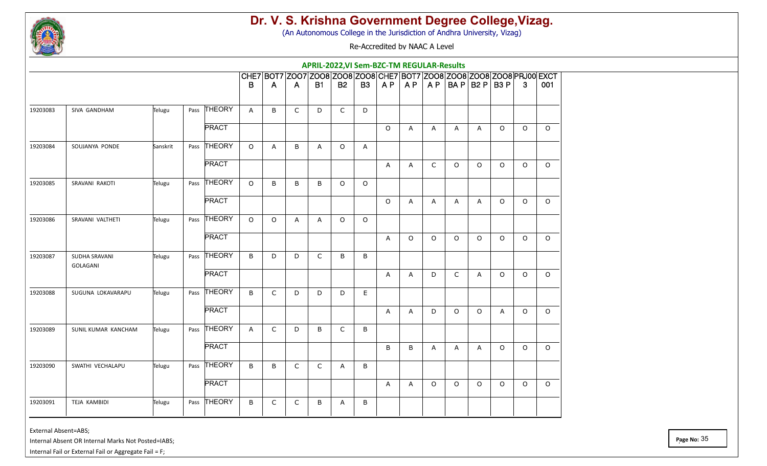

(An Autonomous College in the Jurisdiction of Andhra University, Vizag)

Re-Accredited by NAAC A Level

|          |                           |          |              |              |         |              | APRIL-2022, VI Sem-BZC-TM REGULAR-Results |              |           |         |              |              |             |                     |              |              |                                                                        |
|----------|---------------------------|----------|--------------|--------------|---------|--------------|-------------------------------------------|--------------|-----------|---------|--------------|--------------|-------------|---------------------|--------------|--------------|------------------------------------------------------------------------|
|          |                           |          |              |              |         |              |                                           |              |           |         |              |              |             |                     |              |              | CHE7 BOT7 Z007 Z008 Z008 Z008 CHE7 BOT7 Z008 Z008 Z008 Z008 PRJ00 EXCT |
|          |                           |          |              | B            | A       | A            | <b>B1</b>                                 | <b>B2</b>    | <b>B3</b> | AP      | A P          |              |             | $AP$ BA P B2 P B3 P |              | $\mathbf{3}$ | 001                                                                    |
| 19203083 | SIVA GANDHAM              | Telugu   | Pass THEORY  | A            | B       | $\mathsf{C}$ | D                                         | $\mathsf{C}$ | D         |         |              |              |             |                     |              |              |                                                                        |
|          |                           |          | <b>PRACT</b> |              |         |              |                                           |              |           | $\circ$ | $\mathsf{A}$ | $\mathsf{A}$ | A           | $\mathsf{A}$        | $\circ$      | $\circ$      | $\circ$                                                                |
| 19203084 | SOUJANYA PONDE            | Sanskrit | Pass THEORY  | $\circ$      | Α       | B            | Α                                         | $\circ$      | Α         |         |              |              |             |                     |              |              |                                                                        |
|          |                           |          | <b>PRACT</b> |              |         |              |                                           |              |           | A       | A            | C            | $\circ$     | $\circ$             | $\circ$      | $\circ$      | $\circ$                                                                |
| 19203085 | SRAVANI RAKOTI            | Telugu   | Pass THEORY  | $\circ$      | B       | B            | B                                         | $\circ$      | $\circ$   |         |              |              |             |                     |              |              |                                                                        |
|          |                           |          | <b>PRACT</b> |              |         |              |                                           |              |           | $\circ$ | A            | A            | A           | A                   | $\circ$      | $\mathsf O$  | $\circ$                                                                |
| 19203086 | SRAVANI VALTHETI          | Telugu   | Pass THEORY  | $\circ$      | $\circ$ | $\mathsf{A}$ | A                                         | $\circ$      | $\circ$   |         |              |              |             |                     |              |              |                                                                        |
|          |                           |          | <b>PRACT</b> |              |         |              |                                           |              |           | A       | $\Omega$     | $\Omega$     | $\circ$     | $\Omega$            | $\Omega$     | $\Omega$     | $\Omega$                                                               |
| 19203087 | SUDHA SRAVANI<br>GOLAGANI | Telugu   | Pass THEORY  | B            | D       | D            | C                                         | B            | B         |         |              |              |             |                     |              |              |                                                                        |
|          |                           |          | <b>PRACT</b> |              |         |              |                                           |              |           | A       | A            | D            | $\mathsf C$ | A                   | $\circ$      | $\circ$      | $\Omega$                                                               |
| 19203088 | SUGUNA LOKAVARAPU         | Telugu   | Pass THEORY  | B            | C       | D            | D                                         | D            | E         |         |              |              |             |                     |              |              |                                                                        |
|          |                           |          | <b>PRACT</b> |              |         |              |                                           |              |           | A       | A            | D            | $\circ$     | $\circ$             | $\mathsf{A}$ | $\circ$      | $\circ$                                                                |
| 19203089 | SUNIL KUMAR KANCHAM       | Telugu   | Pass THEORY  | $\mathsf{A}$ | C       | D            | B                                         | $\mathsf C$  | B         |         |              |              |             |                     |              |              |                                                                        |
|          |                           |          | <b>PRACT</b> |              |         |              |                                           |              |           | B       | B            | A            | A           | A                   | $\Omega$     | $\circ$      | $\Omega$                                                               |
| 19203090 | SWATHI VECHALAPU          | Telugu   | Pass THEORY  | $\sf B$      | B       | $\mathsf C$  | $\mathsf C$                               | A            | B         |         |              |              |             |                     |              |              |                                                                        |
|          |                           |          | <b>PRACT</b> |              |         |              |                                           |              |           | A       | A            | $\circ$      | $\circ$     | $\circ$             | $\circ$      | $\circ$      | $\circ$                                                                |
| 19203091 | TEJA KAMBIDI              | Telugu   | Pass THEORY  | B            | C       | C            | B                                         | A            | B         |         |              |              |             |                     |              |              |                                                                        |

External Absent=ABS;

Internal Absent OR Internal Marks Not Posted=IABS;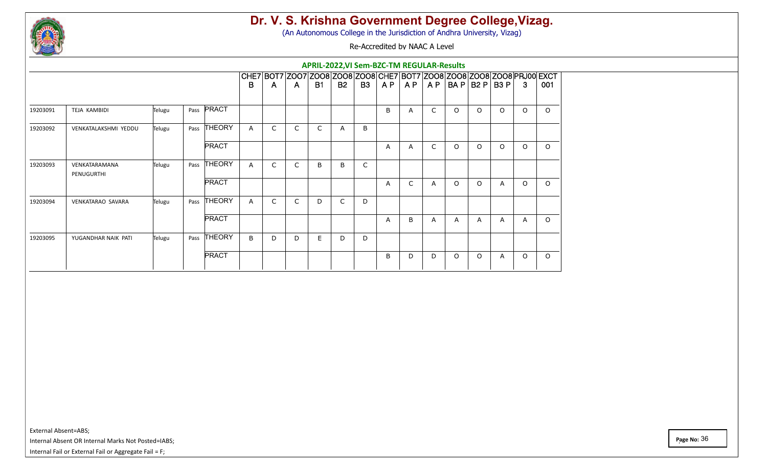

(An Autonomous College in the Jurisdiction of Andhra University, Vizag)

Re-Accredited by NAAC A Level

|          |                             |        |                       |              |              |                                                                                        |           |              | <b>APRIL-2022, VI Sem-BZC-TM REGULAR-Results</b> |     |              |     |           |          |          |              |          |
|----------|-----------------------------|--------|-----------------------|--------------|--------------|----------------------------------------------------------------------------------------|-----------|--------------|--------------------------------------------------|-----|--------------|-----|-----------|----------|----------|--------------|----------|
|          |                             |        |                       | B            | $\mathsf{A}$ | CHE7 BOT7 ZOO7 ZOO8 ZOO8 ZOO8 CHE7 BOT7 ZOO8 ZOO8 ZOO8 ZOO8 PRJ00 EXCT<br>$\mathsf{A}$ | <b>B1</b> | <b>B2</b>    | <b>B3</b>                                        | AP. | A P          | A P | BA P B2 P |          | B3 P     | -3           | 001      |
|          |                             |        |                       |              |              |                                                                                        |           |              |                                                  |     |              |     |           |          |          |              |          |
| 19203091 | TEJA KAMBIDI                | Telugu | Pass PRACT            |              |              |                                                                                        |           |              |                                                  | B   | A            | C   | $\circ$   | $\Omega$ | $\Omega$ | $\Omega$     | $\circ$  |
| 19203092 | VENKATALAKSHMI YEDDU        | Telugu | <b>THEORY</b><br>Pass | $\mathsf{A}$ | C            | $\mathsf{C}$                                                                           | C         | $\mathsf{A}$ | B                                                |     |              |     |           |          |          |              |          |
|          |                             |        | <b>PRACT</b>          |              |              |                                                                                        |           |              |                                                  | A   | A            | C   | $\Omega$  | $\Omega$ | $\Omega$ | $\Omega$     | $\circ$  |
| 19203093 | VENKATARAMANA<br>PENUGURTHI | Telugu | <b>THEORY</b><br>Pass | A            | C            | $\mathsf{C}$                                                                           | B         | B            | C                                                |     |              |     |           |          |          |              |          |
|          |                             |        | <b>PRACT</b>          |              |              |                                                                                        |           |              |                                                  | A   | $\mathsf{C}$ | Α   | $\Omega$  | $\Omega$ | A        | $\Omega$     | $\Omega$ |
| 19203094 | <b>VENKATARAO SAVARA</b>    | Telugu | Pass THEORY           | A            | C            | $\mathsf{C}$                                                                           | D         | $\mathsf{C}$ | D                                                |     |              |     |           |          |          |              |          |
|          |                             |        | <b>PRACT</b>          |              |              |                                                                                        |           |              |                                                  | A   | B            | A   | A         | A        | A        | $\mathsf{A}$ | $\circ$  |
| 19203095 | YUGANDHAR NAIK PATI         | Telugu | <b>THEORY</b><br>Pass | B            | D            | D                                                                                      | E         | D            | D                                                |     |              |     |           |          |          |              |          |
|          |                             |        | <b>PRACT</b>          |              |              |                                                                                        |           |              |                                                  | B   | D            | D   | $\circ$   | $\circ$  | A        | $\circ$      | $\circ$  |

External Absent=ABS;

Internal Absent OR Internal Marks Not Posted=IABS;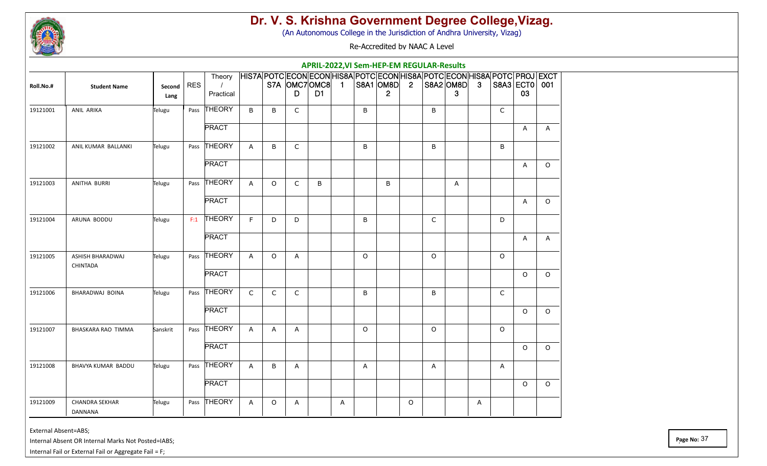

(An Autonomous College in the Jurisdiction of Andhra University, Vizag)

Re-Accredited by NAAC A Level

|           |                                         |                |            |                     |              |              |              |                                  |   |              | <b>APRIL-2022, VI Sem-HEP-EM REGULAR-Results</b>                                                       |                |              |                      |   |              |                     |              |
|-----------|-----------------------------------------|----------------|------------|---------------------|--------------|--------------|--------------|----------------------------------|---|--------------|--------------------------------------------------------------------------------------------------------|----------------|--------------|----------------------|---|--------------|---------------------|--------------|
| Roll.No.# | <b>Student Name</b>                     | Second<br>Lang | <b>RES</b> | Theory<br>Practical |              |              | D            | S7A OMC7OMC8 1<br>D <sub>1</sub> |   |              | HIS7A POTC ECON ECON HIS8A POTC ECON HIS8A POTC ECON HIS8A POTC PROJ EXCT<br>S8A1 OM8D<br>$\mathbf{2}$ | $\overline{2}$ |              | $ SBA2 OMBD $ 3<br>3 |   |              | S8A3 ECT0 001<br>03 |              |
| 19121001  | ANIL ARIKA                              | Telugu         |            | Pass THEORY         | B            | B            | $\mathsf{C}$ |                                  |   | B            |                                                                                                        |                | B            |                      |   | $\mathsf{C}$ |                     |              |
|           |                                         |                |            | <b>PRACT</b>        |              |              |              |                                  |   |              |                                                                                                        |                |              |                      |   |              | A                   | A            |
| 19121002  | ANIL KUMAR BALLANKI                     | Telugu         |            | Pass THEORY         | $\mathsf{A}$ | B            | $\mathsf{C}$ |                                  |   | B            |                                                                                                        |                | B            |                      |   | B            |                     |              |
|           |                                         |                |            | <b>PRACT</b>        |              |              |              |                                  |   |              |                                                                                                        |                |              |                      |   |              | A                   | $\circ$      |
| 19121003  | ANITHA BURRI                            | Telugu         |            | Pass THEORY         | $\mathsf{A}$ | $\circ$      | $\mathsf{C}$ | B                                |   |              | B                                                                                                      |                |              | A                    |   |              |                     |              |
|           |                                         |                |            | <b>PRACT</b>        |              |              |              |                                  |   |              |                                                                                                        |                |              |                      |   |              | $\mathsf{A}$        | $\circ$      |
| 19121004  | ARUNA BODDU                             | Telugu         | F:1        | THEORY              | F.           | D            | D            |                                  |   | B            |                                                                                                        |                | $\mathsf{C}$ |                      |   | D            |                     |              |
|           |                                         |                |            | <b>PRACT</b>        |              |              |              |                                  |   |              |                                                                                                        |                |              |                      |   |              | A                   | $\mathsf{A}$ |
| 19121005  | ASHISH BHARADWAJ                        | Telugu         |            | Pass THEORY         | $\mathsf{A}$ | $\circ$      | A            |                                  |   | $\Omega$     |                                                                                                        |                | $\Omega$     |                      |   | $\Omega$     |                     |              |
|           | CHINTADA                                |                |            | <b>PRACT</b>        |              |              |              |                                  |   |              |                                                                                                        |                |              |                      |   |              | $\Omega$            | $\Omega$     |
| 19121006  | BHARADWAJ BOINA                         | Telugu         |            | Pass THEORY         | $\mathsf{C}$ | $\mathsf{C}$ | $\mathsf{C}$ |                                  |   | B            |                                                                                                        |                | B            |                      |   | $\mathsf{C}$ |                     |              |
|           |                                         |                |            | <b>PRACT</b>        |              |              |              |                                  |   |              |                                                                                                        |                |              |                      |   |              | $\circ$             | $\circ$      |
| 19121007  | BHASKARA RAO TIMMA                      | Sanskrit       |            | Pass THEORY         | $\mathsf{A}$ | A            | A            |                                  |   | $\circ$      |                                                                                                        |                | $\circ$      |                      |   | O            |                     |              |
|           |                                         |                |            | <b>PRACT</b>        |              |              |              |                                  |   |              |                                                                                                        |                |              |                      |   |              | $\Omega$            | $\circ$      |
| 19121008  | BHAVYA KUMAR BADDU                      | Telugu         |            | Pass THEORY         | $\mathsf{A}$ | B            | A            |                                  |   | $\mathsf{A}$ |                                                                                                        |                | A            |                      |   | A            |                     |              |
|           |                                         |                |            | <b>PRACT</b>        |              |              |              |                                  |   |              |                                                                                                        |                |              |                      |   |              | $\circ$             | $\circ$      |
| 19121009  | <b>CHANDRA SEKHAR</b><br><b>DANNANA</b> | Telugu         |            | Pass THEORY         | A            | O            | A            |                                  | A |              |                                                                                                        | $\circ$        |              |                      | A |              |                     |              |

External Absent=ABS;

Internal Absent OR Internal Marks Not Posted=IABS;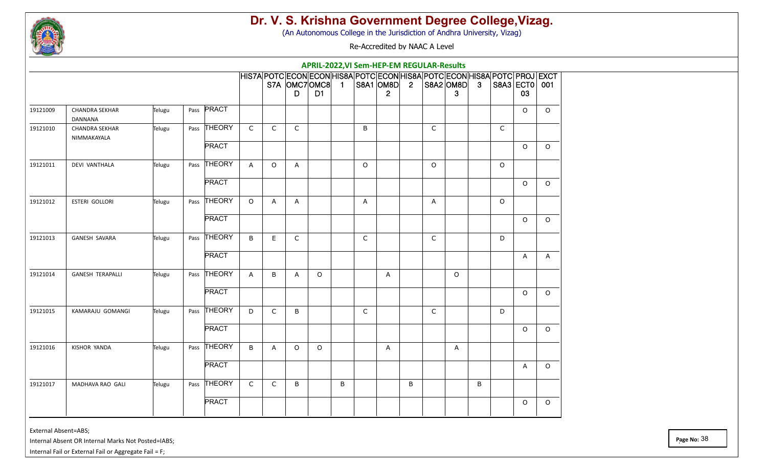

(An Autonomous College in the Jurisdiction of Andhra University, Vizag)

Re-Accredited by NAAC A Level

|          |                                      |        |      |              |              |             |                                                                                                  | APRIL-2022, VI Sem-HEP-EM REGULAR-Results |   |         |                                           |   |         |                              |   |         |                     |         |
|----------|--------------------------------------|--------|------|--------------|--------------|-------------|--------------------------------------------------------------------------------------------------|-------------------------------------------|---|---------|-------------------------------------------|---|---------|------------------------------|---|---------|---------------------|---------|
|          |                                      |        |      |              |              |             | HIS7A POTC ECON ECON HIS8A POTC ECON HIS8A POTC ECON HIS8A POTC PROJ EXCT<br>S7A OMC7OMC8 1<br>D | D <sub>1</sub>                            |   |         | $ $ S8A1 $ $ OM8D $ $ 2<br>$\overline{2}$ |   |         | $ $ S8A2 $ $ OM8D $ $ 3<br>3 |   |         | S8A3 ECT0 001<br>03 |         |
| 19121009 | <b>CHANDRA SEKHAR</b><br>DANNANA     | Telugu | Pass | PRACT        |              |             |                                                                                                  |                                           |   |         |                                           |   |         |                              |   |         | O                   | $\circ$ |
| 19121010 | <b>CHANDRA SEKHAR</b><br>NIMMAKAYALA | Telugu | Pass | THEORY       | $\mathsf{C}$ | C           | C                                                                                                |                                           |   | B       |                                           |   | C       |                              |   | C       |                     |         |
|          |                                      |        |      | <b>PRACT</b> |              |             |                                                                                                  |                                           |   |         |                                           |   |         |                              |   |         | $\circ$             | $\circ$ |
| 19121011 | <b>DEVI VANTHALA</b>                 | Telugu | Pass | THEORY       | $\mathsf{A}$ | $\circ$     | A                                                                                                |                                           |   | $\circ$ |                                           |   | $\circ$ |                              |   | O       |                     |         |
|          |                                      |        |      | <b>PRACT</b> |              |             |                                                                                                  |                                           |   |         |                                           |   |         |                              |   |         | O                   | $\circ$ |
| 19121012 | ESTERI GOLLORI                       | Telugu |      | Pass THEORY  | $\circ$      | A           | A                                                                                                |                                           |   | A       |                                           |   | A       |                              |   | $\circ$ |                     |         |
|          |                                      |        |      | <b>PRACT</b> |              |             |                                                                                                  |                                           |   |         |                                           |   |         |                              |   |         | $\circ$             | $\circ$ |
| 19121013 | GANESH SAVARA                        | Telugu |      | Pass THEORY  | B            | Е           | C                                                                                                |                                           |   | C       |                                           |   | C       |                              |   | D       |                     |         |
|          |                                      |        |      | <b>PRACT</b> |              |             |                                                                                                  |                                           |   |         |                                           |   |         |                              |   |         | A                   | A       |
| 19121014 | <b>GANESH TERAPALLI</b>              | Telugu |      | Pass THEORY  | A            | B           | A                                                                                                | $\circ$                                   |   |         | A                                         |   |         | $\circ$                      |   |         |                     |         |
|          |                                      |        |      | <b>PRACT</b> |              |             |                                                                                                  |                                           |   |         |                                           |   |         |                              |   |         | $\circ$             | $\circ$ |
| 19121015 | KAMARAJU GOMANGI                     | Telugu | Pass | THEORY       | D            | $\mathsf C$ | B                                                                                                |                                           |   | C       |                                           |   | C       |                              |   | D       |                     |         |
|          |                                      |        |      | <b>PRACT</b> |              |             |                                                                                                  |                                           |   |         |                                           |   |         |                              |   |         | 0                   | $\circ$ |
| 19121016 | KISHOR YANDA                         | Telugu |      | Pass THEORY  | B            | A           | $\circ$                                                                                          | $\circ$                                   |   |         | A                                         |   |         | A                            |   |         |                     |         |
|          |                                      |        |      | <b>PRACT</b> |              |             |                                                                                                  |                                           |   |         |                                           |   |         |                              |   |         | A                   | $\circ$ |
| 19121017 | MADHAVA RAO GALI                     | Telugu |      | Pass THEORY  | $\mathsf{C}$ | $\mathsf C$ | B                                                                                                |                                           | B |         |                                           | B |         |                              | B |         |                     |         |
|          |                                      |        |      | <b>PRACT</b> |              |             |                                                                                                  |                                           |   |         |                                           |   |         |                              |   |         | 0                   | $\circ$ |
|          |                                      |        |      |              |              |             |                                                                                                  |                                           |   |         |                                           |   |         |                              |   |         |                     |         |

External Absent=ABS;

Internal Absent OR Internal Marks Not Posted=IABS;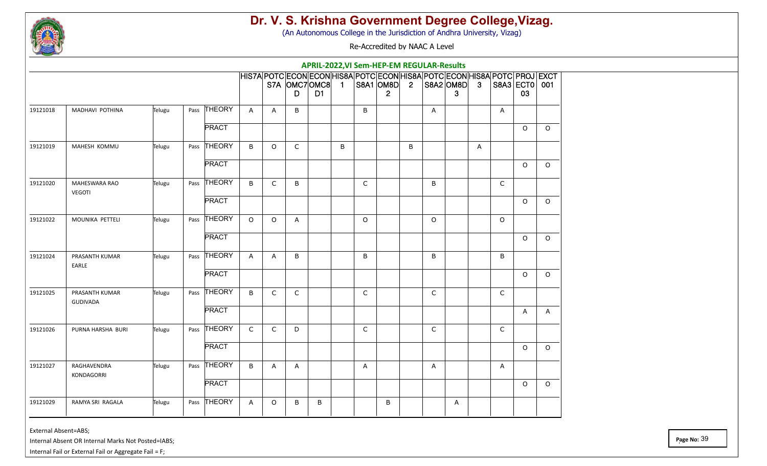

(An Autonomous College in the Jurisdiction of Andhra University, Vizag)

Re-Accredited by NAAC A Level

|          |                      |        |      |               |              |              |                     |                |   |             | APRIL-2022, VI Sem-HEP-EM REGULAR-Results                                                              |                |              |                      |   |              |                     |          |
|----------|----------------------|--------|------|---------------|--------------|--------------|---------------------|----------------|---|-------------|--------------------------------------------------------------------------------------------------------|----------------|--------------|----------------------|---|--------------|---------------------|----------|
|          |                      |        |      |               |              |              | S7A OMC7OMC8 1<br>D | D <sub>1</sub> |   |             | HIS7A POTC ECON ECON HIS8A POTC ECON HIS8A POTC ECON HIS8A POTC PROJ EXCT<br>S8A1 OM8D<br>$\mathbf{2}$ | $\overline{2}$ |              | $ SBA2 OMBD $ 3<br>3 |   |              | S8A3 ECT0 001<br>03 |          |
| 19121018 | MADHAVI POTHINA      | Telugu | Pass | <b>THEORY</b> | A            | A            | B                   |                |   | B           |                                                                                                        |                | A            |                      |   | A            |                     |          |
|          |                      |        |      | <b>PRACT</b>  |              |              |                     |                |   |             |                                                                                                        |                |              |                      |   |              | $\circ$             | $\Omega$ |
| 19121019 | MAHESH KOMMU         | Telugu |      | Pass THEORY   | B            | $\circ$      | $\mathsf{C}$        |                | B |             |                                                                                                        | B              |              |                      | A |              |                     |          |
|          |                      |        |      | <b>PRACT</b>  |              |              |                     |                |   |             |                                                                                                        |                |              |                      |   |              | $\circ$             | $\circ$  |
| 19121020 | <b>MAHESWARA RAO</b> | Telugu |      | Pass THEORY   | B            | C            | B                   |                |   | $\mathsf C$ |                                                                                                        |                | B            |                      |   | $\mathsf{C}$ |                     |          |
|          | <b>VEGOTI</b>        |        |      | <b>PRACT</b>  |              |              |                     |                |   |             |                                                                                                        |                |              |                      |   |              | $\circ$             | $\circ$  |
| 19121022 | MOUNIKA PETTELI      | Telugu | Pass | <b>THEORY</b> | $\circ$      | $\circ$      | Α                   |                |   | $\circ$     |                                                                                                        |                | $\circ$      |                      |   | $\circ$      |                     |          |
|          |                      |        |      | <b>PRACT</b>  |              |              |                     |                |   |             |                                                                                                        |                |              |                      |   |              | $\circ$             | $\circ$  |
| 19121024 | PRASANTH KUMAR       | Telugu |      | Pass THEORY   | $\mathsf{A}$ | A            | B                   |                |   | B           |                                                                                                        |                | B            |                      |   | B            |                     |          |
|          | EARLE                |        |      | <b>PRACT</b>  |              |              |                     |                |   |             |                                                                                                        |                |              |                      |   |              | $\Omega$            | $\circ$  |
| 19121025 | PRASANTH KUMAR       | Telugu |      | Pass THEORY   | B            | $\mathsf{C}$ | $\mathsf{C}$        |                |   | C           |                                                                                                        |                | $\mathsf{C}$ |                      |   | $\mathsf{C}$ |                     |          |
|          | <b>GUDIVADA</b>      |        |      | <b>PRACT</b>  |              |              |                     |                |   |             |                                                                                                        |                |              |                      |   |              | A                   | A        |
| 19121026 | PURNA HARSHA BURI    | Telugu | Pass | <b>THEORY</b> | $\mathsf{C}$ | $\mathsf{C}$ | D                   |                |   | C           |                                                                                                        |                | $\mathsf{C}$ |                      |   | $\mathsf{C}$ |                     |          |
|          |                      |        |      | <b>PRACT</b>  |              |              |                     |                |   |             |                                                                                                        |                |              |                      |   |              | $\Omega$            | $\circ$  |
| 19121027 | RAGHAVENDRA          | Telugu | Pass | <b>THEORY</b> | B            | A            | A                   |                |   | A           |                                                                                                        |                | A            |                      |   | Α            |                     |          |
|          | <b>KONDAGORRI</b>    |        |      | <b>PRACT</b>  |              |              |                     |                |   |             |                                                                                                        |                |              |                      |   |              | O                   | $\circ$  |
| 19121029 | RAMYA SRI RAGALA     | Telugu |      | Pass THEORY   | $\mathsf{A}$ | O            | B                   | B              |   |             | B                                                                                                      |                |              | A                    |   |              |                     |          |
|          |                      |        |      |               |              |              |                     |                |   |             |                                                                                                        |                |              |                      |   |              |                     |          |

External Absent=ABS;

Internal Absent OR Internal Marks Not Posted=IABS;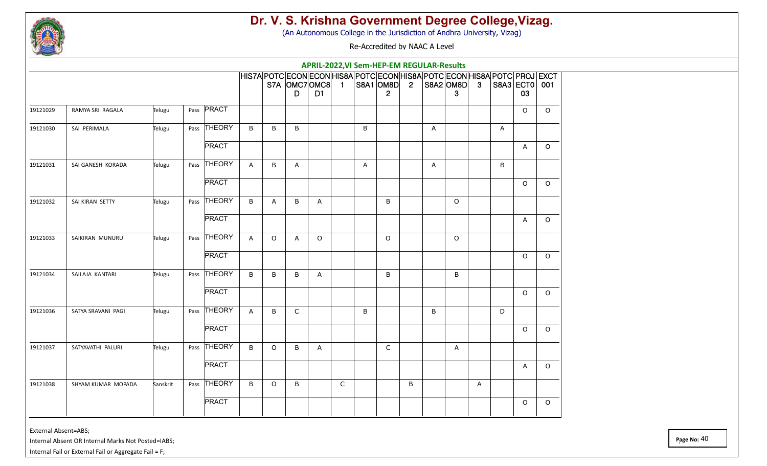

(An Autonomous College in the Jurisdiction of Andhra University, Vizag)

Re-Accredited by NAAC A Level

|          |                    |          |                   |              |         |              | APRIL-2022, VI Sem-HEP-EM REGULAR-Results                                                                     |              |   |                               |   |   |                      |   |   |                     |         |
|----------|--------------------|----------|-------------------|--------------|---------|--------------|---------------------------------------------------------------------------------------------------------------|--------------|---|-------------------------------|---|---|----------------------|---|---|---------------------|---------|
|          |                    |          |                   |              |         | D            | HIS7A POTC ECON ECON HIS8A POTC ECON HIS8A POTC ECON HIS8A POTC PROJ EXCT<br>S7A OMC7OMC8 1<br>D <sub>1</sub> |              |   | S8A1  OM8D  2<br>$\mathbf{2}$ |   |   | $ SBA2 OMBD $ 3<br>3 |   |   | S8A3 ECT0 001<br>03 |         |
| 19121029 | RAMYA SRI RAGALA   | Telugu   | Pass <b>PRACT</b> |              |         |              |                                                                                                               |              |   |                               |   |   |                      |   |   | $\mathsf O$         | $\circ$ |
| 19121030 | SAI PERIMALA       | Telugu   | Pass THEORY       | B            | B       | B            |                                                                                                               |              | B |                               |   | A |                      |   | Α |                     |         |
|          |                    |          | <b>PRACT</b>      |              |         |              |                                                                                                               |              |   |                               |   |   |                      |   |   | A                   | $\circ$ |
| 19121031 | SAI GANESH KORADA  | Telugu   | Pass THEORY       | $\mathsf{A}$ | B       | A            |                                                                                                               |              | Α |                               |   | Α |                      |   | B |                     |         |
|          |                    |          | <b>PRACT</b>      |              |         |              |                                                                                                               |              |   |                               |   |   |                      |   |   | $\circ$             | $\circ$ |
| 19121032 | SAI KIRAN SETTY    | Telugu   | Pass THEORY       | $\sf B$      | A       | B            | Α                                                                                                             |              |   | B                             |   |   | $\circ$              |   |   |                     |         |
|          |                    |          | <b>PRACT</b>      |              |         |              |                                                                                                               |              |   |                               |   |   |                      |   |   | A                   | $\circ$ |
| 19121033 | SAIKIRAN MUNURU    | Telugu   | Pass THEORY       | A            | $\circ$ | A            | $\circ$                                                                                                       |              |   | $\circ$                       |   |   | $\circ$              |   |   |                     |         |
|          |                    |          | <b>PRACT</b>      |              |         |              |                                                                                                               |              |   |                               |   |   |                      |   |   | O                   | $\circ$ |
| 19121034 | SAILAJA KANTARI    | Telugu   | Pass THEORY       | B            | B       | B            | Α                                                                                                             |              |   | B                             |   |   | B                    |   |   |                     |         |
|          |                    |          | <b>PRACT</b>      |              |         |              |                                                                                                               |              |   |                               |   |   |                      |   |   | $\circ$             | $\circ$ |
| 19121036 | SATYA SRAVANI PAGI | Telugu   | Pass THEORY       | $\mathsf{A}$ | B       | $\mathsf{C}$ |                                                                                                               |              | B |                               |   | B |                      |   | D |                     |         |
|          |                    |          | <b>PRACT</b>      |              |         |              |                                                                                                               |              |   |                               |   |   |                      |   |   | O                   | $\circ$ |
| 19121037 | SATYAVATHI PALURI  | Telugu   | Pass THEORY       | B            | $\circ$ | B            | Α                                                                                                             |              |   | C                             |   |   | A                    |   |   |                     |         |
|          |                    |          | <b>PRACT</b>      |              |         |              |                                                                                                               |              |   |                               |   |   |                      |   |   | A                   | $\circ$ |
| 19121038 | SHYAM KUMAR MOPADA | Sanskrit | Pass THEORY       | B            | $\circ$ | B            |                                                                                                               | $\mathsf{C}$ |   |                               | B |   |                      | A |   |                     |         |
|          |                    |          | <b>PRACT</b>      |              |         |              |                                                                                                               |              |   |                               |   |   |                      |   |   | O                   | $\circ$ |

External Absent=ABS;

Internal Absent OR Internal Marks Not Posted=IABS;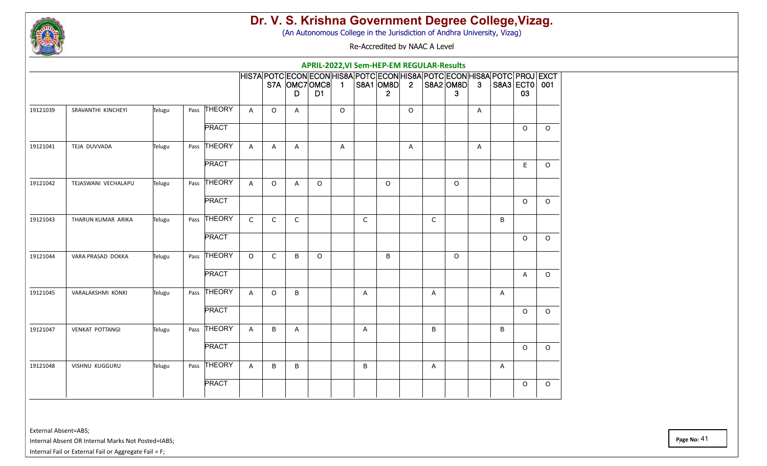

(An Autonomous College in the Jurisdiction of Andhra University, Vizag)

Re-Accredited by NAAC A Level

|          |                        |        |      |               |                |              |              | APRIL-2022, VI Sem-HEP-EM REGULAR-Results                                                                     |         |             |                           |                |   |                |              |   |                     |          |
|----------|------------------------|--------|------|---------------|----------------|--------------|--------------|---------------------------------------------------------------------------------------------------------------|---------|-------------|---------------------------|----------------|---|----------------|--------------|---|---------------------|----------|
|          |                        |        |      |               |                |              | D            | HIS7A POTC ECON ECON HIS8A POTC ECON HIS8A POTC ECON HIS8A POTC PROJ EXCT<br>S7A OMC7OMC8 1<br>D <sub>1</sub> |         |             | S8A1 OM8D<br>$\mathbf{2}$ | $\overline{2}$ |   | S8A2 OM8D<br>3 | $\mathbf{3}$ |   | S8A3 ECT0 001<br>03 |          |
| 19121039 | SRAVANTHI KINCHEYI     | Telugu | Pass | <b>THEORY</b> | $\mathsf{A}$   | $\circ$      | A            |                                                                                                               | $\circ$ |             |                           | $\circ$        |   |                | A            |   |                     |          |
|          |                        |        |      | <b>PRACT</b>  |                |              |              |                                                                                                               |         |             |                           |                |   |                |              |   | $\circ$             | $\circ$  |
| 19121041 | TEJA DUVVADA           | Telugu | Pass | <b>THEORY</b> | $\overline{A}$ | $\mathsf{A}$ | $\mathsf{A}$ |                                                                                                               | A       |             |                           | $\overline{A}$ |   |                | A            |   |                     |          |
|          |                        |        |      | <b>PRACT</b>  |                |              |              |                                                                                                               |         |             |                           |                |   |                |              |   | $\mathsf E$         | $\circ$  |
| 19121042 | TEJASWANI VECHALAPU    | Telugu |      | Pass THEORY   | $\mathsf{A}$   | $\circ$      | A            | $\Omega$                                                                                                      |         |             | $\Omega$                  |                |   | $\circ$        |              |   |                     |          |
|          |                        |        |      | <b>PRACT</b>  |                |              |              |                                                                                                               |         |             |                           |                |   |                |              |   | $\circ$             | $\circ$  |
| 19121043 | THARUN KUMAR ARIKA     | Telugu | Pass | THEORY        | $\mathsf C$    | $\mathsf C$  | $\mathsf{C}$ |                                                                                                               |         | $\mathsf C$ |                           |                | C |                |              | B |                     |          |
|          |                        |        |      | <b>PRACT</b>  |                |              |              |                                                                                                               |         |             |                           |                |   |                |              |   | $\circ$             | $\circ$  |
| 19121044 | VARA PRASAD DOKKA      | Telugu | Pass | <b>THEORY</b> | $\circ$        | $\mathsf{C}$ | B            | $\circ$                                                                                                       |         |             | B                         |                |   | $\circ$        |              |   |                     |          |
|          |                        |        |      | <b>PRACT</b>  |                |              |              |                                                                                                               |         |             |                           |                |   |                |              |   | $\mathsf{A}$        | $\Omega$ |
| 19121045 | VARALAKSHMI KONKI      | Telugu |      | Pass THEORY   | A              | $\circ$      | B            |                                                                                                               |         | A           |                           |                | A |                |              | A |                     |          |
|          |                        |        |      | <b>PRACT</b>  |                |              |              |                                                                                                               |         |             |                           |                |   |                |              |   | $\circ$             | $\circ$  |
| 19121047 | <b>VENKAT POTTANGI</b> | Telugu | Pass | THEORY        | $\mathsf{A}$   | B            | A            |                                                                                                               |         | Α           |                           |                | B |                |              | B |                     |          |
|          |                        |        |      | <b>PRACT</b>  |                |              |              |                                                                                                               |         |             |                           |                |   |                |              |   | $\circ$             | $\circ$  |
| 19121048 | VISHNU KUGGURU         | Telugu |      | Pass THEORY   | $\mathsf{A}$   | B            | B            |                                                                                                               |         | B           |                           |                | A |                |              | Α |                     |          |
|          |                        |        |      | <b>PRACT</b>  |                |              |              |                                                                                                               |         |             |                           |                |   |                |              |   | $\circ$             | $\circ$  |

External Absent=ABS;

Internal Absent OR Internal Marks Not Posted=IABS;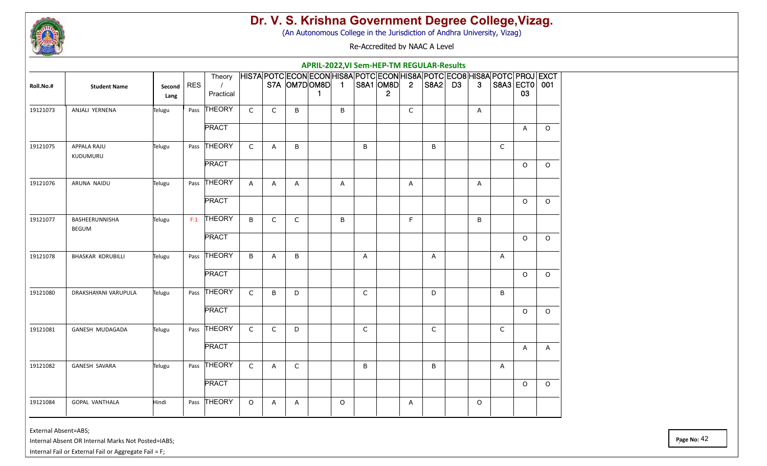

(An Autonomous College in the Jurisdiction of Andhra University, Vizag)

Re-Accredited by NAAC A Level

|           |                                |                |     |                     |              |              |                |             |         |              | APRIL-2022, VI Sem-HEP-TM REGULAR-Results                                                                                |             |              |                |                |                     |              |
|-----------|--------------------------------|----------------|-----|---------------------|--------------|--------------|----------------|-------------|---------|--------------|--------------------------------------------------------------------------------------------------------------------------|-------------|--------------|----------------|----------------|---------------------|--------------|
| Roll.No.# | <b>Student Name</b>            | Second<br>Lang | RES | Theory<br>Practical |              |              | S7A OM7DOM8D 1 | $\mathbf 1$ |         |              | HIS7A POTC ECON ECON HIS8A POTC ECON HIS8A POTC ECO8 HIS8A POTC PROJ EXCT<br> S8A1  OM8D  2  S8A2   D3<br>$\overline{2}$ |             |              | 3 <sup>1</sup> |                | S8A3 ECT0 001<br>03 |              |
| 19121073  | ANJALI YERNENA                 | Telugu         |     | Pass THEORY         | $\mathsf{C}$ | $\mathsf{C}$ | B              |             | B       |              |                                                                                                                          | $\mathsf C$ |              | A              |                |                     |              |
|           |                                |                |     | <b>PRACT</b>        |              |              |                |             |         |              |                                                                                                                          |             |              |                |                | $\overline{A}$      | $\circ$      |
| 19121075  | APPALA RAJU<br>KUDUMURU        | Telugu         |     | Pass THEORY         | $\mathsf{C}$ | A            | B              |             |         | B            |                                                                                                                          |             | B            |                | $\mathsf{C}$   |                     |              |
|           |                                |                |     | <b>PRACT</b>        |              |              |                |             |         |              |                                                                                                                          |             |              |                |                | $\circ$             | $\circ$      |
| 19121076  | ARUNA NAIDU                    | Telugu         |     | Pass THEORY         | A            | A            | $\mathsf{A}$   |             | A       |              |                                                                                                                          | Α           |              | A              |                |                     |              |
|           |                                |                |     | <b>PRACT</b>        |              |              |                |             |         |              |                                                                                                                          |             |              |                |                | $\circ$             | $\circ$      |
| 19121077  | BASHEERUNNISHA<br><b>BEGUM</b> | Telugu         | F:1 | THEORY              | B            | $\mathsf C$  | $\mathsf{C}$   |             | B       |              |                                                                                                                          | F           |              | B              |                |                     |              |
|           |                                |                |     | <b>PRACT</b>        |              |              |                |             |         |              |                                                                                                                          |             |              |                |                | $\circ$             | $\circ$      |
| 19121078  | <b>BHASKAR KORUBILLI</b>       | Telugu         |     | Pass THEORY         | B            | A            | B              |             |         | A            |                                                                                                                          |             | A            |                | $\overline{A}$ |                     |              |
|           |                                |                |     | <b>PRACT</b>        |              |              |                |             |         |              |                                                                                                                          |             |              |                |                | $\circ$             | $\circ$      |
| 19121080  | DRAKSHAYANI VARUPULA           | Telugu         |     | Pass THEORY         | $\mathsf C$  | B            | D              |             |         | $\mathsf C$  |                                                                                                                          |             | D            |                | B              |                     |              |
|           |                                |                |     | <b>PRACT</b>        |              |              |                |             |         |              |                                                                                                                          |             |              |                |                | $\circ$             | $\circ$      |
| 19121081  | GANESH MUDAGADA                | Telugu         |     | Pass THEORY         | $\mathsf{C}$ | $\mathsf{C}$ | D              |             |         | $\mathsf{C}$ |                                                                                                                          |             | $\mathsf{C}$ |                | $\mathsf{C}$   |                     |              |
|           |                                |                |     | <b>PRACT</b>        |              |              |                |             |         |              |                                                                                                                          |             |              |                |                | A                   | $\mathsf{A}$ |
| 19121082  | GANESH SAVARA                  | Telugu         |     | Pass THEORY         | $\mathsf{C}$ | A            | $\mathsf{C}$   |             |         | B            |                                                                                                                          |             | B            |                | A              |                     |              |
|           |                                |                |     | <b>PRACT</b>        |              |              |                |             |         |              |                                                                                                                          |             |              |                |                | $\circ$             | $\circ$      |
| 19121084  | <b>GOPAL VANTHALA</b>          | Hindi          |     | Pass THEORY         | $\circ$      | А            | A              |             | $\circ$ |              |                                                                                                                          | Α           |              | O              |                |                     |              |

External Absent=ABS;

Internal Absent OR Internal Marks Not Posted=IABS;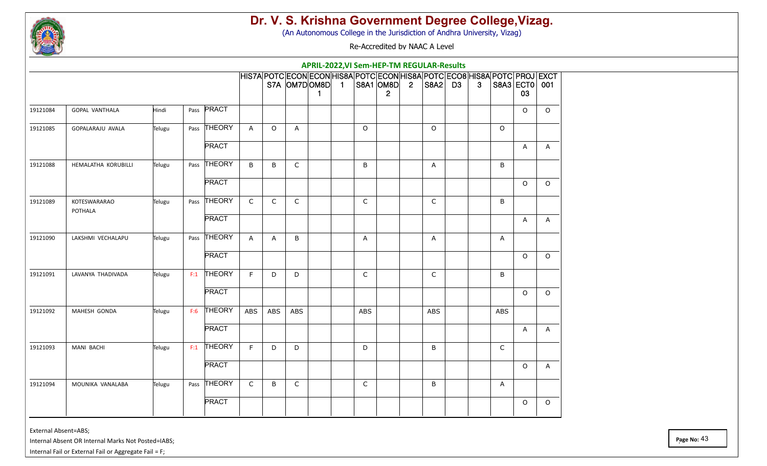

(An Autonomous College in the Jurisdiction of Andhra University, Vizag)

Re-Accredited by NAAC A Level

| HIS7A POTC ECON ECON HIS8A POTC ECON HIS8A POTC ECO8 HIS8A POTC PROJ EXCT<br>$STA$ $OM7D OM8D$ 1 $ S8A1 OM8D $ 2<br> S8A2  D3<br>$\mathbf{3}$<br>S8A3 ECT0 001<br>03<br>$\mathbf{2}$<br>$\mathbf 1$<br><b>PRACT</b><br>Hindi<br>$\circ$<br><b>GOPAL VANTHALA</b><br>Pass<br>$\circ$<br>19121084<br>Pass THEORY<br>19121085<br>GOPALARAJU AVALA<br>Telugu<br>$\circ$<br>$\Omega$<br>$\Omega$<br>$\mathsf{A}$<br>$\circ$<br>A<br><b>PRACT</b><br>A<br>A<br>Pass THEORY<br>B<br>$\mathsf{C}$<br>B<br>19121088<br>HEMALATHA KORUBILLI<br>B<br>B<br>Telugu<br>A<br><b>PRACT</b><br>$\circ$<br>$\circ$<br>THEORY<br>$\mathsf C$<br>$\mathsf C$<br>$\mathsf C$<br>C<br>19121089<br>KOTESWARARAO<br>C<br>B<br>Telugu<br>Pass<br>POTHALA<br><b>PRACT</b><br>A<br>A<br>Pass THEORY<br>19121090<br>LAKSHMI VECHALAPU<br>Telugu<br>$\mathsf{A}$<br>B<br>A<br>A<br>A<br>Α<br><b>PRACT</b><br>$\Omega$<br>$\Omega$<br><b>THEORY</b><br>F<br>19121091<br>C<br>LAVANYA THADIVADA<br>F:1<br>D<br>D<br>C<br>B<br>Telugu<br><b>PRACT</b><br>$\circ$<br>$\circ$<br><b>THEORY</b><br><b>ABS</b><br>19121092<br>MAHESH GONDA<br>F:6<br>ABS<br><b>ABS</b><br><b>ABS</b><br><b>ABS</b><br>Telugu<br><b>ABS</b> |
|----------------------------------------------------------------------------------------------------------------------------------------------------------------------------------------------------------------------------------------------------------------------------------------------------------------------------------------------------------------------------------------------------------------------------------------------------------------------------------------------------------------------------------------------------------------------------------------------------------------------------------------------------------------------------------------------------------------------------------------------------------------------------------------------------------------------------------------------------------------------------------------------------------------------------------------------------------------------------------------------------------------------------------------------------------------------------------------------------------------------------------------------------------------------------------------|
|                                                                                                                                                                                                                                                                                                                                                                                                                                                                                                                                                                                                                                                                                                                                                                                                                                                                                                                                                                                                                                                                                                                                                                                        |
|                                                                                                                                                                                                                                                                                                                                                                                                                                                                                                                                                                                                                                                                                                                                                                                                                                                                                                                                                                                                                                                                                                                                                                                        |
|                                                                                                                                                                                                                                                                                                                                                                                                                                                                                                                                                                                                                                                                                                                                                                                                                                                                                                                                                                                                                                                                                                                                                                                        |
|                                                                                                                                                                                                                                                                                                                                                                                                                                                                                                                                                                                                                                                                                                                                                                                                                                                                                                                                                                                                                                                                                                                                                                                        |
|                                                                                                                                                                                                                                                                                                                                                                                                                                                                                                                                                                                                                                                                                                                                                                                                                                                                                                                                                                                                                                                                                                                                                                                        |
|                                                                                                                                                                                                                                                                                                                                                                                                                                                                                                                                                                                                                                                                                                                                                                                                                                                                                                                                                                                                                                                                                                                                                                                        |
|                                                                                                                                                                                                                                                                                                                                                                                                                                                                                                                                                                                                                                                                                                                                                                                                                                                                                                                                                                                                                                                                                                                                                                                        |
|                                                                                                                                                                                                                                                                                                                                                                                                                                                                                                                                                                                                                                                                                                                                                                                                                                                                                                                                                                                                                                                                                                                                                                                        |
|                                                                                                                                                                                                                                                                                                                                                                                                                                                                                                                                                                                                                                                                                                                                                                                                                                                                                                                                                                                                                                                                                                                                                                                        |
|                                                                                                                                                                                                                                                                                                                                                                                                                                                                                                                                                                                                                                                                                                                                                                                                                                                                                                                                                                                                                                                                                                                                                                                        |
|                                                                                                                                                                                                                                                                                                                                                                                                                                                                                                                                                                                                                                                                                                                                                                                                                                                                                                                                                                                                                                                                                                                                                                                        |
|                                                                                                                                                                                                                                                                                                                                                                                                                                                                                                                                                                                                                                                                                                                                                                                                                                                                                                                                                                                                                                                                                                                                                                                        |
|                                                                                                                                                                                                                                                                                                                                                                                                                                                                                                                                                                                                                                                                                                                                                                                                                                                                                                                                                                                                                                                                                                                                                                                        |
| <b>PRACT</b><br>A<br>$\mathsf{A}$                                                                                                                                                                                                                                                                                                                                                                                                                                                                                                                                                                                                                                                                                                                                                                                                                                                                                                                                                                                                                                                                                                                                                      |
| <b>THEORY</b><br>F<br>19121093<br><b>MANI BACHI</b><br>F:1<br>D<br>C<br>Telugu<br>D<br>D<br>B                                                                                                                                                                                                                                                                                                                                                                                                                                                                                                                                                                                                                                                                                                                                                                                                                                                                                                                                                                                                                                                                                          |
| <b>PRACT</b><br>A<br>$\circ$                                                                                                                                                                                                                                                                                                                                                                                                                                                                                                                                                                                                                                                                                                                                                                                                                                                                                                                                                                                                                                                                                                                                                           |
| Pass THEORY<br>$\mathsf C$<br>$\mathsf C$<br>$\mathsf C$<br>19121094<br>MOUNIKA VANALABA<br>B<br>B<br>Telugu<br>Α                                                                                                                                                                                                                                                                                                                                                                                                                                                                                                                                                                                                                                                                                                                                                                                                                                                                                                                                                                                                                                                                      |
| <b>PRACT</b><br>$\circ$<br>0                                                                                                                                                                                                                                                                                                                                                                                                                                                                                                                                                                                                                                                                                                                                                                                                                                                                                                                                                                                                                                                                                                                                                           |

External Absent=ABS;

Internal Absent OR Internal Marks Not Posted=IABS;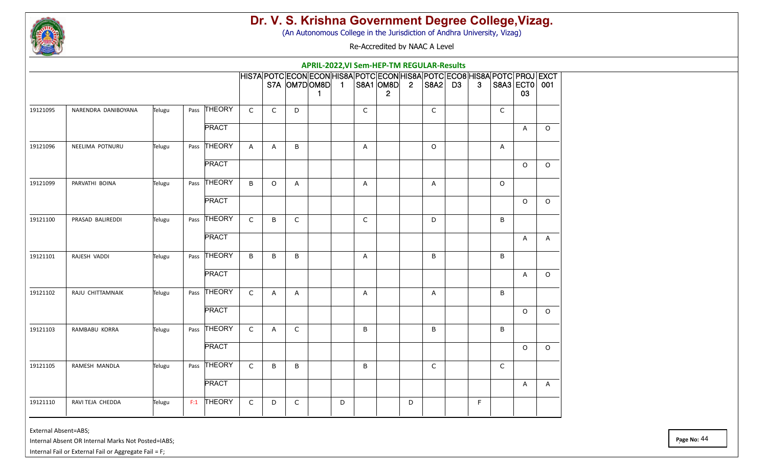

(An Autonomous College in the Jurisdiction of Andhra University, Vizag)

Re-Accredited by NAAC A Level

|          |                     |        |     |              |              |              |              | APRIL-2022, VI Sem-HEP-TM REGULAR-Results                                                        |   |              |                |                |              |              |              |                     |              |
|----------|---------------------|--------|-----|--------------|--------------|--------------|--------------|--------------------------------------------------------------------------------------------------|---|--------------|----------------|----------------|--------------|--------------|--------------|---------------------|--------------|
|          |                     |        |     |              |              |              |              | HIS7A POTC ECON ECON HIS8A POTC ECON HIS8A POTC ECO8 HIS8A POTC PROJ EXCT<br>S7A OM7DOM8D 1<br>1 |   |              | S8A1 OM8D<br>2 | $\overline{2}$ | $ SBA2 $ D3  | $\mathbf{3}$ |              | S8A3 ECT0 001<br>03 |              |
| 19121095 | NARENDRA DANIBOYANA | Telugu |     | Pass THEORY  | $\mathsf C$  | $\mathsf{C}$ | D            |                                                                                                  |   | $\mathsf C$  |                |                | $\mathsf{C}$ |              | $\mathsf{C}$ |                     |              |
|          |                     |        |     | <b>PRACT</b> |              |              |              |                                                                                                  |   |              |                |                |              |              |              | A                   | $\Omega$     |
| 19121096 | NEELIMA POTNURU     | Telugu |     | Pass THEORY  | $\mathsf{A}$ | A            | B            |                                                                                                  |   | A            |                |                | $\Omega$     |              | A            |                     |              |
|          |                     |        |     | <b>PRACT</b> |              |              |              |                                                                                                  |   |              |                |                |              |              |              | $\circ$             | $\Omega$     |
| 19121099 | PARVATHI BOINA      | Telugu |     | Pass THEORY  | B            | $\circ$      | A            |                                                                                                  |   | A            |                |                | A            |              | $\Omega$     |                     |              |
|          |                     |        |     | <b>PRACT</b> |              |              |              |                                                                                                  |   |              |                |                |              |              |              | $\circ$             | $\circ$      |
| 19121100 | PRASAD BALIREDDI    | Telugu |     | Pass THEORY  | $\mathsf{C}$ | B            | $\mathsf{C}$ |                                                                                                  |   | $\mathsf C$  |                |                | D            |              | B            |                     |              |
|          |                     |        |     | <b>PRACT</b> |              |              |              |                                                                                                  |   |              |                |                |              |              |              | $\mathsf{A}$        | $\mathsf{A}$ |
| 19121101 | RAJESH VADDI        | Telugu |     | Pass THEORY  | B            | B            | B            |                                                                                                  |   | $\mathsf{A}$ |                |                | B            |              | B            |                     |              |
|          |                     |        |     | <b>PRACT</b> |              |              |              |                                                                                                  |   |              |                |                |              |              |              | $\overline{A}$      | $\circ$      |
| 19121102 | RAJU CHITTAMNAIK    | Telugu |     | Pass THEORY  | $\mathsf C$  | Α            | A            |                                                                                                  |   | Α            |                |                | A            |              | B            |                     |              |
|          |                     |        |     | <b>PRACT</b> |              |              |              |                                                                                                  |   |              |                |                |              |              |              | $\circ$             | $\circ$      |
| 19121103 | RAMBABU KORRA       | Telugu |     | Pass THEORY  | $\mathsf{C}$ | A            | $\mathsf{C}$ |                                                                                                  |   | B            |                |                | B            |              | B            |                     |              |
|          |                     |        |     | <b>PRACT</b> |              |              |              |                                                                                                  |   |              |                |                |              |              |              | $\circ$             | $\circ$      |
| 19121105 | RAMESH MANDLA       | Telugu |     | Pass THEORY  | $\mathsf C$  | B            | B            |                                                                                                  |   | B            |                |                | $\mathsf{C}$ |              | $\mathsf{C}$ |                     |              |
|          |                     |        |     | <b>PRACT</b> |              |              |              |                                                                                                  |   |              |                |                |              |              |              | A                   | $\mathsf{A}$ |
| 19121110 | RAVI TEJA CHEDDA    | Telugu | F:1 | THEORY       | $\mathsf C$  | D            | $\mathsf{C}$ |                                                                                                  | D |              |                | D              |              | F            |              |                     |              |
|          |                     |        |     |              |              |              |              |                                                                                                  |   |              |                |                |              |              |              |                     |              |

External Absent=ABS;

Internal Absent OR Internal Marks Not Posted=IABS;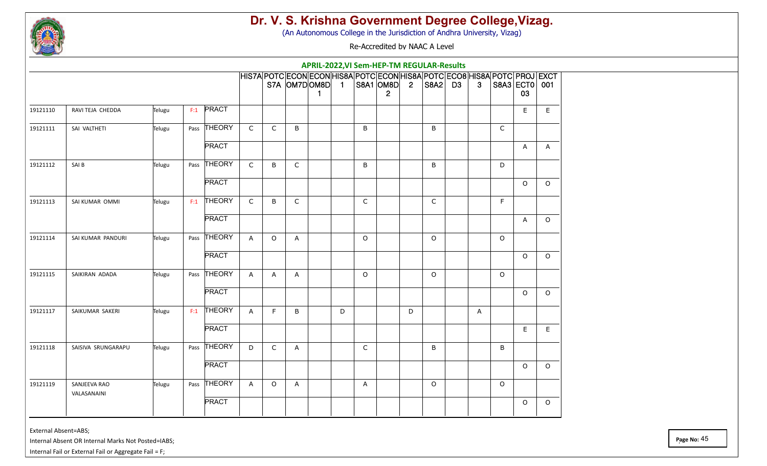

(An Autonomous College in the Jurisdiction of Andhra University, Vizag)

Re-Accredited by NAAC A Level

|          |                             |        |     |              |              |         |              | APRIL-2022, VI Sem-HEP-TM REGULAR-Results                                                               |   |              |                           |                |             |              |          |                     |         |
|----------|-----------------------------|--------|-----|--------------|--------------|---------|--------------|---------------------------------------------------------------------------------------------------------|---|--------------|---------------------------|----------------|-------------|--------------|----------|---------------------|---------|
|          |                             |        |     |              |              |         |              | HIS7A POTC ECON ECON HIS8A POTC ECON HIS8A POTC ECO8 HIS8A POTC PROJ EXCT<br>$S7A$ $OM7D$ $OM8D$ 1<br>1 |   |              | S8A1 OM8D<br>$\mathbf{2}$ | $\overline{2}$ | $ SBA2 $ D3 | $\mathbf{3}$ |          | S8A3 ECT0 001<br>03 |         |
| 19121110 | RAVI TEJA CHEDDA            | Telugu | F:1 | PRACT        |              |         |              |                                                                                                         |   |              |                           |                |             |              |          | E                   | E       |
| 19121111 | SAI VALTHETI                | Telugu |     | Pass THEORY  | $\mathsf{C}$ | C       | B            |                                                                                                         |   | B            |                           |                | B           |              | C        |                     |         |
|          |                             |        |     | <b>PRACT</b> |              |         |              |                                                                                                         |   |              |                           |                |             |              |          | A                   | A       |
| 19121112 | SAI B                       | Telugu |     | Pass THEORY  | $\mathsf C$  | B       | $\mathsf C$  |                                                                                                         |   | B            |                           |                | B           |              | D        |                     |         |
|          |                             |        |     | <b>PRACT</b> |              |         |              |                                                                                                         |   |              |                           |                |             |              |          | $\circ$             | $\circ$ |
| 19121113 | SAI KUMAR OMMI              | Telugu |     | $F:1$ THEORY | $\mathsf C$  | B       | $\mathsf{C}$ |                                                                                                         |   | $\mathsf{C}$ |                           |                | $\mathsf C$ |              | E        |                     |         |
|          |                             |        |     | <b>PRACT</b> |              |         |              |                                                                                                         |   |              |                           |                |             |              |          | A                   | $\circ$ |
| 19121114 | SAI KUMAR PANDURI           | Telugu |     | Pass THEORY  | A            | $\circ$ | A            |                                                                                                         |   | $\circ$      |                           |                | $\circ$     |              | $\Omega$ |                     |         |
|          |                             |        |     | <b>PRACT</b> |              |         |              |                                                                                                         |   |              |                           |                |             |              |          | $\circ$             | $\circ$ |
| 19121115 | SAIKIRAN ADADA              | Telugu |     | Pass THEORY  | $\mathsf{A}$ | A       | A            |                                                                                                         |   | $\circ$      |                           |                | $\circ$     |              | $\circ$  |                     |         |
|          |                             |        |     | <b>PRACT</b> |              |         |              |                                                                                                         |   |              |                           |                |             |              |          | $\circ$             | $\circ$ |
| 19121117 | SAIKUMAR SAKERI             | Telugu |     | $F:1$ THEORY | $\mathsf{A}$ | F       | B            |                                                                                                         | D |              |                           | D              |             | A            |          |                     |         |
|          |                             |        |     | <b>PRACT</b> |              |         |              |                                                                                                         |   |              |                           |                |             |              |          | E                   | E       |
| 19121118 | SAISIVA SRUNGARAPU          | Telugu |     | Pass THEORY  | D            | C       | A            |                                                                                                         |   | C            |                           |                | B           |              | B        |                     |         |
|          |                             |        |     | <b>PRACT</b> |              |         |              |                                                                                                         |   |              |                           |                |             |              |          | $\circ$             | $\circ$ |
| 19121119 | SANJEEVA RAO<br>VALASANAINI | Telugu |     | Pass THEORY  | $\mathsf{A}$ | $\circ$ | A            |                                                                                                         |   | A            |                           |                | $\circ$     |              | $\circ$  |                     |         |
|          |                             |        |     | <b>PRACT</b> |              |         |              |                                                                                                         |   |              |                           |                |             |              |          | O                   | $\circ$ |

External Absent=ABS;

Internal Absent OR Internal Marks Not Posted=IABS;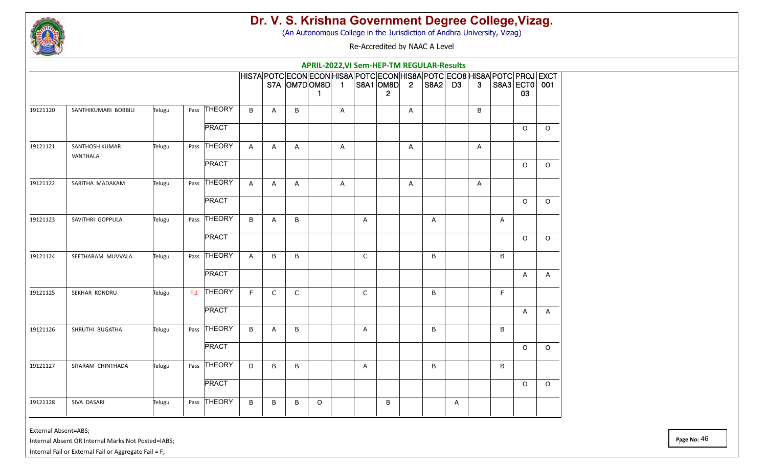

(An Autonomous College in the Jurisdiction of Andhra University, Vizag)

Re-Accredited by NAAC A Level

|          |                                   |        |      |              |              |              |              | APRIL-2022, VI Sem-HEP-TM REGULAR-Results                                                              |   |              |                           |                |             |   |                |   |                     |         |
|----------|-----------------------------------|--------|------|--------------|--------------|--------------|--------------|--------------------------------------------------------------------------------------------------------|---|--------------|---------------------------|----------------|-------------|---|----------------|---|---------------------|---------|
|          |                                   |        |      |              |              |              |              | HIS7A POTC ECON ECON HIS8A POTC ECON HIS8A POTC ECO8 HIS8A POTC PROJ EXCT<br>$S7A$ $OM7D OM8D $ 1<br>1 |   |              | S8A1 OM8D<br>$\mathbf{2}$ | $\overline{2}$ | $ SBA2 $ D3 |   | 3 <sup>1</sup> |   | S8A3 ECT0 001<br>03 |         |
| 19121120 | SANTHIKUMARI BOBBILI              | Telugu | Pass | THEORY       | B            | Α            | B            |                                                                                                        | Α |              |                           | A              |             |   | B              |   |                     |         |
|          |                                   |        |      | <b>PRACT</b> |              |              |              |                                                                                                        |   |              |                           |                |             |   |                |   | O                   | $\circ$ |
| 19121121 | <b>SANTHOSH KUMAR</b><br>VANTHALA | Telugu |      | Pass THEORY  | A            | A            | A            |                                                                                                        | A |              |                           | $\mathsf{A}$   |             |   | A              |   |                     |         |
|          |                                   |        |      | <b>PRACT</b> |              |              |              |                                                                                                        |   |              |                           |                |             |   |                |   | $\circ$             | $\circ$ |
| 19121122 | SARITHA MADAKAM                   | Telugu |      | Pass THEORY  | A            | A            | A            |                                                                                                        | A |              |                           | $\mathsf{A}$   |             |   | A              |   |                     |         |
|          |                                   |        |      | <b>PRACT</b> |              |              |              |                                                                                                        |   |              |                           |                |             |   |                |   | $\circ$             | $\circ$ |
| 19121123 | SAVITHRI GOPPULA                  | Telugu |      | Pass THEORY  | B            | Α            | B            |                                                                                                        |   | A            |                           |                | Α           |   |                | Α |                     |         |
|          |                                   |        |      | <b>PRACT</b> |              |              |              |                                                                                                        |   |              |                           |                |             |   |                |   | $\circ$             | $\circ$ |
| 19121124 | SEETHARAM MUVVALA                 | Telugu |      | Pass THEORY  | $\mathsf{A}$ | B            | B            |                                                                                                        |   | C            |                           |                | B           |   |                | B |                     |         |
|          |                                   |        |      | <b>PRACT</b> |              |              |              |                                                                                                        |   |              |                           |                |             |   |                |   | A                   | A       |
| 19121125 | SEKHAR KONDRU                     | Telugu |      | F:2 THEORY   | F            | $\mathsf{C}$ | $\mathsf{C}$ |                                                                                                        |   | $\mathsf{C}$ |                           |                | B           |   |                | F |                     |         |
|          |                                   |        |      | <b>PRACT</b> |              |              |              |                                                                                                        |   |              |                           |                |             |   |                |   | A                   | A       |
| 19121126 | SHRUTHI BUGATHA                   | Telugu |      | Pass THEORY  | B            | A            | B            |                                                                                                        |   | Α            |                           |                | B           |   |                | B |                     |         |
|          |                                   |        |      | <b>PRACT</b> |              |              |              |                                                                                                        |   |              |                           |                |             |   |                |   | $\circ$             | $\circ$ |
| 19121127 | SITARAM CHINTHADA                 | Telugu |      | Pass THEORY  | D            | B            | B            |                                                                                                        |   | Α            |                           |                | B           |   |                | B |                     |         |
|          |                                   |        |      | <b>PRACT</b> |              |              |              |                                                                                                        |   |              |                           |                |             |   |                |   | $\circ$             | $\circ$ |
| 19121128 | SIVA DASARI                       | Telugu |      | Pass THEORY  | B            | B            | B            | O                                                                                                      |   |              | B                         |                |             | Α |                |   |                     |         |

External Absent=ABS;

Internal Absent OR Internal Marks Not Posted=IABS;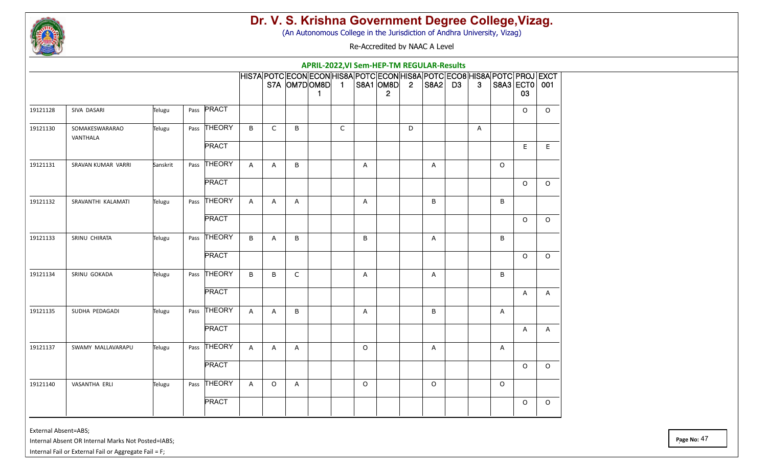

(An Autonomous College in the Jurisdiction of Andhra University, Vizag)

Re-Accredited by NAAC A Level

|          |                            |          |      |              |              |         |              |                      |              |         | APRIL-2022, VI Sem-HEP-TM REGULAR-Results                                                                   |   |             |                |          |                     |              |
|----------|----------------------------|----------|------|--------------|--------------|---------|--------------|----------------------|--------------|---------|-------------------------------------------------------------------------------------------------------------|---|-------------|----------------|----------|---------------------|--------------|
|          |                            |          |      |              |              |         |              | S7A OM7DOM8D 1<br>-1 |              |         | HIS7A POTC ECON ECON HIS8A POTC ECON HIS8A POTC ECO8 HIS8A POTC PROJ EXCT<br> S8A1  OM8D  2<br>$\mathbf{2}$ |   | $ SBA2 $ D3 | 3 <sup>1</sup> |          | S8A3 ECT0 001<br>03 |              |
| 19121128 | SIVA DASARI                | Telugu   | Pass | PRACT        |              |         |              |                      |              |         |                                                                                                             |   |             |                |          | $\mathsf O$         | $\circ$      |
| 19121130 | SOMAKESWARARAO<br>VANTHALA | Telugu   |      | Pass THEORY  | B            | C       | B            |                      | $\mathsf{C}$ |         |                                                                                                             | D |             | A              |          |                     |              |
|          |                            |          |      | <b>PRACT</b> |              |         |              |                      |              |         |                                                                                                             |   |             |                |          | E                   | E            |
| 19121131 | SRAVAN KUMAR VARRI         | Sanskrit |      | Pass THEORY  | A            | Α       | B            |                      |              | A       |                                                                                                             |   | Α           |                | $\Omega$ |                     |              |
|          |                            |          |      | <b>PRACT</b> |              |         |              |                      |              |         |                                                                                                             |   |             |                |          | $\circ$             | $\Omega$     |
| 19121132 | SRAVANTHI KALAMATI         | Telugu   |      | Pass THEORY  | $\mathsf{A}$ | A       | A            |                      |              | A       |                                                                                                             |   | $\sf B$     |                | B        |                     |              |
|          |                            |          |      | <b>PRACT</b> |              |         |              |                      |              |         |                                                                                                             |   |             |                |          | $\circ$             | $\Omega$     |
| 19121133 | SRINU CHIRATA              | Telugu   |      | Pass THEORY  | B            | A       | В            |                      |              | B       |                                                                                                             |   | A           |                | B        |                     |              |
|          |                            |          |      | <b>PRACT</b> |              |         |              |                      |              |         |                                                                                                             |   |             |                |          | $\circ$             | $\circ$      |
| 19121134 | SRINU GOKADA               | Telugu   |      | Pass THEORY  | B            | B       | $\mathsf{C}$ |                      |              | A       |                                                                                                             |   | A           |                | B        |                     |              |
|          |                            |          |      | <b>PRACT</b> |              |         |              |                      |              |         |                                                                                                             |   |             |                |          | A                   | $\mathsf{A}$ |
| 19121135 | SUDHA PEDAGADI             | Telugu   |      | Pass THEORY  | $\mathsf{A}$ | A       | B            |                      |              | A       |                                                                                                             |   | B           |                | A        |                     |              |
|          |                            |          |      | <b>PRACT</b> |              |         |              |                      |              |         |                                                                                                             |   |             |                |          | A                   | $\mathsf{A}$ |
| 19121137 | SWAMY MALLAVARAPU          | Telugu   |      | Pass THEORY  | $\mathsf{A}$ | A       | A            |                      |              | $\circ$ |                                                                                                             |   | A           |                | A        |                     |              |
|          |                            |          |      | <b>PRACT</b> |              |         |              |                      |              |         |                                                                                                             |   |             |                |          | $\circ$             | $\circ$      |
| 19121140 | VASANTHA ERLI              | Telugu   |      | Pass THEORY  | $\mathsf{A}$ | $\circ$ | A            |                      |              | $\circ$ |                                                                                                             |   | $\circ$     |                | $\circ$  |                     |              |
|          |                            |          |      | <b>PRACT</b> |              |         |              |                      |              |         |                                                                                                             |   |             |                |          | $\circ$             | $\circ$      |

External Absent=ABS;

Internal Absent OR Internal Marks Not Posted=IABS;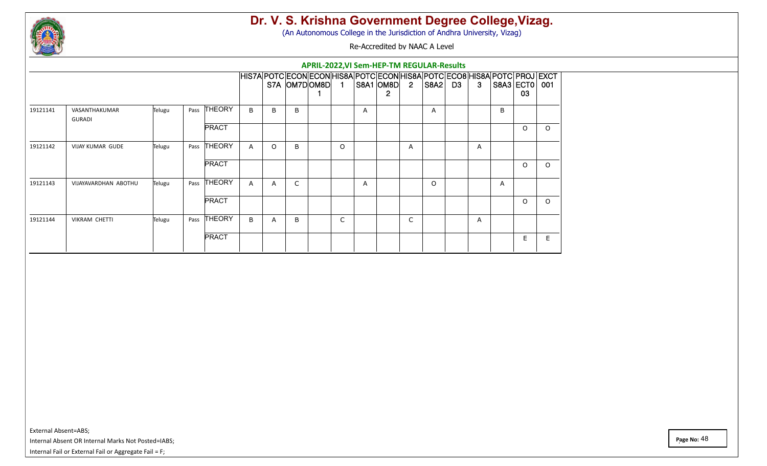

(An Autonomous College in the Jurisdiction of Andhra University, Vizag)

Re-Accredited by NAAC A Level

|          |                         |        |      |               |              |          |   |              |             |   | APRIL-2022, VI Sem-HEP-TM REGULAR-Results                                                              |                |          |    |   |                   |         |
|----------|-------------------------|--------|------|---------------|--------------|----------|---|--------------|-------------|---|--------------------------------------------------------------------------------------------------------|----------------|----------|----|---|-------------------|---------|
|          |                         |        |      |               |              |          |   | S7A OM7DOM8D | $\mathbf 1$ |   | HIS7A POTC ECON ECON HIS8A POTC ECON HIS8A POTC ECO8 HIS8A POTC PROJ EXCT<br>S8A1 OM8D<br>$\mathbf{2}$ | $\overline{2}$ | S8A2  D3 | -3 |   | $SBA3$ ECT0<br>03 | 001     |
| 19121141 | VASANTHAKUMAR<br>GURADI | Telugu | Pass | THEORY        | $\mathsf{B}$ | B        | B |              |             | А |                                                                                                        |                | A        |    | B |                   |         |
|          |                         |        |      | <b>PRACT</b>  |              |          |   |              |             |   |                                                                                                        |                |          |    |   | $\circ$           | $\circ$ |
| 19121142 | VIJAY KUMAR GUDE        | Telugu | Pass | <b>THEORY</b> | $\mathsf{A}$ | $\Omega$ | B |              | $\Omega$    |   |                                                                                                        | A              |          | A  |   |                   |         |
|          |                         |        |      | <b>PRACT</b>  |              |          |   |              |             |   |                                                                                                        |                |          |    |   | $\Omega$          | O       |
| 19121143 | VIJAYAVARDHAN ABOTHU    | Telugu | Pass | <b>THEORY</b> | $\mathsf{A}$ | A        | C |              |             | Α |                                                                                                        |                | $\Omega$ |    | A |                   |         |
|          |                         |        |      | <b>PRACT</b>  |              |          |   |              |             |   |                                                                                                        |                |          |    |   | $\circ$           | O       |
| 19121144 | <b>VIKRAM CHETTI</b>    | Telugu | Pass | <b>THEORY</b> | B            | A        | B |              | C           |   |                                                                                                        | C              |          | A  |   |                   |         |
|          |                         |        |      | <b>PRACT</b>  |              |          |   |              |             |   |                                                                                                        |                |          |    |   | E.                | E.      |

External Absent=ABS; Internal Absent OR Internal Marks Not Posted=IABS; Internal Fail or External Fail or Aggregate Fail = F;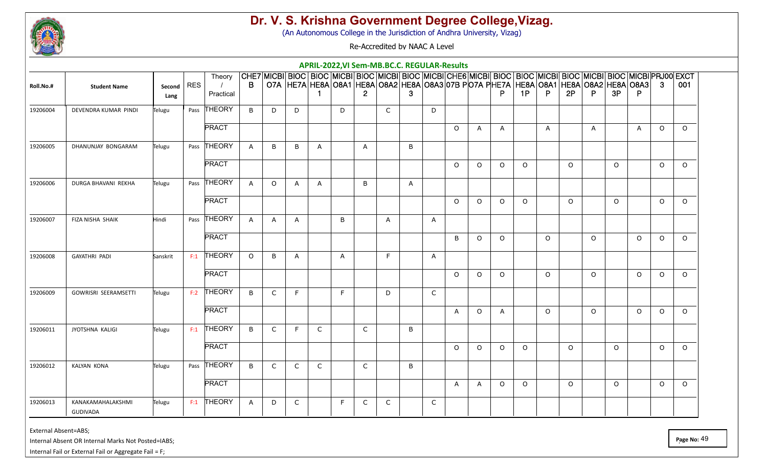

(An Autonomous College in the Jurisdiction of Andhra University, Vizag)

Re-Accredited by NAAC A Level

|           |                                      |                  |            |                     |              |                |              |              |    |              | APRIL-2022, VI Sem-MB.BC.C. REGULAR-Results                                                                                                                                                                                   |   |              |          |              |              |          |              |          |              |          |              |          |          |
|-----------|--------------------------------------|------------------|------------|---------------------|--------------|----------------|--------------|--------------|----|--------------|-------------------------------------------------------------------------------------------------------------------------------------------------------------------------------------------------------------------------------|---|--------------|----------|--------------|--------------|----------|--------------|----------|--------------|----------|--------------|----------|----------|
| Roll.No.# | <b>Student Name</b>                  | Second  <br>Lang | <b>RES</b> | Theory<br>Practical | B            |                |              |              |    | $\mathbf{2}$ | CHE7 MICBI BIOC  BIOC  MICBI BIOC  MICBI BIOC  MICBI CHE6 MICBI BIOC  BIOC  MICBI BIOC  MICBI BIOC  MICBI PRJ00 EXCT<br>O7A  HE7A  HE8A  O8A1  HE8A  O8A2  HE8A  O8A3  O7B PO7A PHE7A  HE8A  O8A1  HE8A  O8A2  HE8A  O8A3   3 | 3 |              |          |              | P.           | 1P       | P.           | 2P       | P.           | 3P       | P.           |          | 001      |
| 19206004  | DEVENDRA KUMAR PINDI                 | Telugu           |            | Pass THEORY         | B            | D              | D            |              | D  |              | C                                                                                                                                                                                                                             |   | D            |          |              |              |          |              |          |              |          |              |          |          |
|           |                                      |                  |            | <b>PRACT</b>        |              |                |              |              |    |              |                                                                                                                                                                                                                               |   |              | $\circ$  | $\mathsf{A}$ | $\mathsf{A}$ |          | $\mathsf{A}$ |          | $\mathsf{A}$ |          | $\mathsf{A}$ | $\circ$  | $\circ$  |
| 19206005  | DHANUNJAY BONGARAM                   | Telugu           |            | Pass THEORY         | $\mathsf{A}$ | B              | B            | A            |    | A            |                                                                                                                                                                                                                               | B |              |          |              |              |          |              |          |              |          |              |          |          |
|           |                                      |                  |            | <b>PRACT</b>        |              |                |              |              |    |              |                                                                                                                                                                                                                               |   |              | $\Omega$ | $\circ$      | $\circ$      | $\circ$  |              | $\Omega$ |              | $\Omega$ |              | $\circ$  | $\circ$  |
| 19206006  | DURGA BHAVANI REKHA                  | Telugu           |            | Pass THEORY         | $\mathsf{A}$ | $\circ$        | A            | A            |    | B            |                                                                                                                                                                                                                               | A |              |          |              |              |          |              |          |              |          |              |          |          |
|           |                                      |                  |            | <b>PRACT</b>        |              |                |              |              |    |              |                                                                                                                                                                                                                               |   |              | $\Omega$ | $\Omega$     | $\Omega$     | $\Omega$ |              | $\Omega$ |              | $\Omega$ |              | $\circ$  | $\Omega$ |
| 19206007  | FIZA NISHA SHAIK                     | Hindi            |            | Pass THEORY         | $\mathsf{A}$ | $\overline{A}$ | $\mathsf{A}$ |              | B  |              | $\mathsf{A}$                                                                                                                                                                                                                  |   | $\mathsf{A}$ |          |              |              |          |              |          |              |          |              |          |          |
|           |                                      |                  |            | <b>PRACT</b>        |              |                |              |              |    |              |                                                                                                                                                                                                                               |   |              | B        | $\circ$      | $\circ$      |          | $\circ$      |          | $\circ$      |          | $\circ$      | $\circ$  | $\circ$  |
| 19206008  | <b>GAYATHRI PADI</b>                 | Sanskrit         | F:1        | <b>THEORY</b>       | $\Omega$     | B              | A            |              | A  |              | F                                                                                                                                                                                                                             |   | $\mathsf{A}$ |          |              |              |          |              |          |              |          |              |          |          |
|           |                                      |                  |            | <b>PRACT</b>        |              |                |              |              |    |              |                                                                                                                                                                                                                               |   |              | $\Omega$ | $\circ$      | $\circ$      |          | $\Omega$     |          | $\circ$      |          | $\Omega$     | $\circ$  | $\circ$  |
| 19206009  | GOWRISRI SEERAMSETTI                 | Telugu           |            | $F:2$ THEORY        | B            | $\mathsf{C}$   | F            |              | F. |              | D                                                                                                                                                                                                                             |   | $\mathsf{C}$ |          |              |              |          |              |          |              |          |              |          |          |
|           |                                      |                  |            | <b>PRACT</b>        |              |                |              |              |    |              |                                                                                                                                                                                                                               |   |              | A        | $\circ$      | A            |          | $\Omega$     |          | $\circ$      |          | $\Omega$     | $\circ$  | $\Omega$ |
| 19206011  | JYOTSHNA KALIGI                      | Telugu           | F:1        | <b>THEORY</b>       | B            | $\mathsf{C}$   | F            | $\mathsf{C}$ |    | $\mathsf{C}$ |                                                                                                                                                                                                                               | B |              |          |              |              |          |              |          |              |          |              |          |          |
|           |                                      |                  |            | <b>PRACT</b>        |              |                |              |              |    |              |                                                                                                                                                                                                                               |   |              | $\Omega$ | $\Omega$     | $\Omega$     | $\circ$  |              | $\Omega$ |              | $\Omega$ |              | $\Omega$ | $\Omega$ |
| 19206012  | <b>KALYAN KONA</b>                   | Telugu           |            | Pass THEORY         | B            | C              | $\mathsf{C}$ | $\mathsf{C}$ |    | $\mathsf{C}$ |                                                                                                                                                                                                                               | B |              |          |              |              |          |              |          |              |          |              |          |          |
|           |                                      |                  |            | <b>PRACT</b>        |              |                |              |              |    |              |                                                                                                                                                                                                                               |   |              | A        | A            | $\circ$      | $\circ$  |              | $\circ$  |              | $\circ$  |              | $\circ$  | $\circ$  |
| 19206013  | KANAKAMAHALAKSHMI<br><b>GUDIVADA</b> | Telugu           |            | $F:1$ THEORY        | $\mathsf{A}$ | D              | $\mathsf{C}$ |              | F  | C            | C                                                                                                                                                                                                                             |   | $\mathsf{C}$ |          |              |              |          |              |          |              |          |              |          |          |

External Absent=ABS;

Internal Absent OR Internal Marks Not Posted=IABS;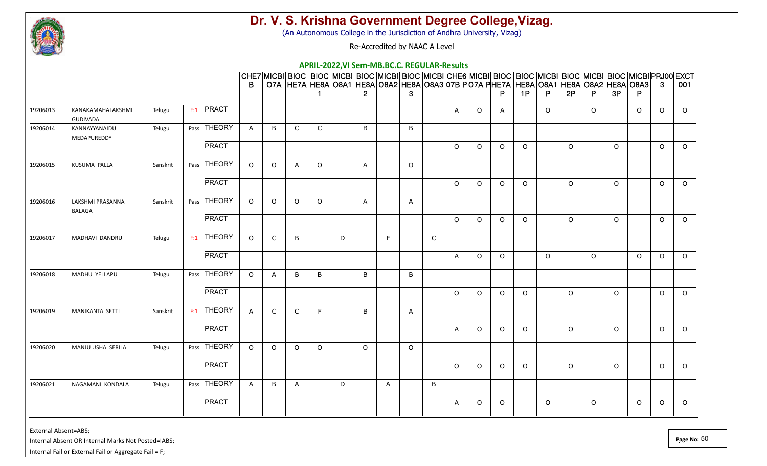

(An Autonomous College in the Jurisdiction of Andhra University, Vizag)

Re-Accredited by NAAC A Level

|          |                                      |          |     |              |              |              |                                                                                                                                                                                                                                        |              |   |              |   | APRIL-2022, VI Sem-MB.BC.C. REGULAR-Results |              |              |          |              |          |          |          |          |          |          |          |          |
|----------|--------------------------------------|----------|-----|--------------|--------------|--------------|----------------------------------------------------------------------------------------------------------------------------------------------------------------------------------------------------------------------------------------|--------------|---|--------------|---|---------------------------------------------|--------------|--------------|----------|--------------|----------|----------|----------|----------|----------|----------|----------|----------|
|          |                                      |          |     |              | B.           |              | CHE7 MICBI  BIOC   BIOC  MICBI  BIOC  MICBI  BIOC  MICBI CHE6 MICBI  BIOC   BIOC  MICBI  BIOC  MICBI  BIOC  MICBI PRJ00  EXCT<br>O7A  HE7A  HE8A  O8A1  HE8A  O8A2  HE8A  O8A3  O7B PO7A PHE7A  HE8A  O8A1  HE8A  O8A2  HE8A  O8A3   3 |              |   | $\mathbf{2}$ |   | 3                                           |              |              |          |              | 1P       | P.       | 2P       | P.       | 3P       | P.       |          | 001      |
| 19206013 | KANAKAMAHALAKSHMI<br><b>GUDIVADA</b> | Telugu   |     | $F:1$ PRACT  |              |              |                                                                                                                                                                                                                                        |              |   |              |   |                                             |              | A            | $\Omega$ | $\mathsf{A}$ |          | $\Omega$ |          | $\Omega$ |          | $\Omega$ | $\circ$  | $\Omega$ |
| 19206014 | KANNAYYANAIDU<br>MEDAPUREDDY         | Telugu   |     | Pass THEORY  | $\mathsf{A}$ | B            | C                                                                                                                                                                                                                                      | $\mathsf{C}$ |   | B            |   | B                                           |              |              |          |              |          |          |          |          |          |          |          |          |
|          |                                      |          |     | <b>PRACT</b> |              |              |                                                                                                                                                                                                                                        |              |   |              |   |                                             |              | $\Omega$     | $\circ$  | $\circ$      | $\circ$  |          | $\Omega$ |          | $\Omega$ |          | $\circ$  | $\Omega$ |
| 19206015 | KUSUMA PALLA                         | Sanskrit |     | Pass THEORY  | $\Omega$     | $\Omega$     | $\mathsf{A}$                                                                                                                                                                                                                           | $\circ$      |   | $\mathsf{A}$ |   | $\circ$                                     |              |              |          |              |          |          |          |          |          |          |          |          |
|          |                                      |          |     | <b>PRACT</b> |              |              |                                                                                                                                                                                                                                        |              |   |              |   |                                             |              | $\Omega$     | $\Omega$ | $\circ$      | $\Omega$ |          | $\Omega$ |          | $\Omega$ |          | $\Omega$ | $\circ$  |
| 19206016 | LAKSHMI PRASANNA<br><b>BALAGA</b>    | Sanskrit |     | Pass THEORY  | $\circ$      | $\circ$      | $\Omega$                                                                                                                                                                                                                               | $\circ$      |   | A            |   | A                                           |              |              |          |              |          |          |          |          |          |          |          |          |
|          |                                      |          |     | <b>PRACT</b> |              |              |                                                                                                                                                                                                                                        |              |   |              |   |                                             |              | $\Omega$     | $\circ$  | $\circ$      | $\circ$  |          | $\Omega$ |          | $\circ$  |          | $\circ$  | $\Omega$ |
| 19206017 | MADHAVI DANDRU                       | Telugu   | F:1 | THEORY       | $\Omega$     | $\mathsf{C}$ | B                                                                                                                                                                                                                                      |              | D |              | F |                                             | $\mathsf{C}$ |              |          |              |          |          |          |          |          |          |          |          |
|          |                                      |          |     | <b>PRACT</b> |              |              |                                                                                                                                                                                                                                        |              |   |              |   |                                             |              | A            | $\circ$  | $\circ$      |          | $\Omega$ |          | $\circ$  |          | $\Omega$ | $\circ$  | $\Omega$ |
| 19206018 | MADHU YELLAPU                        | Telugu   |     | Pass THEORY  | $\circ$      | $\mathsf{A}$ | B                                                                                                                                                                                                                                      | B            |   | B            |   | B                                           |              |              |          |              |          |          |          |          |          |          |          |          |
|          |                                      |          |     | <b>PRACT</b> |              |              |                                                                                                                                                                                                                                        |              |   |              |   |                                             |              | $\Omega$     | $\circ$  | $\circ$      | $\Omega$ |          | $\Omega$ |          | $\Omega$ |          | $\Omega$ | $\Omega$ |
| 19206019 | MANIKANTA SETTI                      | Sanskrit | F:1 | THEORY       | $\mathsf{A}$ | $\mathsf{C}$ | $\mathsf{C}$                                                                                                                                                                                                                           | F            |   | B            |   | A                                           |              |              |          |              |          |          |          |          |          |          |          |          |
|          |                                      |          |     | <b>PRACT</b> |              |              |                                                                                                                                                                                                                                        |              |   |              |   |                                             |              | $\mathsf{A}$ | $\circ$  | $\circ$      | $\circ$  |          | $\circ$  |          | $\circ$  |          | $\circ$  | $\circ$  |
| 19206020 | MANJU USHA SERILA                    | Telugu   |     | Pass THEORY  | $\circ$      | $\circ$      | $\circ$                                                                                                                                                                                                                                | $\circ$      |   | $\Omega$     |   | $\circ$                                     |              |              |          |              |          |          |          |          |          |          |          |          |
|          |                                      |          |     | <b>PRACT</b> |              |              |                                                                                                                                                                                                                                        |              |   |              |   |                                             |              | $\Omega$     | $\circ$  | $\Omega$     | $\Omega$ |          | $\Omega$ |          | $\Omega$ |          | $\circ$  | $\Omega$ |
| 19206021 | NAGAMANI KONDALA                     | Telugu   |     | Pass THEORY  | $\mathsf{A}$ | B            | $\mathsf{A}$                                                                                                                                                                                                                           |              | D |              | A |                                             | B            |              |          |              |          |          |          |          |          |          |          |          |
|          |                                      |          |     | <b>PRACT</b> |              |              |                                                                                                                                                                                                                                        |              |   |              |   |                                             |              | A            | $\circ$  | $\circ$      |          | $\circ$  |          | $\circ$  |          | $\circ$  | $\circ$  | $\circ$  |

External Absent=ABS;

Internal Absent OR Internal Marks Not Posted=IABS;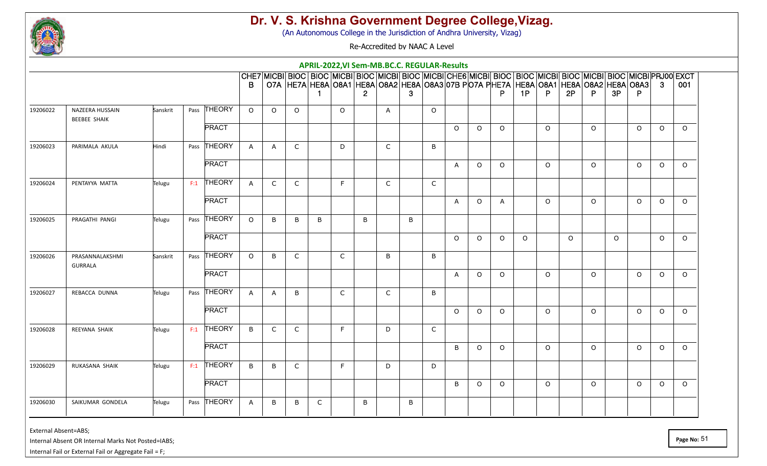

(An Autonomous College in the Jurisdiction of Andhra University, Vizag)

Re-Accredited by NAAC A Level

|          |                                   |          |     |              |              |              |                                                                                                                                                                                                               |              |              |                       |              | APRIL-2022, VI Sem-MB.BC.C. REGULAR-Results |              |                |          |              |          |          |          |         |          |          |          |          |
|----------|-----------------------------------|----------|-----|--------------|--------------|--------------|---------------------------------------------------------------------------------------------------------------------------------------------------------------------------------------------------------------|--------------|--------------|-----------------------|--------------|---------------------------------------------|--------------|----------------|----------|--------------|----------|----------|----------|---------|----------|----------|----------|----------|
|          |                                   |          |     |              | B            |              | CHE7 MICBI BIOC  BIOC  MICBI BIOC  MICBI BIOC  MICBI CHE6 MICBI BIOC  BIOC  MICBI BIOC  MICBI BIOC  MICBI PRJ00 EXCT<br>O7A HE7A HE8A O8A1 HE8A O8A2 HE8A O8A3 O7B PO7A PHE7A HE8A O8A1 HE8A O8A2 HE8A O8A3 3 |              |              | $\mathbf{2}^{\prime}$ |              | 3                                           |              |                |          |              | 1P       | P.       | 2P       | P.      | 3P       | P.       |          | 001      |
| 19206022 | NAZEERA HUSSAIN                   | Sanskrit |     | Pass THEORY  | $\circ$      | $\Omega$     | $\circ$                                                                                                                                                                                                       |              | $\Omega$     |                       | A            |                                             | $\circ$      |                |          |              |          |          |          |         |          |          |          |          |
|          | <b>BEEBEE SHAIK</b>               |          |     | <b>PRACT</b> |              |              |                                                                                                                                                                                                               |              |              |                       |              |                                             |              | $\Omega$       | $\circ$  | $\circ$      |          | $\Omega$ |          | $\circ$ |          | $\Omega$ | $\circ$  | $\Omega$ |
|          |                                   |          |     |              |              |              |                                                                                                                                                                                                               |              |              |                       |              |                                             |              |                |          |              |          |          |          |         |          |          |          |          |
| 19206023 | PARIMALA AKULA                    | Hindi    |     | Pass THEORY  | $\mathsf{A}$ | $\mathsf{A}$ | C                                                                                                                                                                                                             |              | D            |                       | $\mathsf{C}$ |                                             | B            |                |          |              |          |          |          |         |          |          |          |          |
|          |                                   |          |     | <b>PRACT</b> |              |              |                                                                                                                                                                                                               |              |              |                       |              |                                             |              | $\mathsf{A}$   | $\circ$  | $\circ$      |          | $\Omega$ |          | $\circ$ |          | $\Omega$ | $\circ$  | $\Omega$ |
| 19206024 | PENTAYYA MATTA                    | Telugu   |     | $F:1$ THEORY | $\mathsf{A}$ | $\mathsf{C}$ | $\mathsf{C}$                                                                                                                                                                                                  |              | F            |                       | $\mathsf{C}$ |                                             | $\mathsf{C}$ |                |          |              |          |          |          |         |          |          |          |          |
|          |                                   |          |     | <b>PRACT</b> |              |              |                                                                                                                                                                                                               |              |              |                       |              |                                             |              | $\overline{A}$ | $\circ$  | $\mathsf{A}$ |          | $\Omega$ |          | $\circ$ |          | $\Omega$ | $\circ$  | $\Omega$ |
| 19206025 | PRAGATHI PANGI                    | Telugu   |     | Pass THEORY  | $\circ$      | B            | B                                                                                                                                                                                                             | B            |              | B                     |              | B                                           |              |                |          |              |          |          |          |         |          |          |          |          |
|          |                                   |          |     | <b>PRACT</b> |              |              |                                                                                                                                                                                                               |              |              |                       |              |                                             |              | $\Omega$       | $\Omega$ | $\Omega$     | $\Omega$ |          | $\Omega$ |         | $\Omega$ |          | $\Omega$ | $\Omega$ |
| 19206026 | PRASANNALAKSHMI<br><b>GURRALA</b> | Sanskrit |     | Pass THEORY  | $\circ$      | B            | $\mathsf{C}$                                                                                                                                                                                                  |              | $\mathsf C$  |                       | B            |                                             | B            |                |          |              |          |          |          |         |          |          |          |          |
|          |                                   |          |     | <b>PRACT</b> |              |              |                                                                                                                                                                                                               |              |              |                       |              |                                             |              | $\mathsf{A}$   | $\circ$  | $\circ$      |          | $\Omega$ |          | $\circ$ |          | $\Omega$ | $\circ$  | $\Omega$ |
| 19206027 | REBACCA DUNNA                     | Telugu   |     | Pass THEORY  | $\mathsf{A}$ | $\mathsf{A}$ | B                                                                                                                                                                                                             |              | $\mathsf{C}$ |                       | C            |                                             | B            |                |          |              |          |          |          |         |          |          |          |          |
|          |                                   |          |     | <b>PRACT</b> |              |              |                                                                                                                                                                                                               |              |              |                       |              |                                             |              | $\Omega$       | $\circ$  | $\circ$      |          | $\Omega$ |          | $\circ$ |          | $\Omega$ | $\circ$  | $\circ$  |
| 19206028 | REEYANA SHAIK                     | Telugu   | F:1 | THEORY       | B            | $\mathsf{C}$ | C                                                                                                                                                                                                             |              | F            |                       | D            |                                             | C            |                |          |              |          |          |          |         |          |          |          |          |
|          |                                   |          |     | <b>PRACT</b> |              |              |                                                                                                                                                                                                               |              |              |                       |              |                                             |              | B              | $\Omega$ | $\Omega$     |          | $\Omega$ |          | $\circ$ |          | $\Omega$ | $\Omega$ | $\Omega$ |
| 19206029 | RUKASANA SHAIK                    | Telugu   |     | $F:1$ THEORY | B            | B            | $\mathsf{C}$                                                                                                                                                                                                  |              | F            |                       | D            |                                             | D            |                |          |              |          |          |          |         |          |          |          |          |
|          |                                   |          |     | <b>PRACT</b> |              |              |                                                                                                                                                                                                               |              |              |                       |              |                                             |              | B              | $\circ$  | $\circ$      |          | $\Omega$ |          | $\circ$ |          | $\Omega$ | $\circ$  | $\Omega$ |
| 19206030 | SAIKUMAR GONDELA                  | Telugu   |     | Pass THEORY  | $\mathsf{A}$ | B            | B                                                                                                                                                                                                             | $\mathsf{C}$ |              | B                     |              | B                                           |              |                |          |              |          |          |          |         |          |          |          |          |

External Absent=ABS;

Internal Absent OR Internal Marks Not Posted=IABS;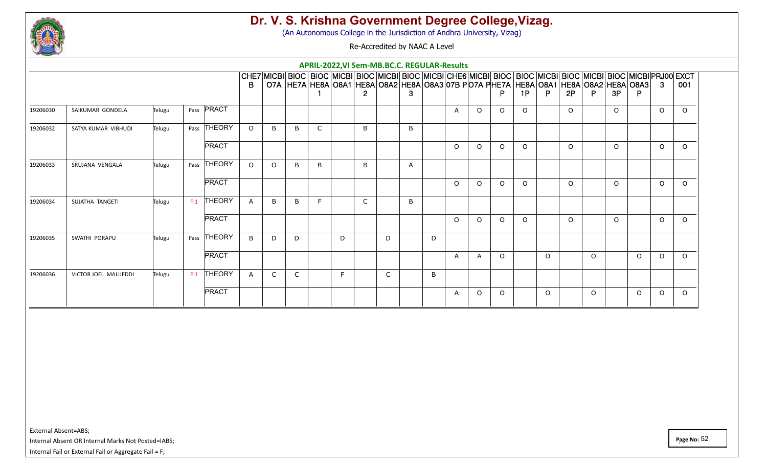

(An Autonomous College in the Jurisdiction of Andhra University, Vizag)

Re-Accredited by NAAC A Level

|          |                       |        |     |               |              |              |    |              |   |   |    |              | APRIL-2022, VI Sem-MB.BC.C. REGULAR-Results |          |          |          |                                                                                                                                                                                                                   |          |          |          |          |          |          |          |
|----------|-----------------------|--------|-----|---------------|--------------|--------------|----|--------------|---|---|----|--------------|---------------------------------------------|----------|----------|----------|-------------------------------------------------------------------------------------------------------------------------------------------------------------------------------------------------------------------|----------|----------|----------|----------|----------|----------|----------|
|          |                       |        |     |               | B            |              |    |              |   |   |    |              |                                             |          |          |          | CHE7 MICBI BIOC BIOC MICBI BIOC MICBI BIOC MICBI CHE6 MICBI BIOC BIOC MICBI BIOC MICBI BIOC MICBI PRJ00 EXCT<br>O7A  HE7A  HE8A  O8A1  HE8A  O8A2  HE8A  O8A3  O7B PO7A PHE7A  HE8A  O8A1  HE8A  O8A2  HE8A  O8A3 |          |          |          |          |          | -3       | 001      |
|          |                       |        |     | Pass PRACT    |              |              |    |              |   | 2 |    | 3            |                                             |          |          | D        | 1P                                                                                                                                                                                                                | P        | 2P       | P        | 3P       |          |          |          |
| 19206030 | SAIKUMAR GONDELA      | Telugu |     |               |              |              |    |              |   |   |    |              |                                             | A        | $\Omega$ | $\circ$  | $\Omega$                                                                                                                                                                                                          |          | $\Omega$ |          | $\Omega$ |          | $\circ$  | $\Omega$ |
| 19206032 | SATYA KUMAR VIBHUDI   | Telugu |     | Pass THEORY   | $\Omega$     | B            | B  | $\mathsf{C}$ |   | B |    | B            |                                             |          |          |          |                                                                                                                                                                                                                   |          |          |          |          |          |          |          |
|          |                       |        |     | <b>PRACT</b>  |              |              |    |              |   |   |    |              |                                             | $\Omega$ | $\Omega$ | $\Omega$ | $\Omega$                                                                                                                                                                                                          |          | $\Omega$ |          | $\Omega$ |          | $\Omega$ | $\Omega$ |
| 19206033 | SRUJANA VENGALA       | Telugu |     | Pass THEORY   | $\Omega$     | $\circ$      | B. | B            |   | B |    | $\mathsf{A}$ |                                             |          |          |          |                                                                                                                                                                                                                   |          |          |          |          |          |          |          |
|          |                       |        |     | <b>PRACT</b>  |              |              |    |              |   |   |    |              |                                             | $\Omega$ | $\Omega$ | $\circ$  | $\Omega$                                                                                                                                                                                                          |          | $\Omega$ |          | $\Omega$ |          | $\circ$  | $\Omega$ |
| 19206034 | SUJATHA TANGETI       | Telugu | F:1 | <b>THEORY</b> | $\mathsf{A}$ | B            | R  | E            |   | C |    | B            |                                             |          |          |          |                                                                                                                                                                                                                   |          |          |          |          |          |          |          |
|          |                       |        |     | <b>PRACT</b>  |              |              |    |              |   |   |    |              |                                             | $\Omega$ | $\Omega$ | $\Omega$ | $\Omega$                                                                                                                                                                                                          |          | $\Omega$ |          | $\Omega$ |          | $\Omega$ | $\Omega$ |
| 19206035 | SWATHI PORAPU         | Telugu |     | Pass THEORY   | $\mathsf{B}$ | D            | D  |              | D |   | D. |              | D                                           |          |          |          |                                                                                                                                                                                                                   |          |          |          |          |          |          |          |
|          |                       |        |     | <b>PRACT</b>  |              |              |    |              |   |   |    |              |                                             | A        | A        | $\Omega$ |                                                                                                                                                                                                                   | $\Omega$ |          | $\Omega$ |          | $\Omega$ | $\Omega$ | $\Omega$ |
| 19206036 | VICTOR JOEL MALIJEDDI | Telugu | F:1 | THEORY        | $\mathsf{A}$ | $\mathsf{C}$ | C  |              | E |   | C  |              | B                                           |          |          |          |                                                                                                                                                                                                                   |          |          |          |          |          |          |          |
|          |                       |        |     | <b>PRACT</b>  |              |              |    |              |   |   |    |              |                                             | A        | $\Omega$ | $\Omega$ |                                                                                                                                                                                                                   | $\circ$  |          | $\circ$  |          | $\Omega$ | $\Omega$ | $\Omega$ |

External Absent=ABS;

Internal Absent OR Internal Marks Not Posted=IABS;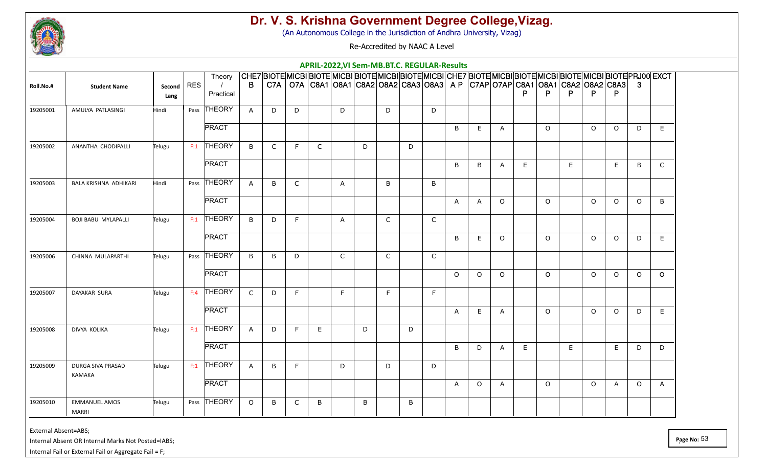

(An Autonomous College in the Jurisdiction of Andhra University, Vizag)

Re-Accredited by NAAC A Level

|           |                                      |                |            |               |                |              |   |              |              | APRIL-2022, VI Sem-MB.BT.C. REGULAR-Results                                                                    |              |   |              |              |              |              |   |          |   |          |              |          |              |
|-----------|--------------------------------------|----------------|------------|---------------|----------------|--------------|---|--------------|--------------|----------------------------------------------------------------------------------------------------------------|--------------|---|--------------|--------------|--------------|--------------|---|----------|---|----------|--------------|----------|--------------|
|           |                                      |                |            | Theory        |                |              |   |              |              | CHE7 BIOTE MICBI BIOTE MICBI BIOTE MICBI BIOTE MICBI CHE7 BIOTE MICBI BIOTE MICBI BIOTE MICBI BIOTE PRJ00 EXCT |              |   |              |              |              |              |   |          |   |          |              |          |              |
| Roll.No.# | <b>Student Name</b>                  | Second<br>Lang | <b>RES</b> | Practical     | $\overline{B}$ |              |   |              |              | C7A   O7A   C8A1   O8A1   C8A2   O8A2   C8A3   O8A3   A P   C7AP   O7AP   C8A1   O8A1   C8A2   O8A2   C8A3   3 |              |   |              |              |              |              |   | P        |   | P.       | P            |          |              |
| 19205001  | AMULYA PATLASINGI                    | Hindi          |            | Pass THEORY   | $\mathsf{A}$   | D            | D |              | D            |                                                                                                                | D            |   | D            |              |              |              |   |          |   |          |              |          |              |
|           |                                      |                |            | <b>PRACT</b>  |                |              |   |              |              |                                                                                                                |              |   |              | B            | E            | $\mathsf{A}$ |   | $\circ$  |   | $\circ$  | $\circ$      | D        | E.           |
| 19205002  | ANANTHA CHODIPALLI                   | Telugu         | F:1        | THEORY        | B              | $\mathsf{C}$ | F | $\mathsf{C}$ |              | D                                                                                                              |              | D |              |              |              |              |   |          |   |          |              |          |              |
|           |                                      |                |            | <b>PRACT</b>  |                |              |   |              |              |                                                                                                                |              |   |              | B            | B            | A            | E |          | E |          | E.           | B        | $\mathsf{C}$ |
| 19205003  | BALA KRISHNA ADHIKARI                | Hindi          | Pass       | THEORY        | $\mathsf{A}$   | B            | C |              | $\mathsf{A}$ |                                                                                                                | B            |   | B            |              |              |              |   |          |   |          |              |          |              |
|           |                                      |                |            | <b>PRACT</b>  |                |              |   |              |              |                                                                                                                |              |   |              | $\mathsf{A}$ | $\mathsf{A}$ | $\Omega$     |   | $\circ$  |   | $\circ$  | $\circ$      | $\Omega$ | B            |
| 19205004  | <b>BOJI BABU MYLAPALLI</b>           | Telugu         |            | $F:1$ THEORY  | B              | D            | F |              | $\mathsf{A}$ |                                                                                                                | $\mathsf C$  |   | $\mathsf{C}$ |              |              |              |   |          |   |          |              |          |              |
|           |                                      |                |            | <b>PRACT</b>  |                |              |   |              |              |                                                                                                                |              |   |              | B            | E            | $\Omega$     |   | $\circ$  |   | $\Omega$ | $\Omega$     | D        | E            |
| 19205006  | CHINNA MULAPARTHI                    | Telugu         |            | Pass THEORY   | B              | B            | D |              | $\mathsf C$  |                                                                                                                | $\mathsf{C}$ |   | $\mathsf{C}$ |              |              |              |   |          |   |          |              |          |              |
|           |                                      |                |            | <b>PRACT</b>  |                |              |   |              |              |                                                                                                                |              |   |              | $\circ$      | $\circ$      | $\circ$      |   | $\circ$  |   | $\circ$  | $\circ$      | $\circ$  | $\circ$      |
| 19205007  | DAYAKAR SURA                         | Telugu         | F:4        | <b>THEORY</b> | $\mathsf{C}$   | D            | F |              | F            |                                                                                                                | F            |   | F            |              |              |              |   |          |   |          |              |          |              |
|           |                                      |                |            | <b>PRACT</b>  |                |              |   |              |              |                                                                                                                |              |   |              | A            | E            | A            |   | $\Omega$ |   | $\Omega$ | $\Omega$     | D        | E.           |
| 19205008  | DIVYA KOLIKA                         | Telugu         | F:1        | THEORY        | $\mathsf{A}$   | D            | F | E.           |              | D                                                                                                              |              | D |              |              |              |              |   |          |   |          |              |          |              |
|           |                                      |                |            | <b>PRACT</b>  |                |              |   |              |              |                                                                                                                |              |   |              | B            | D            | A            | E |          | E |          | E.           | D        | D            |
| 19205009  | DURGA SIVA PRASAD<br>KAMAKA          | Telugu         |            | $F:1$ THEORY  | $\mathsf{A}$   | B            | F |              | D            |                                                                                                                | D            |   | D            |              |              |              |   |          |   |          |              |          |              |
|           |                                      |                |            | <b>PRACT</b>  |                |              |   |              |              |                                                                                                                |              |   |              | $\mathsf{A}$ | $\Omega$     | $\mathsf{A}$ |   | $\Omega$ |   | $\circ$  | $\mathsf{A}$ | $\Omega$ | $\mathsf{A}$ |
| 19205010  | <b>EMMANUEL AMOS</b><br><b>MARRI</b> | Telugu         |            | Pass THEORY   | $\circ$        | B            | C | B            |              | B                                                                                                              |              | B |              |              |              |              |   |          |   |          |              |          |              |

External Absent=ABS;

Internal Absent OR Internal Marks Not Posted=IABS;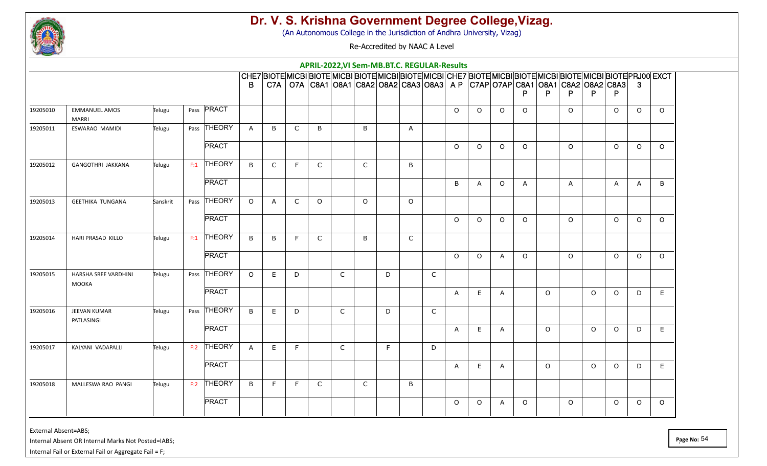

(An Autonomous College in the Jurisdiction of Andhra University, Vizag)

Re-Accredited by NAAC A Level

|          |                                      |          |              |              |              |   |              |              |              |   |              | APRIL-2022, VI Sem-MB.BT.C. REGULAR-Results |              |              |              |              |         |                                                                                                            |         |              |              |                                                                                                                |
|----------|--------------------------------------|----------|--------------|--------------|--------------|---|--------------|--------------|--------------|---|--------------|---------------------------------------------|--------------|--------------|--------------|--------------|---------|------------------------------------------------------------------------------------------------------------|---------|--------------|--------------|----------------------------------------------------------------------------------------------------------------|
|          |                                      |          |              | B.           |              |   |              |              |              |   |              |                                             |              |              |              |              |         | C7A   O7A   C8A1   O8A1   C8A2   O8A2   C8A3   O8A3   A P   C7AP   O7AP   C8A1   O8A1   C8A2   O8A2   C8A3 |         |              | - 3          | CHE7 BIOTE MICBI BIOTE MICBI BIOTE MICBI BIOTE MICBI CHE7 BIOTE MICBI BIOTE MICBI BIOTE MICBI BIOTE PRJ00 EXCT |
|          |                                      |          |              |              |              |   |              |              |              |   |              |                                             |              |              |              |              | P       |                                                                                                            | P       | P            |              |                                                                                                                |
| 19205010 | <b>EMMANUEL AMOS</b><br><b>MARRI</b> | Telugu   | Pass PRACT   |              |              |   |              |              |              |   |              |                                             | $\Omega$     | $\circ$      | $\circ$      | $\circ$      |         | $\Omega$                                                                                                   |         | $\circ$      | $\Omega$     | $\circ$                                                                                                        |
| 19205011 | ESWARAO MAMIDI                       | Telugu   | Pass THEORY  | $\mathsf{A}$ | B            | C | B            |              | B            |   | $\mathsf{A}$ |                                             |              |              |              |              |         |                                                                                                            |         |              |              |                                                                                                                |
|          |                                      |          | <b>PRACT</b> |              |              |   |              |              |              |   |              |                                             | $\circ$      | $\circ$      | $\circ$      | $\Omega$     |         | $\Omega$                                                                                                   |         | $\circ$      | $\Omega$     | $\circ$                                                                                                        |
| 19205012 | <b>GANGOTHRI JAKKANA</b>             | Telugu   | $F:1$ THEORY | $\mathsf{B}$ | $\mathsf{C}$ | F | $\mathsf{C}$ |              | $\mathsf{C}$ |   | B            |                                             |              |              |              |              |         |                                                                                                            |         |              |              |                                                                                                                |
|          |                                      |          | <b>PRACT</b> |              |              |   |              |              |              |   |              |                                             | B            | $\mathsf{A}$ | $\Omega$     | $\mathsf{A}$ |         | $\overline{A}$                                                                                             |         | $\mathsf{A}$ | $\mathsf{A}$ | B                                                                                                              |
| 19205013 | <b>GEETHIKA TUNGANA</b>              | Sanskrit | Pass THEORY  | $\Omega$     | A            | C | $\Omega$     |              | $\Omega$     |   | $\circ$      |                                             |              |              |              |              |         |                                                                                                            |         |              |              |                                                                                                                |
|          |                                      |          | <b>PRACT</b> |              |              |   |              |              |              |   |              |                                             | $\Omega$     | $\circ$      | $\circ$      | $\Omega$     |         | $\Omega$                                                                                                   |         | $\circ$      | $\Omega$     | $\circ$                                                                                                        |
| 19205014 | HARI PRASAD KILLO                    | Telugu   | $F:1$ THEORY | B            | B            | F | C            |              | B            |   | $\mathsf{C}$ |                                             |              |              |              |              |         |                                                                                                            |         |              |              |                                                                                                                |
|          |                                      |          | <b>PRACT</b> |              |              |   |              |              |              |   |              |                                             | $\Omega$     | $\Omega$     | $\mathsf{A}$ | $\Omega$     |         | $\Omega$                                                                                                   |         | $\Omega$     | $\Omega$     | $\Omega$                                                                                                       |
| 19205015 | HARSHA SREE VARDHINI<br>MOOKA        | Telugu   | Pass THEORY  | $\Omega$     | E            | D |              | $\mathsf{C}$ |              | D |              | $\mathsf{C}$                                |              |              |              |              |         |                                                                                                            |         |              |              |                                                                                                                |
|          |                                      |          | <b>PRACT</b> |              |              |   |              |              |              |   |              |                                             | $\mathsf{A}$ | E            | $\mathsf{A}$ |              | $\circ$ |                                                                                                            | $\circ$ | $\Omega$     | D            | E                                                                                                              |
| 19205016 | JEEVAN KUMAR<br>PATLASINGI           | Telugu   | Pass THEORY  | B            | E            | D |              | $\mathsf{C}$ |              | D |              | $\mathsf{C}$                                |              |              |              |              |         |                                                                                                            |         |              |              |                                                                                                                |
|          |                                      |          | <b>PRACT</b> |              |              |   |              |              |              |   |              |                                             | $\mathsf{A}$ | E            | A            |              | $\circ$ |                                                                                                            | $\circ$ | $\circ$      | D            | E                                                                                                              |
| 19205017 | KALYANI VADAPALLI                    | Telugu   | $F:2$ THEORY | $\mathsf{A}$ | E            | F |              | $\mathsf C$  |              | F |              | D                                           |              |              |              |              |         |                                                                                                            |         |              |              |                                                                                                                |
|          |                                      |          | <b>PRACT</b> |              |              |   |              |              |              |   |              |                                             | A            | E            | $\mathsf{A}$ |              | $\circ$ |                                                                                                            | $\circ$ | $\circ$      | D            | E                                                                                                              |
| 19205018 | MALLESWA RAO PANGI                   | Telugu   | $F:2$ THEORY | B            | F            | F | $\mathsf{C}$ |              | $\mathsf{C}$ |   | B            |                                             |              |              |              |              |         |                                                                                                            |         |              |              |                                                                                                                |
|          |                                      |          | <b>PRACT</b> |              |              |   |              |              |              |   |              |                                             | $\Omega$     | $\circ$      | A            | $\circ$      |         | $\circ$                                                                                                    |         | $\circ$      | $\Omega$     | $\Omega$                                                                                                       |

External Absent=ABS;

Internal Absent OR Internal Marks Not Posted=IABS;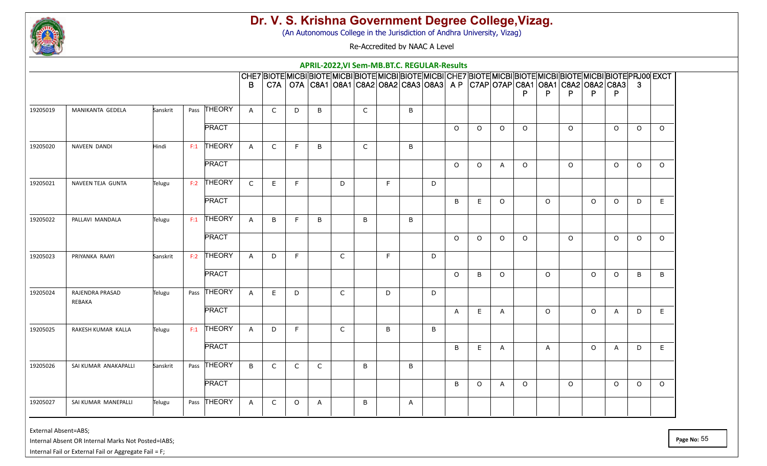

(An Autonomous College in the Jurisdiction of Andhra University, Vizag)

Re-Accredited by NAAC A Level

|          |                           |          |              |              |              |              |              |              |              |   |              | APRIL-2022, VI Sem-MB.BT.C. REGULAR-Results |              |          |                                                                                                                |          |              |          |          |              |          |                                                                                                                |
|----------|---------------------------|----------|--------------|--------------|--------------|--------------|--------------|--------------|--------------|---|--------------|---------------------------------------------|--------------|----------|----------------------------------------------------------------------------------------------------------------|----------|--------------|----------|----------|--------------|----------|----------------------------------------------------------------------------------------------------------------|
|          |                           |          |              |              |              |              |              |              |              |   |              |                                             |              |          |                                                                                                                |          |              |          |          |              |          | CHE7 BIOTE MICBI BIOTE MICBI BIOTE MICBI BIOTE MICBI CHE7 BIOTE MICBI BIOTE MICBI BIOTE MICBI BIOTE PRJ00 EXCT |
|          |                           |          |              | B.           |              |              |              |              |              |   |              |                                             |              |          | C7A   O7A   C8A1   O8A1   C8A2   O8A2   C8A3   O8A3   A P   C7AP   O7AP   C8A1   O8A1   C8A2   O8A2   C8A3   3 |          |              |          |          |              |          |                                                                                                                |
|          |                           |          |              |              |              |              |              |              |              |   |              |                                             |              |          |                                                                                                                | P        | P            |          | P        | P.           |          |                                                                                                                |
| 19205019 | MANIKANTA GEDELA          | Sanskrit | Pass THEORY  | $\mathsf{A}$ | $\mathsf{C}$ | D            | B            |              | C            |   | B            |                                             |              |          |                                                                                                                |          |              |          |          |              |          |                                                                                                                |
|          |                           |          | <b>PRACT</b> |              |              |              |              |              |              |   |              |                                             | $\Omega$     | $\Omega$ | $\Omega$                                                                                                       | $\Omega$ |              | $\circ$  |          | $\circ$      | $\Omega$ | $\Omega$                                                                                                       |
| 19205020 | NAVEEN DANDI              | Hindi    | $F:1$ THEORY | $\mathsf{A}$ | $\mathsf C$  | F            | B            |              | $\mathsf{C}$ |   | B            |                                             |              |          |                                                                                                                |          |              |          |          |              |          |                                                                                                                |
|          |                           |          | <b>PRACT</b> |              |              |              |              |              |              |   |              |                                             | $\circ$      | $\circ$  | $\mathsf{A}$                                                                                                   | $\circ$  |              | $\Omega$ |          | $\circ$      | $\Omega$ | $\circ$                                                                                                        |
| 19205021 | NAVEEN TEJA GUNTA         | Telugu   | $F:2$ THEORY | $\mathsf{C}$ | E            | F            |              | D            |              | F |              | D                                           |              |          |                                                                                                                |          |              |          |          |              |          |                                                                                                                |
|          |                           |          | <b>PRACT</b> |              |              |              |              |              |              |   |              |                                             | B            | E        | $\Omega$                                                                                                       |          | $\Omega$     |          | $\Omega$ | $\Omega$     | D        | E                                                                                                              |
| 19205022 | PALLAVI MANDALA           | Telugu   | $F:1$ THEORY | $\mathsf{A}$ | B            | F            | B            |              | B            |   | В            |                                             |              |          |                                                                                                                |          |              |          |          |              |          |                                                                                                                |
|          |                           |          | <b>PRACT</b> |              |              |              |              |              |              |   |              |                                             | $\Omega$     | $\Omega$ | $\Omega$                                                                                                       | $\Omega$ |              | $\circ$  |          | $\Omega$     | $\Omega$ | $\Omega$                                                                                                       |
| 19205023 | PRIYANKA RAAYI            | Sanskrit | $F:2$ THEORY | $\mathsf{A}$ | D            | F            |              | $\mathsf{C}$ |              | F |              | D                                           |              |          |                                                                                                                |          |              |          |          |              |          |                                                                                                                |
|          |                           |          | <b>PRACT</b> |              |              |              |              |              |              |   |              |                                             | $\circ$      | B        | $\Omega$                                                                                                       |          | $\Omega$     |          | $\Omega$ | $\circ$      | B        | B                                                                                                              |
| 19205024 | RAJENDRA PRASAD<br>REBAKA | Telugu   | Pass THEORY  | $\mathsf{A}$ | E            | D            |              | $\mathsf{C}$ |              | D |              | D                                           |              |          |                                                                                                                |          |              |          |          |              |          |                                                                                                                |
|          |                           |          | <b>PRACT</b> |              |              |              |              |              |              |   |              |                                             | $\mathsf{A}$ | E        | A                                                                                                              |          | $\circ$      |          | $\circ$  | $\mathsf{A}$ | D        | E                                                                                                              |
| 19205025 | RAKESH KUMAR KALLA        | Telugu   | $F:1$ THEORY | $\mathsf{A}$ | D            | F            |              | $\mathsf{C}$ |              | B |              | B                                           |              |          |                                                                                                                |          |              |          |          |              |          |                                                                                                                |
|          |                           |          | <b>PRACT</b> |              |              |              |              |              |              |   |              |                                             | B            | E        | A                                                                                                              |          | $\mathsf{A}$ |          | $\Omega$ | $\mathsf{A}$ | D        | E                                                                                                              |
| 19205026 | SAI KUMAR ANAKAPALLI      | Sanskrit | Pass THEORY  | B            | $\mathsf{C}$ | $\mathsf{C}$ | $\mathsf{C}$ |              | B            |   | B            |                                             |              |          |                                                                                                                |          |              |          |          |              |          |                                                                                                                |
|          |                           |          | <b>PRACT</b> |              |              |              |              |              |              |   |              |                                             | B            | $\circ$  | A                                                                                                              | $\circ$  |              | $\Omega$ |          | $\circ$      | $\Omega$ | $\Omega$                                                                                                       |
| 19205027 | SAI KUMAR MANEPALLI       | Telugu   | Pass THEORY  | A            | $\mathsf{C}$ | $\circ$      | $\mathsf{A}$ |              | B            |   | $\mathsf{A}$ |                                             |              |          |                                                                                                                |          |              |          |          |              |          |                                                                                                                |

External Absent=ABS;

Internal Absent OR Internal Marks Not Posted=IABS;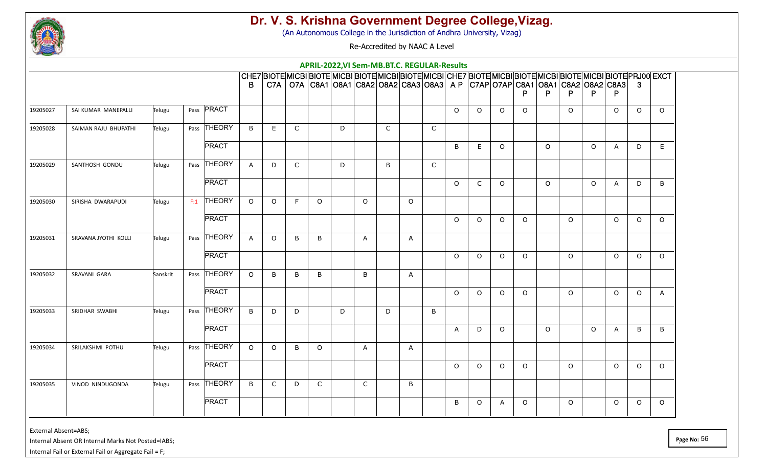

(An Autonomous College in the Jurisdiction of Andhra University, Vizag)

Re-Accredited by NAAC A Level

|          |                      |          |              |                |              |   |              |   | APRIL-2022, VI Sem-MB.BT.C. REGULAR-Results                                                                                                                                                                                  |              |              |              |              |              |          |          |         |          |         |              |              |              |
|----------|----------------------|----------|--------------|----------------|--------------|---|--------------|---|------------------------------------------------------------------------------------------------------------------------------------------------------------------------------------------------------------------------------|--------------|--------------|--------------|--------------|--------------|----------|----------|---------|----------|---------|--------------|--------------|--------------|
|          |                      |          |              | B.             |              |   |              |   | CHE7 BIOTE MICBI BIOTE MICBI BIOTE MICBI BIOTE MICBI CHE7 BIOTE MICBI BIOTE MICBI BIOTE MICBI BIOTE PRJ00 EXCT<br>C7A   O7A   C8A1   O8A1   C8A2   O8A2   C8A3   O8A3   A P   C7AP   O7AP   C8A1   O8A1   C8A2   O8A2   C8A3 |              |              |              |              |              |          |          |         |          |         |              | $\mathbf{3}$ |              |
|          |                      |          |              |                |              |   |              |   |                                                                                                                                                                                                                              |              |              |              |              |              |          |          | P       |          | P.      | P            |              |              |
| 19205027 | SAI KUMAR MANEPALLI  | Telugu   | Pass PRACT   |                |              |   |              |   |                                                                                                                                                                                                                              |              |              |              | $\Omega$     | $\Omega$     | $\Omega$ | $\circ$  |         | $\Omega$ |         | $\Omega$     | $\Omega$     | $\Omega$     |
| 19205028 | SAIMAN RAJU BHUPATHI | Telugu   | Pass THEORY  | $\overline{B}$ | E            | C |              | D |                                                                                                                                                                                                                              | $\mathsf{C}$ |              | $\mathsf{C}$ |              |              |          |          |         |          |         |              |              |              |
|          |                      |          | <b>PRACT</b> |                |              |   |              |   |                                                                                                                                                                                                                              |              |              |              | B            | E            | $\circ$  |          | $\circ$ |          | $\circ$ | $\mathsf{A}$ | D            | E            |
| 19205029 | SANTHOSH GONDU       | Telugu   | Pass THEORY  | $\mathsf{A}$   | D            | C |              | D |                                                                                                                                                                                                                              | B            |              | $\mathsf{C}$ |              |              |          |          |         |          |         |              |              |              |
|          |                      |          | <b>PRACT</b> |                |              |   |              |   |                                                                                                                                                                                                                              |              |              |              | $\Omega$     | $\mathsf{C}$ | $\Omega$ |          | $\circ$ |          | $\circ$ | $\mathsf{A}$ | D            | B            |
| 19205030 | SIRISHA DWARAPUDI    | Telugu   | $F:1$ THEORY | $\Omega$       | $\circ$      | F | $\Omega$     |   | $\Omega$                                                                                                                                                                                                                     |              | $\Omega$     |              |              |              |          |          |         |          |         |              |              |              |
|          |                      |          | <b>PRACT</b> |                |              |   |              |   |                                                                                                                                                                                                                              |              |              |              | $\Omega$     | $\circ$      | $\Omega$ | $\Omega$ |         | $\Omega$ |         | $\Omega$     | $\Omega$     | $\circ$      |
| 19205031 | SRAVANA JYOTHI KOLLI | Telugu   | Pass THEORY  | $\mathsf{A}$   | $\circ$      | B | B            |   | $\mathsf{A}$                                                                                                                                                                                                                 |              | $\mathsf{A}$ |              |              |              |          |          |         |          |         |              |              |              |
|          |                      |          | <b>PRACT</b> |                |              |   |              |   |                                                                                                                                                                                                                              |              |              |              | $\Omega$     | $\Omega$     | $\circ$  | $\Omega$ |         | $\Omega$ |         | $\Omega$     | $\Omega$     | $\Omega$     |
| 19205032 | SRAVANI GARA         | Sanskrit | Pass THEORY  | $\Omega$       | B            | B | B            |   | B                                                                                                                                                                                                                            |              | $\mathsf{A}$ |              |              |              |          |          |         |          |         |              |              |              |
|          |                      |          | <b>PRACT</b> |                |              |   |              |   |                                                                                                                                                                                                                              |              |              |              | $\Omega$     | $\circ$      | $\Omega$ | $\circ$  |         | $\Omega$ |         | $\circ$      | $\Omega$     | $\mathsf{A}$ |
| 19205033 | SRIDHAR SWABHI       | Telugu   | Pass THEORY  | B              | D            | D |              | D |                                                                                                                                                                                                                              | D            |              | B            |              |              |          |          |         |          |         |              |              |              |
|          |                      |          | <b>PRACT</b> |                |              |   |              |   |                                                                                                                                                                                                                              |              |              |              | $\mathsf{A}$ | D            | $\circ$  |          | $\circ$ |          | $\circ$ | $\mathsf{A}$ | B            | B            |
| 19205034 | SRILAKSHMI POTHU     | Telugu   | Pass THEORY  | $\circ$        | $\circ$      | B | $\circ$      |   | $\mathsf{A}$                                                                                                                                                                                                                 |              | $\mathsf{A}$ |              |              |              |          |          |         |          |         |              |              |              |
|          |                      |          | <b>PRACT</b> |                |              |   |              |   |                                                                                                                                                                                                                              |              |              |              | $\Omega$     | $\circ$      | $\Omega$ | $\Omega$ |         | $\Omega$ |         | $\Omega$     | $\Omega$     | $\Omega$     |
| 19205035 | VINOD NINDUGONDA     | Telugu   | Pass THEORY  | B              | $\mathsf{C}$ | D | $\mathsf{C}$ |   | $\mathsf{C}$                                                                                                                                                                                                                 |              | B            |              |              |              |          |          |         |          |         |              |              |              |
|          |                      |          | <b>PRACT</b> |                |              |   |              |   |                                                                                                                                                                                                                              |              |              |              | B            | $\circ$      | A        | $\Omega$ |         | $\Omega$ |         | $\Omega$     | $\Omega$     | $\Omega$     |
|          |                      |          |              |                |              |   |              |   |                                                                                                                                                                                                                              |              |              |              |              |              |          |          |         |          |         |              |              |              |

External Absent=ABS;

Internal Absent OR Internal Marks Not Posted=IABS;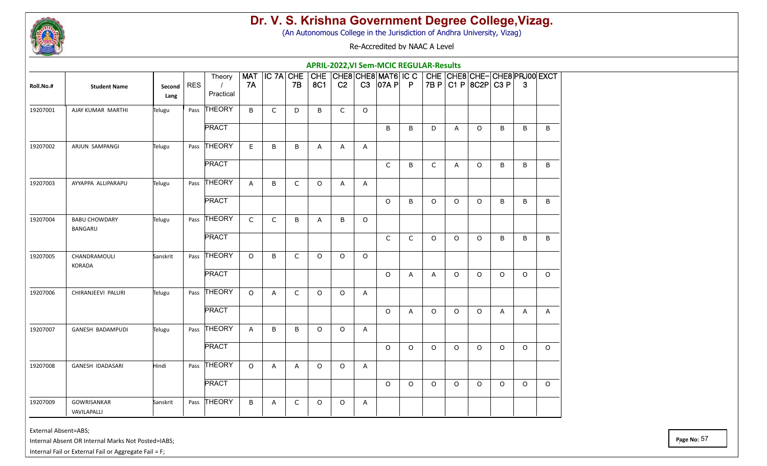

(An Autonomous College in the Jurisdiction of Andhra University, Vizag)

Re-Accredited by NAAC A Level

|           |                                   |                |            |                                 |                         |              |              |          |                |              | <b>APRIL-2022, VI Sem-MCIC REGULAR-Results</b>    |              |              |         |                     |          |              |                              |
|-----------|-----------------------------------|----------------|------------|---------------------------------|-------------------------|--------------|--------------|----------|----------------|--------------|---------------------------------------------------|--------------|--------------|---------|---------------------|----------|--------------|------------------------------|
| Roll.No.# | <b>Student Name</b>               | Second<br>Lang | <b>RES</b> | Theory<br>$\prime$<br>Practical | <b>MAT</b><br><b>7A</b> |              | 7B           | 8C1      | C <sub>2</sub> |              | IC 7A CHE CHE CHE8 CHE8 MAT6 IC C<br>$C3$ 07A P P |              |              |         | 7B P C1 P 8C2P C3 P |          | 3            | CHE CHE8 CHE-CHE8 PRJ00 EXCT |
| 19207001  | AJAY KUMAR MARTHI                 | Telugu         |            | Pass THEORY                     | B                       | $\mathsf{C}$ | D            | B        | $\mathsf{C}$   | $\circ$      |                                                   |              |              |         |                     |          |              |                              |
|           |                                   |                |            | <b>PRACT</b>                    |                         |              |              |          |                |              | B                                                 | B            | D            | A       | $\circ$             | B        | B            | B                            |
| 19207002  | ARJUN SAMPANGI                    | Telugu         |            | Pass THEORY                     | $\mathsf E$             | B            | B            | Α        | A              | Α            |                                                   |              |              |         |                     |          |              |                              |
|           |                                   |                |            | <b>PRACT</b>                    |                         |              |              |          |                |              | $\mathsf{C}$                                      | B            | $\mathsf{C}$ | A       | $\circ$             | B        | B            | B                            |
| 19207003  | AYYAPPA ALLIPARAPU                | Telugu         |            | Pass THEORY                     | $\mathsf{A}$            | B            | $\mathsf{C}$ | O        | A              | A            |                                                   |              |              |         |                     |          |              |                              |
|           |                                   |                |            | <b>PRACT</b>                    |                         |              |              |          |                |              | $\circ$                                           | B            | $\Omega$     | $\circ$ | $\circ$             | B        | B            | B                            |
| 19207004  | <b>BABU CHOWDARY</b><br>BANGARU   | Telugu         |            | Pass THEORY                     | $\mathsf{C}$            | $\mathsf C$  | B            | Α        | B              | $\circ$      |                                                   |              |              |         |                     |          |              |                              |
|           |                                   |                |            | <b>PRACT</b>                    |                         |              |              |          |                |              | $\mathsf{C}$                                      | $\mathsf{C}$ | $\Omega$     | $\circ$ | $\Omega$            | B        | B            | B                            |
| 19207005  | CHANDRAMOULI<br>KORADA            | Sanskrit       |            | Pass THEORY                     | $\circ$                 | B            | $\mathsf{C}$ | $\circ$  | $\circ$        | $\circ$      |                                                   |              |              |         |                     |          |              |                              |
|           |                                   |                |            | <b>PRACT</b>                    |                         |              |              |          |                |              | $\circ$                                           | $\mathsf{A}$ | $\mathsf{A}$ | $\circ$ | $\circ$             | $\Omega$ | $\circ$      | $\Omega$                     |
| 19207006  | CHIRANJEEVI PALURI                | Telugu         |            | Pass THEORY                     | $\circ$                 | A            | $\mathsf{C}$ | $\Omega$ | $\circ$        | A            |                                                   |              |              |         |                     |          |              |                              |
|           |                                   |                |            | <b>PRACT</b>                    |                         |              |              |          |                |              | $\circ$                                           | $\mathsf{A}$ | $\circ$      | $\circ$ | $\circ$             | A        | $\mathsf{A}$ | A                            |
| 19207007  | GANESH BADAMPUDI                  | Telugu         |            | Pass THEORY                     | A                       | B            | B            | $\circ$  | $\circ$        | $\mathsf{A}$ |                                                   |              |              |         |                     |          |              |                              |
|           |                                   |                |            | <b>PRACT</b>                    |                         |              |              |          |                |              | $\Omega$                                          | $\Omega$     | $\circ$      | $\circ$ | $\circ$             | $\Omega$ | $\Omega$     | $\Omega$                     |
| 19207008  | GANESH IDADASARI                  | Hindi          |            | Pass THEORY                     | $\circ$                 | A            | $\mathsf{A}$ | $\circ$  | $\circ$        | $\mathsf{A}$ |                                                   |              |              |         |                     |          |              |                              |
|           |                                   |                |            | <b>PRACT</b>                    |                         |              |              |          |                |              | $\circ$                                           | $\Omega$     | $\circ$      | $\circ$ | $\circ$             | $\circ$  | $\circ$      | $\Omega$                     |
| 19207009  | <b>GOWRISANKAR</b><br>VAVILAPALLI | Sanskrit       |            | Pass THEORY                     | B                       | A            | C            | O        | $\circ$        | A            |                                                   |              |              |         |                     |          |              |                              |

External Absent=ABS;

Internal Absent OR Internal Marks Not Posted=IABS;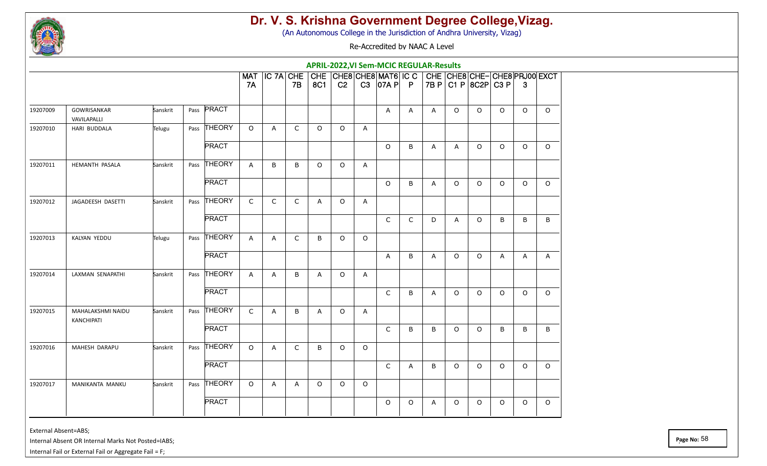

(An Autonomous College in the Jurisdiction of Andhra University, Vizag)

Re-Accredited by NAAC A Level

|          |                                 |          |               |              |               |              |         |                |              | <b>APRIL-2022, VI Sem-MCIC REGULAR-Results</b>                      |         |              |         |                     |          |         |                              |
|----------|---------------------------------|----------|---------------|--------------|---------------|--------------|---------|----------------|--------------|---------------------------------------------------------------------|---------|--------------|---------|---------------------|----------|---------|------------------------------|
|          |                                 |          |               | 7A           | MAT IC 7A CHE | 7B           | 8C1     | C <sub>2</sub> |              | $ $ CHE $ $ CHE8 $ $ CHE8 $ $ MAT6 $ $ IC C $ $<br>$C3$ $ 07A P  P$ |         |              |         | 7B P C1 P 8C2P C3 P |          | 3       | CHE CHE8 CHE-CHE8 PRJ00 EXCT |
| 19207009 | GOWRISANKAR<br>VAVILAPALLI      | Sanskrit | PRACT<br>Pass |              |               |              |         |                |              | A                                                                   | A       | $\mathsf{A}$ | $\circ$ | $\circ$             | $\Omega$ | $\circ$ | $\Omega$                     |
| 19207010 | HARI BUDDALA                    | Telugu   | Pass THEORY   | $\circ$      | A             | $\mathsf{C}$ | $\circ$ | $\circ$        | A            |                                                                     |         |              |         |                     |          |         |                              |
|          |                                 |          | <b>PRACT</b>  |              |               |              |         |                |              | $\circ$                                                             | B       | A            | A       | $\circ$             | $\circ$  | $\circ$ | $\circ$                      |
| 19207011 | HEMANTH PASALA                  | Sanskrit | Pass THEORY   | $\mathsf{A}$ | B             | B            | $\circ$ | $\circ$        | A            |                                                                     |         |              |         |                     |          |         |                              |
|          |                                 |          | <b>PRACT</b>  |              |               |              |         |                |              | $\Omega$                                                            | B       | A            | $\circ$ | $\Omega$            | $\Omega$ | $\circ$ | $\Omega$                     |
| 19207012 | JAGADEESH DASETTI               | Sanskrit | Pass THEORY   | $\mathsf{C}$ | C             | $\mathsf{C}$ | Α       | O              | A            |                                                                     |         |              |         |                     |          |         |                              |
|          |                                 |          | <b>PRACT</b>  |              |               |              |         |                |              | C                                                                   | C       | D            | A       | $\circ$             | B        | B       | B                            |
| 19207013 | KALYAN YEDDU                    | Telugu   | Pass THEORY   | $\mathsf{A}$ | A             | C            | B       | $\circ$        | $\circ$      |                                                                     |         |              |         |                     |          |         |                              |
|          |                                 |          | <b>PRACT</b>  |              |               |              |         |                |              | A                                                                   | B       | A            | $\circ$ | $\circ$             | A        | A       | $\mathsf{A}$                 |
| 19207014 | LAXMAN SENAPATHI                | Sanskrit | Pass THEORY   | $\mathsf{A}$ | A             | B            | A       | $\Omega$       | $\mathsf{A}$ |                                                                     |         |              |         |                     |          |         |                              |
|          |                                 |          | <b>PRACT</b>  |              |               |              |         |                |              | $\mathsf{C}$                                                        | B       | Α            | $\circ$ | $\circ$             | $\circ$  | $\circ$ | $\circ$                      |
| 19207015 | MAHALAKSHMI NAIDU<br>KANCHIPATI | Sanskrit | Pass THEORY   | $\mathsf{C}$ | A             | B            | Α       | $\circ$        | Α            |                                                                     |         |              |         |                     |          |         |                              |
|          |                                 |          | <b>PRACT</b>  |              |               |              |         |                |              | C                                                                   | B       | B            | $\circ$ | $\circ$             | B        | B       | B                            |
| 19207016 | MAHESH DARAPU                   | Sanskrit | Pass THEORY   | $\Omega$     | A             | $\mathsf{C}$ | B       | $\circ$        | $\circ$      |                                                                     |         |              |         |                     |          |         |                              |
|          |                                 |          | <b>PRACT</b>  |              |               |              |         |                |              | $\mathsf{C}$                                                        | A       | B            | $\circ$ | $\circ$             | $\circ$  | $\circ$ | $\circ$                      |
| 19207017 | MANIKANTA MANKU                 | Sanskrit | Pass THEORY   | $\circ$      | A             | A            | O       | $\circ$        | $\circ$      |                                                                     |         |              |         |                     |          |         |                              |
|          |                                 |          | <b>PRACT</b>  |              |               |              |         |                |              | $\circ$                                                             | $\circ$ | A            | $\circ$ | $\circ$             | $\circ$  | $\circ$ | $\circ$                      |

External Absent=ABS;

Internal Absent OR Internal Marks Not Posted=IABS;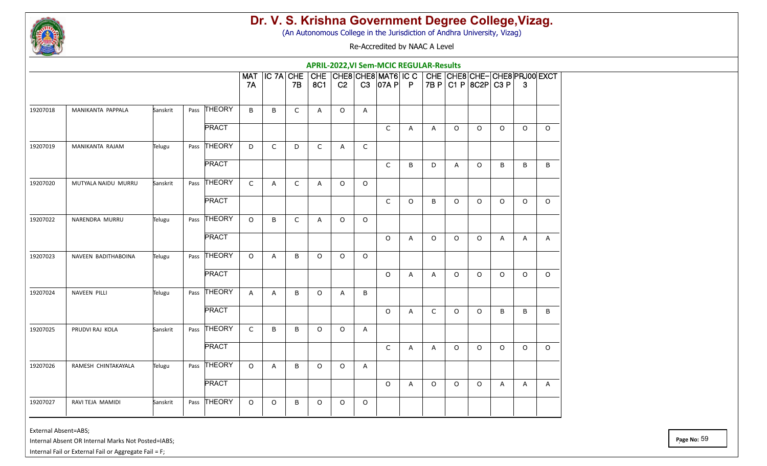

(An Autonomous College in the Jurisdiction of Andhra University, Vizag)

Re-Accredited by NAAC A Level

|          |                     |          |              |                         |             |              |            |                |              | <b>APRIL-2022, VI Sem-MCIC REGULAR-Results</b>                      |                |              |         |                                                     |                |              |              |
|----------|---------------------|----------|--------------|-------------------------|-------------|--------------|------------|----------------|--------------|---------------------------------------------------------------------|----------------|--------------|---------|-----------------------------------------------------|----------------|--------------|--------------|
|          |                     |          |              | <b>MAT</b><br><b>7A</b> | IC 7A CHE   | <b>7B</b>    | <b>8C1</b> | C <sub>2</sub> |              | $ $ CHE $ $ CHE8 $ $ CHE8 $ $ MAT6 $ $ IC C $ $<br>$C3$ $ 07A P  P$ |                |              |         | CHE CHE8 CHE-CHE8 PRJ00 EXCT<br>7B P C1 P 8C2P C3 P |                | 3            |              |
| 19207018 | MANIKANTA PAPPALA   | Sanskrit | Pass THEORY  | B                       | B           | $\mathsf{C}$ | A          | $\circ$        | A            |                                                                     |                |              |         |                                                     |                |              |              |
|          |                     |          | <b>PRACT</b> |                         |             |              |            |                |              | $\mathsf{C}$                                                        | $\mathsf{A}$   | A            | $\circ$ | $\circ$                                             | $\circ$        | $\circ$      | $\circ$      |
| 19207019 | MANIKANTA RAJAM     | Telugu   | Pass THEORY  | D                       | $\mathsf C$ | D            | C          | A              | $\mathsf C$  |                                                                     |                |              |         |                                                     |                |              |              |
|          |                     |          | <b>PRACT</b> |                         |             |              |            |                |              | C                                                                   | B              | D            | A       | $\circ$                                             | B              | B            | B            |
| 19207020 | MUTYALA NAIDU MURRU | Sanskrit | Pass THEORY  | $\mathsf{C}$            | A           | $\mathsf{C}$ | Α          | $\circ$        | $\circ$      |                                                                     |                |              |         |                                                     |                |              |              |
|          |                     |          | <b>PRACT</b> |                         |             |              |            |                |              | $\mathsf C$                                                         | $\Omega$       | B            | $\circ$ | $\circ$                                             | $\Omega$       | $\circ$      | $\Omega$     |
| 19207022 | NARENDRA MURRU      | Telugu   | Pass THEORY  | $\circ$                 | B           | $\mathsf C$  | A          | $\circ$        | $\circ$      |                                                                     |                |              |         |                                                     |                |              |              |
|          |                     |          | <b>PRACT</b> |                         |             |              |            |                |              | $\circ$                                                             | $\overline{A}$ | $\circ$      | $\circ$ | $\Omega$                                            | $\overline{A}$ | A            | $\mathsf{A}$ |
| 19207023 | NAVEEN BADITHABOINA | Telugu   | Pass THEORY  | $\circ$                 | A           | B            | O          | $\circ$        | $\circ$      |                                                                     |                |              |         |                                                     |                |              |              |
|          |                     |          | <b>PRACT</b> |                         |             |              |            |                |              | $\circ$                                                             | A              | $\mathsf{A}$ | $\circ$ | $\circ$                                             | $\Omega$       | $\circ$      | $\Omega$     |
| 19207024 | NAVEEN PILLI        | Telugu   | Pass THEORY  | $\mathsf{A}$            | A           | B            | $\circ$    | A              | B            |                                                                     |                |              |         |                                                     |                |              |              |
|          |                     |          | <b>PRACT</b> |                         |             |              |            |                |              | $\circ$                                                             | $\mathsf{A}$   | $\mathsf C$  | $\circ$ | $\circ$                                             | B              | B            | B            |
| 19207025 | PRUDVI RAJ KOLA     | Sanskrit | Pass THEORY  | $\mathsf{C}$            | B           | B            | $\circ$    | $\circ$        | A            |                                                                     |                |              |         |                                                     |                |              |              |
|          |                     |          | <b>PRACT</b> |                         |             |              |            |                |              | $\mathsf{C}$                                                        | Α              | A            | $\circ$ | $\circ$                                             | $\Omega$       | $\circ$      | $\Omega$     |
| 19207026 | RAMESH CHINTAKAYALA | Telugu   | Pass THEORY  | $\circ$                 | A           | B            | O          | $\circ$        | $\mathsf{A}$ |                                                                     |                |              |         |                                                     |                |              |              |
|          |                     |          | <b>PRACT</b> |                         |             |              |            |                |              | $\circ$                                                             | A              | $\circ$      | $\circ$ | $\circ$                                             | A              | $\mathsf{A}$ | A            |
| 19207027 | RAVI TEJA MAMIDI    | Sanskrit | Pass THEORY  | $\circ$                 | 0           | B            | O          | $\circ$        | $\circ$      |                                                                     |                |              |         |                                                     |                |              |              |

External Absent=ABS;

Internal Absent OR Internal Marks Not Posted=IABS;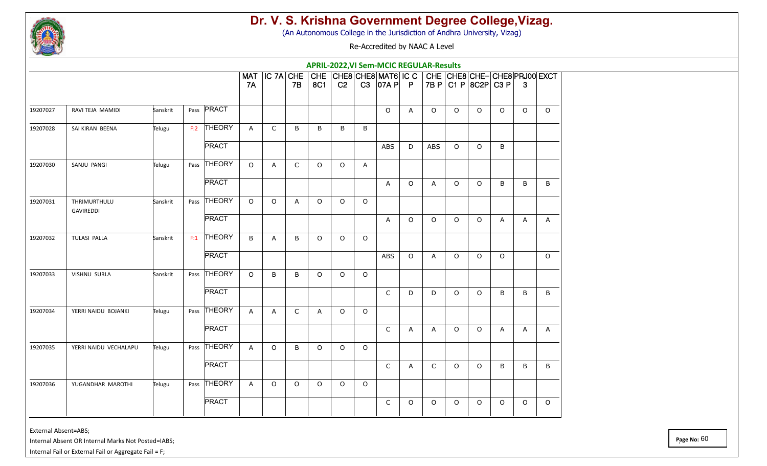

(An Autonomous College in the Jurisdiction of Andhra University, Vizag)

Re-Accredited by NAAC A Level

|          |                           |          |               |              |               |              |          |                |          | <b>APRIL-2022, VI Sem-MCIC REGULAR-Results</b>                      |          |            |         |                                                     |          |         |              |
|----------|---------------------------|----------|---------------|--------------|---------------|--------------|----------|----------------|----------|---------------------------------------------------------------------|----------|------------|---------|-----------------------------------------------------|----------|---------|--------------|
|          |                           |          |               | 7A           | MAT IC 7A CHE | 7B           | 8C1      | C <sub>2</sub> |          | $ $ CHE $ $ CHE8 $ $ CHE8 $ $ MAT6 $ $ IC C $ $<br>$C3$ $ 07A P  P$ |          |            |         | CHE CHE8 CHE-CHE8 PRJ00 EXCT<br>7B P C1 P 8C2P C3 P |          | 3       |              |
| 19207027 | RAVI TEJA MAMIDI          | Sanskrit | PRACT<br>Pass |              |               |              |          |                |          | $\circ$                                                             | A        | $\circ$    | $\circ$ | $\circ$                                             | $\Omega$ | $\circ$ | $\Omega$     |
| 19207028 | SAI KIRAN BEENA           | Telugu   | F:2 THEORY    | A            | C             | B            | B        | B              | B        |                                                                     |          |            |         |                                                     |          |         |              |
|          |                           |          | <b>PRACT</b>  |              |               |              |          |                |          | ABS                                                                 | D        | <b>ABS</b> | $\circ$ | $\circ$                                             | B        |         |              |
| 19207030 | SANJU PANGI               | Telugu   | Pass THEORY   | $\circ$      | A             | $\mathsf{C}$ | $\circ$  | $\circ$        | A        |                                                                     |          |            |         |                                                     |          |         |              |
|          |                           |          | <b>PRACT</b>  |              |               |              |          |                |          | A                                                                   | $\Omega$ | A          | $\circ$ | $\circ$                                             | B        | B       | B            |
| 19207031 | THRIMURTHULU<br>GAVIREDDI | Sanskrit | Pass THEORY   | $\Omega$     | $\circ$       | A            | $\Omega$ | $\circ$        | $\circ$  |                                                                     |          |            |         |                                                     |          |         |              |
|          |                           |          | <b>PRACT</b>  |              |               |              |          |                |          | A                                                                   | $\circ$  | 0          | $\circ$ | $\circ$                                             | A        | A       | $\mathsf{A}$ |
| 19207032 | TULASI PALLA              | Sanskrit | $F:1$ THEORY  | B            | A             | B            | $\circ$  | $\circ$        | $\circ$  |                                                                     |          |            |         |                                                     |          |         |              |
|          |                           |          | <b>PRACT</b>  |              |               |              |          |                |          | <b>ABS</b>                                                          | $\circ$  | A          | $\circ$ | $\circ$                                             | $\circ$  |         | $\Omega$     |
| 19207033 | <b>VISHNU SURLA</b>       | Sanskrit | Pass THEORY   | $\Omega$     | B             | B            | $\circ$  | $\circ$        | $\Omega$ |                                                                     |          |            |         |                                                     |          |         |              |
|          |                           |          | <b>PRACT</b>  |              |               |              |          |                |          | $\mathsf{C}$                                                        | D        | D          | $\circ$ | $\circ$                                             | B        | B       | B            |
| 19207034 | YERRI NAIDU BOJANKI       | Telugu   | Pass THEORY   | $\mathsf{A}$ | A             | $\mathsf{C}$ | Α        | $\circ$        | $\circ$  |                                                                     |          |            |         |                                                     |          |         |              |
|          |                           |          | <b>PRACT</b>  |              |               |              |          |                |          | C                                                                   | A        | A          | $\circ$ | $\circ$                                             | A        | A       | $\mathsf{A}$ |
| 19207035 | YERRI NAIDU VECHALAPU     | Telugu   | Pass THEORY   | $\mathsf{A}$ | $\circ$       | B            | $\Omega$ | $\circ$        | $\circ$  |                                                                     |          |            |         |                                                     |          |         |              |
|          |                           |          | <b>PRACT</b>  |              |               |              |          |                |          | $\mathsf{C}$                                                        | A        | C          | $\circ$ | $\circ$                                             | B        | B       | B            |
| 19207036 | YUGANDHAR MAROTHI         | Telugu   | Pass THEORY   | A            | $\circ$       | $\circ$      | O        | $\circ$        | $\circ$  |                                                                     |          |            |         |                                                     |          |         |              |
|          |                           |          | <b>PRACT</b>  |              |               |              |          |                |          | C                                                                   | $\circ$  | $\circ$    | $\circ$ | $\circ$                                             | $\circ$  | $\circ$ | $\circ$      |

External Absent=ABS;

Internal Absent OR Internal Marks Not Posted=IABS;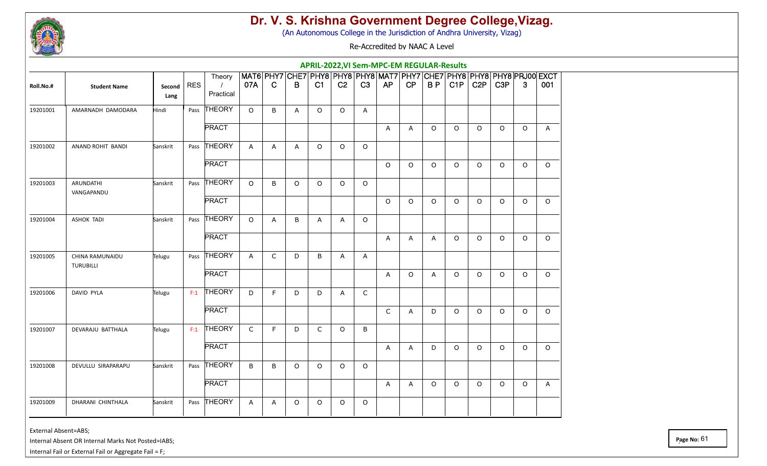

(An Autonomous College in the Jurisdiction of Andhra University, Vizag)

Re-Accredited by NAAC A Level

|           |                                     |                |            |                                 |                |              |         | APRIL-2022, VI Sem-MPC-EM REGULAR-Results                                   |                |              |              |              |              |         |                  |                  |          |              |
|-----------|-------------------------------------|----------------|------------|---------------------------------|----------------|--------------|---------|-----------------------------------------------------------------------------|----------------|--------------|--------------|--------------|--------------|---------|------------------|------------------|----------|--------------|
| Roll.No.# | <b>Student Name</b>                 | Second<br>Lang | <b>RES</b> | Theory<br>$\prime$<br>Practical | 07A            | $\mathbf C$  | B       | MAT6 PHY7 CHE7 PHY8 PHY8 PHY8 MAT7 PHY7 CHE7 PHY8 PHY8 PHY8 PHO0 EXCT<br>C1 | C <sub>2</sub> | C3           | AP           | CP           | BP           | C1P     | C <sub>2</sub> P | C <sub>3</sub> P | 3        | 001          |
| 19201001  | AMARNADH DAMODARA                   | Hindi          |            | Pass THEORY                     | $\Omega$       | B            | A       | $\Omega$                                                                    | $\circ$        | A            |              |              |              |         |                  |                  |          |              |
|           |                                     |                |            | <b>PRACT</b>                    |                |              |         |                                                                             |                |              | A            | A            | $\circ$      | $\circ$ | $\circ$          | $\circ$          | $\circ$  | $\mathsf{A}$ |
| 19201002  | ANAND ROHIT BANDI                   | Sanskrit       | Pass       | THEORY                          | $\overline{A}$ | A            | A       | $\Omega$                                                                    | $\circ$        | $\Omega$     |              |              |              |         |                  |                  |          |              |
|           |                                     |                |            | <b>PRACT</b>                    |                |              |         |                                                                             |                |              | $\Omega$     | $\Omega$     | $\Omega$     | $\circ$ | $\circ$          | $\Omega$         | $\Omega$ | $\Omega$     |
| 19201003  | ARUNDATHI<br>VANGAPANDU             | Sanskrit       |            | Pass THEORY                     | $\circ$        | B            | $\circ$ | $\Omega$                                                                    | $\Omega$       | $\Omega$     |              |              |              |         |                  |                  |          |              |
|           |                                     |                |            | <b>PRACT</b>                    |                |              |         |                                                                             |                |              | $\circ$      | $\Omega$     | $\circ$      | $\circ$ | $\circ$          | O                | $\circ$  | $\circ$      |
| 19201004  | <b>ASHOK TADI</b>                   | Sanskrit       |            | Pass THEORY                     | $\circ$        | A            | B       | Α                                                                           | A              | $\circ$      |              |              |              |         |                  |                  |          |              |
|           |                                     |                |            | <b>PRACT</b>                    |                |              |         |                                                                             |                |              | $\mathsf{A}$ | A            | $\mathsf{A}$ | $\circ$ | $\Omega$         | $\Omega$         | $\Omega$ | $\Omega$     |
| 19201005  | CHINA RAMUNAIDU<br><b>TURUBILLI</b> | Telugu         |            | Pass THEORY                     | $\mathsf{A}$   | $\mathsf{C}$ | D       | B                                                                           | A              | A            |              |              |              |         |                  |                  |          |              |
|           |                                     |                |            | <b>PRACT</b>                    |                |              |         |                                                                             |                |              | $\mathsf{A}$ | $\circ$      | A            | $\circ$ | $\circ$          | $\Omega$         | $\circ$  | $\Omega$     |
| 19201006  | <b>DAVID PYLA</b>                   | Telugu         | F:1        | <b>THEORY</b>                   | D              | F            | D       | D                                                                           | $\mathsf{A}$   | $\mathsf{C}$ |              |              |              |         |                  |                  |          |              |
|           |                                     |                |            | <b>PRACT</b>                    |                |              |         |                                                                             |                |              | C            | $\mathsf{A}$ | D            | $\circ$ | $\circ$          | $\circ$          | $\circ$  | $\circ$      |
| 19201007  | DEVARAJU BATTHALA                   | Telugu         | F:1        | THEORY                          | $\mathsf{C}$   | $\mathsf F$  | D       | $\mathsf{C}$                                                                | $\circ$        | $\sf B$      |              |              |              |         |                  |                  |          |              |
|           |                                     |                |            | <b>PRACT</b>                    |                |              |         |                                                                             |                |              | A            | A            | D            | $\circ$ | $\circ$          | $\circ$          | $\circ$  | $\circ$      |
| 19201008  | DEVULLU SIRAPARAPU                  | Sanskrit       |            | Pass THEORY                     | B              | B            | $\circ$ | $\Omega$                                                                    | $\circ$        | $\circ$      |              |              |              |         |                  |                  |          |              |
|           |                                     |                |            | <b>PRACT</b>                    |                |              |         |                                                                             |                |              | $\mathsf{A}$ | A            | $\circ$      | $\circ$ | $\circ$          | $\circ$          | $\circ$  | A            |
| 19201009  | DHARANI CHINTHALA                   | Sanskrit       | Pass       | THEORY                          | A              | Α            | $\circ$ | O                                                                           | $\circ$        | $\circ$      |              |              |              |         |                  |                  |          |              |

External Absent=ABS;

Internal Absent OR Internal Marks Not Posted=IABS;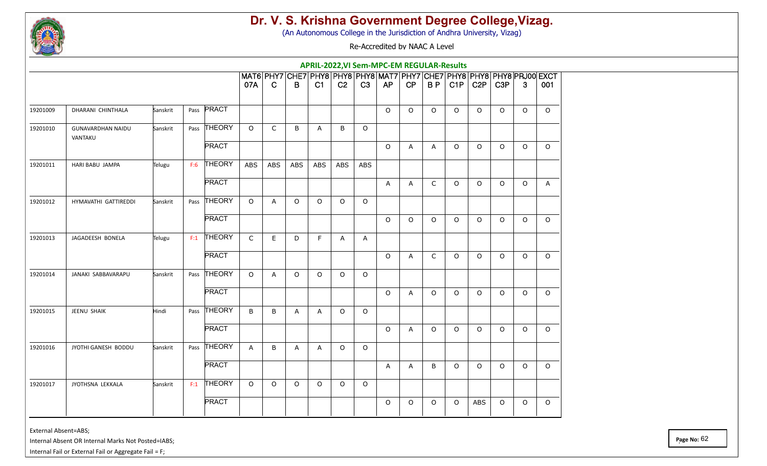

(An Autonomous College in the Jurisdiction of Andhra University, Vizag)

Re-Accredited by NAAC A Level

|          |                                     |          |      |              |              |              |              |                |                |            | APRIL-2022, VI Sem-MPC-EM REGULAR-Results |         |              |         |                  |                  |              |                                                                               |
|----------|-------------------------------------|----------|------|--------------|--------------|--------------|--------------|----------------|----------------|------------|-------------------------------------------|---------|--------------|---------|------------------|------------------|--------------|-------------------------------------------------------------------------------|
|          |                                     |          |      |              | 07A          | $\mathbf C$  | $\mathsf B$  | C1             | C <sub>2</sub> | C3         | AP                                        | CP      | BP           | C1P     | C <sub>2</sub> P | C <sub>3</sub> P | $\mathbf{3}$ | MAT6 PHY7 CHE7 PHY8 PHY8 PHY8 MAT7 PHY7 CHE7 PHY8 PHY8 PHY8 PRJ00 EXCT<br>001 |
|          |                                     |          |      |              |              |              |              |                |                |            |                                           |         |              |         |                  |                  |              |                                                                               |
| 19201009 | DHARANI CHINTHALA                   | Sanskrit |      | Pass PRACT   |              |              |              |                |                |            | $\circ$                                   | $\circ$ | $\circ$      | $\circ$ | $\circ$          | $\circ$          | $\circ$      | $\circ$                                                                       |
| 19201010 | <b>GUNAVARDHAN NAIDU</b><br>VANTAKU | Sanskrit |      | Pass THEORY  | $\Omega$     | $\mathsf{C}$ | B            | $\overline{A}$ | B              | $\circ$    |                                           |         |              |         |                  |                  |              |                                                                               |
|          |                                     |          |      | <b>PRACT</b> |              |              |              |                |                |            | $\circ$                                   | A       | A            | $\circ$ | $\circ$          | $\circ$          | $\circ$      | $\circ$                                                                       |
| 19201011 | HARI BABU JAMPA                     | Telugu   | F:6  | THEORY       | <b>ABS</b>   | ABS          | ABS          | <b>ABS</b>     | <b>ABS</b>     | <b>ABS</b> |                                           |         |              |         |                  |                  |              |                                                                               |
|          |                                     |          |      | <b>PRACT</b> |              |              |              |                |                |            | A                                         | A       | $\mathsf{C}$ | $\circ$ | $\circ$          | $\circ$          | $\circ$      | $\mathsf{A}$                                                                  |
| 19201012 | HYMAVATHI GATTIREDDI                | Sanskrit |      | Pass THEORY  | $\Omega$     | A            | $\circ$      | $\Omega$       | $\circ$        | $\circ$    |                                           |         |              |         |                  |                  |              |                                                                               |
|          |                                     |          |      | <b>PRACT</b> |              |              |              |                |                |            | $\circ$                                   | $\circ$ | O            | $\circ$ | $\circ$          | $\circ$          | $\circ$      | $\circ$                                                                       |
| 19201013 | JAGADEESH BONELA                    | Telugu   | F:1  | THEORY       | $\mathsf{C}$ | E            | D            | F              | A              | A          |                                           |         |              |         |                  |                  |              |                                                                               |
|          |                                     |          |      | <b>PRACT</b> |              |              |              |                |                |            | $\circ$                                   | A       | $\mathsf C$  | $\circ$ | $\circ$          | $\circ$          | $\circ$      | $\circ$                                                                       |
| 19201014 | JANAKI SABBAVARAPU                  | Sanskrit | Pass | THEORY       | $\Omega$     | A            | $\circ$      | $\Omega$       | $\circ$        | $\circ$    |                                           |         |              |         |                  |                  |              |                                                                               |
|          |                                     |          |      | <b>PRACT</b> |              |              |              |                |                |            | $\circ$                                   | A       | $\circ$      | $\circ$ | $\circ$          | $\circ$          | $\circ$      | $\circ$                                                                       |
| 19201015 | JEENU SHAIK                         | Hindi    |      | Pass THEORY  | B            | $\sf B$      | $\mathsf{A}$ | A              | $\circ$        | $\circ$    |                                           |         |              |         |                  |                  |              |                                                                               |
|          |                                     |          |      | <b>PRACT</b> |              |              |              |                |                |            | $\circ$                                   | A       | $\circ$      | $\circ$ | $\circ$          | $\circ$          | $\circ$      | $\circ$                                                                       |
| 19201016 | JYOTHI GANESH BODDU                 | Sanskrit |      | Pass THEORY  | $\mathsf{A}$ | B            | A            | A              | $\circ$        | $\circ$    |                                           |         |              |         |                  |                  |              |                                                                               |
|          |                                     |          |      | <b>PRACT</b> |              |              |              |                |                |            | $\mathsf{A}$                              | A       | B            | $\circ$ | $\circ$          | $\circ$          | $\circ$      | $\circ$                                                                       |
| 19201017 | JYOTHSNA LEKKALA                    | Sanskrit | F:1  | THEORY       | $\Omega$     | $\circ$      | $\circ$      | $\Omega$       | $\circ$        | $\circ$    |                                           |         |              |         |                  |                  |              |                                                                               |
|          |                                     |          |      | <b>PRACT</b> |              |              |              |                |                |            | $\circ$                                   | 0       | 0            | $\circ$ | ABS              | $\circ$          | $\circ$      | $\circ$                                                                       |
|          |                                     |          |      |              |              |              |              |                |                |            |                                           |         |              |         |                  |                  |              |                                                                               |

External Absent=ABS;

Internal Absent OR Internal Marks Not Posted=IABS;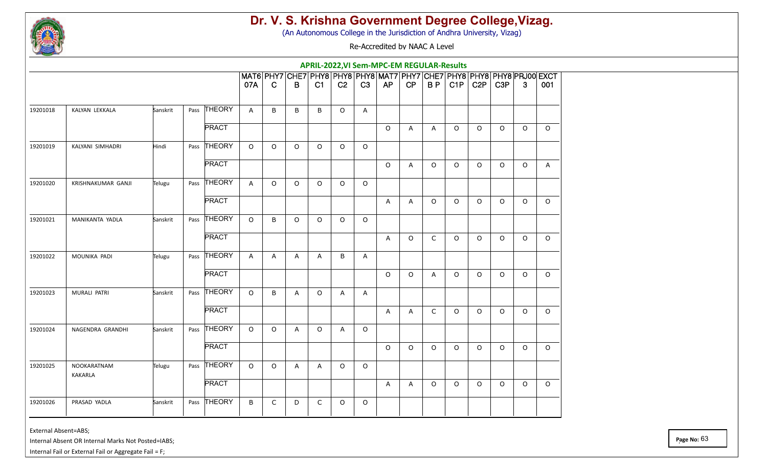

(An Autonomous College in the Jurisdiction of Andhra University, Vizag)

Re-Accredited by NAAC A Level

|          |                        |          |              |                |              |             |          |                |          | APRIL-2022, VI Sem-MPC-EM REGULAR-Results |              |              |         |                  |                  |         |                                                                               |
|----------|------------------------|----------|--------------|----------------|--------------|-------------|----------|----------------|----------|-------------------------------------------|--------------|--------------|---------|------------------|------------------|---------|-------------------------------------------------------------------------------|
|          |                        |          |              | 07A            | $\mathbf C$  | $\mathsf B$ | C1       | C <sub>2</sub> | C3       | AP                                        | CP           | BP           | C1P     | C <sub>2</sub> P | C <sub>3</sub> P | 3       | МАТ6 PHY7 CHE7 PHY8 PHY8 PHY8 MAT7 PHY7 CHE7 PHY8 PHY8 PHY8 PRJ00 EXCT<br>001 |
| 19201018 | KALYAN LEKKALA         | Sanskrit | Pass THEORY  | $\mathsf{A}$   | B            | B           | B        | $\circ$        | A        |                                           |              |              |         |                  |                  |         |                                                                               |
|          |                        |          | <b>PRACT</b> |                |              |             |          |                |          | $\circ$                                   | $\mathsf{A}$ | $\mathsf{A}$ | $\circ$ | $\circ$          | $\circ$          | $\circ$ | $\circ$                                                                       |
| 19201019 | KALYANI SIMHADRI       | Hindi    | Pass THEORY  | $\Omega$       | $\circ$      | $\Omega$    | $\Omega$ | $\circ$        | $\circ$  |                                           |              |              |         |                  |                  |         |                                                                               |
|          |                        |          | <b>PRACT</b> |                |              |             |          |                |          | $\circ$                                   | A            | $\circ$      | $\circ$ | $\circ$          | $\circ$          | $\circ$ | $\mathsf{A}$                                                                  |
| 19201020 | KRISHNAKUMAR GANJI     | Telugu   | Pass THEORY  | A              | $\circ$      | $\circ$     | $\Omega$ | $\Omega$       | $\Omega$ |                                           |              |              |         |                  |                  |         |                                                                               |
|          |                        |          | <b>PRACT</b> |                |              |             |          |                |          | A                                         | A            | $\circ$      | $\circ$ | $\circ$          | $\circ$          | $\circ$ | $\circ$                                                                       |
| 19201021 | MANIKANTA YADLA        | Sanskrit | Pass THEORY  | $\circ$        | B            | $\circ$     | $\Omega$ | $\circ$        | $\circ$  |                                           |              |              |         |                  |                  |         |                                                                               |
|          |                        |          | <b>PRACT</b> |                |              |             |          |                |          | $\mathsf{A}$                              | $\circ$      | $\mathsf{C}$ | $\circ$ | $\circ$          | $\Omega$         | $\circ$ | $\circ$                                                                       |
| 19201022 | MOUNIKA PADI           | Telugu   | Pass THEORY  | $\overline{A}$ | $\mathsf{A}$ | A           | A        | B              | A        |                                           |              |              |         |                  |                  |         |                                                                               |
|          |                        |          | <b>PRACT</b> |                |              |             |          |                |          | $\circ$                                   | $\circ$      | A            | $\circ$ | $\circ$          | $\circ$          | $\circ$ | $\circ$                                                                       |
| 19201023 | MURALI PATRI           | Sanskrit | Pass THEORY  | $\Omega$       | B            | A           | $\circ$  | A              | A        |                                           |              |              |         |                  |                  |         |                                                                               |
|          |                        |          | <b>PRACT</b> |                |              |             |          |                |          | A                                         | A            | C            | $\circ$ | $\circ$          | $\circ$          | $\circ$ | $\Omega$                                                                      |
| 19201024 | NAGENDRA GRANDHI       | Sanskrit | Pass THEORY  | $\Omega$       | $\circ$      | A           | $\circ$  | A              | $\circ$  |                                           |              |              |         |                  |                  |         |                                                                               |
|          |                        |          | <b>PRACT</b> |                |              |             |          |                |          | $\circ$                                   | $\Omega$     | $\circ$      | $\circ$ | $\circ$          | $\circ$          | $\circ$ | $\Omega$                                                                      |
| 19201025 | NOOKARATNAM<br>KAKARLA | Telugu   | Pass THEORY  | $\circ$        | $\circ$      | A           | Α        | $\circ$        | $\circ$  |                                           |              |              |         |                  |                  |         |                                                                               |
|          |                        |          | <b>PRACT</b> |                |              |             |          |                |          | A                                         | A            | $\circ$      | $\circ$ | $\Omega$         | $\Omega$         | $\circ$ | $\Omega$                                                                      |
| 19201026 | PRASAD YADLA           | Sanskrit | Pass THEORY  | B              | $\mathsf{C}$ | D           | C        | $\circ$        | $\circ$  |                                           |              |              |         |                  |                  |         |                                                                               |

External Absent=ABS;

Internal Absent OR Internal Marks Not Posted=IABS;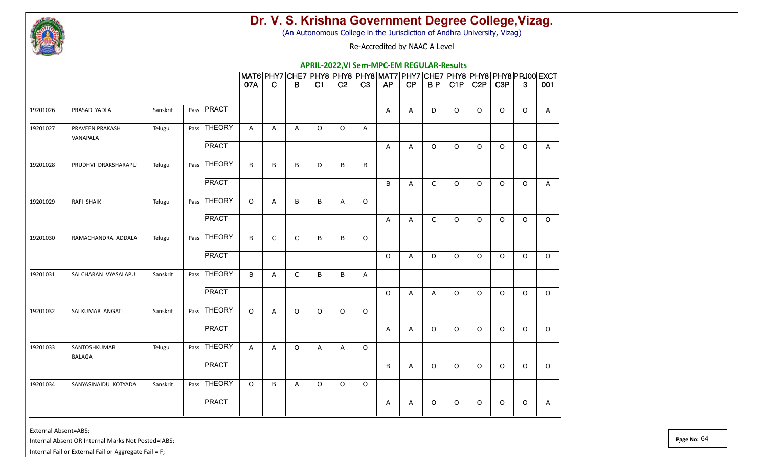

(An Autonomous College in the Jurisdiction of Andhra University, Vizag)

Re-Accredited by NAAC A Level

|          |                               |          |                |              |              |              |          |                |              | APRIL-2022, VI Sem-MPC-EM REGULAR-Results |    |         |         |                  |                  |         |                                                                               |
|----------|-------------------------------|----------|----------------|--------------|--------------|--------------|----------|----------------|--------------|-------------------------------------------|----|---------|---------|------------------|------------------|---------|-------------------------------------------------------------------------------|
|          |                               |          |                | 07A          | $\mathbf C$  | B            | C1       | C <sub>2</sub> | C3           | AP                                        | CP | BP      | CIP     | C <sub>2</sub> P | C <sub>3</sub> P | 3       | MAT6 PHY7 CHE7 PHY8 PHY8 PHY8 MAT7 PHY7 CHE7 PHY8 PHY8 PHY8 PRJ00 EXCT<br>001 |
|          |                               |          |                |              |              |              |          |                |              |                                           |    |         |         |                  |                  |         |                                                                               |
| 19201026 | PRASAD YADLA                  | Sanskrit | Pass PRACT     |              |              |              |          |                |              | A                                         | A  | D       | $\circ$ | $\circ$          | $\circ$          | $\circ$ | $\mathsf{A}$                                                                  |
| 19201027 | PRAVEEN PRAKASH<br>VANAPALA   | Telugu   | Pass THEORY    | $\mathsf{A}$ | A            | $\mathsf{A}$ | $\circ$  | $\circ$        | $\mathsf{A}$ |                                           |    |         |         |                  |                  |         |                                                                               |
|          |                               |          | <b>PRACT</b>   |              |              |              |          |                |              | A                                         | A  | O       | $\circ$ | $\circ$          | $\circ$          | $\circ$ | A                                                                             |
| 19201028 | PRUDHVI DRAKSHARAPU           | Telugu   | Pass THEORY    | B            | B            | B            | D        | B              | B            |                                           |    |         |         |                  |                  |         |                                                                               |
|          |                               |          | <b>PRACT</b>   |              |              |              |          |                |              | B                                         | A  | C       | $\circ$ | $\circ$          | $\circ$          | $\circ$ | $\mathsf{A}$                                                                  |
| 19201029 | RAFI SHAIK                    | Telugu   | Pass THEORY    | $\Omega$     | A            | B            | B        | A              | $\circ$      |                                           |    |         |         |                  |                  |         |                                                                               |
|          |                               |          | <b>PRACT</b>   |              |              |              |          |                |              | Α                                         | A  | C       | $\circ$ | $\circ$          | $\circ$          | $\circ$ | $\circ$                                                                       |
| 19201030 | RAMACHANDRA ADDALA            | Telugu   | Pass THEORY    | B            | $\mathsf{C}$ | $\mathsf{C}$ | B        | B              | $\circ$      |                                           |    |         |         |                  |                  |         |                                                                               |
|          |                               |          | <b>PRACT</b>   |              |              |              |          |                |              | $\circ$                                   | A  | D       | $\circ$ | $\circ$          | $\circ$          | $\circ$ | $\circ$                                                                       |
| 19201031 | SAI CHARAN VYASALAPU          | Sanskrit | THEORY<br>Pass | B            | A            | $\mathsf C$  | B        | $\sf B$        | A            |                                           |    |         |         |                  |                  |         |                                                                               |
|          |                               |          | <b>PRACT</b>   |              |              |              |          |                |              | $\circ$                                   | A  | A       | $\circ$ | $\circ$          | $\circ$          | $\circ$ | $\circ$                                                                       |
| 19201032 | SAI KUMAR ANGATI              | Sanskrit | Pass THEORY    | $\circ$      | A            | $\circ$      | $\Omega$ | $\circ$        | $\circ$      |                                           |    |         |         |                  |                  |         |                                                                               |
|          |                               |          | <b>PRACT</b>   |              |              |              |          |                |              | A                                         | A  | $\circ$ | $\circ$ | $\circ$          | $\circ$          | $\circ$ | $\circ$                                                                       |
| 19201033 | SANTOSHKUMAR<br><b>BALAGA</b> | Telugu   | Pass THEORY    | $\mathsf{A}$ | A            | $\circ$      | Α        | A              | $\circ$      |                                           |    |         |         |                  |                  |         |                                                                               |
|          |                               |          | <b>PRACT</b>   |              |              |              |          |                |              | B                                         | A  | O       | $\circ$ | $\circ$          | $\circ$          | $\circ$ | $\circ$                                                                       |
| 19201034 | SANYASINAIDU KOTYADA          | Sanskrit | Pass THEORY    | $\Omega$     | B            | A            | $\Omega$ | $\circ$        | $\circ$      |                                           |    |         |         |                  |                  |         |                                                                               |
|          |                               |          | <b>PRACT</b>   |              |              |              |          |                |              | A                                         | A  | 0       | $\circ$ | $\circ$          | O                | $\circ$ | A                                                                             |

External Absent=ABS;

Internal Absent OR Internal Marks Not Posted=IABS;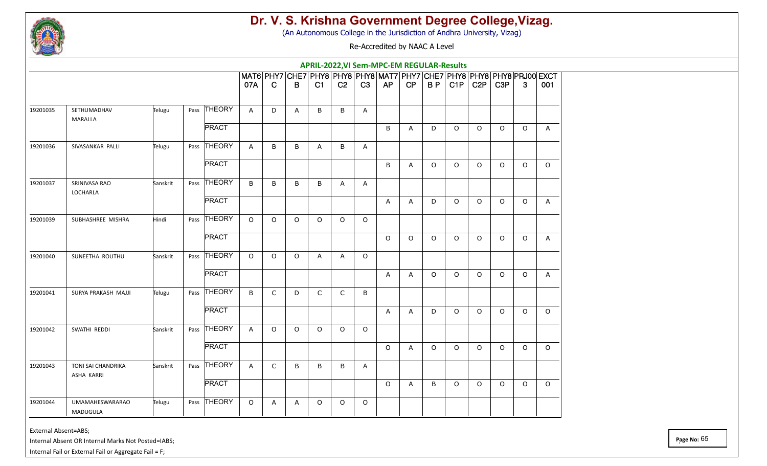

(An Autonomous College in the Jurisdiction of Andhra University, Vizag)

Re-Accredited by NAAC A Level

|          |                                           |          |              |              |              |                                                                             |              |                |              | APRIL-2022, VI Sem-MPC-EM REGULAR-Results |                |          |         |                  |                  |         |              |
|----------|-------------------------------------------|----------|--------------|--------------|--------------|-----------------------------------------------------------------------------|--------------|----------------|--------------|-------------------------------------------|----------------|----------|---------|------------------|------------------|---------|--------------|
|          |                                           |          |              | 07A          | $\mathbf C$  | MAT6 PHY7 CHE7 PHY8 PHY8 PHY8 MAT7 PHY7 CHE7 PHY8 PHY8 PHY8 PRJ00 EXCT<br>B | C1           | C <sub>2</sub> | C3           | AP                                        | CP             | BP       | CIP     | C <sub>2</sub> P | C <sub>3</sub> P | 3       | 001          |
| 19201035 | SETHUMADHAV<br>MARALLA                    | Telugu   | Pass THEORY  | $\mathsf{A}$ | D            | A                                                                           | B            | B              | A            |                                           |                |          |         |                  |                  |         |              |
|          |                                           |          | <b>PRACT</b> |              |              |                                                                             |              |                |              | B                                         | $\mathsf{A}$   | D        | $\circ$ | $\circ$          | $\circ$          | $\circ$ | $\mathsf{A}$ |
| 19201036 | SIVASANKAR PALLI                          | Telugu   | Pass THEORY  | A            | B            | B                                                                           | Α            | B              | Α            |                                           |                |          |         |                  |                  |         |              |
|          |                                           |          | <b>PRACT</b> |              |              |                                                                             |              |                |              | B                                         | A              | $\circ$  | $\circ$ | $\circ$          | $\circ$          | $\circ$ | $\circ$      |
| 19201037 | SRINIVASA RAO<br>LOCHARLA                 | Sanskrit | Pass THEORY  | B            | B            | B                                                                           | B            | A              | A            |                                           |                |          |         |                  |                  |         |              |
|          |                                           |          | <b>PRACT</b> |              |              |                                                                             |              |                |              | A                                         | A              | D        | $\circ$ | $\circ$          | $\Omega$         | $\circ$ | A            |
| 19201039 | SUBHASHREE MISHRA                         | Hindi    | Pass THEORY  | $\circ$      | $\circ$      | $\circ$                                                                     | $\circ$      | $\circ$        | $\circ$      |                                           |                |          |         |                  |                  |         |              |
|          |                                           |          | <b>PRACT</b> |              |              |                                                                             |              |                |              | $\circ$                                   | $\circ$        | $\Omega$ | $\circ$ | $\Omega$         | $\Omega$         | $\circ$ | $\mathsf{A}$ |
| 19201040 | SUNEETHA ROUTHU                           | Sanskrit | Pass THEORY  | $\circ$      | $\circ$      | $\circ$                                                                     | Α            | $\mathsf{A}$   | $\circ$      |                                           |                |          |         |                  |                  |         |              |
|          |                                           |          | <b>PRACT</b> |              |              |                                                                             |              |                |              | A                                         | $\overline{A}$ | $\circ$  | $\circ$ | $\circ$          | $\Omega$         | $\circ$ | A            |
| 19201041 | SURYA PRAKASH MAJJI                       | Telugu   | Pass THEORY  | B            | $\mathsf{C}$ | D                                                                           | $\mathsf{C}$ | $\mathsf{C}$   | B            |                                           |                |          |         |                  |                  |         |              |
|          |                                           |          | <b>PRACT</b> |              |              |                                                                             |              |                |              | A                                         | $\mathsf{A}$   | D        | $\circ$ | $\circ$          | $\circ$          | $\circ$ | $\circ$      |
| 19201042 | SWATHI REDDI                              | Sanskrit | Pass THEORY  | $\mathsf{A}$ | $\circ$      | $\circ$                                                                     | $\circ$      | $\circ$        | $\circ$      |                                           |                |          |         |                  |                  |         |              |
|          |                                           |          | <b>PRACT</b> |              |              |                                                                             |              |                |              | $\circ$                                   | Α              | $\circ$  | $\circ$ | $\Omega$         | $\Omega$         | $\circ$ | $\Omega$     |
| 19201043 | TONI SAI CHANDRIKA<br>ASHA KARRI          | Sanskrit | Pass THEORY  | A            | $\mathsf{C}$ | B                                                                           | B            | B              | $\mathsf{A}$ |                                           |                |          |         |                  |                  |         |              |
|          |                                           |          | <b>PRACT</b> |              |              |                                                                             |              |                |              | $\circ$                                   | A              | B        | $\circ$ | $\circ$          | $\circ$          | $\circ$ | $\Omega$     |
| 19201044 | <b>UMAMAHESWARARAO</b><br><b>MADUGULA</b> | Telugu   | Pass THEORY  | $\circ$      | A            | A                                                                           | O            | $\circ$        | $\circ$      |                                           |                |          |         |                  |                  |         |              |

External Absent=ABS;

Internal Absent OR Internal Marks Not Posted=IABS;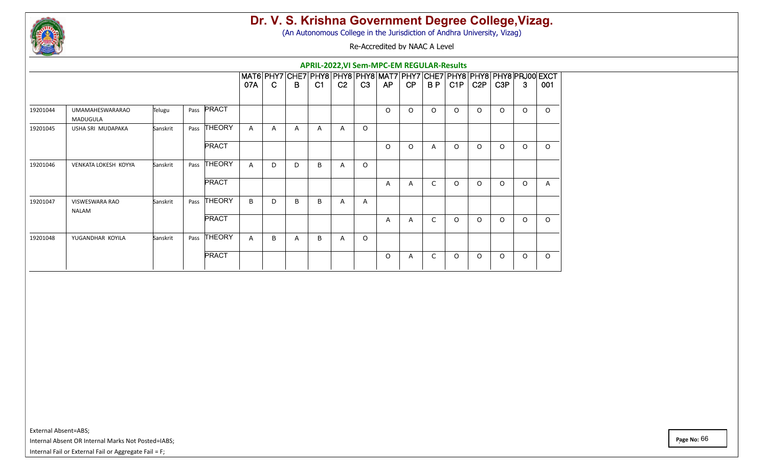

(An Autonomous College in the Jurisdiction of Andhra University, Vizag)

Re-Accredited by NAAC A Level

|                                    |              |              | 07A                                                                                                  | $\mathbf C$  | B            | C1 | C <sub>2</sub> | C3      | AP       | CP             | B <sub>P</sub> | C1P      | C <sub>2</sub> P | C <sub>3</sub> P                                 | 3        | 001                                                                    |
|------------------------------------|--------------|--------------|------------------------------------------------------------------------------------------------------|--------------|--------------|----|----------------|---------|----------|----------------|----------------|----------|------------------|--------------------------------------------------|----------|------------------------------------------------------------------------|
| <b>UMAMAHESWARARAO</b><br>MADUGULA | Telugu       |              |                                                                                                      |              |              |    |                |         | $\Omega$ | $\Omega$       | $\Omega$       | $\Omega$ | $\Omega$         | $\Omega$                                         | $\Omega$ | $\circ$                                                                |
| USHA SRI MUDAPAKA                  | Sanskrit     |              | A                                                                                                    | $\mathsf{A}$ | $\mathsf{A}$ | A  | $\mathsf{A}$   | $\circ$ |          |                |                |          |                  |                                                  |          |                                                                        |
|                                    |              | <b>PRACT</b> |                                                                                                      |              |              |    |                |         | $\Omega$ | $\Omega$       | $\overline{A}$ | $\Omega$ | $\Omega$         | $\Omega$                                         | $\Omega$ | $\circ$                                                                |
| <b>VENKATA LOKESH KOYYA</b>        | Sanskrit     |              | A                                                                                                    | D            | D            | B  | $\mathsf{A}$   | $\circ$ |          |                |                |          |                  |                                                  |          |                                                                        |
|                                    |              | <b>PRACT</b> |                                                                                                      |              |              |    |                |         | A        | $\overline{A}$ | C              | $\circ$  | $\Omega$         | $\Omega$                                         | $\Omega$ | $\mathsf{A}$                                                           |
| <b>VISWESWARA RAO</b>              | Sanskrit     |              | B                                                                                                    | D            | B            | B  | $\mathsf{A}$   | Α       |          |                |                |          |                  |                                                  |          |                                                                        |
|                                    |              | <b>PRACT</b> |                                                                                                      |              |              |    |                |         | A        | $\overline{A}$ | C              | $\Omega$ | $\Omega$         | $\circ$                                          | $\Omega$ | $\circ$                                                                |
| YUGANDHAR KOYILA                   | Sanskrit     |              | A                                                                                                    | B            | A            | B  | $\mathsf{A}$   | $\circ$ |          |                |                |          |                  |                                                  |          |                                                                        |
|                                    |              | <b>PRACT</b> |                                                                                                      |              |              |    |                |         | $\circ$  | A              | C              | $\circ$  | $\Omega$         | $\circ$                                          | $\circ$  | $\circ$                                                                |
|                                    | <b>NALAM</b> |              | Pass <b>PRACT</b><br>THEORY<br>Pass<br><b>THEORY</b><br>Pass<br>Pass THEORY<br><b>THEORY</b><br>Pass |              |              |    |                |         |          |                |                |          |                  | <b>APRIL-2022, VI Sem-MPC-EM REGULAR-Results</b> |          | MAT6 PHY7 CHE7 PHY8 PHY8 PHY8 MAT7 PHY7 CHE7 PHY8 PHY8 PHY8 PRJ00 EXCT |

External Absent=ABS;

Internal Absent OR Internal Marks Not Posted=IABS;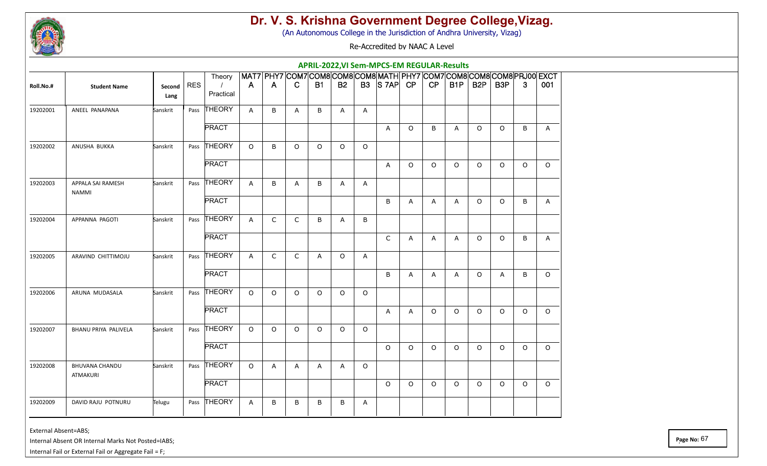

(An Autonomous College in the Jurisdiction of Andhra University, Vizag)

Re-Accredited by NAAC A Level

|           |                                          |                |            |                     |              |              |              |           |              |         | <b>APRIL-2022, VI Sem-MPCS-EM REGULAR-Results</b>                                        |          |              |              |                  |                  |         |              |
|-----------|------------------------------------------|----------------|------------|---------------------|--------------|--------------|--------------|-----------|--------------|---------|------------------------------------------------------------------------------------------|----------|--------------|--------------|------------------|------------------|---------|--------------|
| Roll.No.# | <b>Student Name</b>                      | Second<br>Lang | <b>RES</b> | Theory<br>Practical | $\mathsf{A}$ | A            | $\mathbf C$  | <b>B1</b> | <b>B2</b>    |         | MAT7 PHY7 COM7 COM8 COM8 COM8 MATH PHY7 COM7 COM8 COM8 COM8 PRJ00 EXCT<br>$B3$ $S7AP$ CP |          | CP           | B1P          | B <sub>2</sub> P | B <sub>3</sub> P | 3       | 001          |
| 19202001  | ANEEL PANAPANA                           | Sanskrit       | Pass       | THEORY              | $\mathsf{A}$ | B            | A            | B         | A            | A       |                                                                                          |          |              |              |                  |                  |         |              |
|           |                                          |                |            | <b>PRACT</b>        |              |              |              |           |              |         | A                                                                                        | $\circ$  | B            | A            | $\circ$          | $\circ$          | B       | $\mathsf{A}$ |
| 19202002  | ANUSHA BUKKA                             | Sanskrit       |            | Pass THEORY         | $\Omega$     | B            | $\circ$      | $\circ$   | $\circ$      | $\circ$ |                                                                                          |          |              |              |                  |                  |         |              |
|           |                                          |                |            | <b>PRACT</b>        |              |              |              |           |              |         | A                                                                                        | $\Omega$ | $\circ$      | $\Omega$     | $\circ$          | $\Omega$         | $\circ$ | $\Omega$     |
| 19202003  | APPALA SAI RAMESH<br><b>NAMMI</b>        | Sanskrit       |            | Pass THEORY         | A            | B            | A            | B         | A            | Α       |                                                                                          |          |              |              |                  |                  |         |              |
|           |                                          |                |            | <b>PRACT</b>        |              |              |              |           |              |         | B                                                                                        | A        | $\mathsf{A}$ | $\mathsf{A}$ | $\circ$          | $\circ$          | B       | $\mathsf{A}$ |
| 19202004  | APPANNA PAGOTI                           | Sanskrit       |            | Pass THEORY         | A            | $\mathsf{C}$ | $\mathsf{C}$ | B         | A            | B       |                                                                                          |          |              |              |                  |                  |         |              |
|           |                                          |                |            | <b>PRACT</b>        |              |              |              |           |              |         | C                                                                                        | A        | A            | A            | $\circ$          | $\circ$          | B       | A            |
| 19202005  | ARAVIND CHITTIMOJU                       | Sanskrit       |            | Pass THEORY         | A            | C            | $\mathsf{C}$ | Α         | $\circ$      | A       |                                                                                          |          |              |              |                  |                  |         |              |
|           |                                          |                |            | <b>PRACT</b>        |              |              |              |           |              |         | B                                                                                        | A        | A            | A            | $\circ$          | Α                | B       | $\circ$      |
| 19202006  | ARUNA MUDASALA                           | Sanskrit       |            | Pass THEORY         | $\circ$      | $\circ$      | $\circ$      | O         | $\circ$      | $\circ$ |                                                                                          |          |              |              |                  |                  |         |              |
|           |                                          |                |            | <b>PRACT</b>        |              |              |              |           |              |         | A                                                                                        | A        | $\circ$      | $\circ$      | $\circ$          | $\circ$          | $\circ$ | $\circ$      |
| 19202007  | BHANU PRIYA PALIVELA                     | Sanskrit       |            | Pass THEORY         | $\Omega$     | $\circ$      | $\Omega$     | $\Omega$  | $\circ$      | $\circ$ |                                                                                          |          |              |              |                  |                  |         |              |
|           |                                          |                |            | <b>PRACT</b>        |              |              |              |           |              |         | $\circ$                                                                                  | $\Omega$ | $\Omega$     | $\circ$      | $\circ$          | O                | $\circ$ | $\circ$      |
| 19202008  | <b>BHUVANA CHANDU</b><br><b>ATMAKURI</b> | Sanskrit       |            | Pass THEORY         | $\circ$      | A            | A            | Α         | $\mathsf{A}$ | $\circ$ |                                                                                          |          |              |              |                  |                  |         |              |
|           |                                          |                |            | <b>PRACT</b>        |              |              |              |           |              |         | $\circ$                                                                                  | $\circ$  | $\circ$      | $\circ$      | $\circ$          | $\circ$          | $\circ$ | $\circ$      |
| 19202009  | DAVID RAJU POTNURU                       | Telugu         |            | Pass THEORY         | A            | B            | B            | B         | B            | Α       |                                                                                          |          |              |              |                  |                  |         |              |

External Absent=ABS;

Internal Absent OR Internal Marks Not Posted=IABS;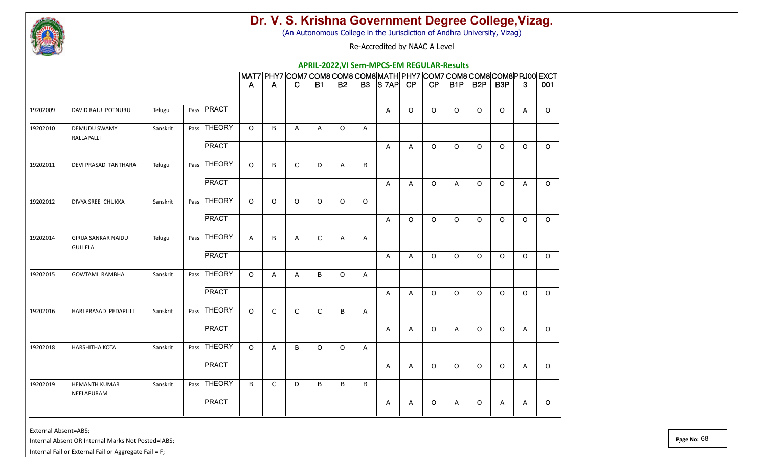

(An Autonomous College in the Jurisdiction of Andhra University, Vizag)

Re-Accredited by NAAC A Level

|          |                                       |          |                   |              |              |              |             |              |              | APRIL-2022, VI Sem-MPCS-EM REGULAR-Results                             |          |         |         |                  |                  |              |          |
|----------|---------------------------------------|----------|-------------------|--------------|--------------|--------------|-------------|--------------|--------------|------------------------------------------------------------------------|----------|---------|---------|------------------|------------------|--------------|----------|
|          |                                       |          |                   |              |              |              |             |              |              | MAT7 PHY7 COM7 COM8 COM8 COM8 MATH PHY7 COM7 COM8 COM8 COM8 PRJ00 EXCT |          |         |         |                  |                  |              |          |
|          |                                       |          |                   | A            | A            | C.           | <b>B1</b>   | <b>B2</b>    |              | $B3$ $S7AP$ CP                                                         |          | CP      | B1P     | B <sub>2</sub> P | B <sub>3</sub> P | $\mathbf{3}$ | 001      |
| 19202009 | DAVID RAJU POTNURU                    | Telugu   | Pass <b>PRACT</b> |              |              |              |             |              |              | A                                                                      | $\Omega$ | $\circ$ | $\circ$ | $\circ$          | $\Omega$         | $\mathsf{A}$ | $\Omega$ |
| 19202010 | DEMUDU SWAMY<br>RALLAPALLI            | Sanskrit | Pass THEORY       | $\circ$      | B            | $\mathsf{A}$ | A           | $\circ$      | $\mathsf{A}$ |                                                                        |          |         |         |                  |                  |              |          |
|          |                                       |          | <b>PRACT</b>      |              |              |              |             |              |              | A                                                                      | Α        | $\circ$ | $\circ$ | $\Omega$         | $\Omega$         | $\Omega$     | $\Omega$ |
| 19202011 | DEVI PRASAD TANTHARA                  | Telugu   | Pass THEORY       | $\circ$      | B            | $\mathsf{C}$ | D           | $\mathsf{A}$ | B            |                                                                        |          |         |         |                  |                  |              |          |
|          |                                       |          | <b>PRACT</b>      |              |              |              |             |              |              | A                                                                      | A        | $\circ$ | A       | $\Omega$         | $\circ$          | A            | $\circ$  |
| 19202012 | DIVYA SREE CHUKKA                     | Sanskrit | Pass THEORY       | $\circ$      | $\circ$      | $\circ$      | $\Omega$    | $\circ$      | $\circ$      |                                                                        |          |         |         |                  |                  |              |          |
|          |                                       |          | <b>PRACT</b>      |              |              |              |             |              |              | A                                                                      | $\Omega$ | $\circ$ | $\circ$ | $\circ$          | $\Omega$         | $\circ$      | $\Omega$ |
| 19202014 | <b>GIRIJA SANKAR NAIDU</b><br>GULLELA | Telugu   | Pass THEORY       | $\mathsf{A}$ | B            | A            | C           | A            | A            |                                                                        |          |         |         |                  |                  |              |          |
|          |                                       |          | <b>PRACT</b>      |              |              |              |             |              |              | A                                                                      | A        | $\circ$ | $\circ$ | $\circ$          | $\circ$          | $\circ$      | $\circ$  |
| 19202015 | <b>GOWTAMI RAMBHA</b>                 | Sanskrit | THEORY<br>Pass    | $\circ$      | A            | A            | B           | $\circ$      | A            |                                                                        |          |         |         |                  |                  |              |          |
|          |                                       |          | <b>PRACT</b>      |              |              |              |             |              |              | A                                                                      | A        | $\circ$ | $\circ$ | $\circ$          | $\Omega$         | $\circ$      | $\circ$  |
| 19202016 | HARI PRASAD PEDAPILLI                 | Sanskrit | Pass THEORY       | $\circ$      | $\mathsf{C}$ | $\mathsf{C}$ | $\mathsf C$ | B            | $\mathsf{A}$ |                                                                        |          |         |         |                  |                  |              |          |
|          |                                       |          | <b>PRACT</b>      |              |              |              |             |              |              | A                                                                      | A        | $\circ$ | A       | $\circ$          | $\circ$          | A            | $\circ$  |
| 19202018 | <b>HARSHITHA KOTA</b>                 | Sanskrit | Pass THEORY       | $\circ$      | A            | B            | $\Omega$    | $\circ$      | A            |                                                                        |          |         |         |                  |                  |              |          |
|          |                                       |          | <b>PRACT</b>      |              |              |              |             |              |              | A                                                                      | A        | $\circ$ | $\circ$ | $\circ$          | $\circ$          | A            | $\circ$  |
| 19202019 | <b>HEMANTH KUMAR</b><br>NEELAPURAM    | Sanskrit | Pass THEORY       | B            | C            | D            | B           | B            | B            |                                                                        |          |         |         |                  |                  |              |          |
|          |                                       |          | <b>PRACT</b>      |              |              |              |             |              |              | A                                                                      | Α        | 0       | A       | $\circ$          | A                | A            | $\circ$  |

External Absent=ABS;

Internal Absent OR Internal Marks Not Posted=IABS;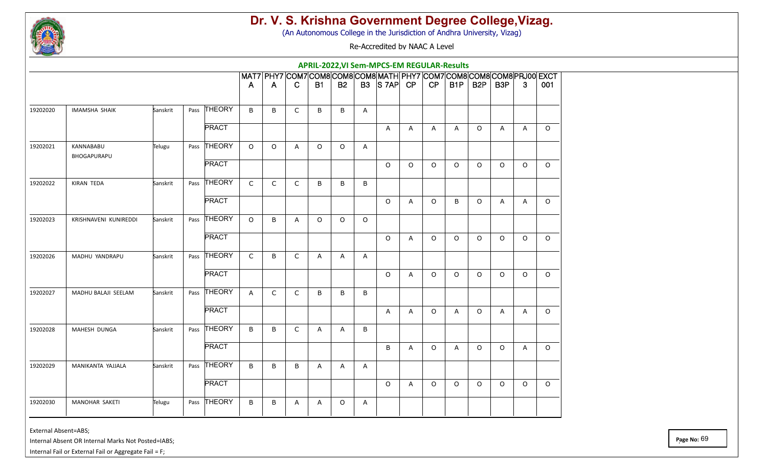

(An Autonomous College in the Jurisdiction of Andhra University, Vizag)

Re-Accredited by NAAC A Level

|          |                          |          |              |              |         |              |           |              |              | APRIL-2022, VI Sem-MPCS-EM REGULAR-Results                             |                |              |              |                  |                  |                |          |
|----------|--------------------------|----------|--------------|--------------|---------|--------------|-----------|--------------|--------------|------------------------------------------------------------------------|----------------|--------------|--------------|------------------|------------------|----------------|----------|
|          |                          |          |              |              |         |              |           |              |              | MAT7 PHY7 COM7 COM8 COM8 COM8 MATH PHY7 COM7 COM8 COM8 COM8 PRJ00 EXCT |                |              |              |                  |                  |                |          |
|          |                          |          |              | A            | A       | $\mathsf{C}$ | <b>B1</b> | <b>B2</b>    |              | $B3$ $S7AP$ CP                                                         |                | CP           | B1P          | B <sub>2</sub> P | B <sub>3</sub> P | $\mathbf{3}$   | 001      |
| 19202020 | <b>IMAMSHA SHAIK</b>     | Sanskrit | Pass THEORY  | B            | B       | $\mathsf{C}$ | B         | B            | $\mathsf{A}$ |                                                                        |                |              |              |                  |                  |                |          |
|          |                          |          | <b>PRACT</b> |              |         |              |           |              |              | A                                                                      | $\mathsf{A}$   | $\mathsf{A}$ | $\mathsf{A}$ | $\circ$          | $\mathsf{A}$     | $\overline{A}$ | $\circ$  |
| 19202021 | KANNABABU<br>BHOGAPURAPU | Telugu   | Pass THEORY  | $\circ$      | $\circ$ | A            | $\circ$   | $\circ$      | A            |                                                                        |                |              |              |                  |                  |                |          |
|          |                          |          | <b>PRACT</b> |              |         |              |           |              |              | $\circ$                                                                | $\circ$        | $\circ$      | $\circ$      | $\circ$          | $\circ$          | $\circ$        | $\circ$  |
| 19202022 | KIRAN TEDA               | Sanskrit | Pass THEORY  | $\mathsf{C}$ | C       | C            | B         | B            | B            |                                                                        |                |              |              |                  |                  |                |          |
|          |                          |          | <b>PRACT</b> |              |         |              |           |              |              | $\circ$                                                                | A              | $\circ$      | B            | $\circ$          | Α                | A              | $\circ$  |
| 19202023 | KRISHNAVENI KUNIREDDI    | Sanskrit | Pass THEORY  | $\circ$      | B       | $\mathsf{A}$ | $\circ$   | $\circ$      | $\circ$      |                                                                        |                |              |              |                  |                  |                |          |
|          |                          |          | <b>PRACT</b> |              |         |              |           |              |              | $\circ$                                                                | $\overline{A}$ | $\circ$      | $\circ$      | $\Omega$         | $\Omega$         | $\Omega$       | $\Omega$ |
| 19202026 | MADHU YANDRAPU           | Sanskrit | Pass THEORY  | $\mathsf{C}$ | B       | $\mathsf{C}$ | Α         | $\mathsf{A}$ | A            |                                                                        |                |              |              |                  |                  |                |          |
|          |                          |          | <b>PRACT</b> |              |         |              |           |              |              | $\circ$                                                                | A              | $\circ$      | $\circ$      | $\circ$          | $\circ$          | $\circ$        | $\Omega$ |
| 19202027 | MADHU BALAJI SEELAM      | Sanskrit | Pass THEORY  | A            | C       | $\mathsf{C}$ | B         | B            | B            |                                                                        |                |              |              |                  |                  |                |          |
|          |                          |          | <b>PRACT</b> |              |         |              |           |              |              | A                                                                      | $\mathsf{A}$   | $\circ$      | A            | $\circ$          | A                | $\mathsf{A}$   | $\circ$  |
| 19202028 | MAHESH DUNGA             | Sanskrit | Pass THEORY  | B            | B       | $\mathsf{C}$ | A         | A            | B            |                                                                        |                |              |              |                  |                  |                |          |
|          |                          |          | <b>PRACT</b> |              |         |              |           |              |              | B                                                                      | Α              | $\circ$      | A            | $\circ$          | $\Omega$         | A              | $\circ$  |
| 19202029 | MANIKANTA YAJJALA        | Sanskrit | Pass THEORY  | $\sf B$      | B       | B            | Α         | A            | A            |                                                                        |                |              |              |                  |                  |                |          |
|          |                          |          | <b>PRACT</b> |              |         |              |           |              |              | $\circ$                                                                | A              | $\circ$      | $\circ$      | $\circ$          | $\circ$          | $\circ$        | $\circ$  |
| 19202030 | <b>MANOHAR SAKETI</b>    | Telugu   | Pass THEORY  | B            | В       | A            | A         | O            | A            |                                                                        |                |              |              |                  |                  |                |          |

External Absent=ABS;

Internal Absent OR Internal Marks Not Posted=IABS;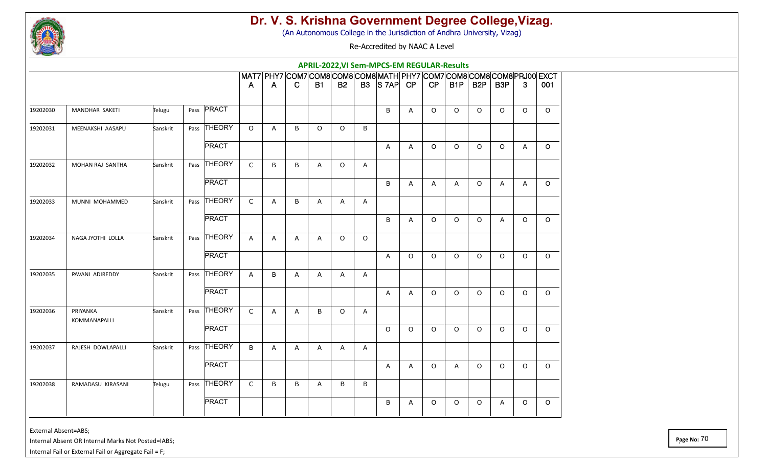

(An Autonomous College in the Jurisdiction of Andhra University, Vizag)

Re-Accredited by NAAC A Level

|          |                                 |          |      |              |              |                |              |           |           |         | APRIL-2022, VI Sem-MPCS-EM REGULAR-Results                             |         |         |                  |                  |                  |              |         |
|----------|---------------------------------|----------|------|--------------|--------------|----------------|--------------|-----------|-----------|---------|------------------------------------------------------------------------|---------|---------|------------------|------------------|------------------|--------------|---------|
|          |                                 |          |      |              |              |                |              |           |           |         | MAT7 PHY7 COM7 COM8 COM8 COM8 MATH PHY7 COM7 COM8 COM8 COM8 PRJ00 EXCT |         |         |                  |                  |                  |              |         |
|          |                                 |          |      |              | A            | $\overline{A}$ | C            | <b>B1</b> | <b>B2</b> |         | $B3$ $S7AP$ CP                                                         |         | CP      | B <sub>1</sub> P | B <sub>2</sub> P | B <sub>3</sub> P | $\mathbf{3}$ | 001     |
| 19202030 | MANOHAR SAKETI                  | Telugu   |      | Pass PRACT   |              |                |              |           |           |         | B                                                                      | A       | 0       | $\circ$          | $\circ$          | $\circ$          | $\circ$      | $\circ$ |
| 19202031 | MEENAKSHI AASAPU                | Sanskrit |      | Pass THEORY  | $\Omega$     | $\mathsf{A}$   | B            | $\circ$   | $\circ$   | B       |                                                                        |         |         |                  |                  |                  |              |         |
|          |                                 |          |      | <b>PRACT</b> |              |                |              |           |           |         | A                                                                      | A       | O       | $\circ$          | $\circ$          | $\circ$          | $\mathsf{A}$ | $\circ$ |
| 19202032 | MOHAN RAJ SANTHA                | Sanskrit |      | Pass THEORY  | $\mathsf{C}$ | B              | B            | Α         | $\circ$   | A       |                                                                        |         |         |                  |                  |                  |              |         |
|          |                                 |          |      | <b>PRACT</b> |              |                |              |           |           |         | B                                                                      | A       | A       | A                | $\circ$          | A                | A            | $\circ$ |
| 19202033 | MUNNI MOHAMMED                  | Sanskrit |      | Pass THEORY  | $\mathsf{C}$ | A              | B            | A         | A         | A       |                                                                        |         |         |                  |                  |                  |              |         |
|          |                                 |          |      | <b>PRACT</b> |              |                |              |           |           |         | B                                                                      | Α       | O       | $\circ$          | $\circ$          | A                | $\circ$      | $\circ$ |
| 19202034 | NAGA JYOTHI LOLLA               | Sanskrit |      | Pass THEORY  | $\mathsf{A}$ | A              | A            | A         | $\circ$   | $\circ$ |                                                                        |         |         |                  |                  |                  |              |         |
|          |                                 |          |      | <b>PRACT</b> |              |                |              |           |           |         | $\mathsf{A}$                                                           | $\circ$ | O       | $\circ$          | $\circ$          | $\circ$          | $\circ$      | $\circ$ |
| 19202035 | PAVANI ADIREDDY                 | Sanskrit | Pass | THEORY       | $\mathsf{A}$ | $\sf B$        | A            | Α         | A         | A       |                                                                        |         |         |                  |                  |                  |              |         |
|          |                                 |          |      | <b>PRACT</b> |              |                |              |           |           |         | A                                                                      | A       | $\circ$ | $\circ$          | $\circ$          | $\circ$          | $\circ$      | $\circ$ |
| 19202036 | PRIYANKA<br><b>KOMMANAPALLI</b> | Sanskrit |      | Pass THEORY  | $\mathsf{C}$ | $\mathsf{A}$   | $\mathsf{A}$ | B         | $\circ$   | A       |                                                                        |         |         |                  |                  |                  |              |         |
|          |                                 |          |      | <b>PRACT</b> |              |                |              |           |           |         | $\circ$                                                                | $\circ$ | $\circ$ | $\circ$          | $\circ$          | $\circ$          | $\circ$      | $\circ$ |
| 19202037 | RAJESH DOWLAPALLI               | Sanskrit |      | Pass THEORY  | B            | A              | A            | Α         | A         | A       |                                                                        |         |         |                  |                  |                  |              |         |
|          |                                 |          |      | <b>PRACT</b> |              |                |              |           |           |         | A                                                                      | A       | O       | A                | $\circ$          | $\circ$          | $\circ$      | $\circ$ |
| 19202038 | RAMADASU KIRASANI               | Telugu   |      | Pass THEORY  | $\mathsf C$  | B              | B            | A         | B         | B       |                                                                        |         |         |                  |                  |                  |              |         |
|          |                                 |          |      | <b>PRACT</b> |              |                |              |           |           |         | B                                                                      | A       | 0       | $\circ$          | $\circ$          | A                | $\circ$      | $\circ$ |
|          |                                 |          |      |              |              |                |              |           |           |         |                                                                        |         |         |                  |                  |                  |              |         |

External Absent=ABS;

Internal Absent OR Internal Marks Not Posted=IABS;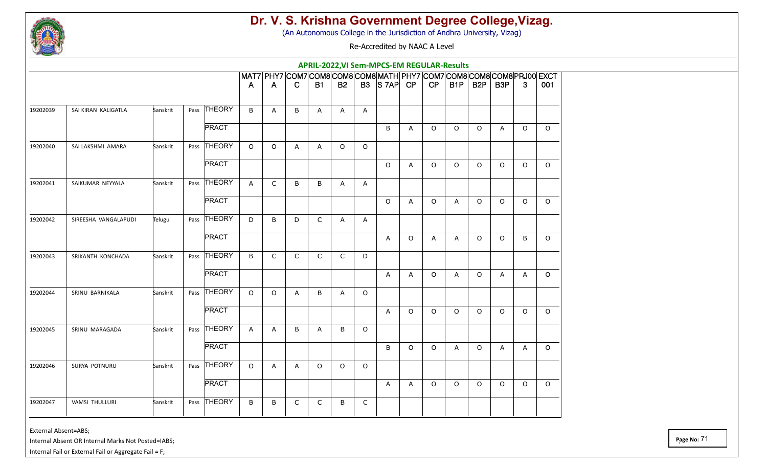

(An Autonomous College in the Jurisdiction of Andhra University, Vizag)

Re-Accredited by NAAC A Level

|          |                       |          |              |              |              |              |           |              |              | APRIL-2022, VI Sem-MPCS-EM REGULAR-Results                             |              |              |         |                  |                  |                |          |
|----------|-----------------------|----------|--------------|--------------|--------------|--------------|-----------|--------------|--------------|------------------------------------------------------------------------|--------------|--------------|---------|------------------|------------------|----------------|----------|
|          |                       |          |              |              |              |              |           |              |              | MAT7 PHY7 COM7 COM8 COM8 COM8 MATH PHY7 COM7 COM8 COM8 COM8 PRJ00 EXCT |              |              |         |                  |                  |                |          |
|          |                       |          |              | A            | A            | $\mathsf{C}$ | <b>B1</b> | <b>B2</b>    |              | $B3$ $S7AP$ CP                                                         |              | CP           | B1P     | B <sub>2</sub> P | B <sub>3</sub> P | $\mathbf{3}$   | 001      |
| 19202039 | SAI KIRAN KALIGATLA   | Sanskrit | Pass THEORY  | B            | A            | B            | A         | A            | $\mathsf{A}$ |                                                                        |              |              |         |                  |                  |                |          |
|          |                       |          | <b>PRACT</b> |              |              |              |           |              |              | B                                                                      | $\mathsf{A}$ | $\circ$      | $\circ$ | $\circ$          | $\mathsf{A}$     | $\circ$        | $\circ$  |
| 19202040 | SAI LAKSHMI AMARA     | Sanskrit | Pass THEORY  | $\circ$      | $\circ$      | A            | Α         | $\circ$      | $\circ$      |                                                                        |              |              |         |                  |                  |                |          |
|          |                       |          | <b>PRACT</b> |              |              |              |           |              |              | $\circ$                                                                | A            | $\circ$      | $\circ$ | $\circ$          | $\circ$          | $\circ$        | $\circ$  |
| 19202041 | SAIKUMAR NEYYALA      | Sanskrit | Pass THEORY  | $\mathsf{A}$ | C            | B            | B         | A            | A            |                                                                        |              |              |         |                  |                  |                |          |
|          |                       |          | <b>PRACT</b> |              |              |              |           |              |              | $\circ$                                                                | A            | $\circ$      | A       | $\circ$          | $\circ$          | $\circ$        | $\circ$  |
| 19202042 | SIREESHA VANGALAPUDI  | Telugu   | Pass THEORY  | D            | B            | D            | C         | A            | Α            |                                                                        |              |              |         |                  |                  |                |          |
|          |                       |          | <b>PRACT</b> |              |              |              |           |              |              | A                                                                      | $\circ$      | $\mathsf{A}$ | A       | $\Omega$         | $\Omega$         | B              | $\Omega$ |
| 19202043 | SRIKANTH KONCHADA     | Sanskrit | Pass THEORY  | B            | $\mathsf{C}$ | $\mathsf C$  | C         | $\mathsf{C}$ | D            |                                                                        |              |              |         |                  |                  |                |          |
|          |                       |          | <b>PRACT</b> |              |              |              |           |              |              | A                                                                      | A            | $\circ$      | A       | $\circ$          | $\overline{A}$   | $\overline{A}$ | $\circ$  |
| 19202044 | SRINU BARNIKALA       | Sanskrit | Pass THEORY  | $\circ$      | $\circ$      | A            | B         | $\mathsf{A}$ | $\circ$      |                                                                        |              |              |         |                  |                  |                |          |
|          |                       |          | <b>PRACT</b> |              |              |              |           |              |              | A                                                                      | $\circ$      | $\circ$      | $\circ$ | $\circ$          | $\circ$          | $\circ$        | $\circ$  |
| 19202045 | SRINU MARAGADA        | Sanskrit | Pass THEORY  | $\mathsf{A}$ | A            | B            | Α         | B            | $\circ$      |                                                                        |              |              |         |                  |                  |                |          |
|          |                       |          | <b>PRACT</b> |              |              |              |           |              |              | B                                                                      | $\Omega$     | $\circ$      | A       | $\circ$          | $\overline{A}$   | A              | $\circ$  |
| 19202046 | SURYA POTNURU         | Sanskrit | Pass THEORY  | $\circ$      | A            | $\mathsf{A}$ | $\circ$   | $\circ$      | $\circ$      |                                                                        |              |              |         |                  |                  |                |          |
|          |                       |          | <b>PRACT</b> |              |              |              |           |              |              | A                                                                      | A            | $\circ$      | $\circ$ | $\circ$          | $\circ$          | $\circ$        | $\circ$  |
| 19202047 | <b>VAMSI THULLURI</b> | Sanskrit | Pass THEORY  | B            | B            | C            | C         | B            | C            |                                                                        |              |              |         |                  |                  |                |          |

External Absent=ABS;

Internal Absent OR Internal Marks Not Posted=IABS;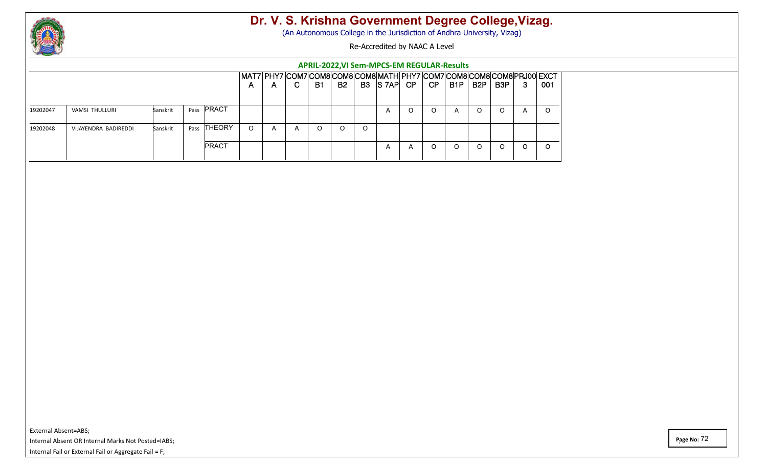

(An Autonomous College in the Jurisdiction of Andhra University, Vizag)

Re-Accredited by NAAC A Level

#### **APRIL-2022,VI Sem-MPCS-EM REGULAR-Results**

| A       | $\mathsf{A}$   | C.           | <b>B1</b> | <b>B2</b> | B <sub>3</sub> |   | CP             | CP    | B <sub>1</sub> P | B <sub>2</sub> P | B3P | -3 | 001                                                                         |
|---------|----------------|--------------|-----------|-----------|----------------|---|----------------|-------|------------------|------------------|-----|----|-----------------------------------------------------------------------------|
|         |                |              |           |           |                |   |                |       |                  |                  |     |    |                                                                             |
|         |                |              |           |           |                |   |                |       |                  |                  |     |    |                                                                             |
|         |                |              |           |           |                |   |                |       |                  |                  |     |    | ◡                                                                           |
| $\circ$ | $\overline{a}$ | $\mathsf{A}$ | O         | $\Omega$  | O              |   |                |       |                  |                  |     |    |                                                                             |
|         |                |              |           |           |                | A | $\overline{A}$ |       | O                |                  |     |    | U                                                                           |
|         |                |              |           |           |                |   | $\mathsf{A}$   | S 7AP |                  | $\overline{A}$   |     |    | MAT7 PHY7 COM7 COM8 COM8 COM8 MATH PHY7 COM7 COM8 COM8 COM8 PRJ00 EXCT<br>A |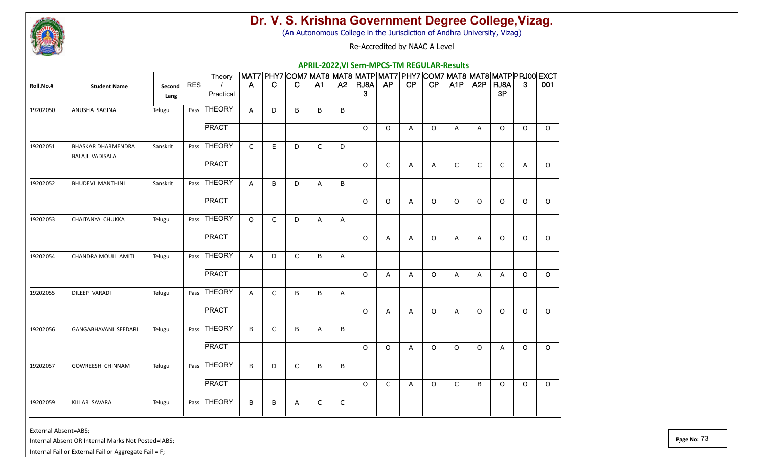

(An Autonomous College in the Jurisdiction of Andhra University, Vizag)

Re-Accredited by NAAC A Level

|           |                                              |                |     |                       |              |              |              |                |              | APRIL-2022, VI Sem-MPCS-TM REGULAR-Results                             |              |                |         |              |                  |                |              |          |
|-----------|----------------------------------------------|----------------|-----|-----------------------|--------------|--------------|--------------|----------------|--------------|------------------------------------------------------------------------|--------------|----------------|---------|--------------|------------------|----------------|--------------|----------|
|           |                                              |                |     | Theory                |              |              |              |                |              | MAT7 PHY7 COM7 MAT8 MAT8 MATP MAT7 PHY7 COM7 MAT8 MAT8 MATP PRJ00 EXCT |              |                |         |              |                  |                |              |          |
| Roll.No.# | <b>Student Name</b>                          | Second<br>Lang | RES | $\prime$<br>Practical | $\mathsf{A}$ | C.           | C.           | A <sub>1</sub> |              | $A2$   RJ8A  <br>3                                                     | <b>AP</b>    | CP             | CP      | A1P          | A <sub>2</sub> P | RJ8A<br>3P     | 3            | 001      |
| 19202050  | ANUSHA SAGINA                                | Telugu         |     | Pass THEORY           | A            | D            | B            | B              | B            |                                                                        |              |                |         |              |                  |                |              |          |
|           |                                              |                |     | <b>PRACT</b>          |              |              |              |                |              | $\circ$                                                                | $\circ$      | $\mathsf{A}$   | $\circ$ | $\mathsf{A}$ | $\mathsf{A}$     | $\circ$        | $\circ$      | $\circ$  |
| 19202051  | <b>BHASKAR DHARMENDRA</b><br>BALAJI VADISALA | Sanskrit       |     | Pass THEORY           | $\mathsf{C}$ | $\mathsf E$  | D            | C              | D            |                                                                        |              |                |         |              |                  |                |              |          |
|           |                                              |                |     | <b>PRACT</b>          |              |              |              |                |              | $\circ$                                                                | C            | A              | A       | $\mathsf{C}$ | $\mathsf{C}$     | $\mathsf{C}$   | $\mathsf{A}$ | $\circ$  |
| 19202052  | <b>BHUDEVI MANTHINI</b>                      | Sanskrit       |     | Pass THEORY           | $\mathsf{A}$ | B            | D            | Α              | B            |                                                                        |              |                |         |              |                  |                |              |          |
|           |                                              |                |     | <b>PRACT</b>          |              |              |              |                |              | $\Omega$                                                               | $\circ$      | A              | $\circ$ | $\circ$      | $\circ$          | $\Omega$       | $\circ$      | $\circ$  |
| 19202053  | CHAITANYA CHUKKA                             | Telugu         |     | Pass THEORY           | $\circ$      | $\mathsf{C}$ | D            | A              | $\mathsf{A}$ |                                                                        |              |                |         |              |                  |                |              |          |
|           |                                              |                |     | <b>PRACT</b>          |              |              |              |                |              | $\circ$                                                                | A            | $\overline{A}$ | $\circ$ | $\mathsf{A}$ | $\mathsf{A}$     | $\Omega$       | $\Omega$     | $\Omega$ |
| 19202054  | CHANDRA MOULI AMITI                          | Telugu         |     | Pass THEORY           | A            | D            | $\mathsf{C}$ | B              | $\mathsf{A}$ |                                                                        |              |                |         |              |                  |                |              |          |
|           |                                              |                |     | <b>PRACT</b>          |              |              |              |                |              | $\circ$                                                                | A            | A              | $\circ$ | A            | $\mathsf{A}$     | $\overline{A}$ | $\circ$      | $\Omega$ |
| 19202055  | DILEEP VARADI                                | Telugu         |     | Pass THEORY           | $\mathsf{A}$ | C            | B            | B              | A            |                                                                        |              |                |         |              |                  |                |              |          |
|           |                                              |                |     | <b>PRACT</b>          |              |              |              |                |              | $\circ$                                                                | A            | $\mathsf{A}$   | $\circ$ | A            | $\circ$          | $\circ$        | $\circ$      | $\circ$  |
| 19202056  | GANGABHAVANI SEEDARI                         | Telugu         |     | Pass THEORY           | B            | C            | B            | Α              | B            |                                                                        |              |                |         |              |                  |                |              |          |
|           |                                              |                |     | <b>PRACT</b>          |              |              |              |                |              | $\circ$                                                                | $\circ$      | Α              | $\circ$ | $\circ$      | $\circ$          | $\overline{A}$ | $\circ$      | $\Omega$ |
| 19202057  | GOWREESH CHINNAM                             | Telugu         |     | Pass THEORY           | B            | D            | $\mathsf{C}$ | B              | B            |                                                                        |              |                |         |              |                  |                |              |          |
|           |                                              |                |     | <b>PRACT</b>          |              |              |              |                |              | $\circ$                                                                | $\mathsf{C}$ | A              | $\circ$ | $\mathsf{C}$ | B                | $\circ$        | $\circ$      | $\circ$  |
| 19202059  | KILLAR SAVARA                                | Telugu         |     | Pass THEORY           | B            | В            | A            | C              | $\mathsf{C}$ |                                                                        |              |                |         |              |                  |                |              |          |

External Absent=ABS;

Internal Absent OR Internal Marks Not Posted=IABS;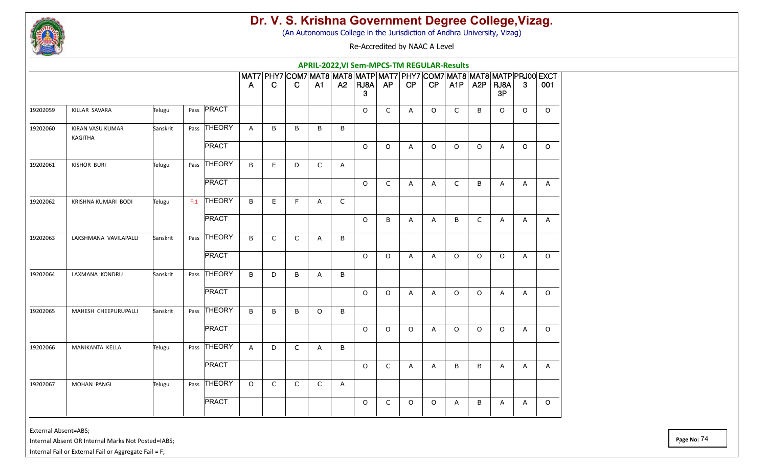

(An Autonomous College in the Jurisdiction of Andhra University, Vizag)

Re-Accredited by NAAC A Level

|          |                                    |          |      |              |         |              |              | APRIL-2022, VI Sem-MPCS-TM REGULAR-Results                                               |              |           |              |         |              |              |                  |                |              |              |
|----------|------------------------------------|----------|------|--------------|---------|--------------|--------------|------------------------------------------------------------------------------------------|--------------|-----------|--------------|---------|--------------|--------------|------------------|----------------|--------------|--------------|
|          |                                    |          |      |              | A       | $\mathbf C$  | C.           | MAT7 PHY7 COM7 MAT8 MAT8 MATP MAT7 PHY7 COM7 MAT8 MAT8 MATP PRJ00 EXCT<br>A <sub>1</sub> | A2           | RJBA<br>3 | AP           | CP      | CP           | A1P          | A <sub>2</sub> P | RJ8A<br>3P     | 3            | 001          |
| 19202059 | KILLAR SAVARA                      | Telugu   | Pass | <b>PRACT</b> |         |              |              |                                                                                          |              | $\circ$   | $\mathsf{C}$ | A       | $\circ$      | $\mathsf{C}$ | B                | $\circ$        | $\circ$      | $\Omega$     |
| 19202060 | KIRAN VASU KUMAR<br><b>KAGITHA</b> | Sanskrit |      | Pass THEORY  | A       | B            | B            | B                                                                                        | B            |           |              |         |              |              |                  |                |              |              |
|          |                                    |          |      | <b>PRACT</b> |         |              |              |                                                                                          |              | $\circ$   | $\circ$      | A       | 0            | $\circ$      | $\circ$          | A              | $\circ$      | $\circ$      |
| 19202061 | <b>KISHOR BURI</b>                 | Telugu   |      | Pass THEORY  | B       | E            | D            | C                                                                                        | A            |           |              |         |              |              |                  |                |              |              |
|          |                                    |          |      | <b>PRACT</b> |         |              |              |                                                                                          |              | $\circ$   | C            | Α       | A            | $\mathsf{C}$ | B                | A              | A            | $\mathsf{A}$ |
| 19202062 | KRISHNA KUMARI BODI                | Telugu   |      | $F:1$ THEORY | B       | E.           | F            | Α                                                                                        | $\mathsf{C}$ |           |              |         |              |              |                  |                |              |              |
|          |                                    |          |      | <b>PRACT</b> |         |              |              |                                                                                          |              | $\circ$   | B            | A       | A            | B            | $\mathsf{C}$     | $\overline{A}$ | $\mathsf{A}$ | A            |
| 19202063 | LAKSHMANA VAVILAPALLI              | Sanskrit |      | Pass THEORY  | B       | C            | C            | A                                                                                        | B            |           |              |         |              |              |                  |                |              |              |
|          |                                    |          |      | <b>PRACT</b> |         |              |              |                                                                                          |              | $\circ$   | $\circ$      | Α       | A            | $\circ$      | $\circ$          | $\circ$        | A            | $\circ$      |
| 19202064 | LAXMANA KONDRU                     | Sanskrit |      | Pass THEORY  | B       | D            | B            | Α                                                                                        | B            |           |              |         |              |              |                  |                |              |              |
|          |                                    |          |      | <b>PRACT</b> |         |              |              |                                                                                          |              | $\circ$   | O            | Α       | Α            | $\circ$      | $\circ$          | Α              | A            | $\circ$      |
| 19202065 | MAHESH CHEEPURUPALLI               | Sanskrit |      | Pass THEORY  | B       | B            | B            | $\Omega$                                                                                 | B            |           |              |         |              |              |                  |                |              |              |
|          |                                    |          |      | <b>PRACT</b> |         |              |              |                                                                                          |              | $\circ$   | $\circ$      | $\circ$ | $\mathsf{A}$ | $\circ$      | $\circ$          | $\circ$        | A            | $\circ$      |
| 19202066 | MANIKANTA KELLA                    | Telugu   |      | Pass THEORY  | A       | D            | C            | Α                                                                                        | B            |           |              |         |              |              |                  |                |              |              |
|          |                                    |          |      | <b>PRACT</b> |         |              |              |                                                                                          |              | $\circ$   | C            | Α       | A            | B            | B                | A              | A            | $\mathsf{A}$ |
| 19202067 | <b>MOHAN PANGI</b>                 | Telugu   |      | Pass THEORY  | $\circ$ | $\mathsf{C}$ | $\mathsf{C}$ | C                                                                                        | A            |           |              |         |              |              |                  |                |              |              |
|          |                                    |          |      | <b>PRACT</b> |         |              |              |                                                                                          |              | $\circ$   | C            | $\circ$ | $\circ$      | A            | B                | A              | A            | $\circ$      |

External Absent=ABS;

Internal Absent OR Internal Marks Not Posted=IABS;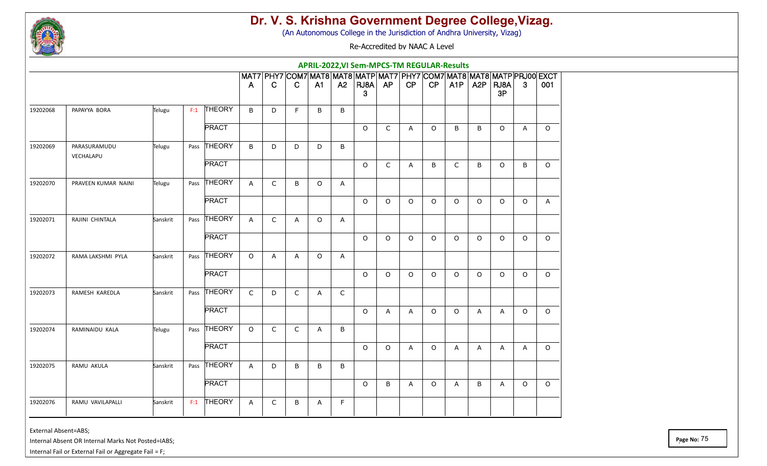

(An Autonomous College in the Jurisdiction of Andhra University, Vizag)

Re-Accredited by NAAC A Level

|          |                           |          |      |              |              |              |              |          |                | APRIL-2022, VI Sem-MPCS-TM REGULAR-Results                             |              |              |         |              |                  |                |                |          |
|----------|---------------------------|----------|------|--------------|--------------|--------------|--------------|----------|----------------|------------------------------------------------------------------------|--------------|--------------|---------|--------------|------------------|----------------|----------------|----------|
|          |                           |          |      |              |              |              |              |          |                | MAT7 PHY7 COM7 MAT8 MAT8 MATP MAT7 PHY7 COM7 MAT8 MAT8 MATP PRJ00 EXCT |              |              |         |              |                  |                |                |          |
|          |                           |          |      |              | A            | $\mathbf C$  | C.           | A1       |                | $A2$   RJ8A  <br>3                                                     | AP           | CP           | CP      | A1P          | A <sub>2</sub> P | RJ8A<br>3P     | 3              | 001      |
| 19202068 | PAPAYYA BORA              | Telugu   |      | $F:1$ THEORY | B            | D            | F            | B        | B              |                                                                        |              |              |         |              |                  |                |                |          |
|          |                           |          |      | <b>PRACT</b> |              |              |              |          |                | $\circ$                                                                | $\mathsf{C}$ | $\mathsf{A}$ | $\circ$ | $\sf B$      | B                | $\circ$        | $\overline{A}$ | $\circ$  |
| 19202069 | PARASURAMUDU<br>VECHALAPU | Telugu   |      | Pass THEORY  | B            | D            | D            | D        | B              |                                                                        |              |              |         |              |                  |                |                |          |
|          |                           |          |      | <b>PRACT</b> |              |              |              |          |                | $\circ$                                                                | C            | A            | B       | $\mathsf{C}$ | B                | $\circ$        | B              | $\circ$  |
| 19202070 | PRAVEEN KUMAR NAINI       | Telugu   |      | Pass THEORY  | A            | C            | B            | $\Omega$ | A              |                                                                        |              |              |         |              |                  |                |                |          |
|          |                           |          |      | <b>PRACT</b> |              |              |              |          |                | $\circ$                                                                | $\circ$      | $\circ$      | O       | $\circ$      | O                | $\circ$        | $\mathsf O$    | A        |
| 19202071 | RAJINI CHINTALA           | Sanskrit |      | Pass THEORY  | $\mathsf{A}$ | $\mathsf{C}$ | A            | $\circ$  | A              |                                                                        |              |              |         |              |                  |                |                |          |
|          |                           |          |      | <b>PRACT</b> |              |              |              |          |                | $\circ$                                                                | $\circ$      | $\circ$      | $\circ$ | $\circ$      | $\circ$          | $\Omega$       | $\circ$        | $\circ$  |
| 19202072 | RAMA LAKSHMI PYLA         | Sanskrit | Pass | THEORY       | $\circ$      | A            | A            | $\circ$  | $\overline{A}$ |                                                                        |              |              |         |              |                  |                |                |          |
|          |                           |          |      | <b>PRACT</b> |              |              |              |          |                | $\circ$                                                                | $\circ$      | $\circ$      | $\circ$ | $\circ$      | $\circ$          | $\circ$        | $\circ$        | $\circ$  |
| 19202073 | RAMESH KAREDLA            | Sanskrit |      | Pass THEORY  | $\mathsf{C}$ | D            | $\mathsf{C}$ | Α        | $\mathsf{C}$   |                                                                        |              |              |         |              |                  |                |                |          |
|          |                           |          |      | <b>PRACT</b> |              |              |              |          |                | $\circ$                                                                | A            | A            | O       | $\circ$      | A                | A              | $\circ$        | $\circ$  |
| 19202074 | RAMINAIDU KALA            | Telugu   |      | Pass THEORY  | $\circ$      | $\mathsf{C}$ | $\mathsf{C}$ | Α        | B              |                                                                        |              |              |         |              |                  |                |                |          |
|          |                           |          |      | <b>PRACT</b> |              |              |              |          |                | $\circ$                                                                | $\circ$      | A            | $\circ$ | $\mathsf{A}$ | $\mathsf{A}$     | $\overline{A}$ | $\mathsf{A}$   | $\circ$  |
| 19202075 | RAMU AKULA                | Sanskrit |      | Pass THEORY  | $\mathsf{A}$ | D            | B            | B        | B              |                                                                        |              |              |         |              |                  |                |                |          |
|          |                           |          |      | <b>PRACT</b> |              |              |              |          |                | $\circ$                                                                | B            | A            | $\circ$ | A            | B                | A              | $\circ$        | $\Omega$ |
| 19202076 | RAMU VAVILAPALLI          | Sanskrit | F:1  | THEORY       | A            | C            | B            | Α        | F              |                                                                        |              |              |         |              |                  |                |                |          |

External Absent=ABS;

Internal Absent OR Internal Marks Not Posted=IABS;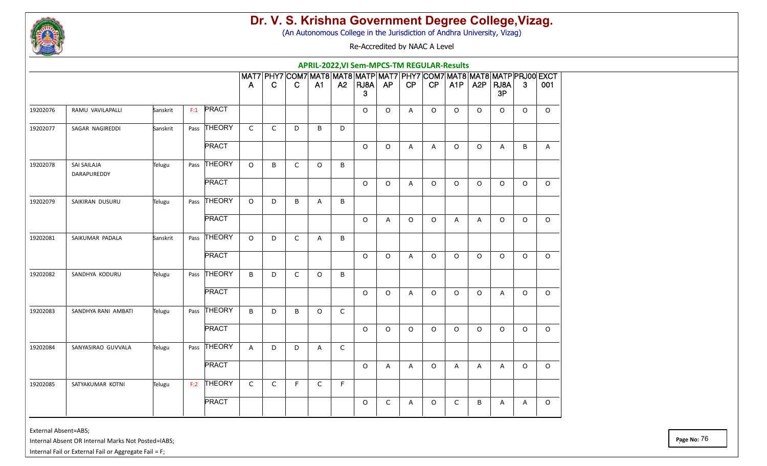

(An Autonomous College in the Jurisdiction of Andhra University, Vizag)

Re-Accredited by NAAC A Level

|          |                            |          |     |              |                |              |              | APRIL-2022, VI Sem-MPCS-TM REGULAR-Results                                   |              |           |         |                |          |                  |                  |            |          |          |
|----------|----------------------------|----------|-----|--------------|----------------|--------------|--------------|------------------------------------------------------------------------------|--------------|-----------|---------|----------------|----------|------------------|------------------|------------|----------|----------|
|          |                            |          |     |              | $\overline{A}$ | C            | C            | MAT7 PHY7 COM7 MAT8 MAT8 MATP MAT7 PHY7 COM7 MAT8 MAT8 MATP PRJ00 EXCT<br>A1 | A2           | RJA <br>3 | AP      | CP             | CP       | A <sub>1</sub> P | A <sub>2</sub> P | RJ8A<br>3P | 3        | 001      |
| 19202076 | RAMU VAVILAPALLI           | Sanskrit | F:1 | PRACT        |                |              |              |                                                                              |              | $\circ$   | $\circ$ | $\overline{A}$ | $\Omega$ | $\circ$          | $\Omega$         | $\Omega$   | $\Omega$ | $\Omega$ |
| 19202077 | SAGAR NAGIREDDI            | Sanskrit |     | Pass THEORY  | $\mathsf{C}$   | $\mathsf{C}$ | D            | B                                                                            | D            |           |         |                |          |                  |                  |            |          |          |
|          |                            |          |     | <b>PRACT</b> |                |              |              |                                                                              |              | $\circ$   | $\circ$ | A              | A        | $\circ$          | O                | A          | B        | A        |
| 19202078 | SAI SAILAJA<br>DARAPUREDDY | Telugu   |     | Pass THEORY  | $\Omega$       | B            | $\mathsf{C}$ | $\Omega$                                                                     | B            |           |         |                |          |                  |                  |            |          |          |
|          |                            |          |     | <b>PRACT</b> |                |              |              |                                                                              |              | $\circ$   | $\circ$ | A              | $\circ$  | $\circ$          | $\circ$          | $\circ$    | $\circ$  | $\circ$  |
| 19202079 | SAIKIRAN DUSURU            | Telugu   |     | Pass THEORY  | $\Omega$       | D            | B            | A                                                                            | B            |           |         |                |          |                  |                  |            |          |          |
|          |                            |          |     | <b>PRACT</b> |                |              |              |                                                                              |              | $\circ$   | A       | $\circ$        | $\circ$  | A                | A                | $\Omega$   | $\circ$  | $\Omega$ |
| 19202081 | SAIKUMAR PADALA            | Sanskrit |     | Pass THEORY  | $\Omega$       | D            | C            | A                                                                            | B            |           |         |                |          |                  |                  |            |          |          |
|          |                            |          |     | <b>PRACT</b> |                |              |              |                                                                              |              | $\circ$   | $\circ$ | Α              | 0        | $\circ$          | $\circ$          | $\circ$    | $\circ$  | $\circ$  |
| 19202082 | SANDHYA KODURU             | Telugu   |     | Pass THEORY  | B              | D            | $\mathsf{C}$ | $\circ$                                                                      | B            |           |         |                |          |                  |                  |            |          |          |
|          |                            |          |     | <b>PRACT</b> |                |              |              |                                                                              |              | $\Omega$  | $\circ$ | A              | $\Omega$ | $\circ$          | $\circ$          | A          | $\Omega$ | $\Omega$ |
| 19202083 | SANDHYA RANI AMBATI        | Telugu   |     | Pass THEORY  | B              | D            | B            | $\circ$                                                                      | $\mathsf{C}$ |           |         |                |          |                  |                  |            |          |          |
|          |                            |          |     | <b>PRACT</b> |                |              |              |                                                                              |              | $\circ$   | $\circ$ | $\circ$        | $\circ$  | $\circ$          | $\circ$          | $\circ$    | $\circ$  | $\circ$  |
| 19202084 | SANYASIRAO GUVVALA         | Telugu   |     | Pass THEORY  | $\mathsf{A}$   | D            | D            | Α                                                                            | C            |           |         |                |          |                  |                  |            |          |          |
|          |                            |          |     | <b>PRACT</b> |                |              |              |                                                                              |              | $\circ$   | A       | A              | 0        | A                | A                | A          | $\circ$  | $\Omega$ |
| 19202085 | SATYAKUMAR KOTNI           | Telugu   | F:2 | THEORY       | $\mathsf{C}$   | $\mathsf{C}$ | F            | C                                                                            | F            |           |         |                |          |                  |                  |            |          |          |
|          |                            |          |     | <b>PRACT</b> |                |              |              |                                                                              |              | $\circ$   | C       | A              | $\circ$  | $\mathsf{C}$     | B                | A          | A        | $\circ$  |

External Absent=ABS;

Internal Absent OR Internal Marks Not Posted=IABS;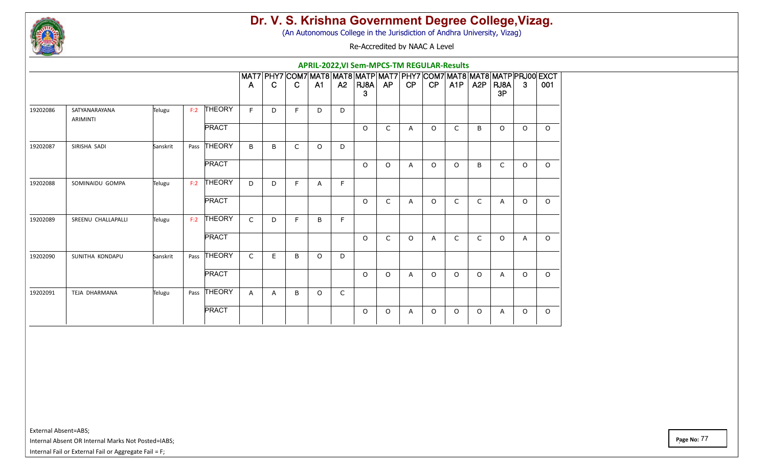

(An Autonomous College in the Jurisdiction of Andhra University, Vizag)

Re-Accredited by NAAC A Level

|          |                                  |          |      |               |              |   |              |          |              | APRIL-2022, VI Sem-MPCS-TM REGULAR-Results                             |              |                |                |              |                  |                |         |         |
|----------|----------------------------------|----------|------|---------------|--------------|---|--------------|----------|--------------|------------------------------------------------------------------------|--------------|----------------|----------------|--------------|------------------|----------------|---------|---------|
|          |                                  |          |      |               |              |   |              |          |              | MAT7 PHY7 COM7 MAT8 MAT8 MATP MAT7 PHY7 COM7 MAT8 MAT8 MATP PRJ00 EXCT |              |                |                |              |                  |                |         |         |
|          |                                  |          |      |               | $\mathsf{A}$ | C | $\mathbf{C}$ | A1       | <b>A2</b>    | RJ8A   AP<br>3                                                         |              | CP             | CP             | A1P          | A <sub>2</sub> P | $ R$ U8A<br>3P | 3       | 001     |
| 19202086 | SATYANARAYANA<br><b>ARIMINTI</b> | Telugu   | F:2  | <b>THEORY</b> | F            | D | F            | D        | D            |                                                                        |              |                |                |              |                  |                |         |         |
|          |                                  |          |      | <b>PRACT</b>  |              |   |              |          |              | $\circ$                                                                | $\mathsf{C}$ | $\overline{A}$ | $\circ$        | $\mathsf{C}$ | B                | $\circ$        | $\circ$ | $\circ$ |
| 19202087 | SIRISHA SADI                     | Sanskrit | Pass | THEORY        | B            | B | $\mathsf{C}$ | $\Omega$ | D            |                                                                        |              |                |                |              |                  |                |         |         |
|          |                                  |          |      | <b>PRACT</b>  |              |   |              |          |              | $\Omega$                                                               | $\Omega$     | A              | $\circ$        | $\circ$      | B                | C              | $\circ$ | $\circ$ |
| 19202088 | SOMINAIDU GOMPA                  | Telugu   | F:2  | <b>THEORY</b> | D            | D | E            | A        | F            |                                                                        |              |                |                |              |                  |                |         |         |
|          |                                  |          |      | <b>PRACT</b>  |              |   |              |          |              | $\circ$                                                                | $\mathsf{C}$ | A              | $\circ$        | $\mathsf{C}$ | $\mathsf{C}$     | A              | $\circ$ | $\circ$ |
| 19202089 | SREENU CHALLAPALLI               | Telugu   | F:2  | <b>THEORY</b> | $\mathsf{C}$ | D | E            | B        | F            |                                                                        |              |                |                |              |                  |                |         |         |
|          |                                  |          |      | <b>PRACT</b>  |              |   |              |          |              | $\circ$                                                                | $\mathsf{C}$ | $\circ$        | $\overline{A}$ | C            | $\mathsf{C}$     | $\circ$        | A       | $\circ$ |
| 19202090 | SUNITHA KONDAPU                  | Sanskrit | Pass | <b>THEORY</b> | $\mathsf{C}$ | E | B            | $\Omega$ | D            |                                                                        |              |                |                |              |                  |                |         |         |
|          |                                  |          |      | <b>PRACT</b>  |              |   |              |          |              | $\circ$                                                                | $\circ$      | $\overline{A}$ | $\circ$        | $\circ$      | $\circ$          | A              | $\circ$ | $\circ$ |
| 19202091 | TEJA DHARMANA                    | Telugu   |      | Pass THEORY   | $\mathsf{A}$ | A | B            | $\Omega$ | $\mathsf{C}$ |                                                                        |              |                |                |              |                  |                |         |         |
|          |                                  |          |      | <b>PRACT</b>  |              |   |              |          |              | $\Omega$                                                               | $\Omega$     | A              | $\circ$        | $\circ$      | $\Omega$         | A              | $\circ$ | $\circ$ |

External Absent=ABS;

Internal Absent OR Internal Marks Not Posted=IABS;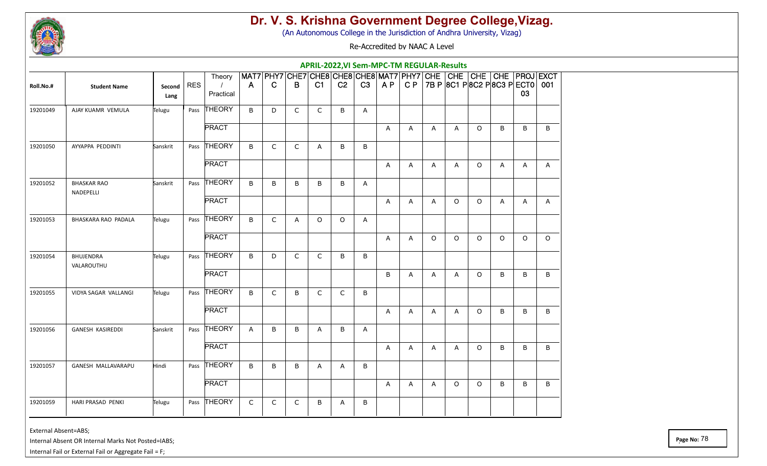

(An Autonomous College in the Jurisdiction of Andhra University, Vizag)

Re-Accredited by NAAC A Level

|           |                                 |                |            |                                         |              |              |              |              |                |         | <b>APRIL-2022, VI Sem-MPC-TM REGULAR-Results</b> |                |              |              |          |                                                                                                                      |         |              |
|-----------|---------------------------------|----------------|------------|-----------------------------------------|--------------|--------------|--------------|--------------|----------------|---------|--------------------------------------------------|----------------|--------------|--------------|----------|----------------------------------------------------------------------------------------------------------------------|---------|--------------|
| Roll.No.# | <b>Student Name</b>             | Second<br>Lang | <b>RES</b> | Theory<br>$\left  \right $<br>Practical | $\mathsf{A}$ | C            | B            | C1           | C <sub>2</sub> | C3      | AP                                               |                |              |              |          | MAT7 PHY7 CHE7 CHE8 CHE8 CHE8 MAT7 PHY7 CHE CHE CHE CHE PROJ EXCT<br>C P   7B P   8C1 P   8C2 P   8C3 P   ECT0   001 | 03      |              |
| 19201049  | AJAY KUAMR VEMULA               | Telugu         | Pass       | THEORY                                  | B            | D            | $\mathsf{C}$ | C            | B              | A       |                                                  |                |              |              |          |                                                                                                                      |         |              |
|           |                                 |                |            | <b>PRACT</b>                            |              |              |              |              |                |         | A                                                | Α              | A            | A            | $\circ$  | B                                                                                                                    | B       | B            |
| 19201050  | AYYAPPA PEDDINTI                | Sanskrit       |            | Pass THEORY                             | B            | C            | $\mathsf{C}$ | Α            | B              | B       |                                                  |                |              |              |          |                                                                                                                      |         |              |
|           |                                 |                |            | <b>PRACT</b>                            |              |              |              |              |                |         | Α                                                | Α              | Α            | A            | $\circ$  | Α                                                                                                                    | A       | A            |
| 19201052  | <b>BHASKAR RAO</b><br>NADEPELLI | Sanskrit       |            | Pass THEORY                             | B            | B            | B            | B            | B              | Α       |                                                  |                |              |              |          |                                                                                                                      |         |              |
|           |                                 |                |            | <b>PRACT</b>                            |              |              |              |              |                |         | Α                                                | A              | A            | $\circ$      | $\circ$  | $\overline{A}$                                                                                                       | A       | $\mathsf{A}$ |
| 19201053  | BHASKARA RAO PADALA             | Telugu         |            | Pass THEORY                             | B            | C            | A            | $\circ$      | $\circ$        | A       |                                                  |                |              |              |          |                                                                                                                      |         |              |
|           |                                 |                |            | <b>PRACT</b>                            |              |              |              |              |                |         | Α                                                | Α              | $\circ$      | $\circ$      | $\circ$  | $\Omega$                                                                                                             | $\circ$ | $\circ$      |
| 19201054  | <b>BHUJENDRA</b><br>VALAROUTHU  | Telugu         |            | Pass THEORY                             | B            | D            | C            | $\mathsf{C}$ | B              | B       |                                                  |                |              |              |          |                                                                                                                      |         |              |
|           |                                 |                |            | <b>PRACT</b>                            |              |              |              |              |                |         | B                                                | $\overline{A}$ | $\mathsf{A}$ | $\mathsf{A}$ | $\circ$  | B                                                                                                                    | B       | B            |
| 19201055  | VIDYA SAGAR VALLANGI            | Telugu         |            | Pass THEORY                             | B            | $\mathsf{C}$ | B            | $\mathsf{C}$ | $\mathsf{C}$   | $\sf B$ |                                                  |                |              |              |          |                                                                                                                      |         |              |
|           |                                 |                |            | <b>PRACT</b>                            |              |              |              |              |                |         | Α                                                | Α              | A            | A            | $\circ$  | B                                                                                                                    | B       | B            |
| 19201056  | <b>GANESH KASIREDDI</b>         | Sanskrit       |            | Pass THEORY                             | $\mathsf{A}$ | B            | B            | Α            | B              | A       |                                                  |                |              |              |          |                                                                                                                      |         |              |
|           |                                 |                |            | <b>PRACT</b>                            |              |              |              |              |                |         | A                                                | A              | A            | A            | $\circ$  | B                                                                                                                    | B       | B            |
| 19201057  | GANESH MALLAVARAPU              | Hindi          |            | Pass THEORY                             | B            | B            | B            | Α            | A              | B       |                                                  |                |              |              |          |                                                                                                                      |         |              |
|           |                                 |                |            | <b>PRACT</b>                            |              |              |              |              |                |         | A                                                | A              | A            | $\circ$      | $\Omega$ | B                                                                                                                    | B       | B            |
| 19201059  | <b>HARI PRASAD PENKI</b>        | Telugu         |            | Pass THEORY                             | $\mathsf C$  | $\mathsf C$  | $\mathsf C$  | B            | Α              | B       |                                                  |                |              |              |          |                                                                                                                      |         |              |

External Absent=ABS;

Internal Absent OR Internal Marks Not Posted=IABS;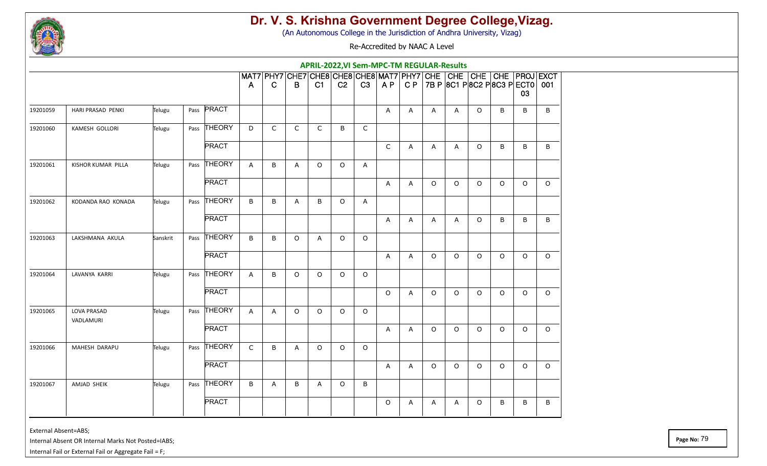

(An Autonomous College in the Jurisdiction of Andhra University, Vizag)

Re-Accredited by NAAC A Level

|          |                          |          |              |              |              |             | APRIL-2022, VI Sem-MPC-TM REGULAR-Results                               |                |              |             |              |         |         |         |          |                                                       |          |
|----------|--------------------------|----------|--------------|--------------|--------------|-------------|-------------------------------------------------------------------------|----------------|--------------|-------------|--------------|---------|---------|---------|----------|-------------------------------------------------------|----------|
|          |                          |          |              | A            | $\mathsf{C}$ | B           | MAT7 PHY7 CHE7 CHE8 CHE8 CHE8 MAT7 PHY7 CHE CHE CHE CHE PROJ EXCT<br>C1 | C <sub>2</sub> | C3           | AP          |              |         |         |         |          | C P   7B P   8C1 P   8C2 P   8C3 P   ECT0   001<br>03 |          |
| 19201059 | HARI PRASAD PENKI        | Telugu   | Pass PRACT   |              |              |             |                                                                         |                |              | A           | $\mathsf{A}$ | A       | A       | $\circ$ | B        | B                                                     | B        |
| 19201060 | KAMESH GOLLORI           | Telugu   | Pass THEORY  | D            | $\mathsf{C}$ | $\mathsf C$ | $\mathsf{C}$                                                            | B              | $\mathsf C$  |             |              |         |         |         |          |                                                       |          |
|          |                          |          | <b>PRACT</b> |              |              |             |                                                                         |                |              | $\mathsf C$ | A            | A       | A       | $\circ$ | B        | $\sf B$                                               | B        |
| 19201061 | KISHOR KUMAR PILLA       | Telugu   | Pass THEORY  | A            | B            | A           | $\Omega$                                                                | $\circ$        | Α            |             |              |         |         |         |          |                                                       |          |
|          |                          |          | <b>PRACT</b> |              |              |             |                                                                         |                |              | A           | A            | $\circ$ | $\circ$ | $\circ$ | $\circ$  | $\circ$                                               | $\circ$  |
| 19201062 | KODANDA RAO KONADA       | Telugu   | Pass THEORY  | B            | B            | A           | B                                                                       | $\circ$        | $\mathsf{A}$ |             |              |         |         |         |          |                                                       |          |
|          |                          |          | <b>PRACT</b> |              |              |             |                                                                         |                |              | A           | A            | A       | Α       | $\circ$ | B        | B                                                     | $\sf B$  |
| 19201063 | LAKSHMANA AKULA          | Sanskrit | Pass THEORY  | B            | B            | $\circ$     | Α                                                                       | $\circ$        | $\circ$      |             |              |         |         |         |          |                                                       |          |
|          |                          |          | <b>PRACT</b> |              |              |             |                                                                         |                |              | A           | A            | O       | $\circ$ | $\circ$ | $\circ$  | $\mathsf O$                                           | $\circ$  |
| 19201064 | LAVANYA KARRI            | Telugu   | Pass THEORY  | A            | B            | $\circ$     | $\Omega$                                                                | $\circ$        | $\circ$      |             |              |         |         |         |          |                                                       |          |
|          |                          |          | <b>PRACT</b> |              |              |             |                                                                         |                |              | $\circ$     | A            | $\circ$ | $\circ$ | $\circ$ | $\circ$  | $\circ$                                               | $\Omega$ |
| 19201065 | LOVA PRASAD<br>VADLAMURI | Telugu   | Pass THEORY  | $\mathsf{A}$ | A            | $\circ$     | $\circ$                                                                 | $\circ$        | $\circ$      |             |              |         |         |         |          |                                                       |          |
|          |                          |          | <b>PRACT</b> |              |              |             |                                                                         |                |              | A           | A            | $\circ$ | $\circ$ | $\circ$ | $\Omega$ | $\circ$                                               | $\Omega$ |
| 19201066 | MAHESH DARAPU            | Telugu   | Pass THEORY  | $\mathsf{C}$ | B            | A           | O                                                                       | $\circ$        | $\circ$      |             |              |         |         |         |          |                                                       |          |
|          |                          |          | <b>PRACT</b> |              |              |             |                                                                         |                |              | A           | Α            | $\circ$ | $\circ$ | $\circ$ | $\Omega$ | $\circ$                                               | $\circ$  |
| 19201067 | AMJAD SHEIK              | Telugu   | Pass THEORY  | B            | A            | B           | A                                                                       | $\circ$        | $\sf B$      |             |              |         |         |         |          |                                                       |          |
|          |                          |          | <b>PRACT</b> |              |              |             |                                                                         |                |              | $\circ$     | A            | A       | A       | $\circ$ | B        | B                                                     | B        |

External Absent=ABS;

Internal Absent OR Internal Marks Not Posted=IABS;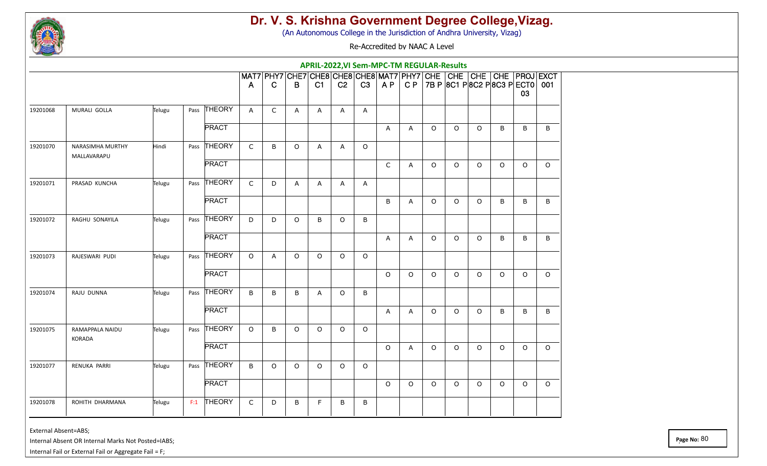

(An Autonomous College in the Jurisdiction of Andhra University, Vizag)

Re-Accredited by NAAC A Level

|          |                                        |        |               |              |              |              | APRIL-2022, VI Sem-MPC-TM REGULAR-Results |                |         |         |              |         |         |         |                                                 |         |                                                                   |
|----------|----------------------------------------|--------|---------------|--------------|--------------|--------------|-------------------------------------------|----------------|---------|---------|--------------|---------|---------|---------|-------------------------------------------------|---------|-------------------------------------------------------------------|
|          |                                        |        |               | A            | $\mathbf C$  | B            | C1                                        | C <sub>2</sub> | C3      | AP      |              |         |         |         | C P   7B P   8C1 P   8C2 P   8C3 P   ECT0   001 | 03      | MAT7 PHY7 CHE7 CHE8 CHE8 CHE8 MAT7 PHY7 CHE CHE CHE CHE PROJ EXCT |
| 19201068 | MURALI GOLLA                           | Telugu | Pass THEORY   | $\mathsf{A}$ | $\mathsf{C}$ | A            | A                                         | A              | A       |         |              |         |         |         |                                                 |         |                                                                   |
|          |                                        |        | <b>PRACT</b>  |              |              |              |                                           |                |         | A       | $\mathsf{A}$ | $\circ$ | $\circ$ | $\circ$ | B                                               | B       | $\sf B$                                                           |
| 19201070 | <b>NARASIMHA MURTHY</b><br>MALLAVARAPU | Hindi  | Pass THEORY   | $\mathsf{C}$ | B            | $\circ$      | Α                                         | Α              | $\circ$ |         |              |         |         |         |                                                 |         |                                                                   |
|          |                                        |        | <b>PRACT</b>  |              |              |              |                                           |                |         | C       | A            | O       | $\circ$ | $\circ$ | $\circ$                                         | $\circ$ | $\circ$                                                           |
| 19201071 | PRASAD KUNCHA                          | Telugu | Pass THEORY   | $\mathsf{C}$ | D            | $\mathsf{A}$ | Α                                         | A              | A       |         |              |         |         |         |                                                 |         |                                                                   |
|          |                                        |        | <b>PRACT</b>  |              |              |              |                                           |                |         | B       | A            | O       | $\circ$ | O       | B                                               | B       | B                                                                 |
| 19201072 | RAGHU SONAYILA                         | Telugu | Pass THEORY   | D            | D            | $\circ$      | B                                         | $\circ$        | B       |         |              |         |         |         |                                                 |         |                                                                   |
|          |                                        |        | <b>PRACT</b>  |              |              |              |                                           |                |         | A       | Α            | $\circ$ | $\circ$ | $\circ$ | B                                               | B       | $\sf B$                                                           |
| 19201073 | RAJESWARI PUDI                         | Telugu | Pass THEORY   | $\circ$      | A            | $\circ$      | $\circ$                                   | $\circ$        | $\circ$ |         |              |         |         |         |                                                 |         |                                                                   |
|          |                                        |        | <b>PRACT</b>  |              |              |              |                                           |                |         | $\circ$ | $\circ$      | $\circ$ | $\circ$ | $\circ$ | $\circ$                                         | $\circ$ | $\circ$                                                           |
| 19201074 | RAJU DUNNA                             | Telugu | Pass THEORY   | B            | B            | B            | Α                                         | $\circ$        | B       |         |              |         |         |         |                                                 |         |                                                                   |
|          |                                        |        | <b>PRACT</b>  |              |              |              |                                           |                |         | A       | A            | O       | $\circ$ | $\circ$ | B                                               | B       | B                                                                 |
| 19201075 | RAMAPPALA NAIDU<br>KORADA              | Telugu | Pass THEORY   | $\circ$      | B            | $\circ$      | $\Omega$                                  | $\circ$        | $\circ$ |         |              |         |         |         |                                                 |         |                                                                   |
|          |                                        |        | <b>PRACT</b>  |              |              |              |                                           |                |         | $\circ$ | A            | $\circ$ | $\circ$ | $\circ$ | $\Omega$                                        | $\circ$ | $\circ$                                                           |
| 19201077 | RENUKA PARRI                           | Telugu | Pass THEORY   | B            | $\circ$      | $\circ$      | $\circ$                                   | $\circ$        | $\circ$ |         |              |         |         |         |                                                 |         |                                                                   |
|          |                                        |        | <b>PRACT</b>  |              |              |              |                                           |                |         | $\circ$ | $\circ$      | $\circ$ | $\circ$ | $\circ$ | $\circ$                                         | $\circ$ | $\Omega$                                                          |
| 19201078 | ROHITH DHARMANA                        | Telugu | THEORY<br>F:1 | $\mathsf{C}$ | D            | B            | F                                         | B              | B       |         |              |         |         |         |                                                 |         |                                                                   |

External Absent=ABS;

Internal Absent OR Internal Marks Not Posted=IABS;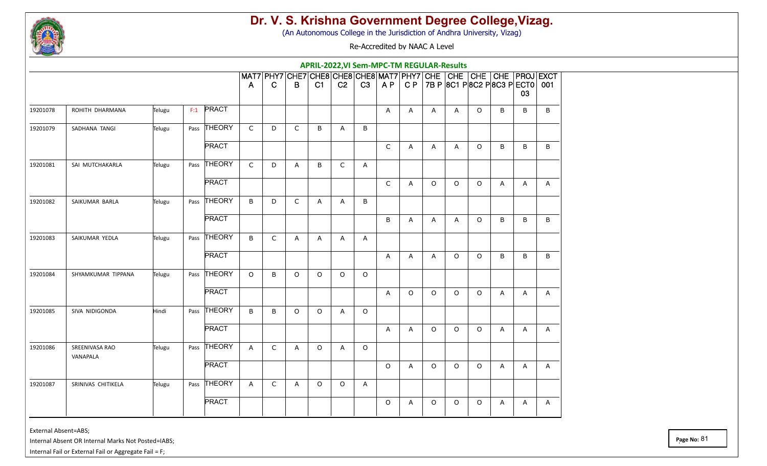

(An Autonomous College in the Jurisdiction of Andhra University, Vizag)

Re-Accredited by NAAC A Level

| MAT7 PHY7 CHE7 CHE8 CHE8 CHE8 MAT7 PHY7<br>CHE CHE CHE CHE PROJEXCT<br>C P   7B P   8C1 P   8C2 P   8C3 P   ECT0   001<br>C <sub>2</sub><br>C3<br>$\mathsf{C}$<br>C1<br>A P<br>B<br>A<br>03 | B |
|---------------------------------------------------------------------------------------------------------------------------------------------------------------------------------------------|---|
|                                                                                                                                                                                             |   |
| $F:1$ PRACT<br>В<br>B<br>19201078<br>ROHITH DHARMANA<br>Telugu<br>Α<br>$\circ$<br>A<br>A<br>A                                                                                               |   |
| Pass THEORY<br>$\mathsf{C}$<br>$\mathsf{C}$<br>19201079<br>SADHANA TANGI<br>Telugu<br>D<br>B<br>B<br>A                                                                                      |   |
| <b>PRACT</b><br>$\mathsf C$<br>$\circ$<br>B<br>A<br>A<br>B<br>A                                                                                                                             | B |
| Pass THEORY<br>$\mathsf C$<br>$\mathsf C$<br>19201081<br>SAI MUTCHAKARLA<br>D<br>B<br>A<br>Telugu<br>A                                                                                      |   |
| <b>PRACT</b><br>$\mathsf{C}$<br>$\circ$<br>O<br>$\circ$<br>A<br>A<br>A                                                                                                                      | Α |
| Pass THEORY<br>$\mathsf C$<br>19201082<br>SAIKUMAR BARLA<br>Telugu<br>B<br>D<br>B<br>Α<br>A                                                                                                 |   |
| <b>PRACT</b><br>B<br>$\circ$<br>В<br>B<br>A<br>A<br>A                                                                                                                                       | B |
| Pass THEORY<br>$\mathsf C$<br>19201083<br>SAIKUMAR YEDLA<br>B<br>Telugu<br>A<br>A<br>A<br>Α                                                                                                 |   |
| <b>PRACT</b><br>$\circ$<br>$\circ$<br>B<br>B<br>A<br>$\mathsf{A}$<br>A                                                                                                                      | B |
| Pass THEORY<br>$\circ$<br>B<br>$\circ$<br>$\circ$<br>$\circ$<br>$\circ$<br>19201084<br>SHYAMKUMAR TIPPANA<br>Telugu                                                                         |   |
| <b>PRACT</b><br>$\circ$<br>$\circ$<br>$\circ$<br>$\circ$<br>A<br>A<br>A                                                                                                                     | Α |
| Pass THEORY<br>$\sf B$<br>19201085<br>SIVA NIDIGONDA<br>Hindi<br>B<br>0<br>$\circ$<br>$\circ$<br>Α                                                                                          |   |
| <b>PRACT</b><br>$\circ$<br>$\circ$<br>$\circ$<br>A<br>A<br>A<br>A                                                                                                                           | Α |
| Pass THEORY<br>$\mathsf C$<br>19201086<br>SREENIVASA RAO<br>$\circ$<br>$\circ$<br>Telugu<br>A<br>A<br>A<br>VANAPALA                                                                         |   |
| <b>PRACT</b><br>$\circ$<br>$\circ$<br>$\circ$<br>$\circ$<br>A<br>A<br>A                                                                                                                     | Α |
| Pass THEORY<br>SRINIVAS CHITIKELA<br>$\mathsf{C}$<br>19201087<br>Telugu<br>$\mathsf{A}$<br>A<br>$\circ$<br>O<br>A                                                                           |   |
| <b>PRACT</b><br>$\circ$<br>O<br>$\circ$<br>$\circ$<br>A<br>A<br>A                                                                                                                           | A |

External Absent=ABS;

Internal Absent OR Internal Marks Not Posted=IABS;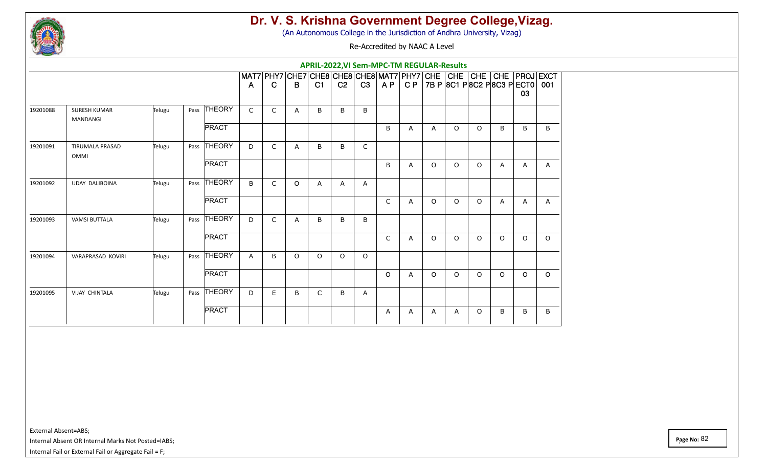

(An Autonomous College in the Jurisdiction of Andhra University, Vizag)

Re-Accredited by NAAC A Level

|          |                                        |        |                       |              |             |              |                |                | APRIL-2022, VI Sem-MPC-TM REGULAR-Results                               |              |   |         |         |         |                                                       |              |              |
|----------|----------------------------------------|--------|-----------------------|--------------|-------------|--------------|----------------|----------------|-------------------------------------------------------------------------|--------------|---|---------|---------|---------|-------------------------------------------------------|--------------|--------------|
|          |                                        |        |                       | $\mathsf{A}$ | C           | B            | C <sub>1</sub> | C <sub>2</sub> | MAT7 PHY7 CHE7 CHE8 CHE8 CHE8 MAT7 PHY7 CHE CHE CHE CHE PROJ EXCT<br>C3 |              |   |         |         |         | $AP   CP   7B P   8C1 P   8C2 P   8C3 P   ECT0   001$ | 03           |              |
| 19201088 | <b>SURESH KUMAR</b><br><b>MANDANGI</b> | Telugu | Pass THEORY           | $\mathsf{C}$ | C           | $\mathsf{A}$ | B              | B              | B                                                                       |              |   |         |         |         |                                                       |              |              |
|          |                                        |        | <b>PRACT</b>          |              |             |              |                |                |                                                                         | B            | A | A       | $\circ$ | $\circ$ | B                                                     | B            | B            |
| 19201091 | <b>TIRUMALA PRASAD</b><br>OMMI         | Telugu | THEORY<br>Pass        | D            | $\mathsf C$ | $\mathsf{A}$ | B              | B              | $\mathsf C$                                                             |              |   |         |         |         |                                                       |              |              |
|          |                                        |        | <b>PRACT</b>          |              |             |              |                |                |                                                                         | B            | Α | O       | $\circ$ | $\circ$ | A                                                     | A            | $\mathsf{A}$ |
| 19201092 | <b>UDAY DALIBOINA</b>                  | Telugu | <b>THEORY</b><br>Pass | B            | C           | $\Omega$     | Α              | $\mathsf{A}$   | Α                                                                       |              |   |         |         |         |                                                       |              |              |
|          |                                        |        | <b>PRACT</b>          |              |             |              |                |                |                                                                         | $\mathsf{C}$ | A | $\circ$ | $\circ$ | $\circ$ | A                                                     | $\mathsf{A}$ | $\mathsf{A}$ |
| 19201093 | <b>VAMSI BUTTALA</b>                   | Telugu | Pass THEORY           | D            | $\mathsf C$ | $\mathsf{A}$ | B              | B              | B                                                                       |              |   |         |         |         |                                                       |              |              |
|          |                                        |        | <b>PRACT</b>          |              |             |              |                |                |                                                                         | $\mathsf{C}$ | A | $\circ$ | $\circ$ | $\circ$ | $\Omega$                                              | $\circ$      | $\circ$      |
| 19201094 | VARAPRASAD KOVIRI                      | Telugu | Pass THEORY           | $\mathsf{A}$ | B           | $\Omega$     | $\Omega$       | $\circ$        | $\circ$                                                                 |              |   |         |         |         |                                                       |              |              |
|          |                                        |        | <b>PRACT</b>          |              |             |              |                |                |                                                                         | $\Omega$     | A | $\circ$ | $\circ$ | $\circ$ | $\circ$                                               | $\circ$      | $\circ$      |
| 19201095 | <b>VIJAY CHINTALA</b>                  | Telugu | Pass THEORY           | D            | E.          | B            | C              | B              | A                                                                       |              |   |         |         |         |                                                       |              |              |
|          |                                        |        | <b>PRACT</b>          |              |             |              |                |                |                                                                         | A            | Α | Α       | A       | $\circ$ | B                                                     | B            | B            |

External Absent=ABS;

Internal Absent OR Internal Marks Not Posted=IABS;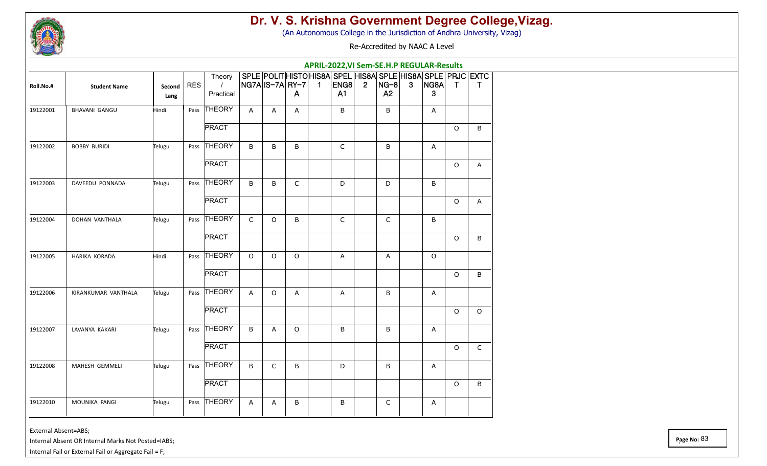

(An Autonomous College in the Jurisdiction of Andhra University, Vizag)

Re-Accredited by NAAC A Level

|           |                      |        |            |                    |             |                  |              |                |             |             |              | APRIL-2022, VI Sem-SE.H.P REGULAR-Results                           |         |              |
|-----------|----------------------|--------|------------|--------------------|-------------|------------------|--------------|----------------|-------------|-------------|--------------|---------------------------------------------------------------------|---------|--------------|
| Roll.No.# | <b>Student Name</b>  | Second | <b>RES</b> | Theory<br>$\prime$ |             | NG7A IS–7A  RY–7 |              | $\blacksquare$ | $ ENGB $ 2  | $ NG-8 $    | $\mathbf{3}$ | SPLE POLIT HISTO HIS8A SPEL HIS8A SPLE HIS8A SPLE PRJC EXTC<br>NG8A | $\top$  | $\top$       |
|           |                      | Lang   |            | Practical          |             |                  | $\mathsf{A}$ |                | A1          | A2          |              | 3                                                                   |         |              |
| 19122001  | <b>BHAVANI GANGU</b> | Hindi  | Pass       | THEORY             | A           | A                | A            |                | B           | B           |              | A                                                                   |         |              |
|           |                      |        |            | <b>PRACT</b>       |             |                  |              |                |             |             |              |                                                                     | $\circ$ | B            |
| 19122002  | <b>BOBBY BURIDI</b>  | Telugu | Pass       | THEORY             | B           | B                | $\sf B$      |                | $\mathsf C$ | B           |              | Α                                                                   |         |              |
|           |                      |        |            | <b>PRACT</b>       |             |                  |              |                |             |             |              |                                                                     | $\circ$ | A            |
| 19122003  | DAVEEDU PONNADA      | Telugu | Pass       | THEORY             | B           | B                | $\mathsf C$  |                | D           | D           |              | B                                                                   |         |              |
|           |                      |        |            | <b>PRACT</b>       |             |                  |              |                |             |             |              |                                                                     | $\circ$ | $\mathsf{A}$ |
| 19122004  | DOHAN VANTHALA       | Telugu | Pass       | THEORY             | $\mathsf C$ | $\circ$          | B            |                | $\mathsf C$ | $\mathsf C$ |              | B                                                                   |         |              |
|           |                      |        |            | <b>PRACT</b>       |             |                  |              |                |             |             |              |                                                                     | $\circ$ | $\mathsf B$  |
| 19122005  | HARIKA KORADA        | Hindi  | Pass       | THEORY             | $\circ$     | $\mathsf O$      | $\mathsf O$  |                | A           | A           |              | $\circ$                                                             |         |              |
|           |                      |        |            | <b>PRACT</b>       |             |                  |              |                |             |             |              |                                                                     | $\circ$ | B            |
| 19122006  | KIRANKUMAR VANTHALA  | Telugu | Pass       | <b>THEORY</b>      | A           | $\circ$          | A            |                | A           | B           |              | A                                                                   |         |              |
|           |                      |        |            | <b>PRACT</b>       |             |                  |              |                |             |             |              |                                                                     | $\circ$ | $\circ$      |
| 19122007  | LAVANYA KAKARI       | Telugu | Pass       | THEORY             | B           | A                | $\circ$      |                | B           | B           |              | A                                                                   |         |              |
|           |                      |        |            | <b>PRACT</b>       |             |                  |              |                |             |             |              |                                                                     | $\circ$ | $\mathsf C$  |
| 19122008  | MAHESH GEMMELI       | Telugu |            | Pass THEORY        | B           | $\mathsf C$      | B            |                | D           | B           |              | Α                                                                   |         |              |
|           |                      |        |            | <b>PRACT</b>       |             |                  |              |                |             |             |              |                                                                     | $\circ$ | B            |
| 19122010  | MOUNIKA PANGI        | Telugu | Pass       | THEORY             | Α           | Α                | B            |                | B           | $\mathsf C$ |              | A                                                                   |         |              |

External Absent=ABS;

Internal Absent OR Internal Marks Not Posted=IABS;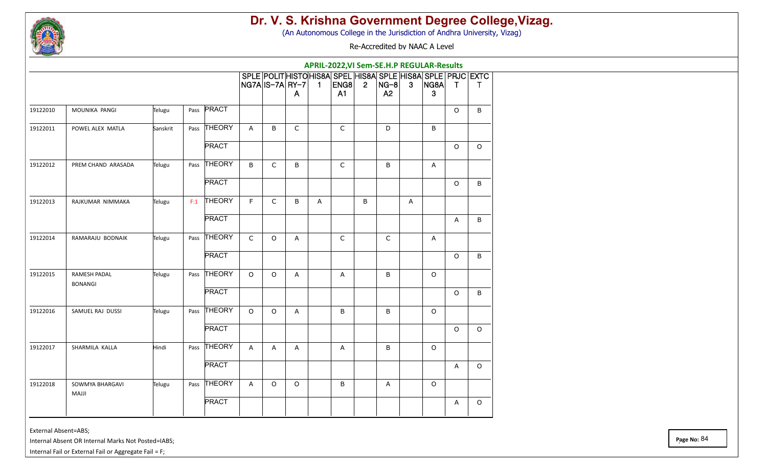

(An Autonomous College in the Jurisdiction of Andhra University, Vizag)

Re-Accredited by NAAC A Level

|          |                                 |          |      |              |             |             |                         |                |                        |                |                            |              | APRIL-2022, VI Sem-SE.H.P REGULAR-Results                                |              |              |
|----------|---------------------------------|----------|------|--------------|-------------|-------------|-------------------------|----------------|------------------------|----------------|----------------------------|--------------|--------------------------------------------------------------------------|--------------|--------------|
|          |                                 |          |      |              |             |             | NG7A IS–7A  RY–7  <br>A | $\blacksquare$ | ENG8<br>A <sub>1</sub> | $\overline{2}$ | $ NG-8 $<br>A <sub>2</sub> | $\mathbf{3}$ | SPLE POLIT HISTO HIS8A SPEL HIS8A SPLE HIS8A SPLE PRJC EXTC<br>NG8A<br>3 | $\mathsf{T}$ | $\mathsf{T}$ |
| 19122010 | MOUNIKA PANGI                   | Telugu   | Pass | PRACT        |             |             |                         |                |                        |                |                            |              |                                                                          | 0            | В            |
| 19122011 | POWEL ALEX MATLA                | Sanskrit | Pass | THEORY       | Α           | B           | C                       |                | $\mathsf C$            |                | D                          |              | B                                                                        |              |              |
|          |                                 |          |      | <b>PRACT</b> |             |             |                         |                |                        |                |                            |              |                                                                          | $\circ$      | $\circ$      |
| 19122012 | PREM CHAND ARASADA              | Telugu   | Pass | THEORY       | B           | $\mathsf C$ | $\sf B$                 |                | $\mathsf C$            |                | $\sf B$                    |              | Α                                                                        |              |              |
|          |                                 |          |      | <b>PRACT</b> |             |             |                         |                |                        |                |                            |              |                                                                          | $\circ$      | B            |
| 19122013 | RAJKUMAR NIMMAKA                | Telugu   | F:1  | THEORY       | F           | $\mathsf C$ | B                       | A              |                        | B              |                            | A            |                                                                          |              |              |
|          |                                 |          |      | <b>PRACT</b> |             |             |                         |                |                        |                |                            |              |                                                                          | A            | B            |
| 19122014 | RAMARAJU BODNAIK                | Telugu   | Pass | THEORY       | $\mathsf C$ | $\circ$     | A                       |                | $\mathsf C$            |                | $\mathsf C$                |              | A                                                                        |              |              |
|          |                                 |          |      | <b>PRACT</b> |             |             |                         |                |                        |                |                            |              |                                                                          | O            | В            |
| 19122015 | RAMESH PADAL<br><b>BONANGI</b>  | Telugu   | Pass | THEORY       | $\circ$     | O           | Α                       |                | Α                      |                | B                          |              | $\circ$                                                                  |              |              |
|          |                                 |          |      | <b>PRACT</b> |             |             |                         |                |                        |                |                            |              |                                                                          | $\circ$      | В            |
| 19122016 | SAMUEL RAJ DUSSI                | Telugu   | Pass | THEORY       | $\circ$     | O           | Α                       |                | B                      |                | B                          |              | $\circ$                                                                  |              |              |
|          |                                 |          |      | <b>PRACT</b> |             |             |                         |                |                        |                |                            |              |                                                                          | $\circ$      | O            |
| 19122017 | SHARMILA KALLA                  | Hindi    | Pass | THEORY       | A           | A           | A                       |                | A                      |                | B                          |              | O                                                                        |              |              |
|          |                                 |          |      | <b>PRACT</b> |             |             |                         |                |                        |                |                            |              |                                                                          | A            | $\circ$      |
| 19122018 | SOWMYA BHARGAVI<br><b>MAJJI</b> | Telugu   | Pass | THEORY       | A           | O           | $\circ$                 |                | B                      |                | Α                          |              | $\circ$                                                                  |              |              |
|          |                                 |          |      | <b>PRACT</b> |             |             |                         |                |                        |                |                            |              |                                                                          | A            | $\circ$      |

External Absent=ABS;

Internal Absent OR Internal Marks Not Posted=IABS;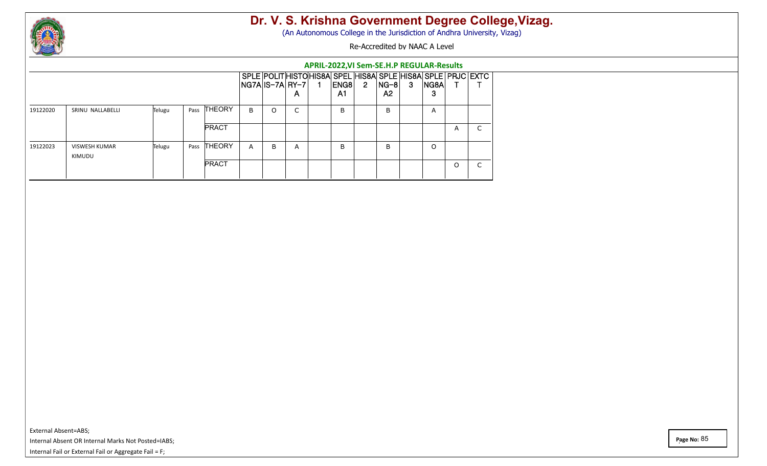

(An Autonomous College in the Jurisdiction of Andhra University, Vizag)

Re-Accredited by NAAC A Level

|          |                         |        |      |               | APRIL-2022, VI Sem-SE.H.P REGULAR-Results |                    |        |  |                                                                         |                |            |   |           |          |                               |
|----------|-------------------------|--------|------|---------------|-------------------------------------------|--------------------|--------|--|-------------------------------------------------------------------------|----------------|------------|---|-----------|----------|-------------------------------|
|          |                         |        |      |               |                                           | $NG7A IS-7A RY-7 $ | A      |  | SPLE POLITHISTOHIS8A SPEL HIS8A SPLE HIS8A SPLE PRJC EXTC<br>ENG8<br>A1 | $\overline{2}$ | NG-8<br>A2 | 3 | NG8A<br>3 |          |                               |
| 19122020 | SRINU NALLABELLI        | Telugu | Pass | <b>THEORY</b> | B                                         | $\Omega$           | $\sim$ |  | B                                                                       |                | B          |   | A         |          |                               |
|          |                         |        |      | <b>PRACT</b>  |                                           |                    |        |  |                                                                         |                |            |   |           | A        | $\overline{\phantom{0}}$<br>◡ |
| 19122023 | VISWESH KUMAR<br>KIMUDU | Telugu | Pass | <b>THEORY</b> | $\mathsf{A}$                              | B                  | A      |  | B                                                                       |                | B.         |   | O         |          |                               |
|          |                         |        |      | <b>PRACT</b>  |                                           |                    |        |  |                                                                         |                |            |   |           | $\Omega$ | $\sim$<br>U                   |

External Absent=ABS; Internal Absent OR Internal Marks Not Posted=IABS; Internal Fail or External Fail or Aggregate Fail = F;

**Page No:** 85